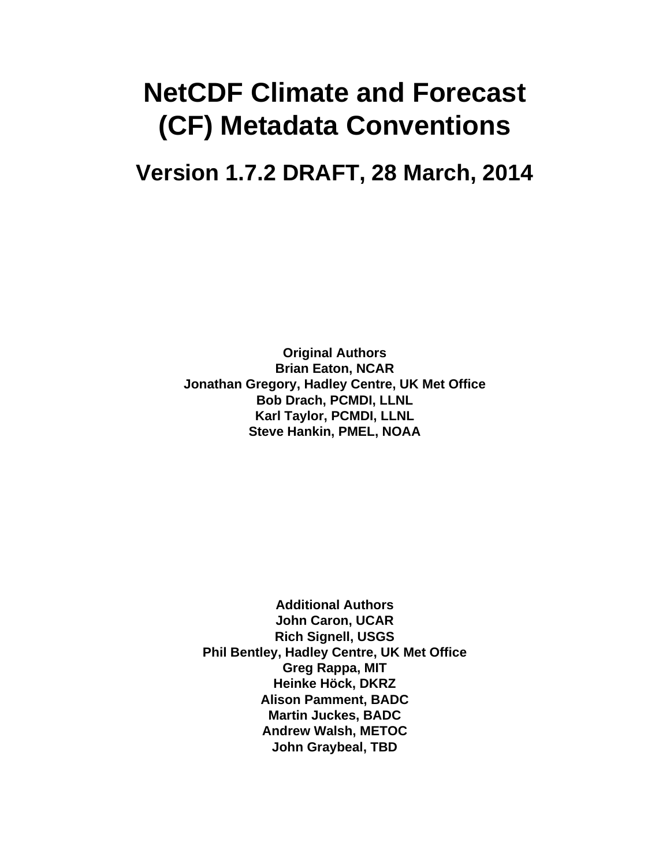# **NetCDF Climate and Forecast (CF) Metadata Conventions**

**Version 1.7.2 DRAFT, 28 March, 2014**

**Original Authors Brian Eaton, NCAR Jonathan Gregory, Hadley Centre, UK Met Office Bob Drach, PCMDI, LLNL Karl Taylor, PCMDI, LLNL Steve Hankin, PMEL, NOAA**

**Additional Authors John Caron, UCAR Rich Signell, USGS Phil Bentley, Hadley Centre, UK Met Office Greg Rappa, MIT Heinke Höck, DKRZ Alison Pamment, BADC Martin Juckes, BADC Andrew Walsh, METOC John Graybeal, TBD**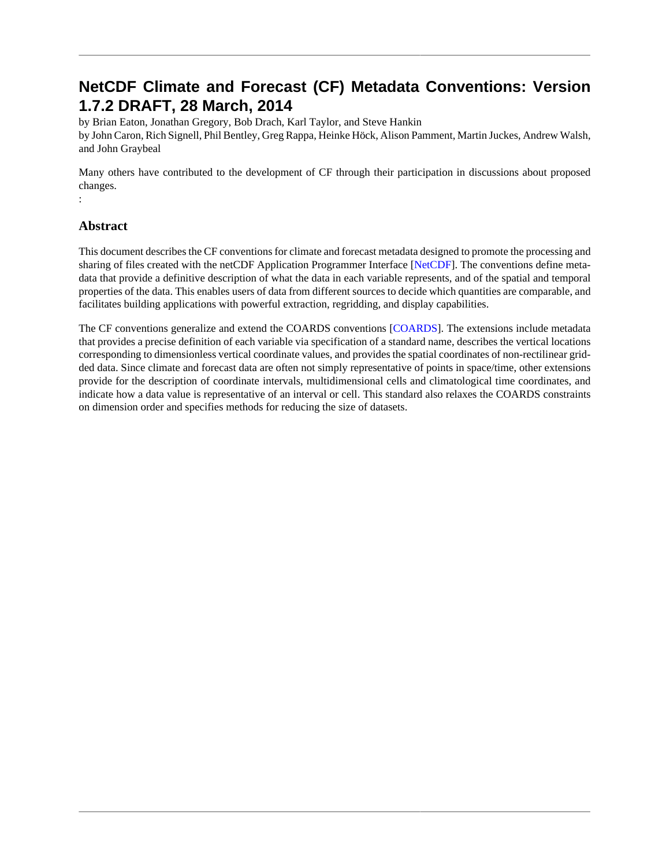#### **NetCDF Climate and Forecast (CF) Metadata Conventions: Version 1.7.2 DRAFT, 28 March, 2014**

by Brian Eaton, Jonathan Gregory, Bob Drach, Karl Taylor, and Steve Hankin

by John Caron, Rich Signell, Phil Bentley, Greg Rappa, Heinke Höck, Alison Pamment, Martin Juckes, Andrew Walsh, and John Graybeal

Many others have contributed to the development of CF through their participation in discussions about proposed changes.

#### **Abstract**

:

This document describes the CF conventions for climate and forecast metadata designed to promote the processing and sharing of files created with the netCDF Application Programmer Interface [[NetCDF\]](#page-124-0). The conventions define metadata that provide a definitive description of what the data in each variable represents, and of the spatial and temporal properties of the data. This enables users of data from different sources to decide which quantities are comparable, and facilitates building applications with powerful extraction, regridding, and display capabilities.

The CF conventions generalize and extend the COARDS conventions [\[COARDS\]](#page-124-1). The extensions include metadata that provides a precise definition of each variable via specification of a standard name, describes the vertical locations corresponding to dimensionless vertical coordinate values, and provides the spatial coordinates of non-rectilinear gridded data. Since climate and forecast data are often not simply representative of points in space/time, other extensions provide for the description of coordinate intervals, multidimensional cells and climatological time coordinates, and indicate how a data value is representative of an interval or cell. This standard also relaxes the COARDS constraints on dimension order and specifies methods for reducing the size of datasets.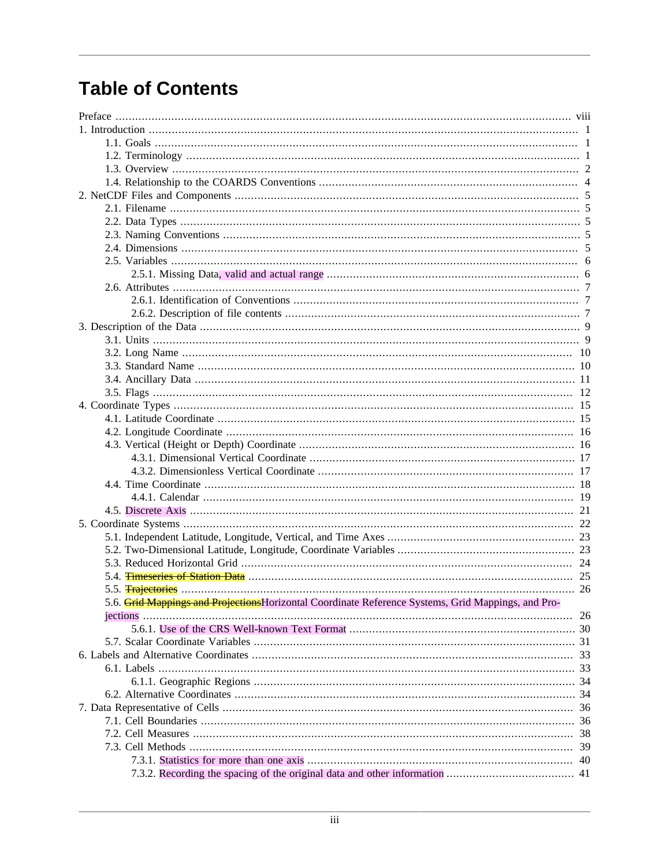### **Table of Contents**

| 5.6. Grid Mappings and Projections Horizontal Coordinate Reference Systems, Grid Mappings, and Pro- |    |
|-----------------------------------------------------------------------------------------------------|----|
|                                                                                                     | 26 |
|                                                                                                     |    |
|                                                                                                     |    |
|                                                                                                     |    |
|                                                                                                     |    |
|                                                                                                     |    |
|                                                                                                     |    |
|                                                                                                     |    |
|                                                                                                     |    |
|                                                                                                     |    |
|                                                                                                     | 38 |
|                                                                                                     | 39 |
|                                                                                                     | 40 |
|                                                                                                     |    |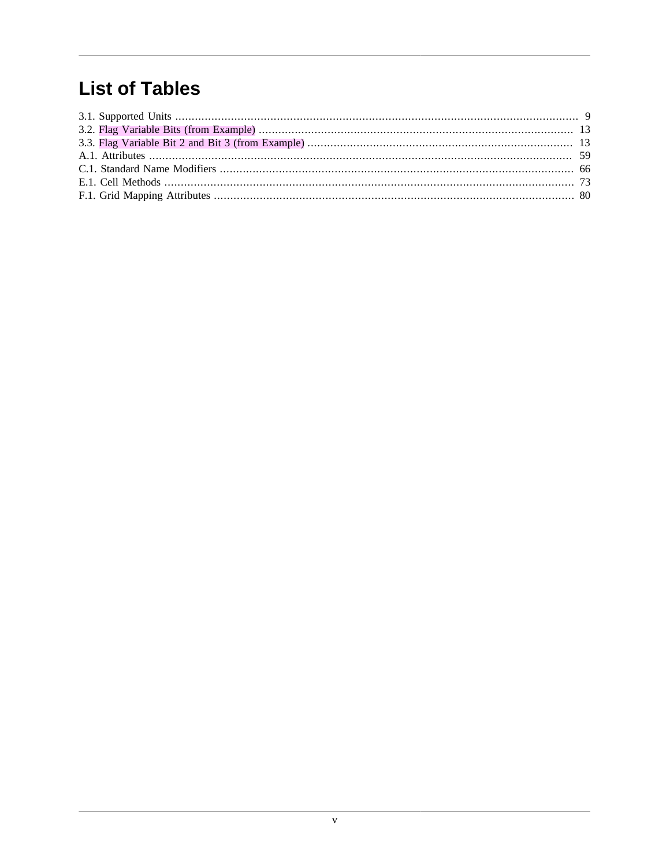### **List of Tables**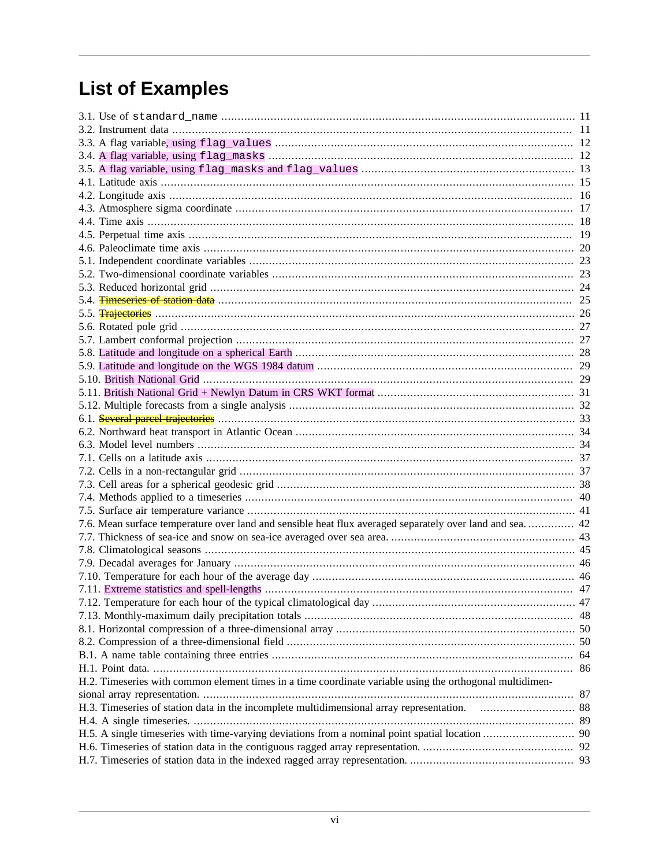### **List of Examples**

| 7.6. Mean surface temperature over land and sensible heat flux averaged separately over land and sea 42  |  |  |  |
|----------------------------------------------------------------------------------------------------------|--|--|--|
|                                                                                                          |  |  |  |
|                                                                                                          |  |  |  |
|                                                                                                          |  |  |  |
|                                                                                                          |  |  |  |
|                                                                                                          |  |  |  |
|                                                                                                          |  |  |  |
|                                                                                                          |  |  |  |
|                                                                                                          |  |  |  |
|                                                                                                          |  |  |  |
|                                                                                                          |  |  |  |
|                                                                                                          |  |  |  |
| H.2. Timeseries with common element times in a time coordinate variable using the orthogonal multidimen- |  |  |  |
|                                                                                                          |  |  |  |
|                                                                                                          |  |  |  |
|                                                                                                          |  |  |  |
|                                                                                                          |  |  |  |
|                                                                                                          |  |  |  |
|                                                                                                          |  |  |  |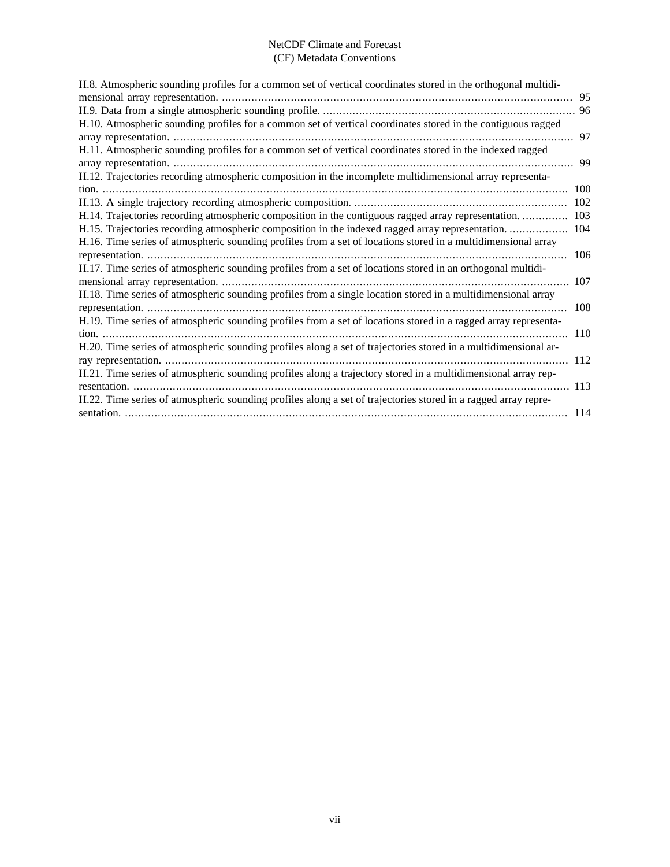| H.8. Atmospheric sounding profiles for a common set of vertical coordinates stored in the orthogonal multidi-                                                                                                     | 95  |
|-------------------------------------------------------------------------------------------------------------------------------------------------------------------------------------------------------------------|-----|
|                                                                                                                                                                                                                   |     |
| H.10. Atmospheric sounding profiles for a common set of vertical coordinates stored in the contiguous ragged                                                                                                      | 97  |
| H.11. Atmospheric sounding profiles for a common set of vertical coordinates stored in the indexed ragged                                                                                                         |     |
|                                                                                                                                                                                                                   | 99  |
| H.12. Trajectories recording atmospheric composition in the incomplete multidimensional array representa-                                                                                                         |     |
|                                                                                                                                                                                                                   | 100 |
|                                                                                                                                                                                                                   | 102 |
| H.14. Trajectories recording atmospheric composition in the contiguous ragged array representation.                                                                                                               | 103 |
| H.15. Trajectories recording atmospheric composition in the indexed ragged array representation.<br>H.16. Time series of atmospheric sounding profiles from a set of locations stored in a multidimensional array | 104 |
|                                                                                                                                                                                                                   | 106 |
| H.17. Time series of atmospheric sounding profiles from a set of locations stored in an orthogonal multidi-                                                                                                       |     |
|                                                                                                                                                                                                                   | 107 |
| H.18. Time series of atmospheric sounding profiles from a single location stored in a multidimensional array                                                                                                      | 108 |
| H.19. Time series of atmospheric sounding profiles from a set of locations stored in a ragged array representa-                                                                                                   |     |
|                                                                                                                                                                                                                   | 110 |
| H.20. Time series of atmospheric sounding profiles along a set of trajectories stored in a multidimensional ar-                                                                                                   |     |
|                                                                                                                                                                                                                   | 112 |
| H.21. Time series of atmospheric sounding profiles along a trajectory stored in a multidimensional array rep-                                                                                                     |     |
|                                                                                                                                                                                                                   |     |
| H.22. Time series of atmospheric sounding profiles along a set of trajectories stored in a ragged array repre-                                                                                                    | 114 |
|                                                                                                                                                                                                                   |     |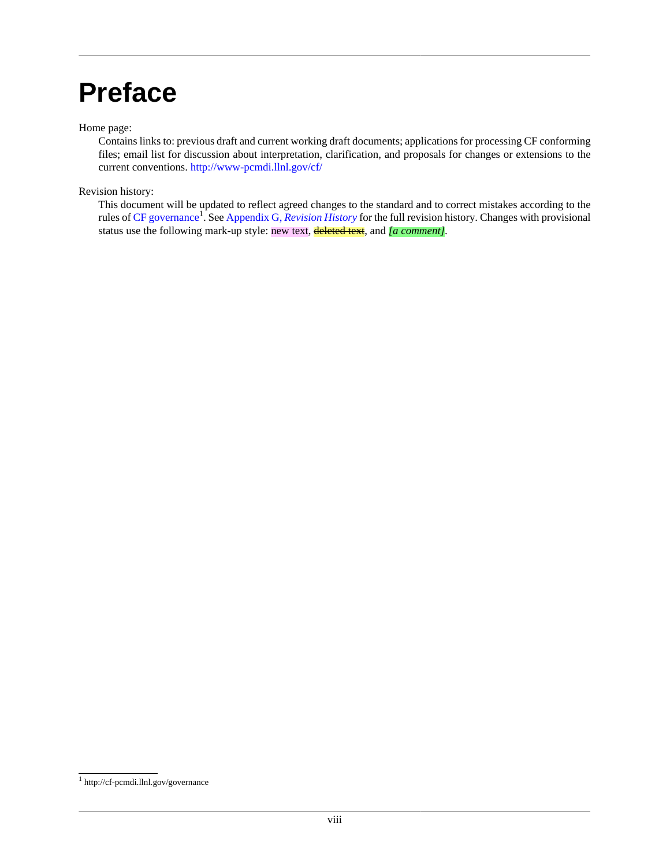# <span id="page-7-0"></span>**Preface**

Home page:

Contains links to: previous draft and current working draft documents; applications for processing CF conforming files; email list for discussion about interpretation, clarification, and proposals for changes or extensions to the current conventions.<http://www-pcmdi.llnl.gov/cf/>

Revision history:

This document will be updated to reflect agreed changes to the standard and to correct mistakes according to the rules of [CF governance](http://cf-pcmdi.llnl.gov/governance)<sup>1</sup>. See Appendix G, *[Revision History](#page-90-0)* for the full revision history. Changes with provisional status use the following mark-up style: new text, deleted text, and *[a comment]*.

<sup>1</sup> <http://cf-pcmdi.llnl.gov/governance>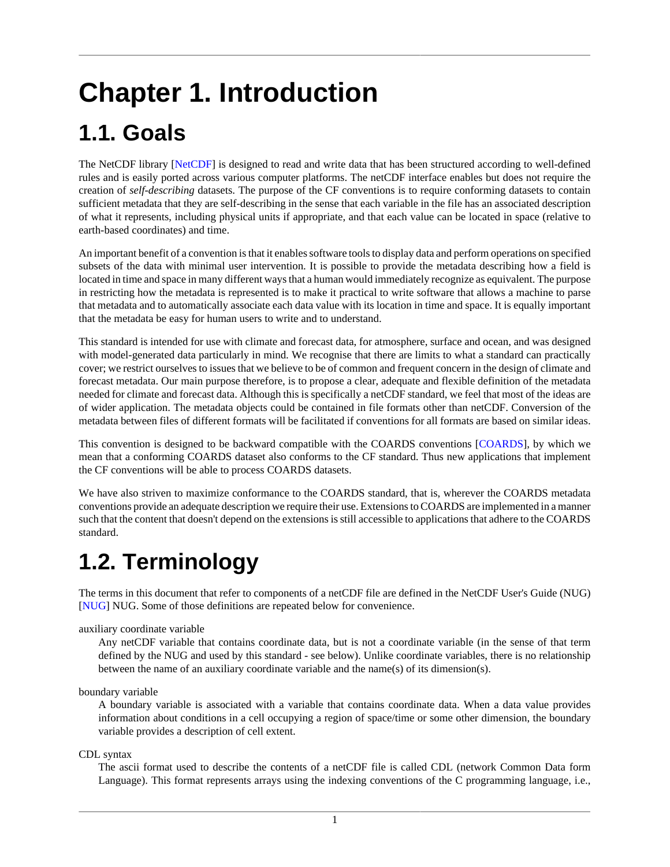# <span id="page-8-0"></span>**Chapter 1. Introduction**

# <span id="page-8-1"></span>**1.1. Goals**

The NetCDF library [[NetCDF\]](#page-124-0) is designed to read and write data that has been structured according to well-defined rules and is easily ported across various computer platforms. The netCDF interface enables but does not require the creation of *self-describing* datasets. The purpose of the CF conventions is to require conforming datasets to contain sufficient metadata that they are self-describing in the sense that each variable in the file has an associated description of what it represents, including physical units if appropriate, and that each value can be located in space (relative to earth-based coordinates) and time.

An important benefit of a convention is that it enables software tools to display data and perform operations on specified subsets of the data with minimal user intervention. It is possible to provide the metadata describing how a field is located in time and space in many different ways that a human would immediately recognize as equivalent. The purpose in restricting how the metadata is represented is to make it practical to write software that allows a machine to parse that metadata and to automatically associate each data value with its location in time and space. It is equally important that the metadata be easy for human users to write and to understand.

This standard is intended for use with climate and forecast data, for atmosphere, surface and ocean, and was designed with model-generated data particularly in mind. We recognise that there are limits to what a standard can practically cover; we restrict ourselves to issues that we believe to be of common and frequent concern in the design of climate and forecast metadata. Our main purpose therefore, is to propose a clear, adequate and flexible definition of the metadata needed for climate and forecast data. Although this is specifically a netCDF standard, we feel that most of the ideas are of wider application. The metadata objects could be contained in file formats other than netCDF. Conversion of the metadata between files of different formats will be facilitated if conventions for all formats are based on similar ideas.

This convention is designed to be backward compatible with the COARDS conventions [[COARDS](#page-124-1)], by which we mean that a conforming COARDS dataset also conforms to the CF standard. Thus new applications that implement the CF conventions will be able to process COARDS datasets.

We have also striven to maximize conformance to the COARDS standard, that is, wherever the COARDS metadata conventions provide an adequate description we require their use. Extensions to COARDS are implemented in a manner such that the content that doesn't depend on the extensions is still accessible to applications that adhere to the COARDS standard.

# <span id="page-8-2"></span>**1.2. Terminology**

The terms in this document that refer to components of a netCDF file are defined in the NetCDF User's Guide (NUG) [\[NUG\]](#page-124-3) NUG. Some of those definitions are repeated below for convenience.

auxiliary coordinate variable

Any netCDF variable that contains coordinate data, but is not a coordinate variable (in the sense of that term defined by the NUG and used by this standard - see below). Unlike coordinate variables, there is no relationship between the name of an auxiliary coordinate variable and the name(s) of its dimension(s).

boundary variable

A boundary variable is associated with a variable that contains coordinate data. When a data value provides information about conditions in a cell occupying a region of space/time or some other dimension, the boundary variable provides a description of cell extent.

CDL syntax

The ascii format used to describe the contents of a netCDF file is called CDL (network Common Data form Language). This format represents arrays using the indexing conventions of the C programming language, i.e.,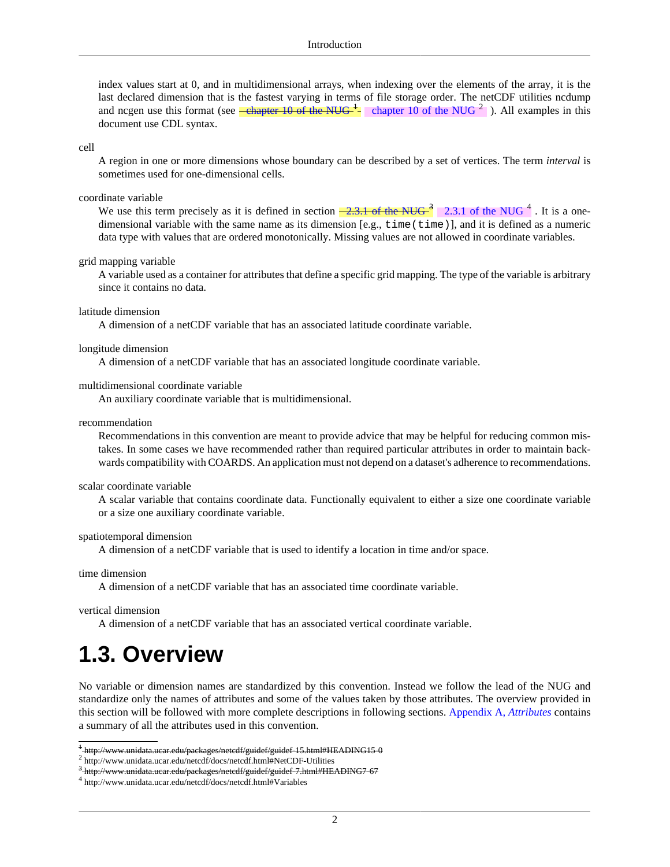index values start at 0, and in multidimensional arrays, when indexing over the elements of the array, it is the last declared dimension that is the fastest varying in terms of file storage order. The netCDF utilities ncdump and ncgen use this format (see  $\frac{1000 \text{ m}}{1000 \text{ m}}$  = [chapter 10 of the NUG](http://www.unidata.ucar.edu/packages/netcdf/guidef/guidef-15.html#HEADING15-0)  $^2$ ). All examples in this document use CDL syntax.

cell

A region in one or more dimensions whose boundary can be described by a set of vertices. The term *interval* is sometimes used for one-dimensional cells.

#### coordinate variable

We use this term precisely as it is defined in section  $-2.3.1$  of the NUG<sup>3</sup> 2.3.1 of the NUG<sup>4</sup>. It is a onedimensional variable with the same name as its dimension [e.g., time(time)], and it is defined as a numeric data type with values that are ordered monotonically. Missing values are not allowed in coordinate variables.

#### grid mapping variable

A variable used as a container for attributes that define a specific grid mapping. The type of the variable is arbitrary since it contains no data.

#### latitude dimension

A dimension of a netCDF variable that has an associated latitude coordinate variable.

#### longitude dimension

A dimension of a netCDF variable that has an associated longitude coordinate variable.

#### multidimensional coordinate variable

An auxiliary coordinate variable that is multidimensional.

#### recommendation

Recommendations in this convention are meant to provide advice that may be helpful for reducing common mistakes. In some cases we have recommended rather than required particular attributes in order to maintain backwards compatibility with COARDS. An application must not depend on a dataset's adherence to recommendations.

#### scalar coordinate variable

A scalar variable that contains coordinate data. Functionally equivalent to either a size one coordinate variable or a size one auxiliary coordinate variable.

#### spatiotemporal dimension

A dimension of a netCDF variable that is used to identify a location in time and/or space.

time dimension

A dimension of a netCDF variable that has an associated time coordinate variable.

vertical dimension

A dimension of a netCDF variable that has an associated vertical coordinate variable.

### <span id="page-9-0"></span>**1.3. Overview**

No variable or dimension names are standardized by this convention. Instead we follow the lead of the NUG and standardize only the names of attributes and some of the values taken by those attributes. The overview provided in this section will be followed with more complete descriptions in following sections. [Appendix A,](#page-66-0) *Attributes* contains a summary of all the attributes used in this convention.

<sup>&</sup>lt;sup>+</sup> http://www.unidata.uca htta://wackages/netcdf/guidef/guidef-15.html#HEADING15-0

<sup>&</sup>lt;sup>2</sup> <http://www.unidata.ucar.edu/netcdf/docs/netcdf.html#NetCDF-Utilities>

<sup>&</sup>lt;sup>3</sup>http://www.unidata.ucar.edu/packages/netedf/guidef/guidef-7.html#HEADING7-67

<sup>4</sup> <http://www.unidata.ucar.edu/netcdf/docs/netcdf.html#Variables>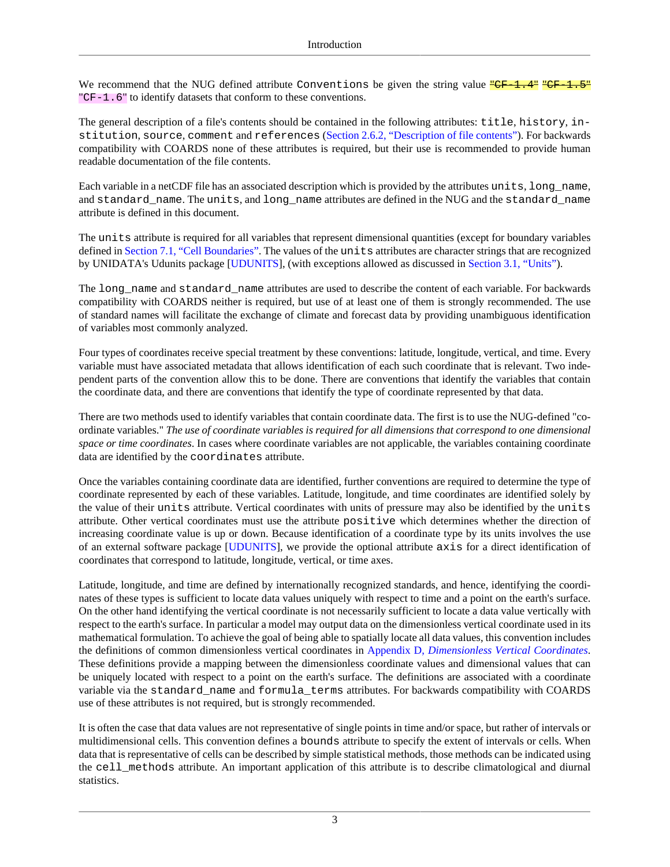We recommend that the NUG defined attribute Conventions be given the string value  $\frac{\text{PCF}-1}{\text{CF}-1}$ .  $4^{\text{P}}$   $\frac{\text{PCF}-1}{\text{CF}-1}$ . "CF-1.6" to identify datasets that conform to these conventions.

The general description of a file's contents should be contained in the following attributes: title, history, institution, source, comment and references [\(Section 2.6.2, "Description of file contents"\)](#page-14-2). For backwards compatibility with COARDS none of these attributes is required, but their use is recommended to provide human readable documentation of the file contents.

Each variable in a netCDF file has an associated description which is provided by the attributes units, long\_name, and standard\_name. The units, and long\_name attributes are defined in the NUG and the standard\_name attribute is defined in this document.

The units attribute is required for all variables that represent dimensional quantities (except for boundary variables defined in [Section 7.1, "Cell Boundaries".](#page-43-1) The values of the units attributes are character strings that are recognized by UNIDATA's Udunits package [[UDUNITS\]](#page-124-4), (with exceptions allowed as discussed in [Section 3.1, "Units"\)](#page-16-1).

The long\_name and standard\_name attributes are used to describe the content of each variable. For backwards compatibility with COARDS neither is required, but use of at least one of them is strongly recommended. The use of standard names will facilitate the exchange of climate and forecast data by providing unambiguous identification of variables most commonly analyzed.

Four types of coordinates receive special treatment by these conventions: latitude, longitude, vertical, and time. Every variable must have associated metadata that allows identification of each such coordinate that is relevant. Two independent parts of the convention allow this to be done. There are conventions that identify the variables that contain the coordinate data, and there are conventions that identify the type of coordinate represented by that data.

There are two methods used to identify variables that contain coordinate data. The first is to use the NUG-defined "coordinate variables." *The use of coordinate variables is required for all dimensions that correspond to one dimensional space or time coordinates*. In cases where coordinate variables are not applicable, the variables containing coordinate data are identified by the coordinates attribute.

Once the variables containing coordinate data are identified, further conventions are required to determine the type of coordinate represented by each of these variables. Latitude, longitude, and time coordinates are identified solely by the value of their units attribute. Vertical coordinates with units of pressure may also be identified by the units attribute. Other vertical coordinates must use the attribute positive which determines whether the direction of increasing coordinate value is up or down. Because identification of a coordinate type by its units involves the use of an external software package [[UDUNITS\]](#page-124-4), we provide the optional attribute axis for a direct identification of coordinates that correspond to latitude, longitude, vertical, or time axes.

Latitude, longitude, and time are defined by internationally recognized standards, and hence, identifying the coordinates of these types is sufficient to locate data values uniquely with respect to time and a point on the earth's surface. On the other hand identifying the vertical coordinate is not necessarily sufficient to locate a data value vertically with respect to the earth's surface. In particular a model may output data on the dimensionless vertical coordinate used in its mathematical formulation. To achieve the goal of being able to spatially locate all data values, this convention includes the definitions of common dimensionless vertical coordinates in Appendix D, *[Dimensionless Vertical Coordinates](#page-74-0)*. These definitions provide a mapping between the dimensionless coordinate values and dimensional values that can be uniquely located with respect to a point on the earth's surface. The definitions are associated with a coordinate variable via the standard\_name and formula\_terms attributes. For backwards compatibility with COARDS use of these attributes is not required, but is strongly recommended.

It is often the case that data values are not representative of single points in time and/or space, but rather of intervals or multidimensional cells. This convention defines a bounds attribute to specify the extent of intervals or cells. When data that is representative of cells can be described by simple statistical methods, those methods can be indicated using the cell\_methods attribute. An important application of this attribute is to describe climatological and diurnal statistics.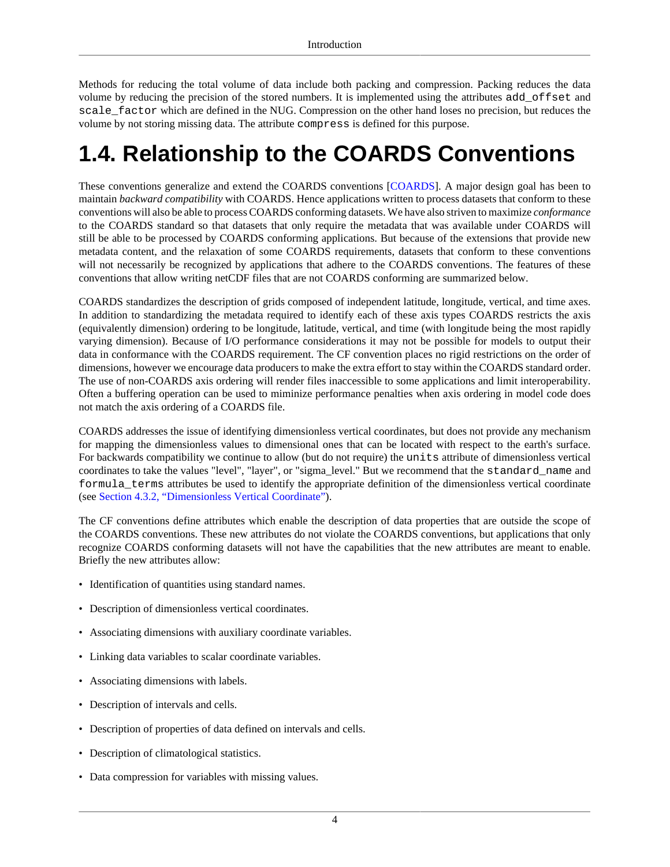Methods for reducing the total volume of data include both packing and compression. Packing reduces the data volume by reducing the precision of the stored numbers. It is implemented using the attributes add\_offset and scale factor which are defined in the NUG. Compression on the other hand loses no precision, but reduces the volume by not storing missing data. The attribute compress is defined for this purpose.

### <span id="page-11-0"></span>**1.4. Relationship to the COARDS Conventions**

These conventions generalize and extend the COARDS conventions [[COARDS](#page-124-1)]. A major design goal has been to maintain *backward compatibility* with COARDS. Hence applications written to process datasets that conform to these conventions will also be able to process COARDS conforming datasets. We have also striven to maximize *conformance* to the COARDS standard so that datasets that only require the metadata that was available under COARDS will still be able to be processed by COARDS conforming applications. But because of the extensions that provide new metadata content, and the relaxation of some COARDS requirements, datasets that conform to these conventions will not necessarily be recognized by applications that adhere to the COARDS conventions. The features of these conventions that allow writing netCDF files that are not COARDS conforming are summarized below.

COARDS standardizes the description of grids composed of independent latitude, longitude, vertical, and time axes. In addition to standardizing the metadata required to identify each of these axis types COARDS restricts the axis (equivalently dimension) ordering to be longitude, latitude, vertical, and time (with longitude being the most rapidly varying dimension). Because of I/O performance considerations it may not be possible for models to output their data in conformance with the COARDS requirement. The CF convention places no rigid restrictions on the order of dimensions, however we encourage data producers to make the extra effort to stay within the COARDS standard order. The use of non-COARDS axis ordering will render files inaccessible to some applications and limit interoperability. Often a buffering operation can be used to miminize performance penalties when axis ordering in model code does not match the axis ordering of a COARDS file.

COARDS addresses the issue of identifying dimensionless vertical coordinates, but does not provide any mechanism for mapping the dimensionless values to dimensional ones that can be located with respect to the earth's surface. For backwards compatibility we continue to allow (but do not require) the units attribute of dimensionless vertical coordinates to take the values "level", "layer", or "sigma\_level." But we recommend that the standard\_name and formula\_terms attributes be used to identify the appropriate definition of the dimensionless vertical coordinate (see [Section 4.3.2, "Dimensionless Vertical Coordinate"\)](#page-24-1).

The CF conventions define attributes which enable the description of data properties that are outside the scope of the COARDS conventions. These new attributes do not violate the COARDS conventions, but applications that only recognize COARDS conforming datasets will not have the capabilities that the new attributes are meant to enable. Briefly the new attributes allow:

- Identification of quantities using standard names.
- Description of dimensionless vertical coordinates.
- Associating dimensions with auxiliary coordinate variables.
- Linking data variables to scalar coordinate variables.
- Associating dimensions with labels.
- Description of intervals and cells.
- Description of properties of data defined on intervals and cells.
- Description of climatological statistics.
- Data compression for variables with missing values.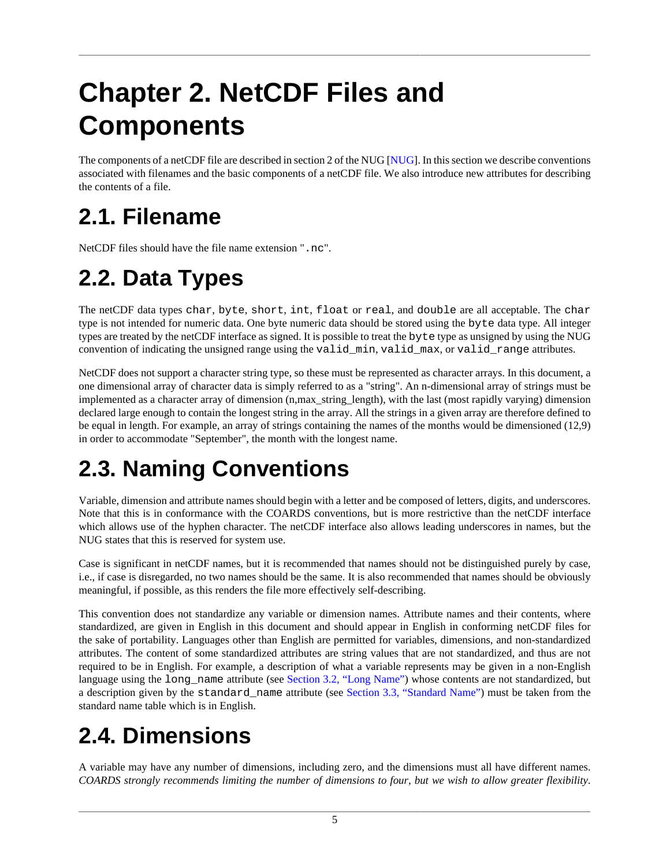# <span id="page-12-0"></span>**Chapter 2. NetCDF Files and Components**

The components of a netCDF file are described in section 2 of the NUG [[NUG\]](#page-124-3). In this section we describe conventions associated with filenames and the basic components of a netCDF file. We also introduce new attributes for describing the contents of a file.

# <span id="page-12-1"></span>**2.1. Filename**

NetCDF files should have the file name extension ".nc".

# <span id="page-12-2"></span>**2.2. Data Types**

The netCDF data types char, byte, short, int, float or real, and double are all acceptable. The char type is not intended for numeric data. One byte numeric data should be stored using the byte data type. All integer types are treated by the netCDF interface as signed. It is possible to treat the byte type as unsigned by using the NUG convention of indicating the unsigned range using the valid\_min, valid\_max, or valid\_range attributes.

NetCDF does not support a character string type, so these must be represented as character arrays. In this document, a one dimensional array of character data is simply referred to as a "string". An n-dimensional array of strings must be implemented as a character array of dimension (n,max\_string\_length), with the last (most rapidly varying) dimension declared large enough to contain the longest string in the array. All the strings in a given array are therefore defined to be equal in length. For example, an array of strings containing the names of the months would be dimensioned (12,9) in order to accommodate "September", the month with the longest name.

# <span id="page-12-3"></span>**2.3. Naming Conventions**

Variable, dimension and attribute names should begin with a letter and be composed of letters, digits, and underscores. Note that this is in conformance with the COARDS conventions, but is more restrictive than the netCDF interface which allows use of the hyphen character. The netCDF interface also allows leading underscores in names, but the NUG states that this is reserved for system use.

Case is significant in netCDF names, but it is recommended that names should not be distinguished purely by case, i.e., if case is disregarded, no two names should be the same. It is also recommended that names should be obviously meaningful, if possible, as this renders the file more effectively self-describing.

This convention does not standardize any variable or dimension names. Attribute names and their contents, where standardized, are given in English in this document and should appear in English in conforming netCDF files for the sake of portability. Languages other than English are permitted for variables, dimensions, and non-standardized attributes. The content of some standardized attributes are string values that are not standardized, and thus are not required to be in English. For example, a description of what a variable represents may be given in a non-English language using the long\_name attribute (see [Section 3.2, "Long Name"\)](#page-17-0) whose contents are not standardized, but a description given by the standard\_name attribute (see [Section 3.3, "Standard Name"](#page-17-1)) must be taken from the standard name table which is in English.

# <span id="page-12-4"></span>**2.4. Dimensions**

A variable may have any number of dimensions, including zero, and the dimensions must all have different names. *COARDS strongly recommends limiting the number of dimensions to four, but we wish to allow greater flexibility*.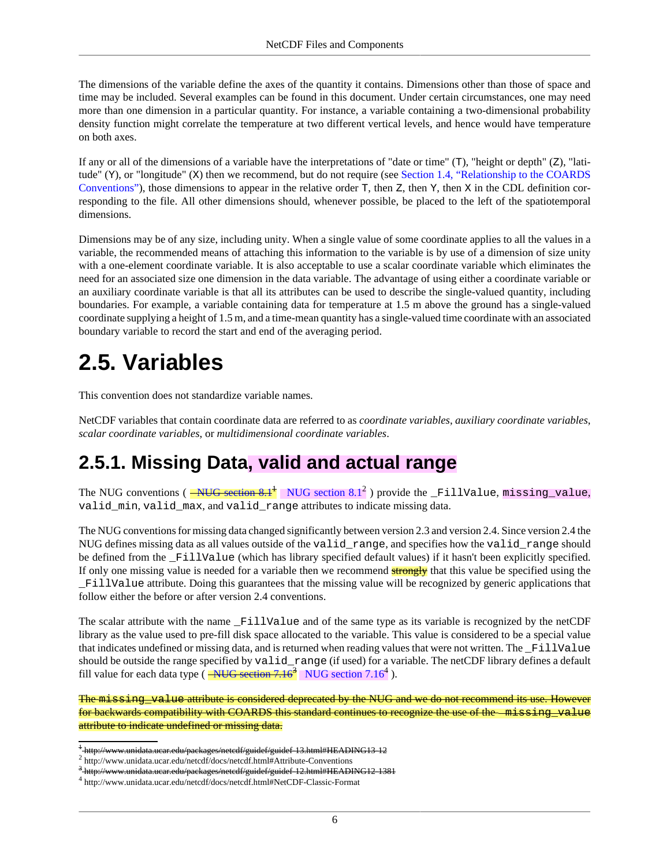The dimensions of the variable define the axes of the quantity it contains. Dimensions other than those of space and time may be included. Several examples can be found in this document. Under certain circumstances, one may need more than one dimension in a particular quantity. For instance, a variable containing a two-dimensional probability density function might correlate the temperature at two different vertical levels, and hence would have temperature on both axes.

If any or all of the dimensions of a variable have the interpretations of "date or time" (T), "height or depth" (Z), "latitude" (Y), or "longitude" (X) then we recommend, but do not require (see [Section 1.4, "Relationship to the COARDS](#page-11-0) [Conventions"](#page-11-0)), those dimensions to appear in the relative order T, then Z, then Y, then X in the CDL definition corresponding to the file. All other dimensions should, whenever possible, be placed to the left of the spatiotemporal dimensions.

Dimensions may be of any size, including unity. When a single value of some coordinate applies to all the values in a variable, the recommended means of attaching this information to the variable is by use of a dimension of size unity with a one-element coordinate variable. It is also acceptable to use a scalar coordinate variable which eliminates the need for an associated size one dimension in the data variable. The advantage of using either a coordinate variable or an auxiliary coordinate variable is that all its attributes can be used to describe the single-valued quantity, including boundaries. For example, a variable containing data for temperature at 1.5 m above the ground has a single-valued coordinate supplying a height of 1.5 m, and a time-mean quantity has a single-valued time coordinate with an associated boundary variable to record the start and end of the averaging period.

# <span id="page-13-0"></span>**2.5. Variables**

This convention does not standardize variable names.

NetCDF variables that contain coordinate data are referred to as *coordinate variables*, *auxiliary coordinate variables*, *scalar coordinate variables*, or *multidimensional coordinate variables*.

### <span id="page-13-1"></span>**2.5.1. Missing Data, valid and actual range**

The NUG conventions ( $\frac{1}{100}$   $\frac{1}{100}$   $\frac{1}{100}$   $\frac{1}{100}$   $\frac{1}{100}$   $\frac{1}{100}$   $\frac{1}{100}$   $\frac{1}{100}$   $\frac{1}{100}$   $\frac{1}{100}$   $\frac{1}{100}$   $\frac{1}{100}$   $\frac{1}{100}$   $\frac{1}{100}$   $\frac{1}{100}$   $\frac{1}{100}$   $\frac{1}{10$ valid\_min, valid\_max, and valid\_range attributes to indicate missing data.

The NUG conventions for missing data changed significantly between version 2.3 and version 2.4. Since version 2.4 the NUG defines missing data as all values outside of the valid\_range, and specifies how the valid\_range should be defined from the \_FillValue (which has library specified default values) if it hasn't been explicitly specified. If only one missing value is needed for a variable then we recommend **strongly** that this value be specified using the \_FillValue attribute. Doing this guarantees that the missing value will be recognized by generic applications that follow either the before or after version 2.4 conventions.

The scalar attribute with the name \_FillValue and of the same type as its variable is recognized by the netCDF library as the value used to pre-fill disk space allocated to the variable. This value is considered to be a special value that indicates undefined or missing data, and is returned when reading values that were not written. The \_FillValue should be outside the range specified by valid\_range (if used) for a variable. The netCDF library defines a default fill value for each data type  $\left(\frac{-NUG \text{ section } 7.16^3}{NUG \text{ section } 7.16^4}\right)$ .

The missing value attribute is considered deprecated by the NUG and we do not recommend its use. However for backwards compatibility with COARDS this standard continues to recognize the use of the  $-mi$  ssing value attribute to indicate undefined or missing data.

 $+$ http packages/netcdf/guidef/guidef-13.html#HEADING13-12

<sup>2</sup> <http://www.unidata.ucar.edu/netcdf/docs/netcdf.html#Attribute-Conventions>

<sup>&</sup>lt;sup>3</sup>http://www.unidata.ucar.edu/packages/netedf/guidef/guidef-12.html#HEADING12-1381

<sup>4</sup> <http://www.unidata.ucar.edu/netcdf/docs/netcdf.html#NetCDF-Classic-Format>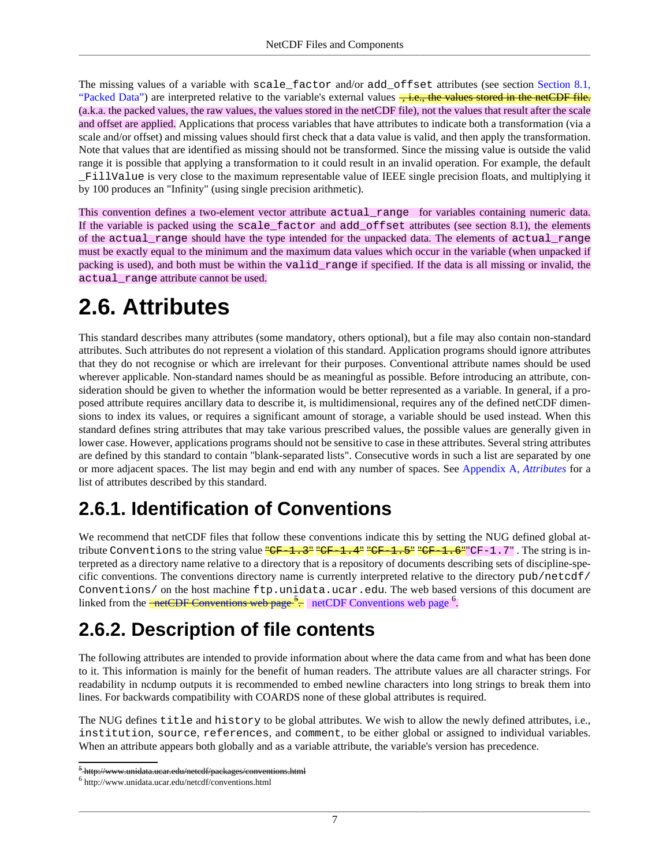The missing values of a variable with scale\_factor and/or add\_offset attributes (see section [Section 8.1,](#page-56-1) ["Packed Data"\)](#page-56-1) are interpreted relative to the variable's external values , i.e., the values stored in the netCDF file. (a.k.a. the packed values, the raw values, the values stored in the netCDF file), not the values that result after the scale and offset are applied. Applications that process variables that have attributes to indicate both a transformation (via a scale and/or offset) and missing values should first check that a data value is valid, and then apply the transformation. Note that values that are identified as missing should not be transformed. Since the missing value is outside the valid range it is possible that applying a transformation to it could result in an invalid operation. For example, the default \_FillValue is very close to the maximum representable value of IEEE single precision floats, and multiplying it by 100 produces an "Infinity" (using single precision arithmetic).

This convention defines a two-element vector attribute actual\_range for variables containing numeric data. If the variable is packed using the scale factor and add offset attributes (see section 8.1), the elements of the actual\_range should have the type intended for the unpacked data. The elements of actual\_range must be exactly equal to the minimum and the maximum data values which occur in the variable (when unpacked if packing is used), and both must be within the valid\_range if specified. If the data is all missing or invalid, the actual\_range attribute cannot be used.

### <span id="page-14-0"></span>**2.6. Attributes**

This standard describes many attributes (some mandatory, others optional), but a file may also contain non-standard attributes. Such attributes do not represent a violation of this standard. Application programs should ignore attributes that they do not recognise or which are irrelevant for their purposes. Conventional attribute names should be used wherever applicable. Non-standard names should be as meaningful as possible. Before introducing an attribute, consideration should be given to whether the information would be better represented as a variable. In general, if a proposed attribute requires ancillary data to describe it, is multidimensional, requires any of the defined netCDF dimensions to index its values, or requires a significant amount of storage, a variable should be used instead. When this standard defines string attributes that may take various prescribed values, the possible values are generally given in lower case. However, applications programs should not be sensitive to case in these attributes. Several string attributes are defined by this standard to contain "blank-separated lists". Consecutive words in such a list are separated by one or more adjacent spaces. The list may begin and end with any number of spaces. See [Appendix A,](#page-66-0) *Attributes* for a list of attributes described by this standard.

### <span id="page-14-1"></span>**2.6.1. Identification of Conventions**

We recommend that netCDF files that follow these conventions indicate this by setting the NUG defined global attribute Conventions to the string value  $\frac{\text{PCF}-1.3 \cdot \text{PCF}-1.4 \cdot \text{PCF}-1.5 \cdot \text{PCF}-1.6 \cdot \text{PCF}-1.7 \cdot \text{The string is in-}$ terpreted as a directory name relative to a directory that is a repository of documents describing sets of discipline-specific conventions. The conventions directory name is currently interpreted relative to the directory pub/netcdf/ Conventions/ on the host machine ftp.unidata.ucar.edu. The web based versions of this document are linked from the <del>[netCDF Conventions web page](http://www.unidata.ucar.edu/netcdf/conventions.html) <sup>5</sup>.</del> netCDF Conventions web page <sup>6</sup>.

### <span id="page-14-2"></span>**2.6.2. Description of file contents**

The following attributes are intended to provide information about where the data came from and what has been done to it. This information is mainly for the benefit of human readers. The attribute values are all character strings. For readability in ncdump outputs it is recommended to embed newline characters into long strings to break them into lines. For backwards compatibility with COARDS none of these global attributes is required.

The NUG defines title and history to be global attributes. We wish to allow the newly defined attributes, i.e., institution, source, references, and comment, to be either global or assigned to individual variables. When an attribute appears both globally and as a variable attribute, the variable's version has precedence.

<sup>&</sup>lt;sup>5</sup> http://www.unidata.ucar.edu/netedf/packages/conventions.html

<sup>6</sup> <http://www.unidata.ucar.edu/netcdf/conventions.html>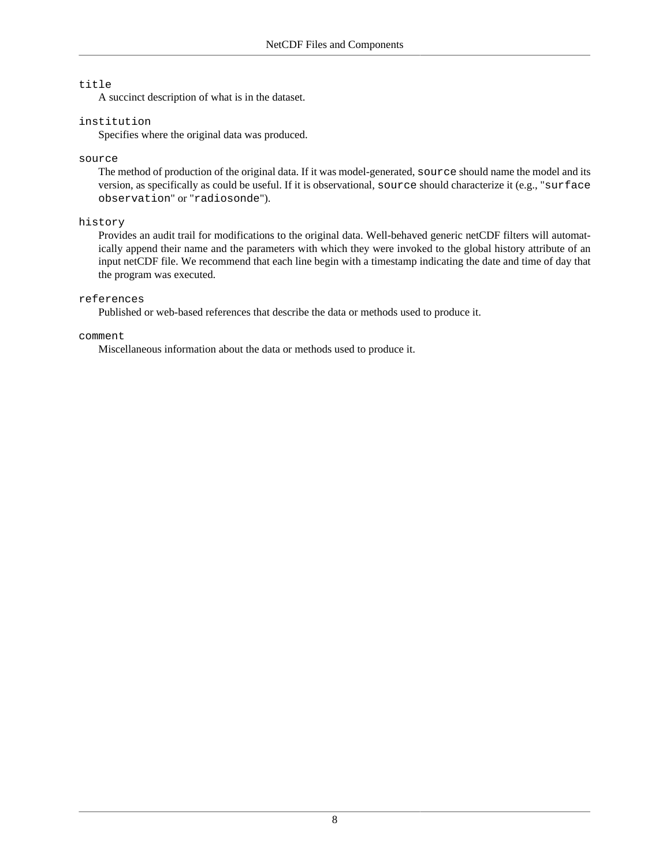#### title

A succinct description of what is in the dataset.

#### institution

Specifies where the original data was produced.

#### source

The method of production of the original data. If it was model-generated, source should name the model and its version, as specifically as could be useful. If it is observational, source should characterize it (e.g., "surface observation" or "radiosonde").

#### history

Provides an audit trail for modifications to the original data. Well-behaved generic netCDF filters will automatically append their name and the parameters with which they were invoked to the global history attribute of an input netCDF file. We recommend that each line begin with a timestamp indicating the date and time of day that the program was executed.

#### references

Published or web-based references that describe the data or methods used to produce it.

comment

Miscellaneous information about the data or methods used to produce it.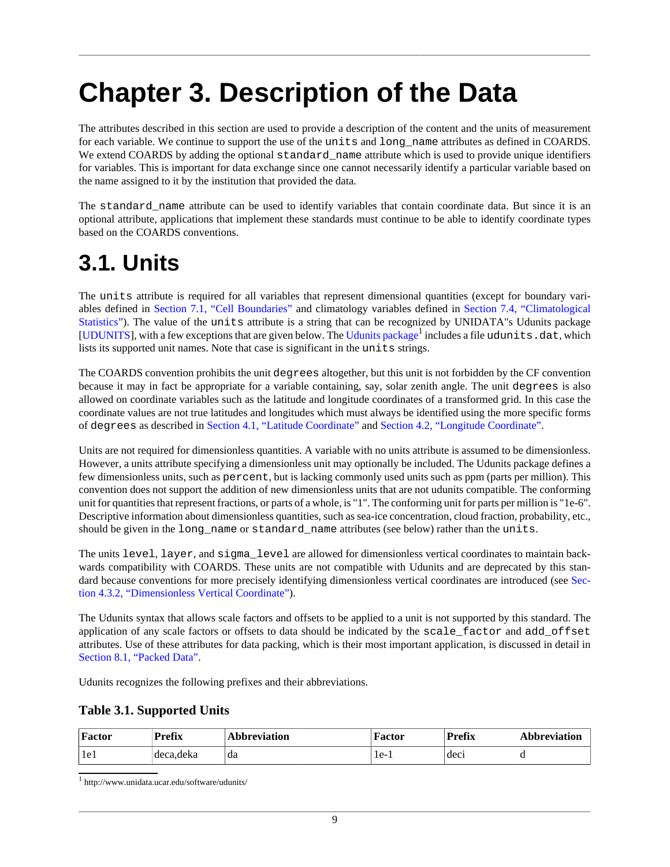# <span id="page-16-0"></span>**Chapter 3. Description of the Data**

The attributes described in this section are used to provide a description of the content and the units of measurement for each variable. We continue to support the use of the units and long name attributes as defined in COARDS. We extend COARDS by adding the optional standard\_name attribute which is used to provide unique identifiers for variables. This is important for data exchange since one cannot necessarily identify a particular variable based on the name assigned to it by the institution that provided the data.

The standard name attribute can be used to identify variables that contain coordinate data. But since it is an optional attribute, applications that implement these standards must continue to be able to identify coordinate types based on the COARDS conventions.

### <span id="page-16-1"></span>**3.1. Units**

The units attribute is required for all variables that represent dimensional quantities (except for boundary variables defined in [Section 7.1, "Cell Boundaries"](#page-43-1) and climatology variables defined in [Section 7.4, "Climatological](#page-51-0) [Statistics"\)](#page-51-0). The value of the units attribute is a string that can be recognized by UNIDATA"s Udunits package [\[UDUNITS](#page-124-4)], with a few exceptions that are given below. The [Udunits package](http://www.unidata.ucar.edu/software/udunits/)<sup>1</sup> includes a file udunits.dat, which lists its supported unit names. Note that case is significant in the units strings.

The COARDS convention prohibits the unit degrees altogether, but this unit is not forbidden by the CF convention because it may in fact be appropriate for a variable containing, say, solar zenith angle. The unit degrees is also allowed on coordinate variables such as the latitude and longitude coordinates of a transformed grid. In this case the coordinate values are not true latitudes and longitudes which must always be identified using the more specific forms of degrees as described in [Section 4.1, "Latitude Coordinate"](#page-22-1) and [Section 4.2, "Longitude Coordinate".](#page-23-0)

Units are not required for dimensionless quantities. A variable with no units attribute is assumed to be dimensionless. However, a units attribute specifying a dimensionless unit may optionally be included. The Udunits package defines a few dimensionless units, such as percent, but is lacking commonly used units such as ppm (parts per million). This convention does not support the addition of new dimensionless units that are not udunits compatible. The conforming unit for quantities that represent fractions, or parts of a whole, is "1". The conforming unit for parts per million is "1e-6". Descriptive information about dimensionless quantities, such as sea-ice concentration, cloud fraction, probability, etc., should be given in the long\_name or standard\_name attributes (see below) rather than the units.

The units level, layer, and sigma\_level are allowed for dimensionless vertical coordinates to maintain backwards compatibility with COARDS. These units are not compatible with Udunits and are deprecated by this standard because conventions for more precisely identifying dimensionless vertical coordinates are introduced (see [Sec](#page-24-1)[tion 4.3.2, "Dimensionless Vertical Coordinate"](#page-24-1)).

The Udunits syntax that allows scale factors and offsets to be applied to a unit is not supported by this standard. The application of any scale factors or offsets to data should be indicated by the scale\_factor and add\_offset attributes. Use of these attributes for data packing, which is their most important application, is discussed in detail in [Section 8.1, "Packed Data"](#page-56-1).

<span id="page-16-2"></span>Udunits recognizes the following prefixes and their abbreviations.

#### **Table 3.1. Supported Units**

| Factor | Prefix    | <b>Abbreviation</b> | Factor | <b>Prefix</b>    | <b>Abbreviation</b> |
|--------|-----------|---------------------|--------|------------------|---------------------|
| 1e l   | deca.deka | da                  | le-1   | dec <sub>1</sub> | u                   |

1 <http://www.unidata.ucar.edu/software/udunits/>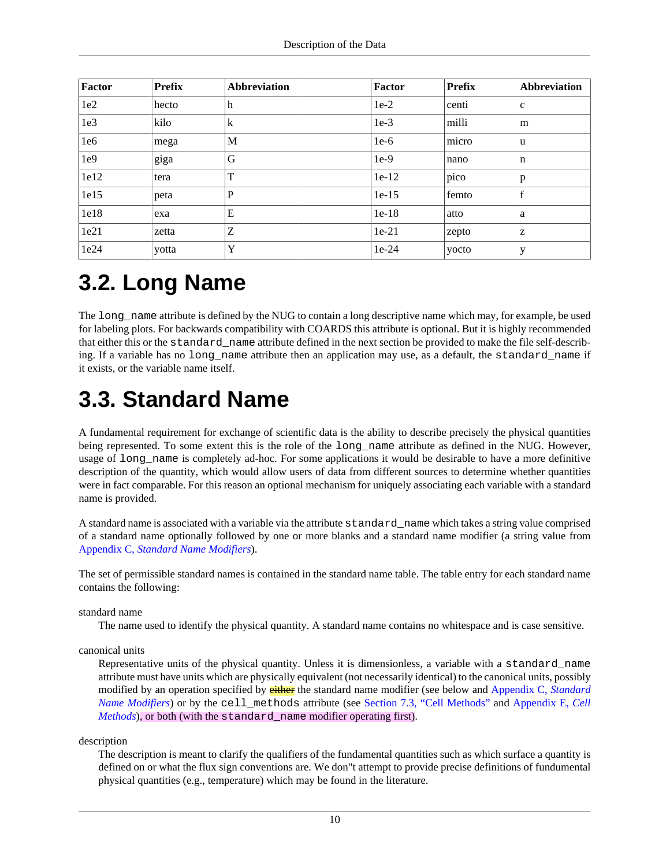| <b>Factor</b>   | <b>Prefix</b> | <b>Abbreviation</b> | Factor  | <b>Prefix</b> | Abbreviation |
|-----------------|---------------|---------------------|---------|---------------|--------------|
| 1e2             | hecto         | h                   | $1e-2$  | centi         | C            |
| 1e <sub>3</sub> | kilo          | k                   | $1e-3$  | milli         | m            |
| 1e6             | mega          | M                   | $1e-6$  | micro         | u            |
| 1e9             | giga          | G                   | $1e-9$  | nano          | n            |
| 1e12            | tera          | T                   | $1e-12$ | pico          | p            |
| 1e15            | peta          | P                   | $1e-15$ | femto         |              |
| 1e18            | exa           | E                   | $1e-18$ | atto          | a            |
| 1e21            | zetta         | Z                   | $1e-21$ | zepto         | Z            |
| 1e24            | yotta         | Y                   | $1e-24$ | yocto         | y            |

### <span id="page-17-0"></span>**3.2. Long Name**

The long\_name attribute is defined by the NUG to contain a long descriptive name which may, for example, be used for labeling plots. For backwards compatibility with COARDS this attribute is optional. But it is highly recommended that either this or the standard\_name attribute defined in the next section be provided to make the file self-describing. If a variable has no long\_name attribute then an application may use, as a default, the standard\_name if it exists, or the variable name itself.

### <span id="page-17-1"></span>**3.3. Standard Name**

A fundamental requirement for exchange of scientific data is the ability to describe precisely the physical quantities being represented. To some extent this is the role of the long\_name attribute as defined in the NUG. However, usage of long name is completely ad-hoc. For some applications it would be desirable to have a more definitive description of the quantity, which would allow users of data from different sources to determine whether quantities were in fact comparable. For this reason an optional mechanism for uniquely associating each variable with a standard name is provided.

A standard name is associated with a variable via the attribute standard\_name which takes a string value comprised of a standard name optionally followed by one or more blanks and a standard name modifier (a string value from Appendix C, *[Standard Name Modifiers](#page-73-0)*).

The set of permissible standard names is contained in the standard name table. The table entry for each standard name contains the following:

standard name

The name used to identify the physical quantity. A standard name contains no whitespace and is case sensitive.

canonical units

Representative units of the physical quantity. Unless it is dimensionless, a variable with a standard\_name attribute must have units which are physically equivalent (not necessarily identical) to the canonical units, possibly modified by an operation specified by either the standard name modifier (see below and [Appendix C,](#page-73-0) *Standard [Name Modifiers](#page-73-0)*) or by the cell\_methods attribute (see [Section 7.3, "Cell Methods"](#page-46-0) and [Appendix E,](#page-80-0) *Cell [Methods](#page-80-0)*), or both (with the standard\_name modifier operating first).

description

The description is meant to clarify the qualifiers of the fundamental quantities such as which surface a quantity is defined on or what the flux sign conventions are. We don"t attempt to provide precise definitions of fundumental physical quantities (e.g., temperature) which may be found in the literature.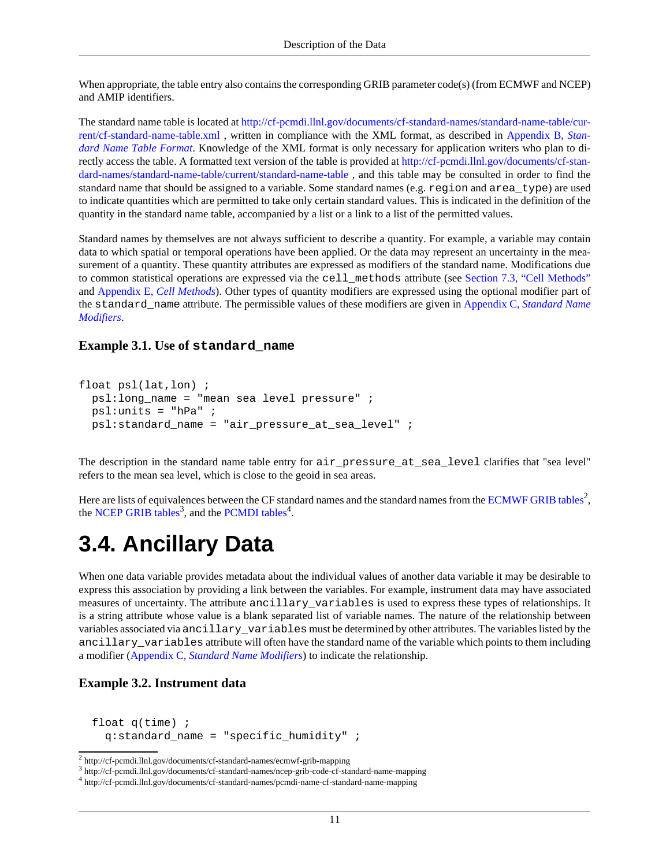When appropriate, the table entry also contains the corresponding GRIB parameter code(s) (from ECMWF and NCEP) and AMIP identifiers.

The standard name table is located at [http://cf-pcmdi.llnl.gov/documents/cf-standard-names/standard-name-table/cur](http://cf-pcmdi.llnl.gov/documents/cf-standard-names/standard-name-table/current/cf-standard-name-table.xml)[rent/cf-standard-name-table.xml](http://cf-pcmdi.llnl.gov/documents/cf-standard-names/standard-name-table/current/cf-standard-name-table.xml) , written in compliance with the XML format, as described in [Appendix B,](#page-70-0) *Stan[dard Name Table Format](#page-70-0)*. Knowledge of the XML format is only necessary for application writers who plan to directly access the table. A formatted text version of the table is provided at [http://cf-pcmdi.llnl.gov/documents/cf-stan](http://cf-pcmdi.llnl.gov/documents/cf-standard-names/standard-name-table/current/standard-name-table)[dard-names/standard-name-table/current/standard-name-table](http://cf-pcmdi.llnl.gov/documents/cf-standard-names/standard-name-table/current/standard-name-table) , and this table may be consulted in order to find the standard name that should be assigned to a variable. Some standard names (e.g. region and area\_type) are used to indicate quantities which are permitted to take only certain standard values. This is indicated in the definition of the quantity in the standard name table, accompanied by a list or a link to a list of the permitted values.

Standard names by themselves are not always sufficient to describe a quantity. For example, a variable may contain data to which spatial or temporal operations have been applied. Or the data may represent an uncertainty in the measurement of a quantity. These quantity attributes are expressed as modifiers of the standard name. Modifications due to common statistical operations are expressed via the cell methods attribute (see [Section 7.3, "Cell Methods"](#page-46-0) and Appendix E, *[Cell Methods](#page-80-0)*). Other types of quantity modifiers are expressed using the optional modifier part of the standard\_name attribute. The permissible values of these modifiers are given in Appendix C, *[Standard Name](#page-73-0) [Modifiers](#page-73-0)*.

#### <span id="page-18-1"></span>**Example 3.1. Use of standard name**

```
float psl(lat,lon) ;
   psl:long_name = "mean sea level pressure" ;
  psl:units = "hPa" ;
  psl:standard name = "air pressure at sea level" ;
```
The description in the standard name table entry for air pressure at sea level clarifies that "sea level" refers to the mean sea level, which is close to the geoid in sea areas.

Here are lists of equivalences between the CF standard names and the standard names from the [ECMWF GRIB tables](http://cf-pcmdi.llnl.gov/documents/cf-standard-names/ecmwf-grib-mapping)<sup>2</sup>, the [NCEP GRIB tables](http://cf-pcmdi.llnl.gov/documents/cf-standard-names/ncep-grib-code-cf-standard-name-mapping)<sup>3</sup>, and the [PCMDI tables](http://cf-pcmdi.llnl.gov/documents/cf-standard-names/pcmdi-name-cf-standard-name-mapping)<sup>4</sup>.

### <span id="page-18-0"></span>**3.4. Ancillary Data**

When one data variable provides metadata about the individual values of another data variable it may be desirable to express this association by providing a link between the variables. For example, instrument data may have associated measures of uncertainty. The attribute ancillary\_variables is used to express these types of relationships. It is a string attribute whose value is a blank separated list of variable names. The nature of the relationship between variables associated via ancillary\_variables must be determined by other attributes. The variables listed by the ancillary\_variables attribute will often have the standard name of the variable which points to them including a modifier (Appendix C, *[Standard Name Modifiers](#page-73-0)*) to indicate the relationship.

#### <span id="page-18-2"></span>**Example 3.2. Instrument data**

```
float q(time) i q:standard_name = "specific_humidity" ;
```
<sup>&</sup>lt;sup>2</sup> <http://cf-pcmdi.llnl.gov/documents/cf-standard-names/ecmwf-grib-mapping>

<sup>3</sup> <http://cf-pcmdi.llnl.gov/documents/cf-standard-names/ncep-grib-code-cf-standard-name-mapping>

<sup>4</sup> <http://cf-pcmdi.llnl.gov/documents/cf-standard-names/pcmdi-name-cf-standard-name-mapping>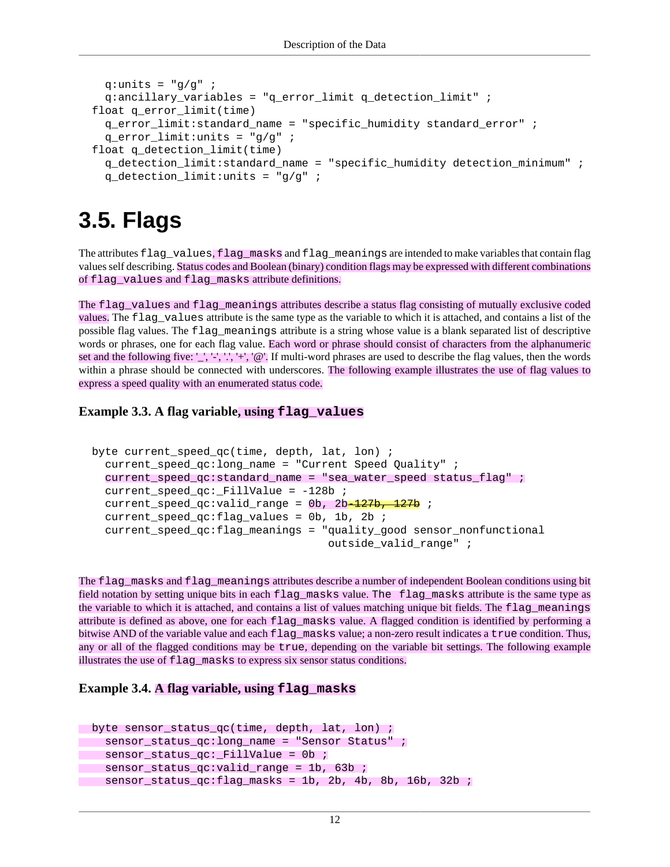```
q:units = "g/g" ;
  q:ancillary variables = "q_error_limit q_detection_limit" ;
 float q_error_limit(time)
  q error limit: standard name = "specific humidity standard error" ;
   q_error_limit:units = "g/g" ;
 float q_detection_limit(time)
   q_detection_limit:standard_name = "specific_humidity detection_minimum" ;
  q detection limit:units = "q/q" ;
```
### <span id="page-19-0"></span>**3.5. Flags**

The attributes flag\_values, flag\_masks and flag\_meanings are intended to make variables that contain flag values self describing. Status codes and Boolean (binary) condition flags may be expressed with different combinations of flag values and flag masks attribute definitions.

The flag\_values and flag\_meanings attributes describe a status flag consisting of mutually exclusive coded values. The flag values attribute is the same type as the variable to which it is attached, and contains a list of the possible flag values. The flag\_meanings attribute is a string whose value is a blank separated list of descriptive words or phrases, one for each flag value. Each word or phrase should consist of characters from the alphanumeric set and the following five: '\_', '-', '.', '+', '@'. If multi-word phrases are used to describe the flag values, then the words within a phrase should be connected with underscores. The following example illustrates the use of flag values to express a speed quality with an enumerated status code.

#### <span id="page-19-1"></span>**Example 3.3. A flag variable, using flag values**

```
 byte current_speed_qc(time, depth, lat, lon) ;
  current speed qc: long name = "Current Speed Quality" ;
   current_speed_qc:standard_name = "sea_water_speed status_flag" ;
  current speed qc: FillValue = -128b ;
  current_speed_qc:valid_range = 0b, 2b-127b, 127b;
   current_speed_qc:flag_values = 0b, 1b, 2b ;
   current_speed_qc:flag_meanings = "quality_good sensor_nonfunctional 
                                     outside valid range" ;
```
The flag masks and flag meanings attributes describe a number of independent Boolean conditions using bit field notation by setting unique bits in each flag\_masks value. The flag\_masks attribute is the same type as the variable to which it is attached, and contains a list of values matching unique bit fields. The flag\_meanings attribute is defined as above, one for each flag\_masks value. A flagged condition is identified by performing a bitwise AND of the variable value and each flag\_masks value; a non-zero result indicates a true condition. Thus, any or all of the flagged conditions may be true, depending on the variable bit settings. The following example illustrates the use of flag\_masks to express six sensor status conditions.

#### <span id="page-19-2"></span>**Example 3.4. A flag variable, using**  $\text{flag\_masks}$

```
 byte sensor_status_qc(time, depth, lat, lon) ;
 sensor_status_qc:long_name = "Sensor Status" ;
sensor status qc: FillValue = 0b ;
sensor_status_qc:valid_range = 1b, 63b ;
    sensor_status_qc:flag_masks = 1b, 2b, 4b, 8b, 16b, 32b ;
```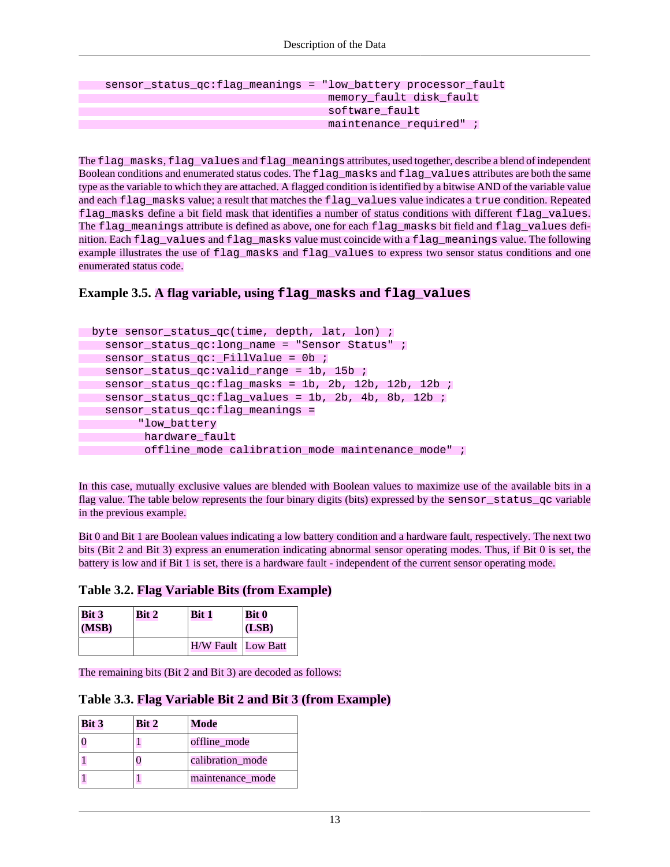```
 sensor_status_qc:flag_meanings = "low_battery processor_fault
                                      memory fault disk fault
                                       software_fault
                                      maintenance required" ;
```
The flag\_masks, flag\_values and flag\_meanings attributes, used together, describe a blend of independent Boolean conditions and enumerated status codes. The flag\_masks and flag\_values attributes are both the same type as the variable to which they are attached. A flagged condition is identified by a bitwise AND of the variable value and each flag masks value; a result that matches the flag values value indicates a true condition. Repeated flag masks define a bit field mask that identifies a number of status conditions with different flag values. The flag\_meanings attribute is defined as above, one for each flag\_masks bit field and flag\_values definition. Each flag values and flag masks value must coincide with a flag meanings value. The following example illustrates the use of flag\_masks and flag\_values to express two sensor status conditions and one enumerated status code.

#### <span id="page-20-2"></span>**Example 3.5. A flag variable, using flag\_masks and flag\_values**

| byte sensor status $qc$ (time, depth, lat, lon) ;    |  |
|------------------------------------------------------|--|
| sensor_status_qc:long_name = "Sensor Status" ;       |  |
| sensor_status_qc:_FillValue = 0b ;                   |  |
| sensor status qc: valid range = 1b, 15b;             |  |
| sensor_status_qc:flag_masks = 1b, 2b, 12b, 12b, 12b; |  |
| sensor_status_qc:flag_values = 1b, 2b, 4b, 8b, 12b;  |  |
| sensor_status_qc:flag_meanings =                     |  |
| "low battery                                         |  |
| hardware fault                                       |  |
| offline_mode calibration_mode maintenance_mode";     |  |

In this case, mutually exclusive values are blended with Boolean values to maximize use of the available bits in a flag value. The table below represents the four binary digits (bits) expressed by the sensor\_status\_qc variable in the previous example.

Bit 0 and Bit 1 are Boolean values indicating a low battery condition and a hardware fault, respectively. The next two bits (Bit 2 and Bit 3) express an enumeration indicating abnormal sensor operating modes. Thus, if Bit 0 is set, the battery is low and if Bit 1 is set, there is a hardware fault - independent of the current sensor operating mode.

<span id="page-20-0"></span>**Table 3.2. Flag Variable Bits (from Example)**

| <b>Bit 3</b> | <b>Bit 2</b> | <b>Bit 1</b>       | <b>Bit 0</b> |  |
|--------------|--------------|--------------------|--------------|--|
| (MSB)        |              |                    | (LSB)        |  |
|              |              | H/W Fault Low Batt |              |  |

<span id="page-20-1"></span>The remaining bits (Bit 2 and Bit 3) are decoded as follows:

#### **Table 3.3. Flag Variable Bit 2 and Bit 3 (from Example)**

| Bit 3 | <b>Bit 2</b> | <b>Mode</b>      |  |
|-------|--------------|------------------|--|
|       |              | offline_mode     |  |
|       |              | calibration mode |  |
|       |              | maintenance mode |  |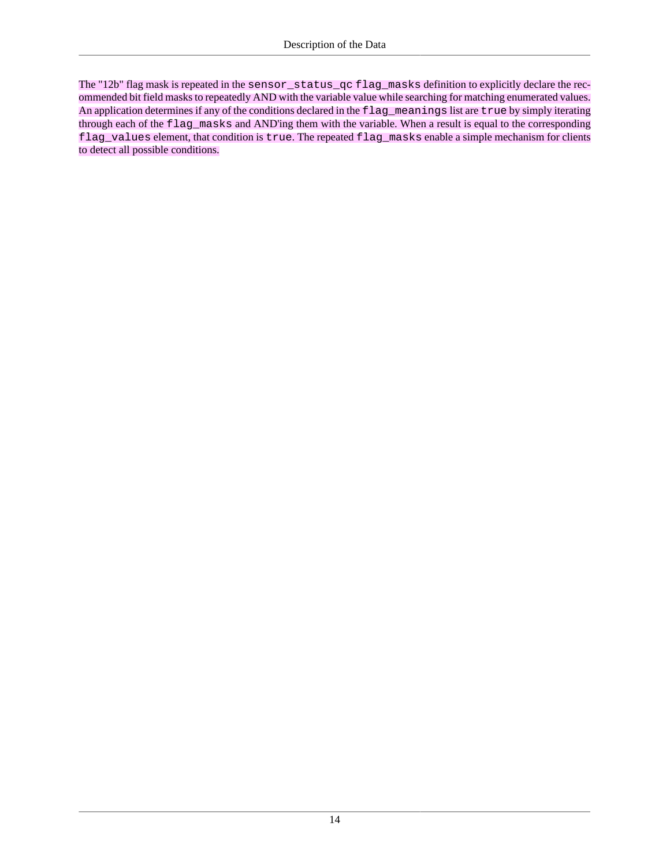The "12b" flag mask is repeated in the sensor\_status\_qc flag\_masks definition to explicitly declare the recommended bit field masks to repeatedly AND with the variable value while searching for matching enumerated values. An application determines if any of the conditions declared in the flag\_meanings list are true by simply iterating through each of the flag\_masks and AND'ing them with the variable. When a result is equal to the corresponding flag\_values element, that condition is true. The repeated flag\_masks enable a simple mechanism for clients to detect all possible conditions.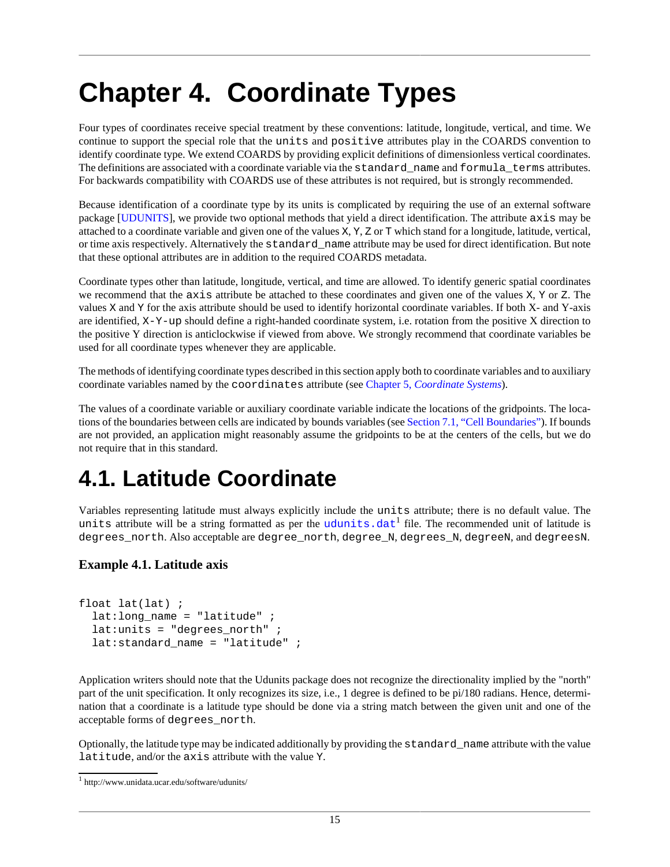# <span id="page-22-0"></span>**Chapter 4. Coordinate Types**

Four types of coordinates receive special treatment by these conventions: latitude, longitude, vertical, and time. We continue to support the special role that the units and positive attributes play in the COARDS convention to identify coordinate type. We extend COARDS by providing explicit definitions of dimensionless vertical coordinates. The definitions are associated with a coordinate variable via the standard name and formula terms attributes. For backwards compatibility with COARDS use of these attributes is not required, but is strongly recommended.

Because identification of a coordinate type by its units is complicated by requiring the use of an external software package [[UDUNITS\]](#page-124-4), we provide two optional methods that yield a direct identification. The attribute axis may be attached to a coordinate variable and given one of the values X, Y, Z or T which stand for a longitude, latitude, vertical, or time axis respectively. Alternatively the standard\_name attribute may be used for direct identification. But note that these optional attributes are in addition to the required COARDS metadata.

Coordinate types other than latitude, longitude, vertical, and time are allowed. To identify generic spatial coordinates we recommend that the axis attribute be attached to these coordinates and given one of the values X, Y or Z. The values X and Y for the axis attribute should be used to identify horizontal coordinate variables. If both X- and Y-axis are identified, X-Y-up should define a right-handed coordinate system, i.e. rotation from the positive X direction to the positive Y direction is anticlockwise if viewed from above. We strongly recommend that coordinate variables be used for all coordinate types whenever they are applicable.

The methods of identifying coordinate types described in this section apply both to coordinate variables and to auxiliary coordinate variables named by the coordinates attribute (see Chapter 5, *[Coordinate Systems](#page-29-0)*).

The values of a coordinate variable or auxiliary coordinate variable indicate the locations of the gridpoints. The locations of the boundaries between cells are indicated by bounds variables (see [Section 7.1, "Cell Boundaries"](#page-43-1)). If bounds are not provided, an application might reasonably assume the gridpoints to be at the centers of the cells, but we do not require that in this standard.

### <span id="page-22-1"></span>**4.1. Latitude Coordinate**

Variables representing latitude must always explicitly include the units attribute; there is no default value. The units attribute will be a string formatted as per the [udunits.dat](http://www.unidata.ucar.edu/software/udunits/)<sup>1</sup> file. The recommended unit of latitude is degrees north. Also acceptable are degree north, degree N, degrees N, degreeN, and degreesN.

#### <span id="page-22-2"></span>**Example 4.1. Latitude axis**

```
float lat(lat) ;
  lat: long name = "latitude" ;
  lat: units = "degrees north" ;
   lat:standard_name = "latitude" ;
```
Application writers should note that the Udunits package does not recognize the directionality implied by the "north" part of the unit specification. It only recognizes its size, i.e., 1 degree is defined to be pi/180 radians. Hence, determination that a coordinate is a latitude type should be done via a string match between the given unit and one of the acceptable forms of degrees\_north.

Optionally, the latitude type may be indicated additionally by providing the standard\_name attribute with the value latitude, and/or the axis attribute with the value Y.

<sup>1</sup> <http://www.unidata.ucar.edu/software/udunits/>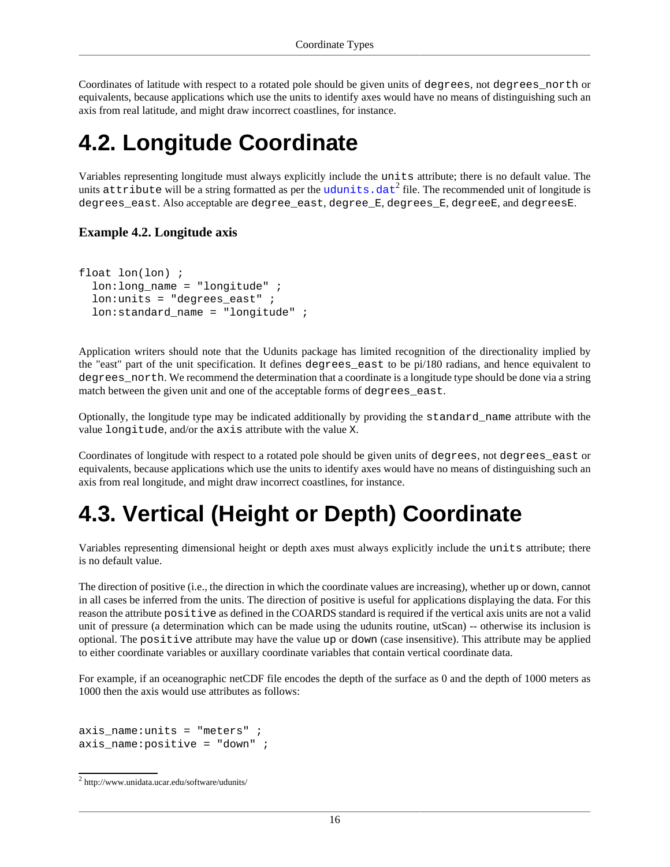Coordinates of latitude with respect to a rotated pole should be given units of degrees, not degrees\_north or equivalents, because applications which use the units to identify axes would have no means of distinguishing such an axis from real latitude, and might draw incorrect coastlines, for instance.

### <span id="page-23-0"></span>**4.2. Longitude Coordinate**

Variables representing longitude must always explicitly include the units attribute; there is no default value. The units attribute will be a string formatted as per the [udunits.dat](http://www.unidata.ucar.edu/software/udunits/)<sup>2</sup> file. The recommended unit of longitude is degrees east. Also acceptable are degree east, degree E, degrees E, degreeE, and degreesE.

#### <span id="page-23-2"></span>**Example 4.2. Longitude axis**

```
float lon(lon) ;
  lon: long name = "lonqitude" ;
   lon:units = "degrees_east" ;
   lon:standard_name = "longitude" ;
```
Application writers should note that the Udunits package has limited recognition of the directionality implied by the "east" part of the unit specification. It defines degrees\_east to be pi/180 radians, and hence equivalent to degrees\_north. We recommend the determination that a coordinate is a longitude type should be done via a string match between the given unit and one of the acceptable forms of degrees\_east.

Optionally, the longitude type may be indicated additionally by providing the standard\_name attribute with the value longitude, and/or the axis attribute with the value X.

Coordinates of longitude with respect to a rotated pole should be given units of degrees, not degrees\_east or equivalents, because applications which use the units to identify axes would have no means of distinguishing such an axis from real longitude, and might draw incorrect coastlines, for instance.

### <span id="page-23-1"></span>**4.3. Vertical (Height or Depth) Coordinate**

Variables representing dimensional height or depth axes must always explicitly include the units attribute; there is no default value.

The direction of positive (i.e., the direction in which the coordinate values are increasing), whether up or down, cannot in all cases be inferred from the units. The direction of positive is useful for applications displaying the data. For this reason the attribute positive as defined in the COARDS standard is required if the vertical axis units are not a valid unit of pressure (a determination which can be made using the udunits routine, utScan) -- otherwise its inclusion is optional. The positive attribute may have the value up or down (case insensitive). This attribute may be applied to either coordinate variables or auxillary coordinate variables that contain vertical coordinate data.

For example, if an oceanographic netCDF file encodes the depth of the surface as 0 and the depth of 1000 meters as 1000 then the axis would use attributes as follows:

axis name: units = "meters" ; axis name: positive = "down" ;

<sup>&</sup>lt;sup>2</sup> <http://www.unidata.ucar.edu/software/udunits/>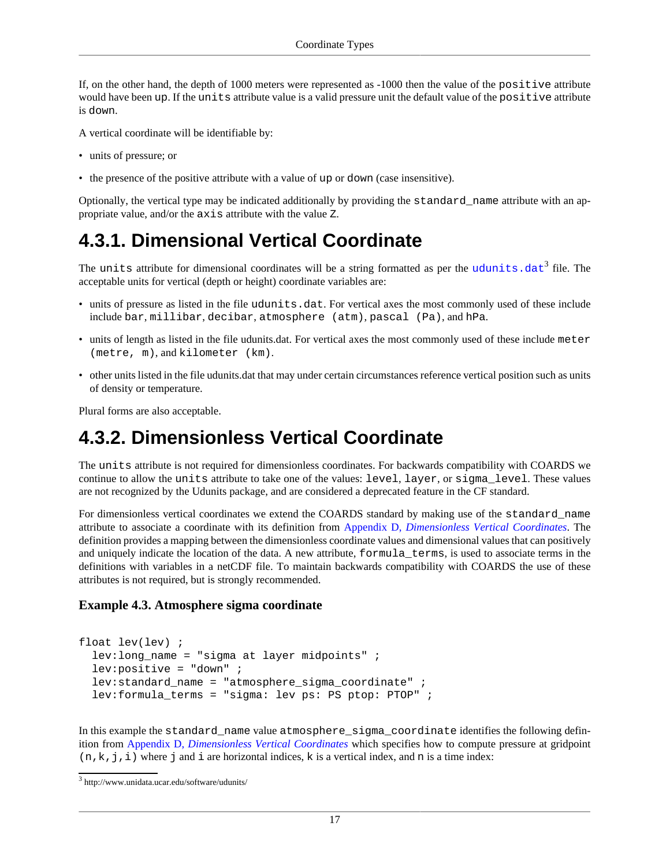If, on the other hand, the depth of 1000 meters were represented as -1000 then the value of the positive attribute would have been up. If the units attribute value is a valid pressure unit the default value of the positive attribute is down.

A vertical coordinate will be identifiable by:

- units of pressure; or
- the presence of the positive attribute with a value of up or down (case insensitive).

Optionally, the vertical type may be indicated additionally by providing the standard\_name attribute with an appropriate value, and/or the axis attribute with the value Z.

### <span id="page-24-0"></span>**4.3.1. Dimensional Vertical Coordinate**

The units attribute for dimensional coordinates will be a string formatted as per the [udunits.dat](http://www.unidata.ucar.edu/software/udunits/)<sup>3</sup> file. The acceptable units for vertical (depth or height) coordinate variables are:

- units of pressure as listed in the file udunits.dat. For vertical axes the most commonly used of these include include bar, millibar, decibar, atmosphere (atm), pascal (Pa), and hPa.
- units of length as listed in the file udunits.dat. For vertical axes the most commonly used of these include meter (metre, m), and kilometer (km).
- other units listed in the file udunits.dat that may under certain circumstances reference vertical position such as units of density or temperature.

Plural forms are also acceptable.

### <span id="page-24-1"></span>**4.3.2. Dimensionless Vertical Coordinate**

The units attribute is not required for dimensionless coordinates. For backwards compatibility with COARDS we continue to allow the units attribute to take one of the values: level, layer, or sigma\_level. These values are not recognized by the Udunits package, and are considered a deprecated feature in the CF standard.

For dimensionless vertical coordinates we extend the COARDS standard by making use of the standard\_name attribute to associate a coordinate with its definition from Appendix D, *[Dimensionless Vertical Coordinates](#page-74-0)*. The definition provides a mapping between the dimensionless coordinate values and dimensional values that can positively and uniquely indicate the location of the data. A new attribute, formula\_terms, is used to associate terms in the definitions with variables in a netCDF file. To maintain backwards compatibility with COARDS the use of these attributes is not required, but is strongly recommended.

#### <span id="page-24-2"></span>**Example 4.3. Atmosphere sigma coordinate**

```
float lev(lev) ;
  lev:long_name = "sigma at layer midpoints" lev:positive = "down" ;
  lev: standard name = "atmosphere sigma coordinate" i lev:formula_terms = "sigma: lev ps: PS ptop: PTOP" ;
```
In this example the standard name value atmosphere sigma coordinate identifies the following definition from Appendix D, *[Dimensionless Vertical Coordinates](#page-74-0)* which specifies how to compute pressure at gridpoint  $(n, k, j, i)$  where j and i are horizontal indices, k is a vertical index, and n is a time index:

<sup>3</sup> <http://www.unidata.ucar.edu/software/udunits/>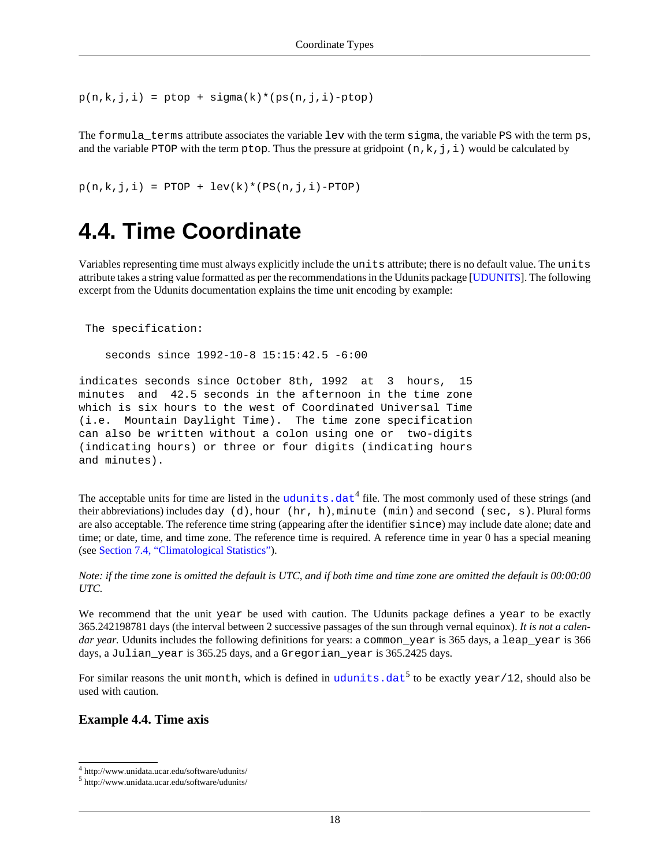```
p(n,k,j,i) = ptop + sigma(k)*(ps(n,j,i)-ptop)
```
The formula\_terms attribute associates the variable lev with the term sigma, the variable PS with the term ps, and the variable PTOP with the term ptop. Thus the pressure at gridpoint (n, k, j, i) would be calculated by

 $p(n,k,j,i) = PTOP + lev(k)*(PS(n,j,i)-PTOP)$ 

### <span id="page-25-0"></span>**4.4. Time Coordinate**

Variables representing time must always explicitly include the units attribute; there is no default value. The units attribute takes a string value formatted as per the recommendations in the Udunits package [\[UDUNITS\]](#page-124-4). The following excerpt from the Udunits documentation explains the time unit encoding by example:

```
 The specification:
```
seconds since 1992-10-8 15:15:42.5 -6:00

indicates seconds since October 8th, 1992 at 3 hours, 15 minutes and 42.5 seconds in the afternoon in the time zone which is six hours to the west of Coordinated Universal Time (i.e. Mountain Daylight Time). The time zone specification can also be written without a colon using one or two-digits (indicating hours) or three or four digits (indicating hours and minutes).

The acceptable units for time are listed in the [udunits.dat](http://www.unidata.ucar.edu/software/udunits/)<sup>4</sup> file. The most commonly used of these strings (and their abbreviations) includes day (d), hour (hr, h), minute (min) and second (sec, s). Plural forms are also acceptable. The reference time string (appearing after the identifier since) may include date alone; date and time; or date, time, and time zone. The reference time is required. A reference time in year 0 has a special meaning (see [Section 7.4, "Climatological Statistics"\)](#page-51-0).

*Note: if the time zone is omitted the default is UTC, and if both time and time zone are omitted the default is 00:00:00 UTC.*

We recommend that the unit year be used with caution. The Udunits package defines a year to be exactly 365.242198781 days (the interval between 2 successive passages of the sun through vernal equinox). *It is not a calen*dar year. Udunits includes the following definitions for years: a common\_year is 365 days, a leap\_year is 366 days, a Julian year is 365.25 days, and a Gregorian year is 365.2425 days.

For similar reasons the unit month, which is defined in  $udunits$  .dat $^5$  to be exactly year/12, should also be used with caution.

#### <span id="page-25-1"></span>**Example 4.4. Time axis**

<sup>4</sup> <http://www.unidata.ucar.edu/software/udunits/>

<sup>5</sup> <http://www.unidata.ucar.edu/software/udunits/>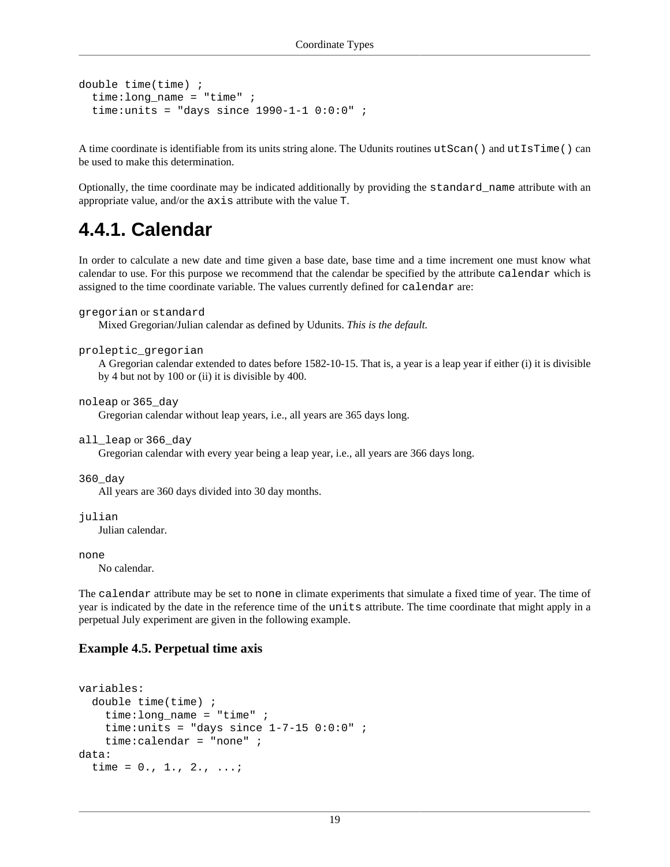```
double time(time) ;
   time:long_name = "time" ;
  time: units = "days since 1990-1-1 0:0:0" ;
```
A time coordinate is identifiable from its units string alone. The Udunits routines utScan() and utIsTime() can be used to make this determination.

Optionally, the time coordinate may be indicated additionally by providing the standard\_name attribute with an appropriate value, and/or the axis attribute with the value T.

### <span id="page-26-0"></span>**4.4.1. Calendar**

In order to calculate a new date and time given a base date, base time and a time increment one must know what calendar to use. For this purpose we recommend that the calendar be specified by the attribute calendar which is assigned to the time coordinate variable. The values currently defined for calendar are:

```
gregorian or standard
```
Mixed Gregorian/Julian calendar as defined by Udunits. *This is the default.*

```
proleptic_gregorian
```
A Gregorian calendar extended to dates before 1582-10-15. That is, a year is a leap year if either (i) it is divisible by 4 but not by 100 or (ii) it is divisible by 400.

```
noleap or 365_day
```
Gregorian calendar without leap years, i.e., all years are 365 days long.

```
all_leap or 366_day
```
Gregorian calendar with every year being a leap year, i.e., all years are 366 days long.

360\_day

All years are 360 days divided into 30 day months.

julian

Julian calendar.

none

No calendar.

The calendar attribute may be set to none in climate experiments that simulate a fixed time of year. The time of year is indicated by the date in the reference time of the units attribute. The time coordinate that might apply in a perpetual July experiment are given in the following example.

#### <span id="page-26-1"></span>**Example 4.5. Perpetual time axis**

```
variables:
   double time(time) ;
     time:long_name = "time" ;
    time: units = "days since 1-7-15 0:0:0" ;
     time:calendar = "none" ;
data:
  time = 0., 1., 2., ...;
```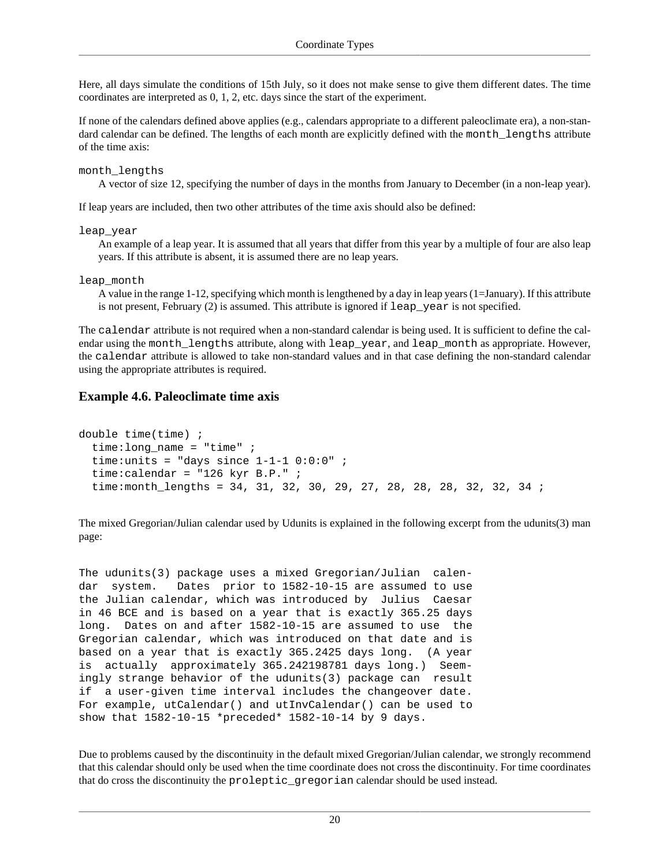Here, all days simulate the conditions of 15th July, so it does not make sense to give them different dates. The time coordinates are interpreted as 0, 1, 2, etc. days since the start of the experiment.

If none of the calendars defined above applies (e.g., calendars appropriate to a different paleoclimate era), a non-standard calendar can be defined. The lengths of each month are explicitly defined with the month\_lengths attribute of the time axis:

#### month\_lengths

A vector of size 12, specifying the number of days in the months from January to December (in a non-leap year).

If leap years are included, then two other attributes of the time axis should also be defined:

#### leap\_year

An example of a leap year. It is assumed that all years that differ from this year by a multiple of four are also leap years. If this attribute is absent, it is assumed there are no leap years.

#### leap month

A value in the range 1-12, specifying which month is lengthened by a day in leap years (1=January). If this attribute is not present, February (2) is assumed. This attribute is ignored if leap\_year is not specified.

The calendar attribute is not required when a non-standard calendar is being used. It is sufficient to define the calendar using the month\_lengths attribute, along with leap\_year, and leap\_month as appropriate. However, the calendar attribute is allowed to take non-standard values and in that case defining the non-standard calendar using the appropriate attributes is required.

#### <span id="page-27-0"></span>**Example 4.6. Paleoclimate time axis**

```
double time(time) ;
  time: long name = "time" ;
  time: units = "days since 1-1-1 0:0:0" ;
  time: calendar = "126 kyr B.P." ;
   time:month_lengths = 34, 31, 32, 30, 29, 27, 28, 28, 28, 32, 32, 34 ;
```
The mixed Gregorian/Julian calendar used by Udunits is explained in the following excerpt from the udunits(3) man page:

The udunits(3) package uses a mixed Gregorian/Julian calendar system. Dates prior to 1582-10-15 are assumed to use the Julian calendar, which was introduced by Julius Caesar in 46 BCE and is based on a year that is exactly 365.25 days long. Dates on and after 1582-10-15 are assumed to use the Gregorian calendar, which was introduced on that date and is based on a year that is exactly 365.2425 days long. (A year is actually approximately 365.242198781 days long.) Seemingly strange behavior of the udunits(3) package can result if a user-given time interval includes the changeover date. For example, utCalendar() and utInvCalendar() can be used to show that 1582-10-15 \*preceded\* 1582-10-14 by 9 days.

Due to problems caused by the discontinuity in the default mixed Gregorian/Julian calendar, we strongly recommend that this calendar should only be used when the time coordinate does not cross the discontinuity. For time coordinates that do cross the discontinuity the proleptic\_gregorian calendar should be used instead.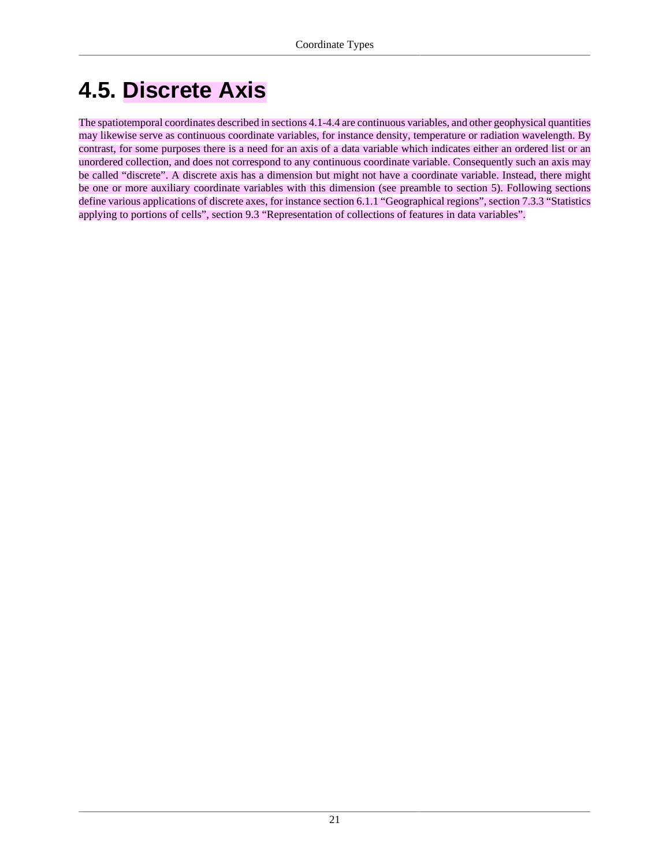### <span id="page-28-0"></span>**4.5. Discrete Axis**

The spatiotemporal coordinates described in sections 4.1-4.4 are continuous variables, and other geophysical quantities may likewise serve as continuous coordinate variables, for instance density, temperature or radiation wavelength. By contrast, for some purposes there is a need for an axis of a data variable which indicates either an ordered list or an unordered collection, and does not correspond to any continuous coordinate variable. Consequently such an axis may be called "discrete". A discrete axis has a dimension but might not have a coordinate variable. Instead, there might be one or more auxiliary coordinate variables with this dimension (see preamble to section 5). Following sections define various applications of discrete axes, for instance section 6.1.1 "Geographical regions", section 7.3.3 "Statistics applying to portions of cells", section 9.3 "Representation of collections of features in data variables".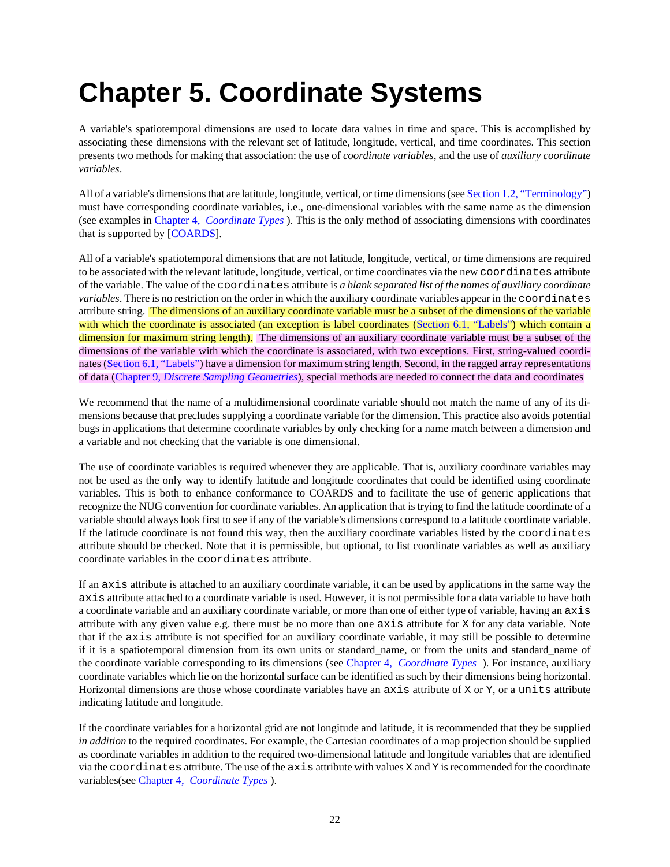# <span id="page-29-0"></span>**Chapter 5. Coordinate Systems**

A variable's spatiotemporal dimensions are used to locate data values in time and space. This is accomplished by associating these dimensions with the relevant set of latitude, longitude, vertical, and time coordinates. This section presents two methods for making that association: the use of *coordinate variables*, and the use of *auxiliary coordinate variables*.

All of a variable's dimensions that are latitude, longitude, vertical, or time dimensions (see [Section 1.2, "Terminology"\)](#page-8-2) must have corresponding coordinate variables, i.e., one-dimensional variables with the same name as the dimension (see examples in Chapter 4, *[Coordinate Types](#page-22-0)* ). This is the only method of associating dimensions with coordinates that is supported by [\[COARDS](#page-124-1)].

All of a variable's spatiotemporal dimensions that are not latitude, longitude, vertical, or time dimensions are required to be associated with the relevant latitude, longitude, vertical, or time coordinates via the new coordinates attribute of the variable. The value of the coordinates attribute is *a blank separated list of the names of auxiliary coordinate variables*. There is no restriction on the order in which the auxiliary coordinate variables appear in the coordinates attribute string. The dimensions of an auxiliary coordinate variable must be a subset of the dimensions of the variable with which the coordinate is associated (an exception is label coordinates ([Section 6.1, "Labels"](#page-40-1)) which contain a dimension for maximum string length). The dimensions of an auxiliary coordinate variable must be a subset of the dimensions of the variable with which the coordinate is associated, with two exceptions. First, string-valued coordinates ([Section 6.1, "Labels"\)](#page-40-1) have a dimension for maximum string length. Second, in the ragged array representations of data (Chapter 9, *[Discrete Sampling Geometries](#page-58-0)*), special methods are needed to connect the data and coordinates

We recommend that the name of a multidimensional coordinate variable should not match the name of any of its dimensions because that precludes supplying a coordinate variable for the dimension. This practice also avoids potential bugs in applications that determine coordinate variables by only checking for a name match between a dimension and a variable and not checking that the variable is one dimensional.

The use of coordinate variables is required whenever they are applicable. That is, auxiliary coordinate variables may not be used as the only way to identify latitude and longitude coordinates that could be identified using coordinate variables. This is both to enhance conformance to COARDS and to facilitate the use of generic applications that recognize the NUG convention for coordinate variables. An application that is trying to find the latitude coordinate of a variable should always look first to see if any of the variable's dimensions correspond to a latitude coordinate variable. If the latitude coordinate is not found this way, then the auxiliary coordinate variables listed by the coordinates attribute should be checked. Note that it is permissible, but optional, to list coordinate variables as well as auxiliary coordinate variables in the coordinates attribute.

If an axis attribute is attached to an auxiliary coordinate variable, it can be used by applications in the same way the axis attribute attached to a coordinate variable is used. However, it is not permissible for a data variable to have both a coordinate variable and an auxiliary coordinate variable, or more than one of either type of variable, having an axis attribute with any given value e.g. there must be no more than one axis attribute for X for any data variable. Note that if the axis attribute is not specified for an auxiliary coordinate variable, it may still be possible to determine if it is a spatiotemporal dimension from its own units or standard\_name, or from the units and standard\_name of the coordinate variable corresponding to its dimensions (see Chapter 4, *[Coordinate Types](#page-22-0)* ). For instance, auxiliary coordinate variables which lie on the horizontal surface can be identified as such by their dimensions being horizontal. Horizontal dimensions are those whose coordinate variables have an  $axis$  attribute of X or Y, or a units attribute indicating latitude and longitude.

If the coordinate variables for a horizontal grid are not longitude and latitude, it is recommended that they be supplied *in addition* to the required coordinates. For example, the Cartesian coordinates of a map projection should be supplied as coordinate variables in addition to the required two-dimensional latitude and longitude variables that are identified via the coordinates attribute. The use of the axis attribute with values X and Y is recommended for the coordinate variables(see Chapter 4, *[Coordinate Types](#page-22-0)* ).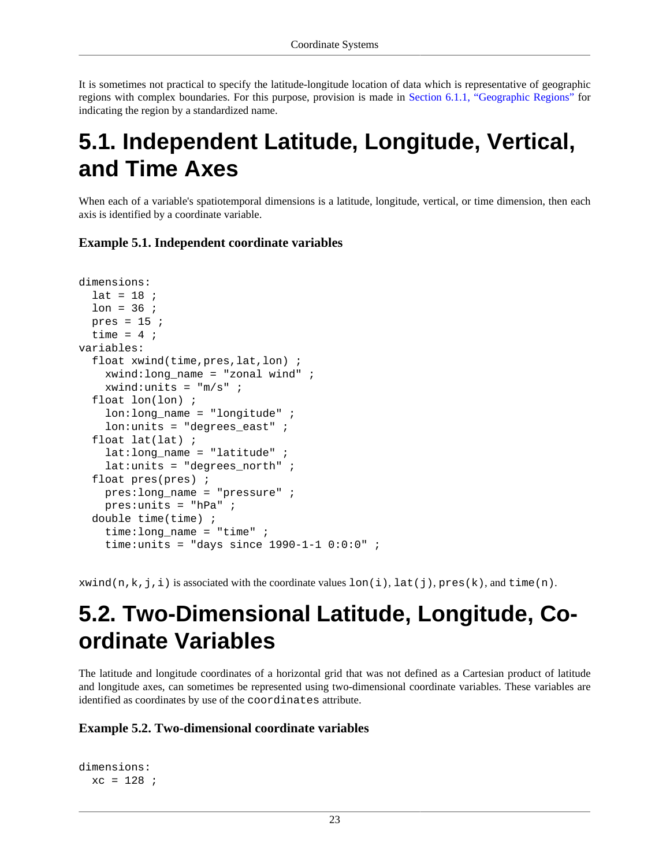It is sometimes not practical to specify the latitude-longitude location of data which is representative of geographic regions with complex boundaries. For this purpose, provision is made in [Section 6.1.1, "Geographic Regions"](#page-41-0) for indicating the region by a standardized name.

### <span id="page-30-0"></span>**5.1. Independent Latitude, Longitude, Vertical, and Time Axes**

When each of a variable's spatiotemporal dimensions is a latitude, longitude, vertical, or time dimension, then each axis is identified by a coordinate variable.

#### <span id="page-30-2"></span>**Example 5.1. Independent coordinate variables**

```
dimensions:
  lat = 18 ;
  lon = 36 ;
 pres = 15;
  time = 4 ;
variables:
   float xwind(time,pres,lat,lon) ;
     xwind:long_name = "zonal wind" ;
    xwind:units = "m/s" float lon(lon) ;
     lon:long_name = "longitude" ;
     lon:units = "degrees_east" ;
   float lat(lat) ;
    lat:long name = "latitude" ;
     lat:units = "degrees_north" ;
   float pres(pres) ;
     pres:long_name = "pressure" ;
     pres:units = "hPa" ;
   double time(time) ;
     time:long_name = "time" ;
    time: units = "days since 1990-1-1 0:0:0";
```
 $xwind(n,k,j,i)$  is associated with the coordinate values lon(i), lat(j), pres(k), and time(n).

### <span id="page-30-1"></span>**5.2. Two-Dimensional Latitude, Longitude, Coordinate Variables**

The latitude and longitude coordinates of a horizontal grid that was not defined as a Cartesian product of latitude and longitude axes, can sometimes be represented using two-dimensional coordinate variables. These variables are identified as coordinates by use of the coordinates attribute.

#### <span id="page-30-3"></span>**Example 5.2. Two-dimensional coordinate variables**

```
dimensions:
  xc = 128 ;
```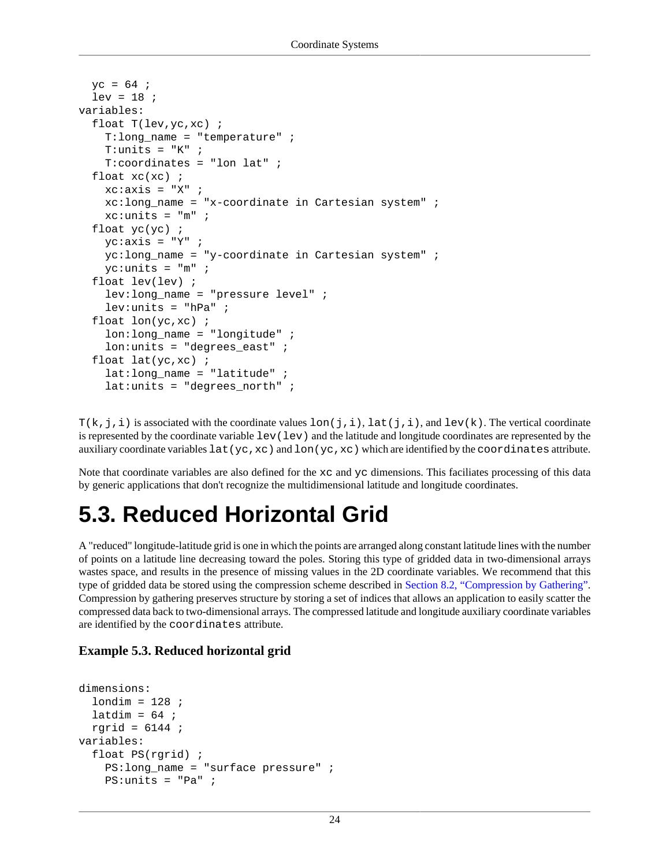```
yc = 64 ;
  lev = 18 ;
variables:
   float T(lev,yc,xc) ;
     T:long_name = "temperature" ;
    T:units = "K" ;
     T:coordinates = "lon lat" ;
  float xc(xc) ;
    xc:axis = "X" ;
    xc:long_name = "x-coordinate in Cartesian system"xc:units = "m" ;
   float yc(yc) ;
    yc:axis = "Y" ;
    yc:long_name = "y-coordinate in Cartesian system"yc:units = "m" ;
   float lev(lev) ;
    lev: long name = "pressure level" ;
     lev:units = "hPa" ;
  float lon(yc, xc) ;
    lon: long name = "longitude" ;
     lon:units = "degrees_east" ;
   float lat(yc,xc) ;
     lat:long_name = "latitude" ;
     lat:units = "degrees_north" ;
```
 $T(k,j,i)$  is associated with the coordinate values lon(j,i), lat(j,i), and lev(k). The vertical coordinate is represented by the coordinate variable  $\text{lev}(lev)$  and the latitude and longitude coordinates are represented by the auxiliary coordinate variables lat(yc,xc) and lon(yc,xc) which are identified by the coordinates attribute.

Note that coordinate variables are also defined for the xc and yc dimensions. This faciliates processing of this data by generic applications that don't recognize the multidimensional latitude and longitude coordinates.

### <span id="page-31-0"></span>**5.3. Reduced Horizontal Grid**

A "reduced" longitude-latitude grid is one in which the points are arranged along constant latitude lines with the number of points on a latitude line decreasing toward the poles. Storing this type of gridded data in two-dimensional arrays wastes space, and results in the presence of missing values in the 2D coordinate variables. We recommend that this type of gridded data be stored using the compression scheme described in [Section 8.2, "Compression by Gathering".](#page-56-2) Compression by gathering preserves structure by storing a set of indices that allows an application to easily scatter the compressed data back to two-dimensional arrays. The compressed latitude and longitude auxiliary coordinate variables are identified by the coordinates attribute.

#### <span id="page-31-1"></span>**Example 5.3. Reduced horizontal grid**

```
dimensions:
  londim = 128;
  latdim = 64 ;
  rgrid = 6144 ;
variables:
   float PS(rgrid) ;
    PS: long name = "surface pressure" ;
    PS: units = "Pa" ;
```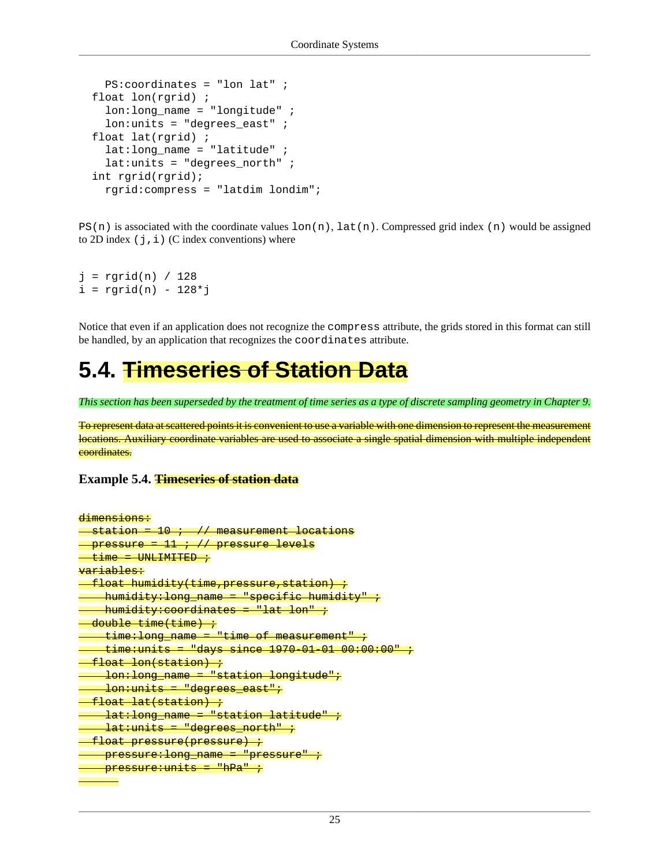```
 PS:coordinates = "lon lat" ;
 float lon(rgrid) ;
   lon:long_name = "longitude" ;
  lon:units = "degrees east" ;
 float lat(rgrid) ;
  lat:long name = "latitude" ;
   lat:units = "degrees_north" ;
 int rgrid(rgrid);
   rgrid:compress = "latdim londim";
```
 $PS(n)$  is associated with the coordinate values  $lon(n)$ ,  $lat(n)$ . Compressed grid index (n) would be assigned to 2D index  $(j, i)$  (C index conventions) where

```
j = \text{rgrid}(n) / 128i = \text{rgrid}(n) - 128 * j
```
Notice that even if an application does not recognize the compress attribute, the grids stored in this format can still be handled, by an application that recognizes the coordinates attribute.

### <span id="page-32-0"></span>**5.4. Timeseries of Station Data**

*This section has been superseded by the treatment of time series as a type of discrete sampling geometry in Chapter 9.*

To represent data at scattered points it is convenient to use a variable with one dimension to represent the measurement locations. Auxiliary coordinate variables are used to associate a single spatial dimension with multiple independent coordinates.

#### <span id="page-32-1"></span>**Example 5.4. Timeseries of station data**

```
dimensions:
 -station = 10 ; - // measurement locations
 pressure = 11 ; // pressure levels
 \tt time = \t{UNLIMITED} ;
variables:
 float humidity(time, pressure, station) :
   -humidity:long_name = "specific humidity"
   humidity:coordinates = "lat lon" ;
 double time(time) ;
    time:long_name = "time of measurement"
    time:units = "days since 1970-01-01 00:00:00" ;
 float lon(station) ;
  lon:long_name = "station longitude";
   lon:units = "degrees_east";
  float lat(station) ;
     lat:long_name = "station latitude" ;
    lat:units = "degrees_north" ;
 float pressure(pressure) ;
   pressure:long_name = "pressure" ;
   pressure:units = "hPa" ;
```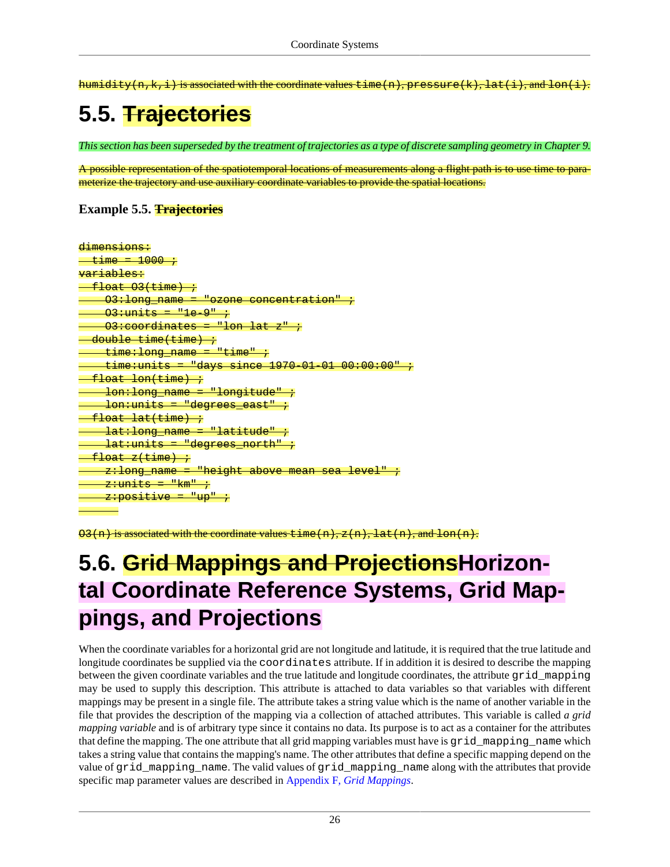is associated with the coordinate values time  $(n)$ , pressure  $(k)$ , lat  $(i)$ , and lon  $(i)$ .

### <span id="page-33-0"></span>**5.5. Trajectories**

*This section has been superseded by the treatment of trajectories as a type of discrete sampling geometry in Chapter 9.*

A possible representation of the spatiotemporal locations of measurements along a flight path is to use time to parameterize the trajectory and use auxiliary coordinate variables to provide the spatial locations.

#### <span id="page-33-2"></span>**Example 5.5. Trajectories**

| <del>dimensions:</del>                                       |
|--------------------------------------------------------------|
| $-$ time = 1000 ;                                            |
| <del>variables:</del>                                        |
| <del>- float 03(time) ;</del>                                |
| <del>- 03:long name = "ozone concentration" ;</del>          |
| <del>. 03:units = "1e-9" ;</del>                             |
| <del>- 03:coordinates = "lon lat z" ;</del>                  |
| <del>- double time(time) ;</del>                             |
| <del>- time:long name = "time" ;</del>                       |
| <del>- time:units = "days since 1970-01-01 00:00:00" ;</del> |
| <del>- float lon(time) ;</del>                               |
| <del>- lon:long name = "longitude" ;</del>                   |
| <del>- lon:units = "degrees east" ;</del>                    |
| <del>- float lat(time) ;</del>                               |
| <del>die lat:long_name = "latitude" ;</del>                  |
| <del>- lat:units = "degrees north" ;</del>                   |
| <del>- float z(time) ;</del>                                 |
| <del>chi z:long name = "height above mean sea level" ;</del> |
| <del>- z:units = "km" ;</del>                                |
| <del>- z:positive = "up" ;</del>                             |
|                                                              |

 $\left(0.3\right)$  is associated with the coordinate values time (n)

### <span id="page-33-1"></span>**5.6. Grid Mappings and ProjectionsHorizontal Coordinate Reference Systems, Grid Mappings, and Projections**

When the coordinate variables for a horizontal grid are not longitude and latitude, it is required that the true latitude and longitude coordinates be supplied via the coordinates attribute. If in addition it is desired to describe the mapping between the given coordinate variables and the true latitude and longitude coordinates, the attribute grid\_mapping may be used to supply this description. This attribute is attached to data variables so that variables with different mappings may be present in a single file. The attribute takes a string value which is the name of another variable in the file that provides the description of the mapping via a collection of attached attributes. This variable is called *a grid mapping variable* and is of arbitrary type since it contains no data. Its purpose is to act as a container for the attributes that define the mapping. The one attribute that all grid mapping variables must have is grid\_mapping\_name which takes a string value that contains the mapping's name. The other attributes that define a specific mapping depend on the value of grid\_mapping\_name. The valid values of grid\_mapping\_name along with the attributes that provide specific map parameter values are described in Appendix F, *[Grid Mappings](#page-81-0)*.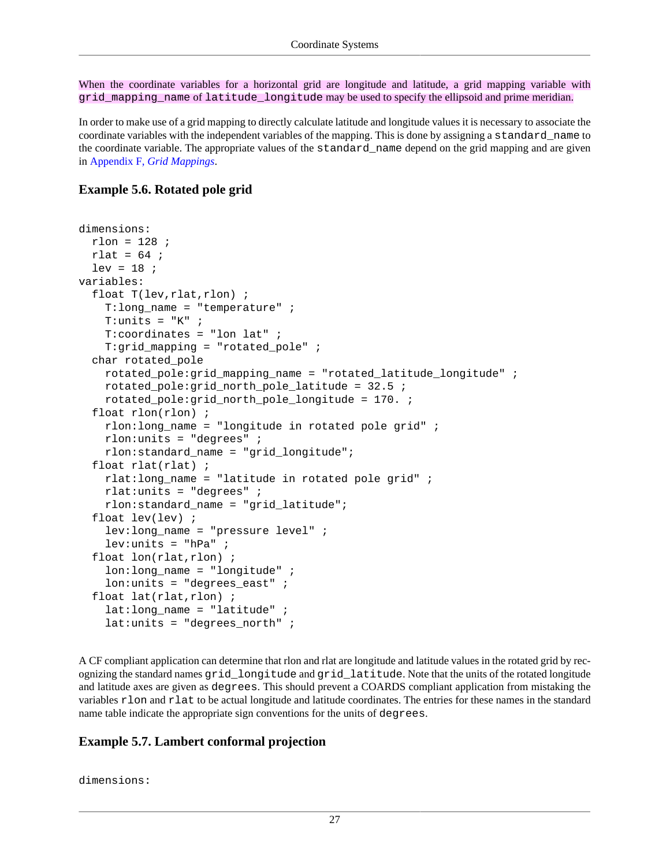When the coordinate variables for a horizontal grid are longitude and latitude, a grid mapping variable with grid mapping name of latitude longitude may be used to specify the ellipsoid and prime meridian.

In order to make use of a grid mapping to directly calculate latitude and longitude values it is necessary to associate the coordinate variables with the independent variables of the mapping. This is done by assigning a standard\_name to the coordinate variable. The appropriate values of the standard\_name depend on the grid mapping and are given in Appendix F, *[Grid Mappings](#page-81-0)*.

#### <span id="page-34-0"></span>**Example 5.6. Rotated pole grid**

```
dimensions:
   rlon = 128 ;
  rlat = 64 ;
  lev = 18 ;
variables:
  float T(lev, rlat, rlon) ;
     T:long_name = "temperature" ;
    T:units = "K" ;
     T:coordinates = "lon lat" ;
     T:grid_mapping = "rotated_pole" ;
   char rotated_pole
     rotated_pole:grid_mapping_name = "rotated_latitude_longitude" ;
    rotated pole: grid north pole latitude = 32.5 ;
     rotated_pole:grid_north_pole_longitude = 170. ;
   float rlon(rlon) ;
     rlon:long_name = "longitude in rotated pole grid" ;
     rlon:units = "degrees" ;
     rlon:standard_name = "grid_longitude";
   float rlat(rlat) ;
     rlat:long_name = "latitude in rotated pole grid" ;
     rlat:units = "degrees" ;
     rlon:standard_name = "grid_latitude";
   float lev(lev) ;
    lev: long name = "pressure level" ;
    lev:units = "hPa" ;
   float lon(rlat,rlon) ;
     lon:long_name = "longitude" ;
    lon:units = "degrees east" ;
   float lat(rlat,rlon) ;
    lat:long name = "latitude" ;
     lat:units = "degrees_north" ;
```
A CF compliant application can determine that rlon and rlat are longitude and latitude values in the rotated grid by recognizing the standard names grid\_longitude and grid\_latitude. Note that the units of the rotated longitude and latitude axes are given as degrees. This should prevent a COARDS compliant application from mistaking the variables rlon and rlat to be actual longitude and latitude coordinates. The entries for these names in the standard name table indicate the appropriate sign conventions for the units of degrees.

#### <span id="page-34-1"></span>**Example 5.7. Lambert conformal projection**

dimensions: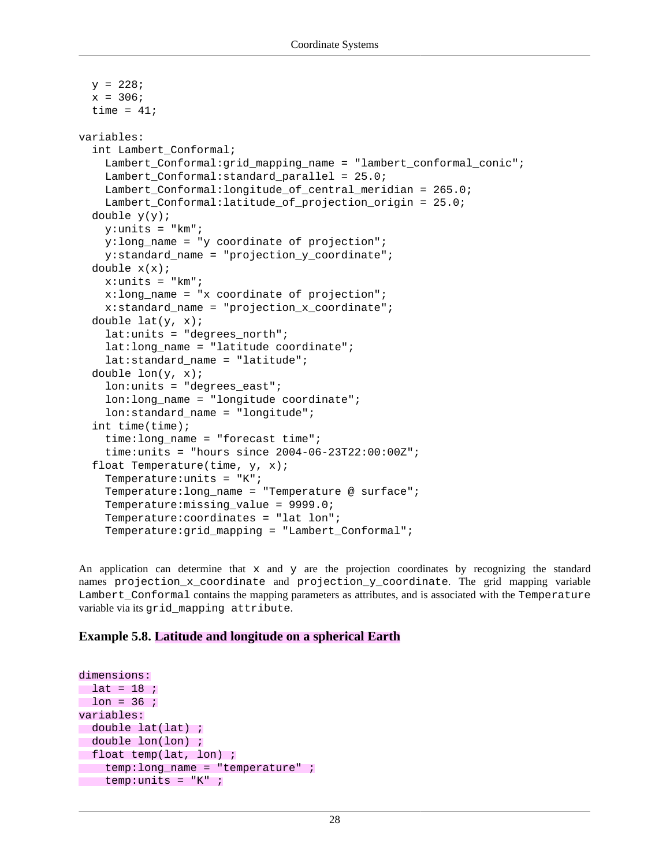```
y = 228;x = 306;time = 41;variables:
   int Lambert_Conformal;
     Lambert_Conformal:grid_mapping_name = "lambert_conformal_conic";
    Lambert Conformal: standard parallel = 25.0; Lambert_Conformal:longitude_of_central_meridian = 265.0;
     Lambert_Conformal:latitude_of_projection_origin = 25.0;
   double y(y);
    y:units = "km";y: long name = "y coordinate of projection";
     y:standard_name = "projection_y_coordinate";
   double x(x);
     x:units = "km";
     x:long_name = "x coordinate of projection";
     x:standard_name = "projection_x_coordinate";
   double lat(y, x);
     lat:units = "degrees_north";
     lat:long_name = "latitude coordinate";
     lat:standard_name = "latitude";
   double lon(y, x);
    lon: units = "degrees east";
     lon:long_name = "longitude coordinate";
     lon:standard_name = "longitude";
   int time(time);
     time:long_name = "forecast time";
     time:units = "hours since 2004-06-23T22:00:00Z";
   float Temperature(time, y, x);
    Temperature: units = "K";
     Temperature:long_name = "Temperature @ surface";
     Temperature:missing_value = 9999.0;
     Temperature:coordinates = "lat lon";
     Temperature:grid_mapping = "Lambert_Conformal";
```
An application can determine that  $x$  and  $y$  are the projection coordinates by recognizing the standard names projection\_x\_coordinate and projection\_y\_coordinate. The grid mapping variable Lambert\_Conformal contains the mapping parameters as attributes, and is associated with the Temperature variable via its grid\_mapping attribute.

#### <span id="page-35-0"></span>**Example 5.8. Latitude and longitude on a spherical Earth**

```
dimensions:
\lceil lat = 18 ;
\ln = 36 ;
variables:
double lat(lat) ;
 double lon(lon) ;
 float temp(lat, lon) ;
 temp:long_name = "temperature" ;
 temp:units = "K" ;
```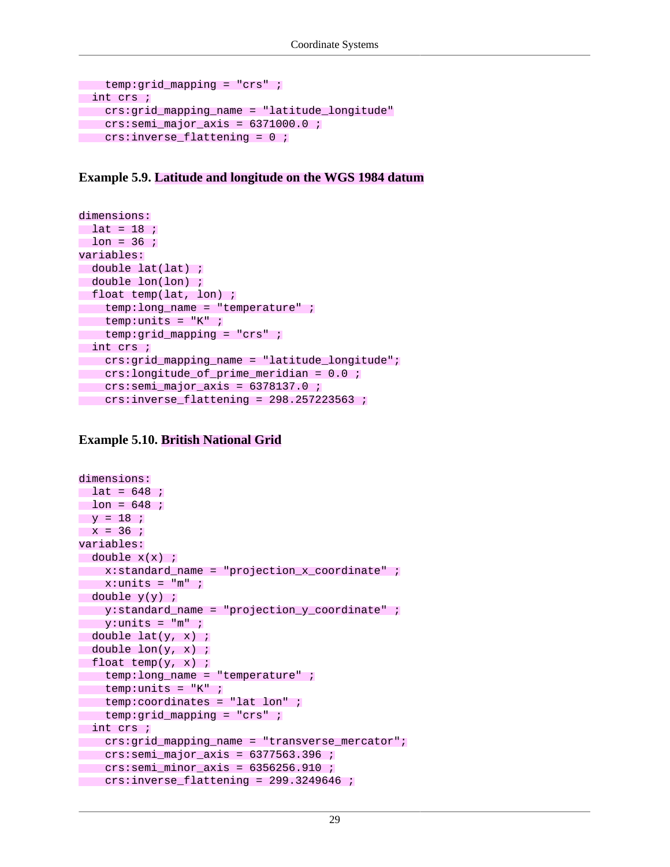```
 temp:grid_mapping = "crs" ;
 int crs ;
 crs:grid_mapping_name = "latitude_longitude"
crs:semi major axis = 6371000.0 ;
 crs:inverse_flattening = 0 ;
```
**Example 5.9. Latitude and longitude on the WGS 1984 datum**

```
dimensions:
\frac{1}{1} lat = 18 ;
\ln = 36 ;
variables:
 double lat(lat) ;
double lon(lon) ;
 float temp(lat, lon) ;
 temp:long_name = "temperature" ;
 temp:units = "K" ;
 temp:grid_mapping = "crs" ;
int crs ;
 crs:grid_mapping_name = "latitude_longitude";
 crs:longitude_of_prime_meridian = 0.0 ;
crs:semi major axis = 6378137.0 ;
 crs:inverse_flattening = 298.257223563 ;
```
#### **Example 5.10. British National Grid**

```
dimensions:
\lceil \cdot \rceil lat = 648 ;
 lon = 648 ;
y = 18 ;
x = 36 ;
variables:
 double x(x) ;
 x:standard_name = "projection_x_coordinate" ;
x:units = "m" double y(y) ;
 y:standard_name = "projection_y_coordinate" ;
 y:units = "m" ;
 double lat(y, x) ;
 double lon(y, x) ;
 float temp(y, x) ;
temp:long name = "temperature" ;
 temp:units = "K" ;
 temp:coordinates = "lat lon" ;
 temp:grid_mapping = "crs" ;
 int crs ;
 crs:grid_mapping_name = "transverse_mercator";
crs:semi major axis = 6377563.396 ;
 crs:semi_minor_axis = 6356256.910 ;
 crs:inverse_flattening = 299.3249646 ;
```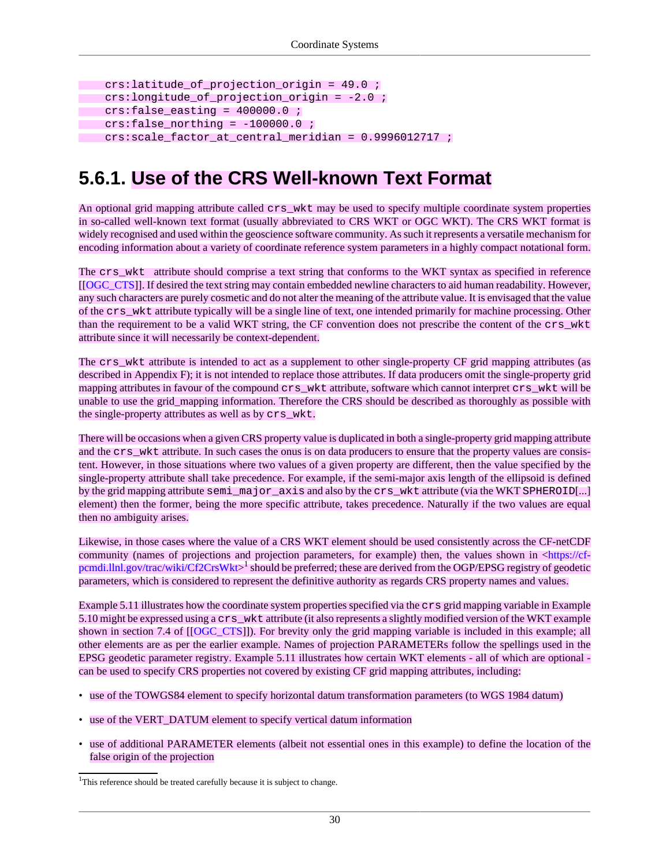```
 crs:latitude_of_projection_origin = 49.0 ;
crs: longitude of projection origin = -2.0 ;
 crs:false_easting = 400000.0 ;
crs:false northing = -100000.0 ;
 crs:scale_factor_at_central_meridian = 0.9996012717 ;
```
### **5.6.1. Use of the CRS Well-known Text Format**

An optional grid mapping attribute called crs wkt may be used to specify multiple coordinate system properties in so-called well-known text format (usually abbreviated to CRS WKT or OGC WKT). The CRS WKT format is widely recognised and used within the geoscience software community. As such it represents a versatile mechanism for encoding information about a variety of coordinate reference system parameters in a highly compact notational form.

The crs\_wkt attribute should comprise a text string that conforms to the WKT syntax as specified in reference [[[OGC\\_CTS](#page-124-0)]]. If desired the text string may contain embedded newline characters to aid human readability. However, any such characters are purely cosmetic and do not alter the meaning of the attribute value. It is envisaged that the value of the crs\_wkt attribute typically will be a single line of text, one intended primarily for machine processing. Other than the requirement to be a valid WKT string, the CF convention does not prescribe the content of the crs\_wkt attribute since it will necessarily be context-dependent.

The crs\_wkt attribute is intended to act as a supplement to other single-property CF grid mapping attributes (as described in Appendix F); it is not intended to replace those attributes. If data producers omit the single-property grid mapping attributes in favour of the compound crs\_wkt attribute, software which cannot interpret crs\_wkt will be unable to use the grid mapping information. Therefore the CRS should be described as thoroughly as possible with the single-property attributes as well as by crs\_wkt.

There will be occasions when a given CRS property value is duplicated in both a single-property grid mapping attribute and the crs\_wkt attribute. In such cases the onus is on data producers to ensure that the property values are consistent. However, in those situations where two values of a given property are different, then the value specified by the single-property attribute shall take precedence. For example, if the semi-major axis length of the ellipsoid is defined by the grid mapping attribute semi\_major\_axis and also by the crs\_wkt attribute (via the WKT SPHEROID[...] element) then the former, being the more specific attribute, takes precedence. Naturally if the two values are equal then no ambiguity arises.

Likewise, in those cases where the value of a CRS WKT element should be used consistently across the CF-netCDF community (names of projections and projection parameters, for example) then, the values shown in [<https://cf](https://cf-pcmdi.llnl.gov/trac/wiki/Cf2CrsWkt)[pcmdi.llnl.gov/trac/wiki/Cf2CrsWkt>](https://cf-pcmdi.llnl.gov/trac/wiki/Cf2CrsWkt)<sup>1</sup> should be preferred; these are derived from the OGP/EPSG registry of geodetic parameters, which is considered to represent the definitive authority as regards CRS property names and values.

Example 5.11 illustrates how the coordinate system properties specified via the crs grid mapping variable in Example 5.10 might be expressed using a crs\_wkt attribute (it also represents a slightly modified version of the WKT example shown in section 7.4 of [[\[OGC\\_CTS\]](#page-124-0)]). For brevity only the grid mapping variable is included in this example; all other elements are as per the earlier example. Names of projection PARAMETERs follow the spellings used in the EPSG geodetic parameter registry. Example 5.11 illustrates how certain WKT elements - all of which are optional can be used to specify CRS properties not covered by existing CF grid mapping attributes, including:

- use of the TOWGS84 element to specify horizontal datum transformation parameters (to WGS 1984 datum)
- use of the VERT\_DATUM element to specify vertical datum information
- use of additional PARAMETER elements (albeit not essential ones in this example) to define the location of the false origin of the projection

<sup>&</sup>lt;sup>1</sup>This reference should be treated carefully because it is subject to change.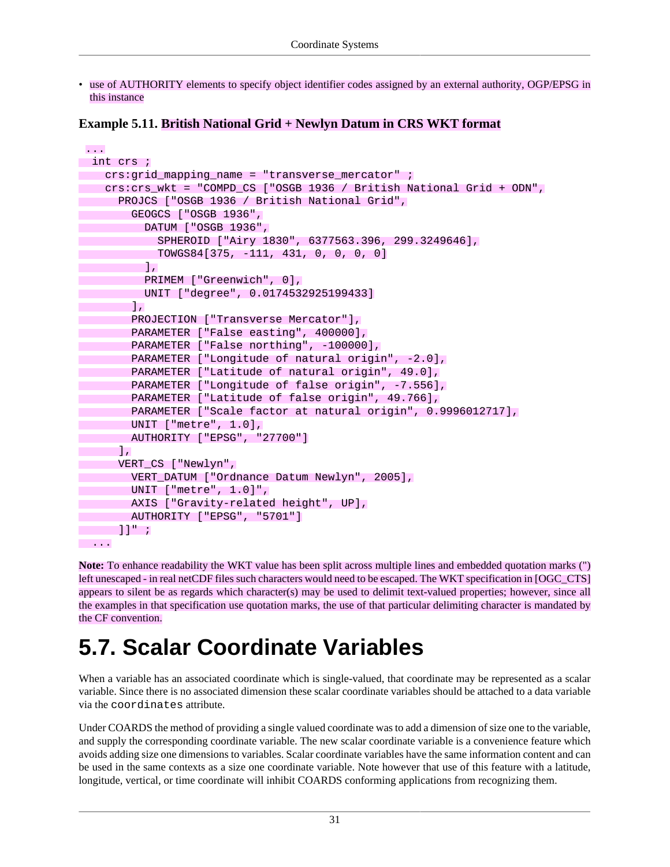• use of AUTHORITY elements to specify object identifier codes assigned by an external authority, OGP/EPSG in this instance

```
Example 5.11. British National Grid + Newlyn Datum in CRS WKT format
```

```
...
 int crs ;
 crs:grid_mapping_name = "transverse_mercator" ;
 crs:crs_wkt = "COMPD_CS ["OSGB 1936 / British National Grid + ODN",
 PROJCS ["OSGB 1936 / British National Grid",
 GEOGCS ["OSGB 1936",
           DATUM ["OSGB 1936",
             SPHEROID ["Airy 1830", 6377563.396, 299.3249646],
             TOWGS84[375, -111, 431, 0, 0, 0, 0]
           ],
           PRIMEM ["Greenwich", 0],
           UNIT ["degree", 0.0174532925199433]
       \Box,
         PROJECTION ["Transverse Mercator"],
         PARAMETER ["False easting", 400000],
        PARAMETER ["False northing", -100000],
        PARAMETER ["Longitude of natural origin", -2.0],
         PARAMETER ["Latitude of natural origin", 49.0],
        PARAMETER ["Longitude of false origin", -7.556],
         PARAMETER ["Latitude of false origin", 49.766],
         PARAMETER ["Scale factor at natural origin", 0.9996012717],
         UNIT ["metre", 1.0],
AUTHORITY ["EPSG", "27700"]
      ],
       VERT_CS ["Newlyn",
        VERT DATUM ["Ordnance Datum Newlyn", 2005],
         UNIT ["metre", 1.0]",
         AXIS ["Gravity-related height", UP],
         AUTHORITY ["EPSG", "5701"]
\begin{bmatrix} 1 & 1 \\ 1 & 1 \end{bmatrix}" ;
 ...
```
**Note:** To enhance readability the WKT value has been split across multiple lines and embedded quotation marks (") left unescaped - in real netCDF files such characters would need to be escaped. The WKT specification in [OGC\_CTS] appears to silent be as regards which character(s) may be used to delimit text-valued properties; however, since all the examples in that specification use quotation marks, the use of that particular delimiting character is mandated by the CF convention.

# <span id="page-38-0"></span>**5.7. Scalar Coordinate Variables**

When a variable has an associated coordinate which is single-valued, that coordinate may be represented as a scalar variable. Since there is no associated dimension these scalar coordinate variables should be attached to a data variable via the coordinates attribute.

Under COARDS the method of providing a single valued coordinate was to add a dimension of size one to the variable, and supply the corresponding coordinate variable. The new scalar coordinate variable is a convenience feature which avoids adding size one dimensions to variables. Scalar coordinate variables have the same information content and can be used in the same contexts as a size one coordinate variable. Note however that use of this feature with a latitude, longitude, vertical, or time coordinate will inhibit COARDS conforming applications from recognizing them.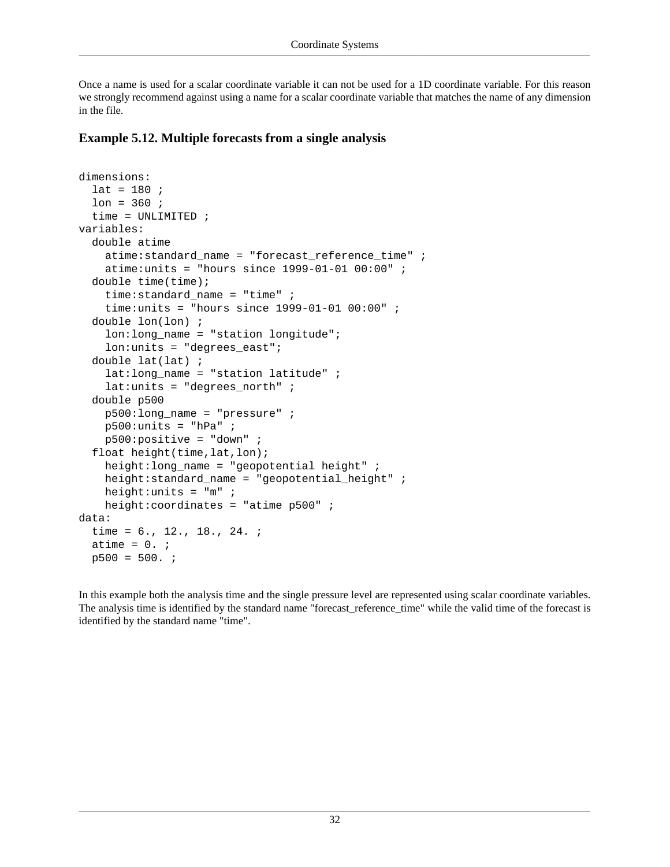Once a name is used for a scalar coordinate variable it can not be used for a 1D coordinate variable. For this reason we strongly recommend against using a name for a scalar coordinate variable that matches the name of any dimension in the file.

#### **Example 5.12. Multiple forecasts from a single analysis**

```
dimensions:
  lat = 180 ;
   lon = 360 ;
   time = UNLIMITED ;
variables:
   double atime
     atime:standard_name = "forecast_reference_time" ;
    atime: units = "hours since 1999-01-01 00:00" ;
   double time(time);
     time:standard_name = "time" ;
     time:units = "hours since 1999-01-01 00:00" ;
   double lon(lon) ;
     lon:long_name = "station longitude";
     lon:units = "degrees_east";
   double lat(lat) ;
     lat:long_name = "station latitude" ;
    lat:units = "degreesnorth" double p500
     p500:long_name = "pressure" ;
    p500:units = "hPa" ;
     p500:positive = "down" ;
   float height(time,lat,lon);
    height:long_name = "geopotential height" ;
    height:standard_name = "geopotential\_height";
     height:units = "m" ;
    height: coordinates = "atime p500" ;
data:
   time = 6., 12., 18., 24. ;
  atime = 0.;
 p500 = 500.
```
In this example both the analysis time and the single pressure level are represented using scalar coordinate variables. The analysis time is identified by the standard name "forecast\_reference\_time" while the valid time of the forecast is identified by the standard name "time".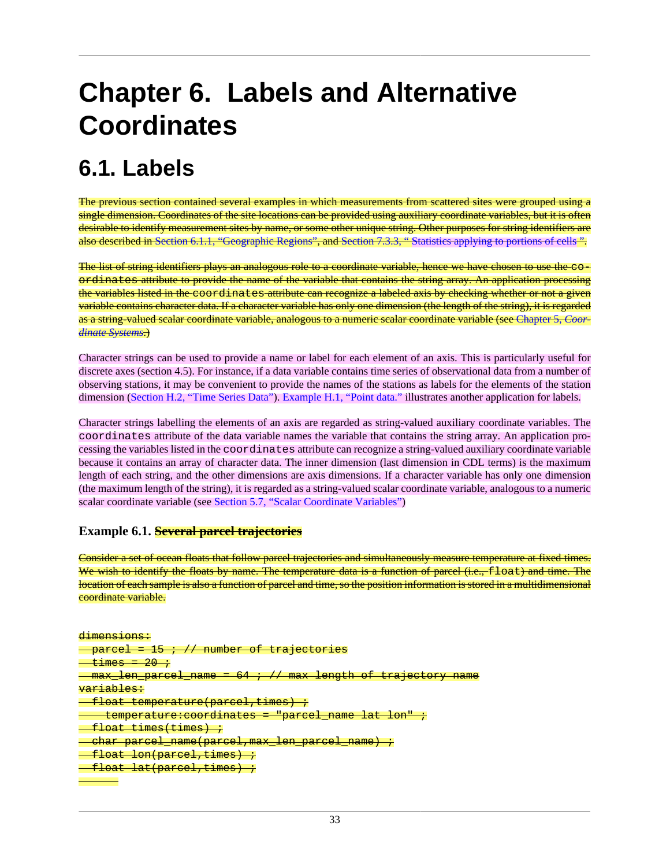# **Chapter 6. Labels and Alternative Coordinates**

## <span id="page-40-0"></span>**6.1. Labels**

The previous section contained several examples in which measurements from scattered sites were grouped using a single dimension. Coordinates of the site locations can be provided using auxiliary coordinate variables, but it is often desirable to identify measurement sites by name, or some other unique string. Other purposes for string identifiers are also described in [Section 6.1.1, "Geographic Regions"](#page-41-0), and Section 7.3.3, "Statistics applying to portions of cells".

The list of string identifiers plays an analogous role to a coordinate variable, hence we have chosen to use the eoordinates attribute to provide the name of the variable that contains the string array. An application processing the variables listed in the coordinates attribute can recognize a labeled axis by checking whether or not a given variable contains character data. If a character variable has only one dimension (the length of the string), it is regarded as a string-valued scalar coordinate variable, analogous to a numeric scalar coordinate variable (see [Chapter 5,](#page-29-0) *Coor[dinate Systems](#page-29-0)*.)

Character strings can be used to provide a name or label for each element of an axis. This is particularly useful for discrete axes (section 4.5). For instance, if a data variable contains time series of observational data from a number of observing stations, it may be convenient to provide the names of the stations as labels for the elements of the station dimension ([Section H.2, "Time Series Data"](#page-94-0)). [Example H.1, "Point data."](#page-93-0) illustrates another application for labels.

Character strings labelling the elements of an axis are regarded as string-valued auxiliary coordinate variables. The coordinates attribute of the data variable names the variable that contains the string array. An application processing the variables listed in the coordinates attribute can recognize a string-valued auxiliary coordinate variable because it contains an array of character data. The inner dimension (last dimension in CDL terms) is the maximum length of each string, and the other dimensions are axis dimensions. If a character variable has only one dimension (the maximum length of the string), it is regarded as a string-valued scalar coordinate variable, analogous to a numeric scalar coordinate variable (see [Section 5.7, "Scalar Coordinate Variables"](#page-38-0))

#### **Example 6.1. Several parcel trajectories**

Consider a set of ocean floats that follow parcel trajectories and simultaneously measure temperature at fixed times. We wish to identify the floats by name. The temperature data is a function of parcel (i.e., £loat) and time. The location of each sample is also a function of parcel and time, so the position information is stored in a multidimensional coordinate variable.

#### dimensions:  $\mathtt{pareel}$  $imes = 20$  ;  $max$  len parcel name = 64 ; // max length of trajectory name variables: float temperature(parcel,times) ; temperature: coordinates = "parcel\_name float times(times) ; char parcel\_name(parcel,max\_len\_parcel float lon(parcel,times) ; float lat(parcel,times) ;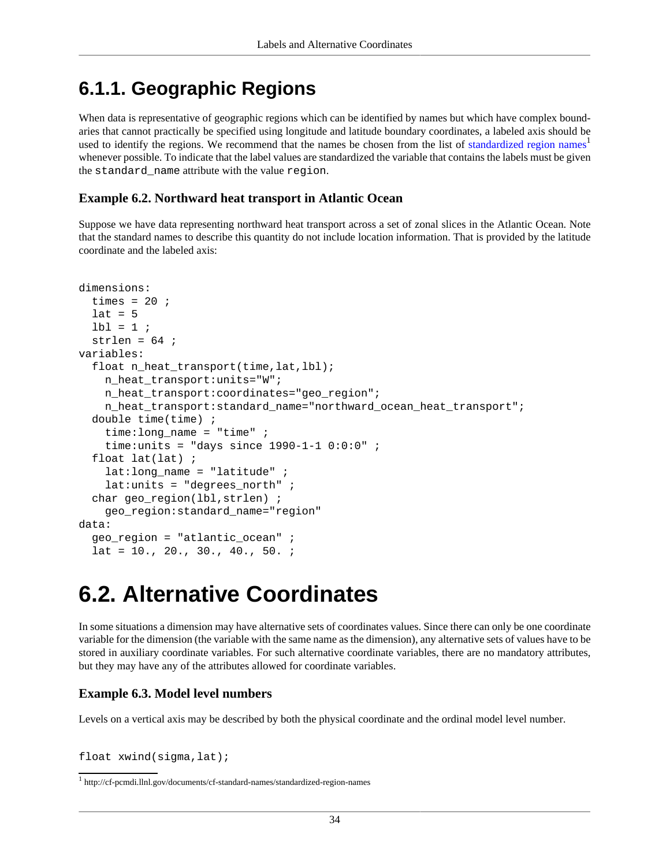### <span id="page-41-0"></span>**6.1.1. Geographic Regions**

When data is representative of geographic regions which can be identified by names but which have complex boundaries that cannot practically be specified using longitude and latitude boundary coordinates, a labeled axis should be used to identify the regions. We recommend that the names be chosen from the list of [standardized region names](http://cf-pcmdi.llnl.gov/documents/cf-standard-names/standardized-region-names)<sup>1</sup> whenever possible. To indicate that the label values are standardized the variable that contains the labels must be given the standard\_name attribute with the value region.

#### **Example 6.2. Northward heat transport in Atlantic Ocean**

Suppose we have data representing northward heat transport across a set of zonal slices in the Atlantic Ocean. Note that the standard names to describe this quantity do not include location information. That is provided by the latitude coordinate and the labeled axis:

```
dimensions:
  times = 20 ;
  lat = 51b1 = 1;
  strlen = 64 ;
variables:
  float n heat transport(time, lat, lbl);
     n_heat_transport:units="W";
    n heat transport: coordinates="geo region";
    n heat transport: standard name="northward ocean heat transport";
   double time(time) ;
    time: long name = "time" ;
    time: units = "days since 1990-1-1 0:0:0" ;
   float lat(lat) ;
    lat:long name = "latitude" ;
    lat:units = "degrees__north"char geo_region(lbl, strlen) ;
     geo_region:standard_name="region"
data:
  geo region = "atlantic ocean" ilat = 10., 20., 30., 40., 50.
```
## <span id="page-41-1"></span>**6.2. Alternative Coordinates**

In some situations a dimension may have alternative sets of coordinates values. Since there can only be one coordinate variable for the dimension (the variable with the same name as the dimension), any alternative sets of values have to be stored in auxiliary coordinate variables. For such alternative coordinate variables, there are no mandatory attributes, but they may have any of the attributes allowed for coordinate variables.

#### **Example 6.3. Model level numbers**

Levels on a vertical axis may be described by both the physical coordinate and the ordinal model level number.

```
float xwind(sigma, lat);
```
<sup>1</sup> <http://cf-pcmdi.llnl.gov/documents/cf-standard-names/standardized-region-names>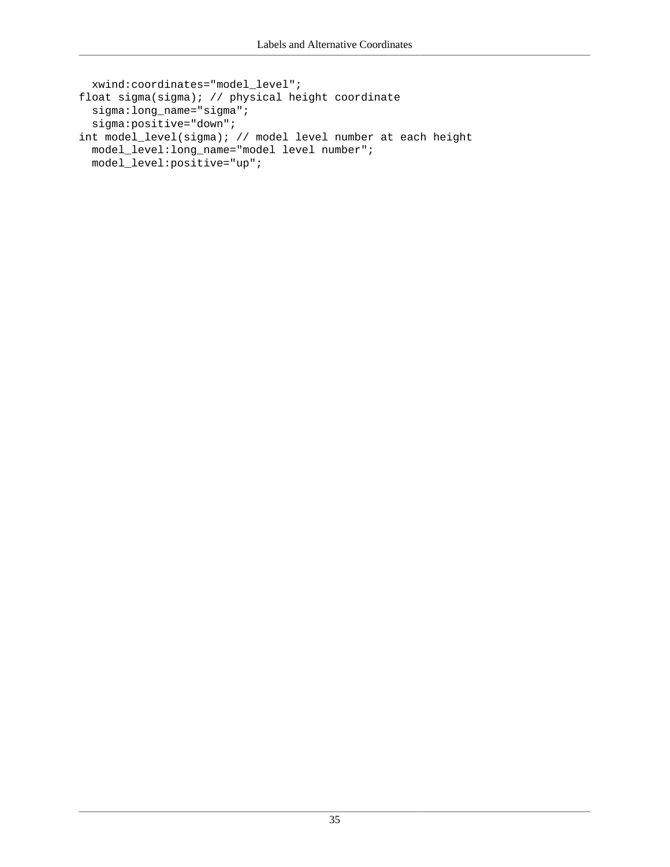```
 xwind:coordinates="model_level";
float sigma(sigma); // physical height coordinate
   sigma:long_name="sigma";
   sigma:positive="down";
int model_level(sigma); // model level number at each height
   model_level:long_name="model level number";
   model_level:positive="up";
```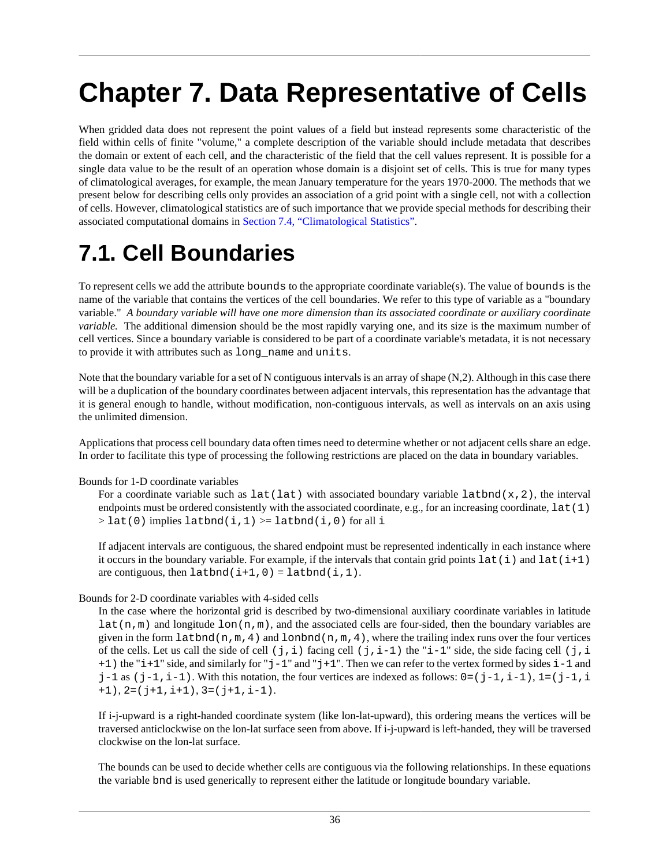# **Chapter 7. Data Representative of Cells**

When gridded data does not represent the point values of a field but instead represents some characteristic of the field within cells of finite "volume," a complete description of the variable should include metadata that describes the domain or extent of each cell, and the characteristic of the field that the cell values represent. It is possible for a single data value to be the result of an operation whose domain is a disjoint set of cells. This is true for many types of climatological averages, for example, the mean January temperature for the years 1970-2000. The methods that we present below for describing cells only provides an association of a grid point with a single cell, not with a collection of cells. However, climatological statistics are of such importance that we provide special methods for describing their associated computational domains in [Section 7.4, "Climatological Statistics".](#page-51-0)

## <span id="page-43-0"></span>**7.1. Cell Boundaries**

To represent cells we add the attribute bounds to the appropriate coordinate variable(s). The value of bounds is the name of the variable that contains the vertices of the cell boundaries. We refer to this type of variable as a "boundary variable." *A boundary variable will have one more dimension than its associated coordinate or auxiliary coordinate variable.* The additional dimension should be the most rapidly varying one, and its size is the maximum number of cell vertices. Since a boundary variable is considered to be part of a coordinate variable's metadata, it is not necessary to provide it with attributes such as long\_name and units.

Note that the boundary variable for a set of N contiguous intervals is an array of shape  $(N,2)$ . Although in this case there will be a duplication of the boundary coordinates between adjacent intervals, this representation has the advantage that it is general enough to handle, without modification, non-contiguous intervals, as well as intervals on an axis using the unlimited dimension.

Applications that process cell boundary data often times need to determine whether or not adjacent cells share an edge. In order to facilitate this type of processing the following restrictions are placed on the data in boundary variables.

#### Bounds for 1-D coordinate variables

For a coordinate variable such as  $lat(lat)$  with associated boundary variable latbnd(x, 2), the interval endpoints must be ordered consistently with the associated coordinate, e.g., for an increasing coordinate,  $lat(1)$  $>$  lat(0) implies latbnd(i,1)  $>$ = latbnd(i,0) for all i

If adjacent intervals are contiguous, the shared endpoint must be represented indentically in each instance where it occurs in the boundary variable. For example, if the intervals that contain grid points  $lat(i)$  and  $lat(i+1)$ are contiguous, then  $lation(d+1,0) = latch(d(i,1)).$ 

#### Bounds for 2-D coordinate variables with 4-sided cells

In the case where the horizontal grid is described by two-dimensional auxiliary coordinate variables in latitude  $lat(n,m)$  and longitude  $lon(n,m)$ , and the associated cells are four-sided, then the boundary variables are given in the form  $l$  atbnd(n,m,4) and lonbnd(n,m,4), where the trailing index runs over the four vertices of the cells. Let us call the side of cell (j, i) facing cell (j, i-1) the "i-1" side, the side facing cell (j, i +1) the "i+1" side, and similarly for "j-1" and "j+1". Then we can refer to the vertex formed by sides i-1 and  $j-1$  as ( $j-1$ ,  $i-1$ ). With this notation, the four vertices are indexed as follows:  $0=(j-1,i-1)$ ,  $1=(j-1,i$  $+1$ ),  $2=(j+1,i+1)$ ,  $3=(j+1,i-1)$ .

If i-j-upward is a right-handed coordinate system (like lon-lat-upward), this ordering means the vertices will be traversed anticlockwise on the lon-lat surface seen from above. If i-j-upward is left-handed, they will be traversed clockwise on the lon-lat surface.

The bounds can be used to decide whether cells are contiguous via the following relationships. In these equations the variable bnd is used generically to represent either the latitude or longitude boundary variable.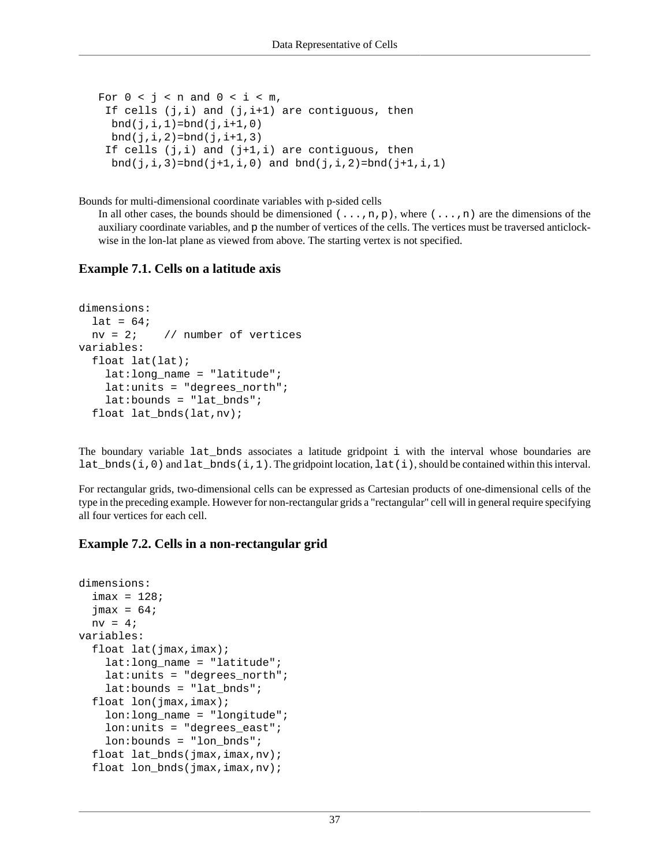```
For 0 < j < n and 0 < i < m,
 If cells (j,i) and (j,i+1) are contiguous, then
 bnd(j,i,1)=bnd(j,i+1,0)bnd(j,i,2)=bnd(j,i+1,3)If cells (j,i) and (j+1,i) are contiguous, then
 bnd(j,i,3)=bnd(j+1,i,0) and bnd(j,i,2)=bnd(j+1,i,1)
```
Bounds for multi-dimensional coordinate variables with p-sided cells

In all other cases, the bounds should be dimensioned  $(\ldots,n,p)$ , where  $(\ldots,n)$  are the dimensions of the auxiliary coordinate variables, and p the number of vertices of the cells. The vertices must be traversed anticlockwise in the lon-lat plane as viewed from above. The starting vertex is not specified.

#### **Example 7.1. Cells on a latitude axis**

```
dimensions:
  lat = 64;nv = 2; // number of vertices
variables:
   float lat(lat);
     lat:long_name = "latitude";
    lat:units = "degrees__north";
     lat:bounds = "lat_bnds";
   float lat_bnds(lat,nv);
```
The boundary variable lat\_bnds associates a latitude gridpoint i with the interval whose boundaries are lat bnds(i,0) and lat bnds(i,1). The gridpoint location, lat(i), should be contained within this interval.

For rectangular grids, two-dimensional cells can be expressed as Cartesian products of one-dimensional cells of the type in the preceding example. However for non-rectangular grids a "rectangular" cell will in general require specifying all four vertices for each cell.

#### **Example 7.2. Cells in a non-rectangular grid**

```
dimensions:
   imax = 128;
  \text{Imax} = 64 nv = 4;
variables:
   float lat(jmax,imax);
     lat:long_name = "latitude";
    lat: units = "degrees north";
     lat:bounds = "lat_bnds";
  float lon(jmax, imax);
     lon:long_name = "longitude";
     lon:units = "degrees_east";
     lon:bounds = "lon_bnds";
  float lat bnds(jmax,imax,nv);
   float lon_bnds(jmax,imax,nv);
```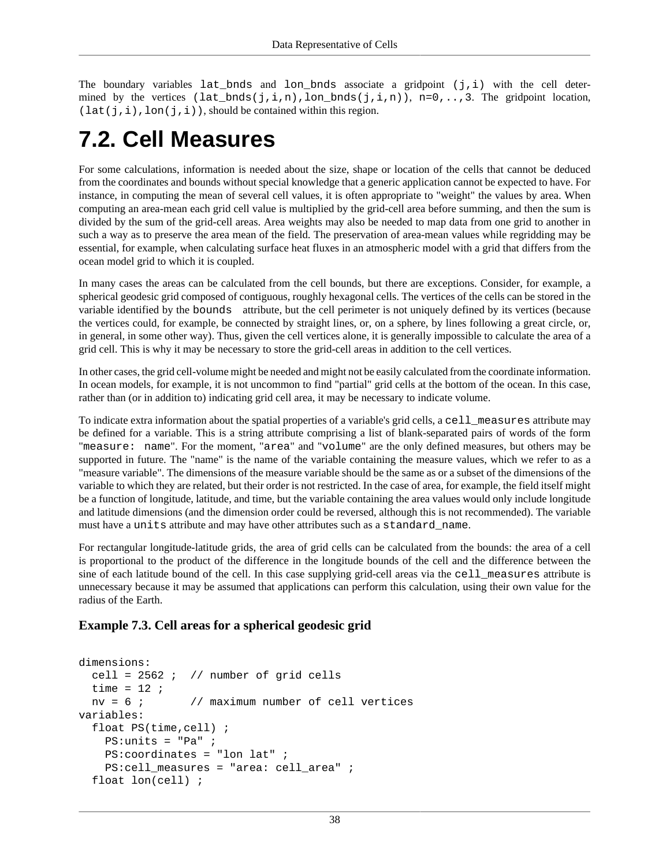The boundary variables  $lat\_bnds$  and  $lon\_bnds$  associate a gridpoint  $(j,i)$  with the cell determined by the vertices (lat bnds(j,i,n),lon bnds(j,i,n)), n=0,..,3. The gridpoint location,  $(lat(j,i),lon(j,i))$ , should be contained within this region.

# <span id="page-45-0"></span>**7.2. Cell Measures**

For some calculations, information is needed about the size, shape or location of the cells that cannot be deduced from the coordinates and bounds without special knowledge that a generic application cannot be expected to have. For instance, in computing the mean of several cell values, it is often appropriate to "weight" the values by area. When computing an area-mean each grid cell value is multiplied by the grid-cell area before summing, and then the sum is divided by the sum of the grid-cell areas. Area weights may also be needed to map data from one grid to another in such a way as to preserve the area mean of the field. The preservation of area-mean values while regridding may be essential, for example, when calculating surface heat fluxes in an atmospheric model with a grid that differs from the ocean model grid to which it is coupled.

In many cases the areas can be calculated from the cell bounds, but there are exceptions. Consider, for example, a spherical geodesic grid composed of contiguous, roughly hexagonal cells. The vertices of the cells can be stored in the variable identified by the bounds attribute, but the cell perimeter is not uniquely defined by its vertices (because the vertices could, for example, be connected by straight lines, or, on a sphere, by lines following a great circle, or, in general, in some other way). Thus, given the cell vertices alone, it is generally impossible to calculate the area of a grid cell. This is why it may be necessary to store the grid-cell areas in addition to the cell vertices.

In other cases, the grid cell-volume might be needed and might not be easily calculated from the coordinate information. In ocean models, for example, it is not uncommon to find "partial" grid cells at the bottom of the ocean. In this case, rather than (or in addition to) indicating grid cell area, it may be necessary to indicate volume.

To indicate extra information about the spatial properties of a variable's grid cells, a cell\_measures attribute may be defined for a variable. This is a string attribute comprising a list of blank-separated pairs of words of the form "measure: name". For the moment, "area" and "volume" are the only defined measures, but others may be supported in future. The "name" is the name of the variable containing the measure values, which we refer to as a "measure variable". The dimensions of the measure variable should be the same as or a subset of the dimensions of the variable to which they are related, but their order is not restricted. In the case of area, for example, the field itself might be a function of longitude, latitude, and time, but the variable containing the area values would only include longitude and latitude dimensions (and the dimension order could be reversed, although this is not recommended). The variable must have a units attribute and may have other attributes such as a standard name.

For rectangular longitude-latitude grids, the area of grid cells can be calculated from the bounds: the area of a cell is proportional to the product of the difference in the longitude bounds of the cell and the difference between the sine of each latitude bound of the cell. In this case supplying grid-cell areas via the cell\_measures attribute is unnecessary because it may be assumed that applications can perform this calculation, using their own value for the radius of the Earth.

#### **Example 7.3. Cell areas for a spherical geodesic grid**

```
dimensions:
  cell = 2562 ; // number of grid cells
  time = 12 ;
  nv = 6 ; // maximum number of cell verticesvariables:
   float PS(time,cell) ;
     PS:units = "Pa" ;
     PS:coordinates = "lon lat" ;
    PS:cell measures = "area: cell area" ;
   float lon(cell) ;
```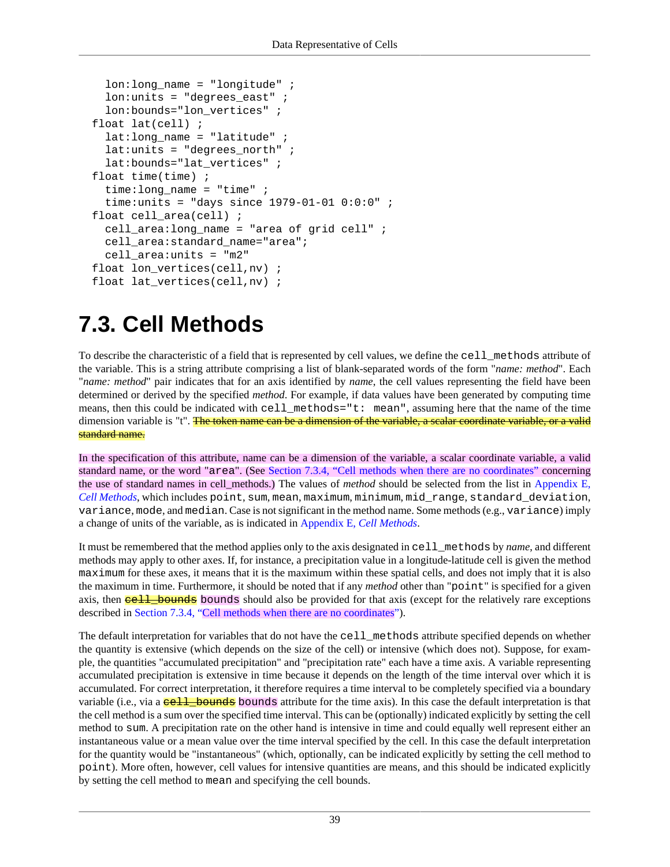```
 lon:long_name = "longitude" ;
  lon:units = "degrees east" ;
  lon: bounds="lon_vertices" ;
 float lat(cell) ;
   lat:long_name = "latitude" ;
  lat: units = "degrees north" ;
   lat:bounds="lat_vertices" ;
 float time(time) ;
   time:long_name = "time" ;
  time: units = "days since 1979-01-01 0:0:0" float cell_area(cell) ;
   cell_area:long_name = "area of grid cell" ;
  cell area: standard name="area";
   cell_area:units = "m2"
float lon vertices(cell,nv) ;
 float lat_vertices(cell,nv) ;
```
## <span id="page-46-0"></span>**7.3. Cell Methods**

To describe the characteristic of a field that is represented by cell values, we define the cell\_methods attribute of the variable. This is a string attribute comprising a list of blank-separated words of the form "*name: method*". Each "*name: method*" pair indicates that for an axis identified by *name*, the cell values representing the field have been determined or derived by the specified *method*. For example, if data values have been generated by computing time means, then this could be indicated with cell\_methods="t: mean", assuming here that the name of the time dimension variable is "t". The token name can be a dimension of the variable, a scalar coordinate variable, or a valid standard name.

In the specification of this attribute, name can be a dimension of the variable, a scalar coordinate variable, a valid standard name, or the word "area". (See [Section 7.3.4, "Cell methods when there are no coordinates"](#page-50-0) concerning the use of standard names in cell\_methods.) The values of *method* should be selected from the list in [Appendix E,](#page-80-0) *[Cell Methods](#page-80-0)*, which includes point, sum, mean, maximum, minimum, mid\_range, standard\_deviation, variance, mode, and median. Case is not significant in the method name. Some methods (e.g., variance) imply a change of units of the variable, as is indicated in Appendix E, *[Cell Methods](#page-80-0)*.

It must be remembered that the method applies only to the axis designated in cell\_methods by *name*, and different methods may apply to other axes. If, for instance, a precipitation value in a longitude-latitude cell is given the method maximum for these axes, it means that it is the maximum within these spatial cells, and does not imply that it is also the maximum in time. Furthermore, it should be noted that if any *method* other than "point" is specified for a given axis, then **cell\_bounds** bounds should also be provided for that axis (except for the relatively rare exceptions described in [Section 7.3.4, "Cell methods when there are no coordinates"](#page-50-0)).

The default interpretation for variables that do not have the cell\_methods attribute specified depends on whether the quantity is extensive (which depends on the size of the cell) or intensive (which does not). Suppose, for example, the quantities "accumulated precipitation" and "precipitation rate" each have a time axis. A variable representing accumulated precipitation is extensive in time because it depends on the length of the time interval over which it is accumulated. For correct interpretation, it therefore requires a time interval to be completely specified via a boundary variable (i.e., via a  $\frac{\text{cell}}{\text{bound}}$  bounds attribute for the time axis). In this case the default interpretation is that the cell method is a sum over the specified time interval. This can be (optionally) indicated explicitly by setting the cell method to sum. A precipitation rate on the other hand is intensive in time and could equally well represent either an instantaneous value or a mean value over the time interval specified by the cell. In this case the default interpretation for the quantity would be "instantaneous" (which, optionally, can be indicated explicitly by setting the cell method to point). More often, however, cell values for intensive quantities are means, and this should be indicated explicitly by setting the cell method to mean and specifying the cell bounds.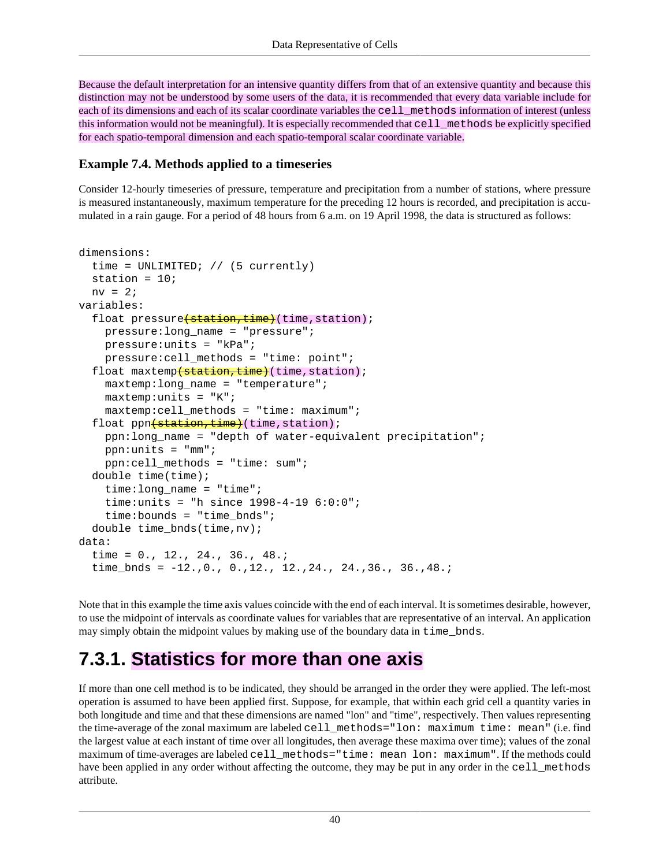Because the default interpretation for an intensive quantity differs from that of an extensive quantity and because this distinction may not be understood by some users of the data, it is recommended that every data variable include for each of its dimensions and each of its scalar coordinate variables the cell methods information of interest (unless this information would not be meaningful). It is especially recommended that  $\text{cell}$  methods be explicitly specified for each spatio-temporal dimension and each spatio-temporal scalar coordinate variable.

#### **Example 7.4. Methods applied to a timeseries**

Consider 12-hourly timeseries of pressure, temperature and precipitation from a number of stations, where pressure is measured instantaneously, maximum temperature for the preceding 12 hours is recorded, and precipitation is accumulated in a rain gauge. For a period of 48 hours from 6 a.m. on 19 April 1998, the data is structured as follows:

```
dimensions:
  time = UNLIMITED; // (5 currently)
  station = 10<sub>i</sub>nv = 2;variables:
  float pressure (station, time) (time, station);
     pressure:long_name = "pressure";
     pressure:units = "kPa";
    pressure:cell methods = "time: point";
  float maxtemp(station,time)(time,station);
    maxtemp:long name = "temperature";
    maxtemp:units = "K"; maxtemp:cell_methods = "time: maximum";
  float ppn<del>(station, time)</del>(time, station);
     ppn:long_name = "depth of water-equivalent precipitation";
     ppn:units = "mm";
     ppn:cell_methods = "time: sum";
   double time(time);
    time: long name = "time";
     time:units = "h since 1998-4-19 6:0:0";
     time:bounds = "time_bnds";
  double time bnds(time,nv);
data:
   time = 0., 12., 24., 36., 48.;
  time bnds = -12., 0., 0., 12., 12., 24., 24., 36., 36., 48.;
```
Note that in this example the time axis values coincide with the end of each interval. It is sometimes desirable, however, to use the midpoint of intervals as coordinate values for variables that are representative of an interval. An application may simply obtain the midpoint values by making use of the boundary data in time\_bnds.

### **7.3.1. Statistics for more than one axis**

If more than one cell method is to be indicated, they should be arranged in the order they were applied. The left-most operation is assumed to have been applied first. Suppose, for example, that within each grid cell a quantity varies in both longitude and time and that these dimensions are named "lon" and "time", respectively. Then values representing the time-average of the zonal maximum are labeled cell\_methods="lon: maximum time: mean" (i.e. find the largest value at each instant of time over all longitudes, then average these maxima over time); values of the zonal maximum of time-averages are labeled cell methods="time: mean lon: maximum". If the methods could have been applied in any order without affecting the outcome, they may be put in any order in the cell\_methods attribute.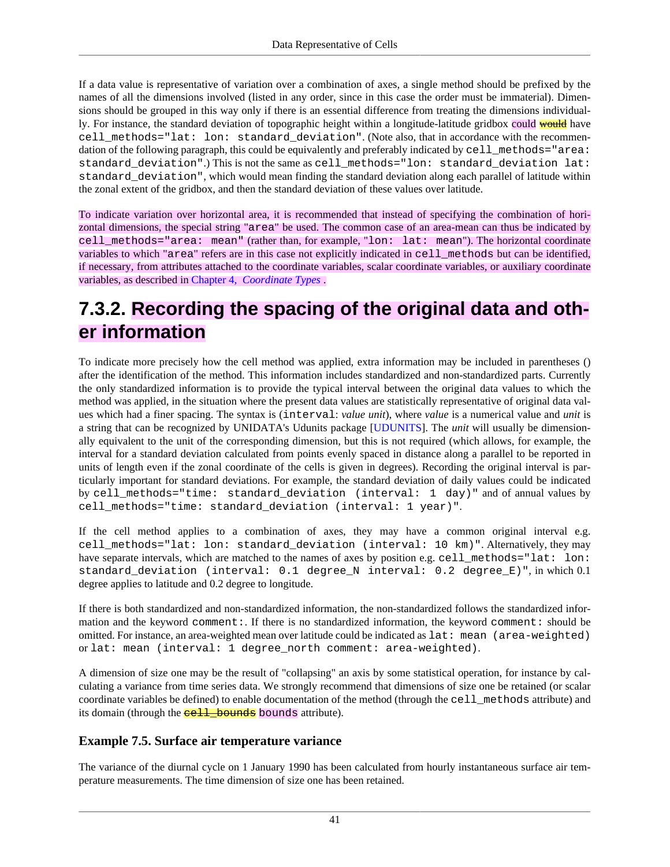If a data value is representative of variation over a combination of axes, a single method should be prefixed by the names of all the dimensions involved (listed in any order, since in this case the order must be immaterial). Dimensions should be grouped in this way only if there is an essential difference from treating the dimensions individually. For instance, the standard deviation of topographic height within a longitude-latitude gridbox could would have cell\_methods="lat: lon: standard\_deviation". (Note also, that in accordance with the recommendation of the following paragraph, this could be equivalently and preferably indicated by cell\_methods="area: standard\_deviation".) This is not the same as cell\_methods="lon: standard\_deviation lat: standard\_deviation", which would mean finding the standard deviation along each parallel of latitude within the zonal extent of the gridbox, and then the standard deviation of these values over latitude.

To indicate variation over horizontal area, it is recommended that instead of specifying the combination of horizontal dimensions, the special string "area" be used. The common case of an area-mean can thus be indicated by cell\_methods="area: mean" (rather than, for example, "lon: lat: mean"). The horizontal coordinate variables to which "area" refers are in this case not explicitly indicated in cell\_methods but can be identified, if necessary, from attributes attached to the coordinate variables, scalar coordinate variables, or auxiliary coordinate variables, as described in Chapter 4, *[Coordinate Types](#page-22-0)* .

### **7.3.2. Recording the spacing of the original data and other information**

To indicate more precisely how the cell method was applied, extra information may be included in parentheses () after the identification of the method. This information includes standardized and non-standardized parts. Currently the only standardized information is to provide the typical interval between the original data values to which the method was applied, in the situation where the present data values are statistically representative of original data values which had a finer spacing. The syntax is (interval: *value unit*), where *value* is a numerical value and *unit* is a string that can be recognized by UNIDATA's Udunits package [[UDUNITS](#page-124-1)]. The *unit* will usually be dimensionally equivalent to the unit of the corresponding dimension, but this is not required (which allows, for example, the interval for a standard deviation calculated from points evenly spaced in distance along a parallel to be reported in units of length even if the zonal coordinate of the cells is given in degrees). Recording the original interval is particularly important for standard deviations. For example, the standard deviation of daily values could be indicated by cell\_methods="time: standard\_deviation (interval: 1 day)" and of annual values by cell\_methods="time: standard\_deviation (interval: 1 year)".

If the cell method applies to a combination of axes, they may have a common original interval e.g. cell\_methods="lat: lon: standard\_deviation (interval: 10 km)". Alternatively, they may have separate intervals, which are matched to the names of axes by position e.g. cell\_methods="lat: lon: standard\_deviation (interval: 0.1 degree\_N interval: 0.2 degree\_E)", in which 0.1 degree applies to latitude and 0.2 degree to longitude.

If there is both standardized and non-standardized information, the non-standardized follows the standardized information and the keyword comment:. If there is no standardized information, the keyword comment: should be omitted. For instance, an area-weighted mean over latitude could be indicated as lat: mean (area-weighted) or lat: mean (interval: 1 degree\_north comment: area-weighted).

A dimension of size one may be the result of "collapsing" an axis by some statistical operation, for instance by calculating a variance from time series data. We strongly recommend that dimensions of size one be retained (or scalar coordinate variables be defined) to enable documentation of the method (through the cell\_methods attribute) and its domain (through the **cell\_bounds** bounds attribute).

#### **Example 7.5. Surface air temperature variance**

The variance of the diurnal cycle on 1 January 1990 has been calculated from hourly instantaneous surface air temperature measurements. The time dimension of size one has been retained.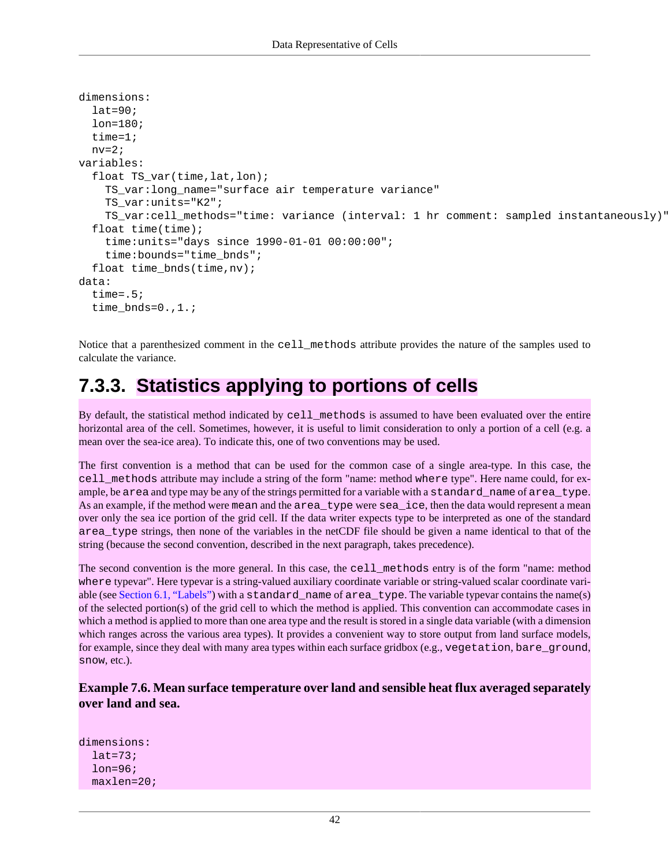```
dimensions:
  lat=90; lon=180;
   time=1;
  nv=2;variables:
  float TS var(time, lat, lon);
     TS_var:long_name="surface air temperature variance"
    TS var: units="K2";
    TS_var:cell_methods="time: variance (interval: 1 hr comment: sampled instantaneously)"
   float time(time);
     time:units="days since 1990-01-01 00:00:00";
     time:bounds="time_bnds";
  float time bnds(time,nv);
data:
   time=.5;
   time_bnds=0.,1.;
```
Notice that a parenthesized comment in the cell\_methods attribute provides the nature of the samples used to calculate the variance.

### <span id="page-49-0"></span>**7.3.3. Statistics applying to portions of cells**

By default, the statistical method indicated by cell\_methods is assumed to have been evaluated over the entire horizontal area of the cell. Sometimes, however, it is useful to limit consideration to only a portion of a cell (e.g. a mean over the sea-ice area). To indicate this, one of two conventions may be used.

The first convention is a method that can be used for the common case of a single area-type. In this case, the cell\_methods attribute may include a string of the form "name: method where type". Here name could, for example, be area and type may be any of the strings permitted for a variable with a standard\_name of area\_type. As an example, if the method were mean and the area\_type were sea\_ice, then the data would represent a mean over only the sea ice portion of the grid cell. If the data writer expects type to be interpreted as one of the standard area\_type strings, then none of the variables in the netCDF file should be given a name identical to that of the string (because the second convention, described in the next paragraph, takes precedence).

The second convention is the more general. In this case, the cell\_methods entry is of the form "name: method where typevar". Here typevar is a string-valued auxiliary coordinate variable or string-valued scalar coordinate variable (see [Section 6.1, "Labels"\)](#page-40-0) with a standard\_name of area\_type. The variable typevar contains the name(s) of the selected portion(s) of the grid cell to which the method is applied. This convention can accommodate cases in which a method is applied to more than one area type and the result is stored in a single data variable (with a dimension which ranges across the various area types). It provides a convenient way to store output from land surface models, for example, since they deal with many area types within each surface gridbox (e.g., vegetation, bare\_ground, snow, etc.).

#### **Example 7.6. Mean surface temperature over land and sensible heat flux averaged separately over land and sea.**

```
dimensions:
  lat=73; lon=96;
   maxlen=20;
```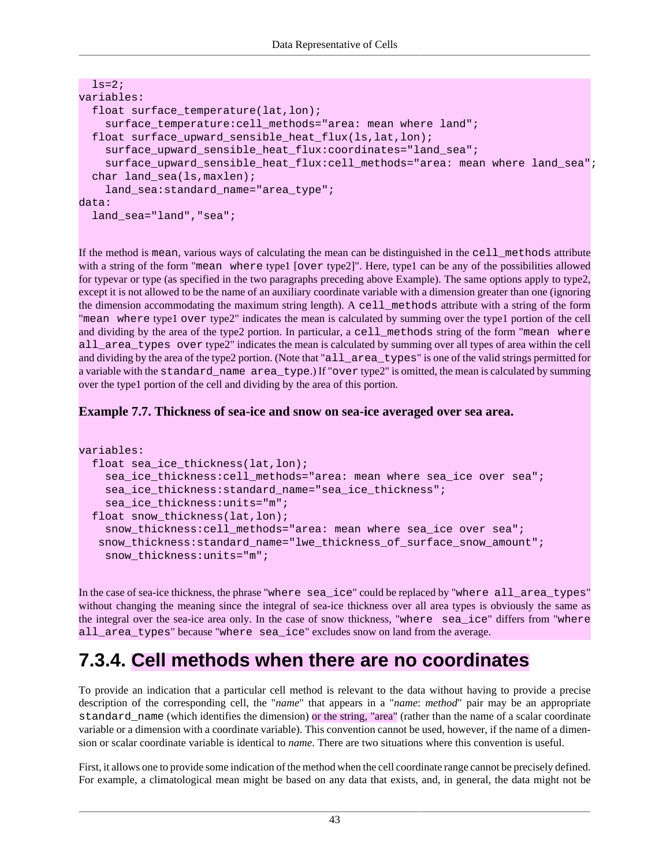```
ls=2;variables:
  float surface temperature(lat,lon);
    surface temperature:cell methods="area: mean where land";
   float surface_upward_sensible_heat_flux(ls,lat,lon);
    surface upward sensible heat flux:coordinates="land sea";
     surface_upward_sensible_heat_flux:cell_methods="area: mean where land_sea";
  char land sea(ls, maxlen);
     land_sea:standard_name="area_type";
data:
   land_sea="land","sea";
```
If the method is mean, various ways of calculating the mean can be distinguished in the cell\_methods attribute with a string of the form "mean where type1 [over type2]". Here, type1 can be any of the possibilities allowed for typevar or type (as specified in the two paragraphs preceding above Example). The same options apply to type2, except it is not allowed to be the name of an auxiliary coordinate variable with a dimension greater than one (ignoring the dimension accommodating the maximum string length). A cell\_methods attribute with a string of the form "mean where type1 over type2" indicates the mean is calculated by summing over the type1 portion of the cell and dividing by the area of the type2 portion. In particular, a cell\_methods string of the form "mean where all\_area\_types over type2" indicates the mean is calculated by summing over all types of area within the cell and dividing by the area of the type2 portion. (Note that "all\_area\_types" is one of the valid strings permitted for a variable with the standard\_name area\_type.) If "over type2" is omitted, the mean is calculated by summing over the type1 portion of the cell and dividing by the area of this portion.

#### **Example 7.7. Thickness of sea-ice and snow on sea-ice averaged over sea area.**

```
variables:
   float sea_ice_thickness(lat,lon);
    sea ice thickness:cell methods="area: mean where sea ice over sea";
    sea ice thickness: standard name="sea ice thickness";
    sea ice thickness: units="m";
   float snow_thickness(lat,lon);
     snow_thickness:cell_methods="area: mean where sea_ice over sea";
    snow_thickness:standard_name="lwe_thickness_of_surface_snow_amount";
    snow thickness: units="m";
```
In the case of sea-ice thickness, the phrase "where sea\_ice" could be replaced by "where all\_area\_types" without changing the meaning since the integral of sea-ice thickness over all area types is obviously the same as the integral over the sea-ice area only. In the case of snow thickness, "where sea\_ice" differs from "where all\_area\_types" because "where sea\_ice" excludes snow on land from the average.

### <span id="page-50-0"></span>**7.3.4. Cell methods when there are no coordinates**

To provide an indication that a particular cell method is relevant to the data without having to provide a precise description of the corresponding cell, the "*name*" that appears in a "*name*: *method*" pair may be an appropriate standard\_name (which identifies the dimension) or the string, "area" (rather than the name of a scalar coordinate variable or a dimension with a coordinate variable). This convention cannot be used, however, if the name of a dimension or scalar coordinate variable is identical to *name*. There are two situations where this convention is useful.

First, it allows one to provide some indication of the method when the cell coordinate range cannot be precisely defined. For example, a climatological mean might be based on any data that exists, and, in general, the data might not be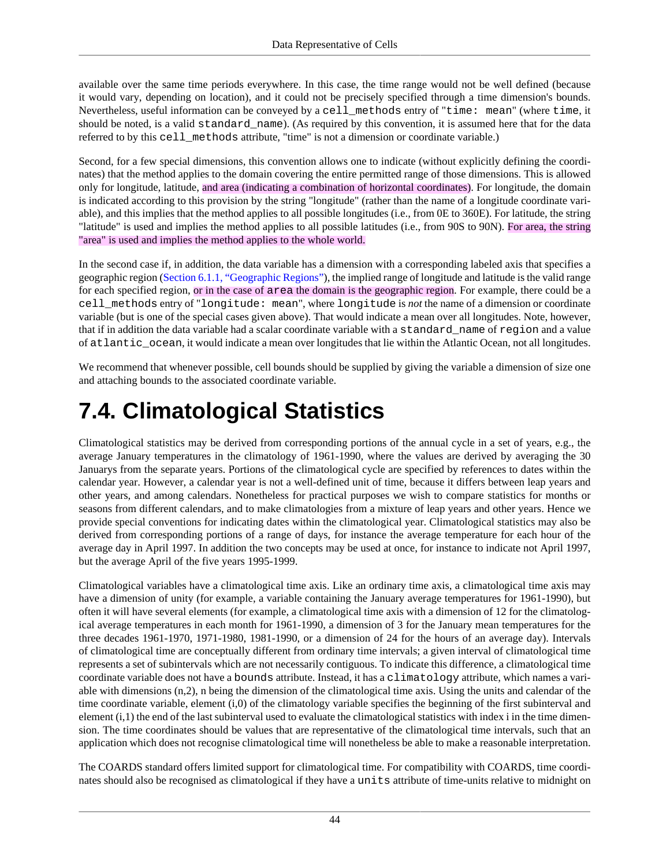available over the same time periods everywhere. In this case, the time range would not be well defined (because it would vary, depending on location), and it could not be precisely specified through a time dimension's bounds. Nevertheless, useful information can be conveyed by a cell\_methods entry of "time: mean" (where time, it should be noted, is a valid standard name). (As required by this convention, it is assumed here that for the data referred to by this cell\_methods attribute, "time" is not a dimension or coordinate variable.)

Second, for a few special dimensions, this convention allows one to indicate (without explicitly defining the coordinates) that the method applies to the domain covering the entire permitted range of those dimensions. This is allowed only for longitude, latitude, and area (indicating a combination of horizontal coordinates). For longitude, the domain is indicated according to this provision by the string "longitude" (rather than the name of a longitude coordinate variable), and this implies that the method applies to all possible longitudes (i.e., from 0E to 360E). For latitude, the string "latitude" is used and implies the method applies to all possible latitudes (i.e., from 90S to 90N). For area, the string "area" is used and implies the method applies to the whole world.

In the second case if, in addition, the data variable has a dimension with a corresponding labeled axis that specifies a geographic region [\(Section 6.1.1, "Geographic Regions"\)](#page-41-0), the implied range of longitude and latitude is the valid range for each specified region, or in the case of area the domain is the geographic region. For example, there could be a cell\_methods entry of "longitude: mean", where longitude is *not* the name of a dimension or coordinate variable (but is one of the special cases given above). That would indicate a mean over all longitudes. Note, however, that if in addition the data variable had a scalar coordinate variable with a standard\_name of region and a value of atlantic\_ocean, it would indicate a mean over longitudes that lie within the Atlantic Ocean, not all longitudes.

We recommend that whenever possible, cell bounds should be supplied by giving the variable a dimension of size one and attaching bounds to the associated coordinate variable.

# <span id="page-51-0"></span>**7.4. Climatological Statistics**

Climatological statistics may be derived from corresponding portions of the annual cycle in a set of years, e.g., the average January temperatures in the climatology of 1961-1990, where the values are derived by averaging the 30 Januarys from the separate years. Portions of the climatological cycle are specified by references to dates within the calendar year. However, a calendar year is not a well-defined unit of time, because it differs between leap years and other years, and among calendars. Nonetheless for practical purposes we wish to compare statistics for months or seasons from different calendars, and to make climatologies from a mixture of leap years and other years. Hence we provide special conventions for indicating dates within the climatological year. Climatological statistics may also be derived from corresponding portions of a range of days, for instance the average temperature for each hour of the average day in April 1997. In addition the two concepts may be used at once, for instance to indicate not April 1997, but the average April of the five years 1995-1999.

Climatological variables have a climatological time axis. Like an ordinary time axis, a climatological time axis may have a dimension of unity (for example, a variable containing the January average temperatures for 1961-1990), but often it will have several elements (for example, a climatological time axis with a dimension of 12 for the climatological average temperatures in each month for 1961-1990, a dimension of 3 for the January mean temperatures for the three decades 1961-1970, 1971-1980, 1981-1990, or a dimension of 24 for the hours of an average day). Intervals of climatological time are conceptually different from ordinary time intervals; a given interval of climatological time represents a set of subintervals which are not necessarily contiguous. To indicate this difference, a climatological time coordinate variable does not have a bounds attribute. Instead, it has a climatology attribute, which names a variable with dimensions (n,2), n being the dimension of the climatological time axis. Using the units and calendar of the time coordinate variable, element (i,0) of the climatology variable specifies the beginning of the first subinterval and element  $(i,1)$  the end of the last subinterval used to evaluate the climatological statistics with index i in the time dimension. The time coordinates should be values that are representative of the climatological time intervals, such that an application which does not recognise climatological time will nonetheless be able to make a reasonable interpretation.

The COARDS standard offers limited support for climatological time. For compatibility with COARDS, time coordinates should also be recognised as climatological if they have a units attribute of time-units relative to midnight on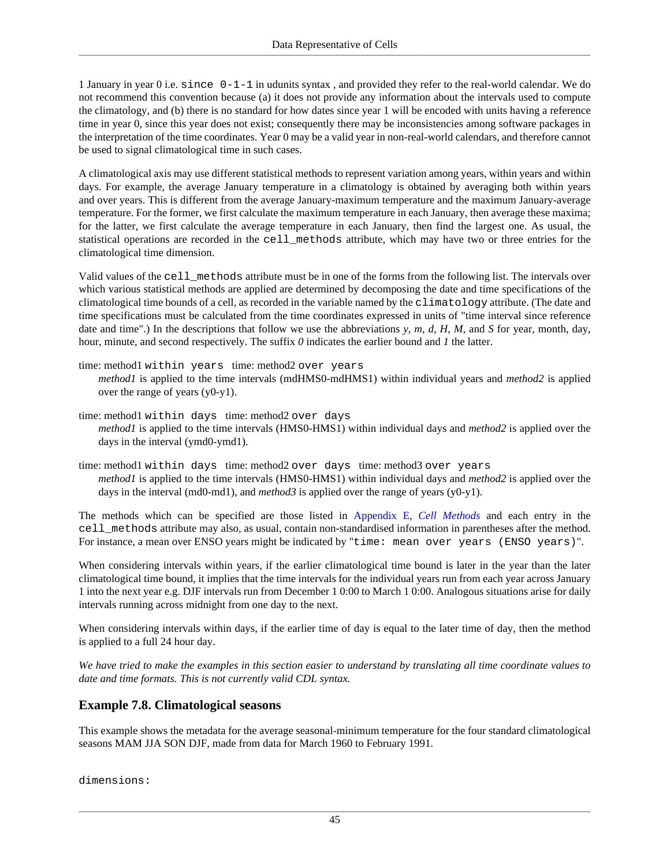1 January in year 0 i.e. since 0-1-1 in udunits syntax , and provided they refer to the real-world calendar. We do not recommend this convention because (a) it does not provide any information about the intervals used to compute the climatology, and (b) there is no standard for how dates since year 1 will be encoded with units having a reference time in year 0, since this year does not exist; consequently there may be inconsistencies among software packages in the interpretation of the time coordinates. Year 0 may be a valid year in non-real-world calendars, and therefore cannot be used to signal climatological time in such cases.

A climatological axis may use different statistical methods to represent variation among years, within years and within days. For example, the average January temperature in a climatology is obtained by averaging both within years and over years. This is different from the average January-maximum temperature and the maximum January-average temperature. For the former, we first calculate the maximum temperature in each January, then average these maxima; for the latter, we first calculate the average temperature in each January, then find the largest one. As usual, the statistical operations are recorded in the cell methods attribute, which may have two or three entries for the climatological time dimension.

Valid values of the cell\_methods attribute must be in one of the forms from the following list. The intervals over which various statistical methods are applied are determined by decomposing the date and time specifications of the climatological time bounds of a cell, as recorded in the variable named by the climatology attribute. (The date and time specifications must be calculated from the time coordinates expressed in units of "time interval since reference date and time".) In the descriptions that follow we use the abbreviations *y*, *m*, *d*, *H*, *M*, and *S* for year, month, day, hour, minute, and second respectively. The suffix *0* indicates the earlier bound and *1* the latter.

time: method1 within years time: method2 over years *method1* is applied to the time intervals (mdHMS0-mdHMS1) within individual years and *method2* is applied over the range of years (y0-y1).

- time: method1 within days time: method2 over days *method1* is applied to the time intervals (HMS0-HMS1) within individual days and *method2* is applied over the days in the interval (ymd0-ymd1).
- time: method1 within days time: method2 over days time: method3 over years *method1* is applied to the time intervals (HMS0-HMS1) within individual days and *method2* is applied over the days in the interval (md0-md1), and *method3* is applied over the range of years (y0-y1).

The methods which can be specified are those listed in Appendix E, *[Cell Methods](#page-80-0)* and each entry in the cell\_methods attribute may also, as usual, contain non-standardised information in parentheses after the method. For instance, a mean over ENSO years might be indicated by "time: mean over years (ENSO years)".

When considering intervals within years, if the earlier climatological time bound is later in the year than the later climatological time bound, it implies that the time intervals for the individual years run from each year across January 1 into the next year e.g. DJF intervals run from December 1 0:00 to March 1 0:00. Analogous situations arise for daily intervals running across midnight from one day to the next.

When considering intervals within days, if the earlier time of day is equal to the later time of day, then the method is applied to a full 24 hour day.

*We have tried to make the examples in this section easier to understand by translating all time coordinate values to date and time formats. This is not currently valid CDL syntax.*

#### **Example 7.8. Climatological seasons**

This example shows the metadata for the average seasonal-minimum temperature for the four standard climatological seasons MAM JJA SON DJF, made from data for March 1960 to February 1991.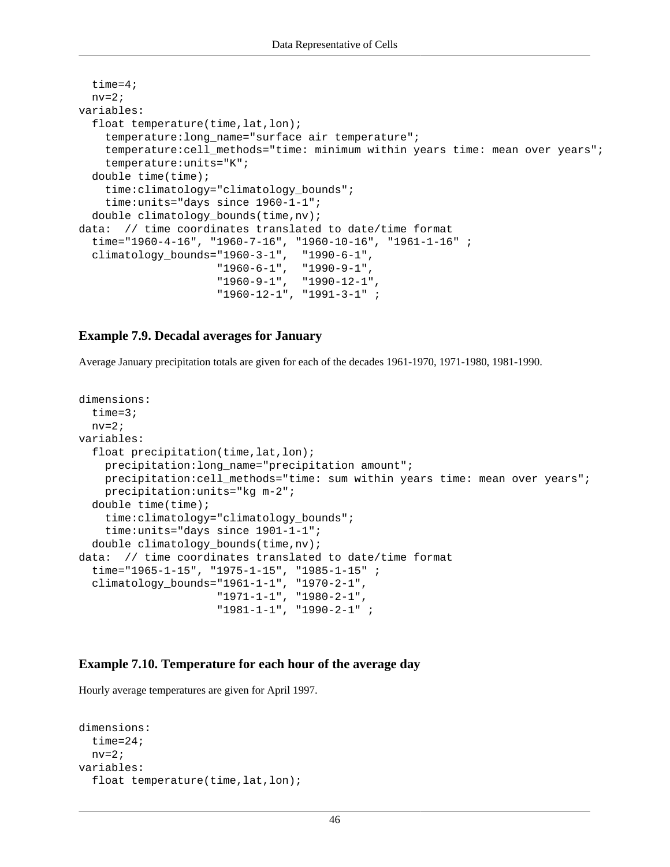```
 time=4;
  nv=2;variables:
   float temperature(time,lat,lon);
     temperature:long_name="surface air temperature";
     temperature:cell_methods="time: minimum within years time: mean over years";
     temperature:units="K";
   double time(time);
     time:climatology="climatology_bounds";
     time:units="days since 1960-1-1";
   double climatology_bounds(time,nv);
data: // time coordinates translated to date/time format
   time="1960-4-16", "1960-7-16", "1960-10-16", "1961-1-16" ;
   climatology_bounds="1960-3-1", "1990-6-1",
                       "1960-6-1", "1990-9-1",
                                    "1960-9-1", "1990-12-1",
                       "1960-12-1", "1991-3-1" ;
```
#### **Example 7.9. Decadal averages for January**

Average January precipitation totals are given for each of the decades 1961-1970, 1971-1980, 1981-1990.

```
dimensions:
   time=3;
 nv=2;
variables:
  float precipitation(time, lat, lon);
    precipitation: long name="precipitation amount";
     precipitation:cell_methods="time: sum within years time: mean over years";
     precipitation:units="kg m-2";
   double time(time);
     time:climatology="climatology_bounds";
     time:units="days since 1901-1-1";
   double climatology_bounds(time,nv);
data: // time coordinates translated to date/time format
   time="1965-1-15", "1975-1-15", "1985-1-15" ;
   climatology_bounds="1961-1-1", "1970-2-1",
                       "1971-1-1", "1980-2-1",
                       "1981-1-1", "1990-2-1" ;
```
#### **Example 7.10. Temperature for each hour of the average day**

Hourly average temperatures are given for April 1997.

```
dimensions:
   time=24;
 nv=2;variables:
   float temperature(time,lat,lon);
```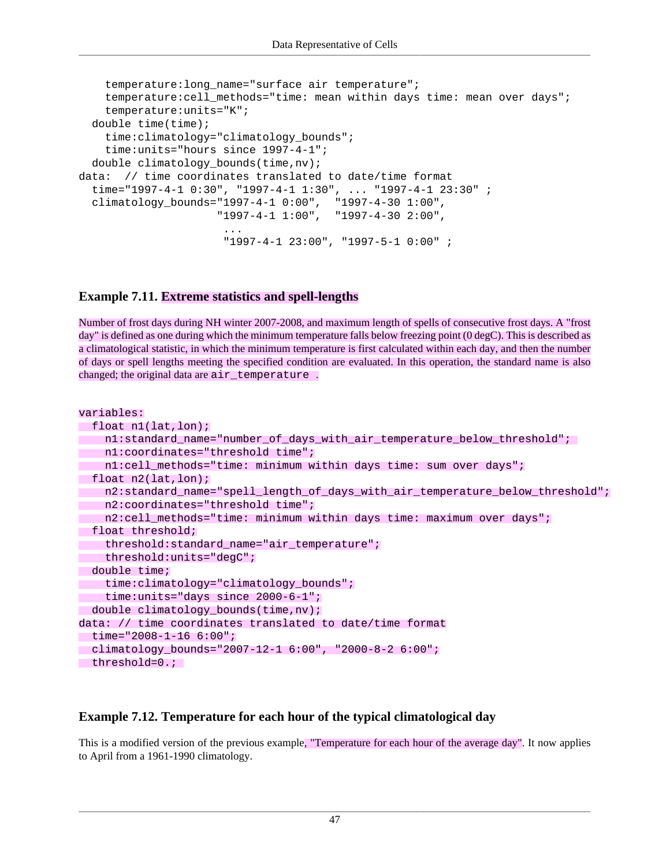```
 temperature:long_name="surface air temperature";
    temperature:cell methods="time: mean within days time: mean over days";
     temperature:units="K";
  double time(time);
     time:climatology="climatology_bounds";
     time:units="hours since 1997-4-1";
  double climatology_bounds(time,nv);
data: // time coordinates translated to date/time format
  time="1997-4-1 0:30", "1997-4-1 1:30", ... "1997-4-1 23:30" ;
  climatology_bounds="1997-4-1 0:00", "1997-4-30 1:00",
                     "1997-4-1 1:00", "1997-4-30 2:00",
 ...
                       "1997-4-1 23:00", "1997-5-1 0:00" ;
```
#### **Example 7.11. Extreme statistics and spell-lengths**

Number of frost days during NH winter 2007-2008, and maximum length of spells of consecutive frost days. A "frost day" is defined as one during which the minimum temperature falls below freezing point (0 degC). This is described as a climatological statistic, in which the minimum temperature is first calculated within each day, and then the number of days or spell lengths meeting the specified condition are evaluated. In this operation, the standard name is also changed; the original data are air temperature.

```
variables:
float n1(lat,lon);
 n1:standard_name="number_of_days_with_air_temperature_below_threshold"; 
 n1:coordinates="threshold time";
 n1:cell_methods="time: minimum within days time: sum over days";
float n2(lat,lon);
 n2:standard_name="spell_length_of_days_with_air_temperature_below_threshold";
 n2:coordinates="threshold time";
 n2:cell_methods="time: minimum within days time: maximum over days";
 float threshold;
 threshold:standard_name="air_temperature";
 threshold:units="degC";
double time;
 time:climatology="climatology_bounds";
 time:units="days since 2000-6-1";
double climatology bounds(time,nv);
data: // time coordinates translated to date/time format
 time="2008-1-16 6:00";
 climatology_bounds="2007-12-1 6:00", "2000-8-2 6:00";
 threshold=0.;
```
#### **Example 7.12. Temperature for each hour of the typical climatological day**

This is a modified version of the previous example, "Temperature for each hour of the average day". It now applies to April from a 1961-1990 climatology.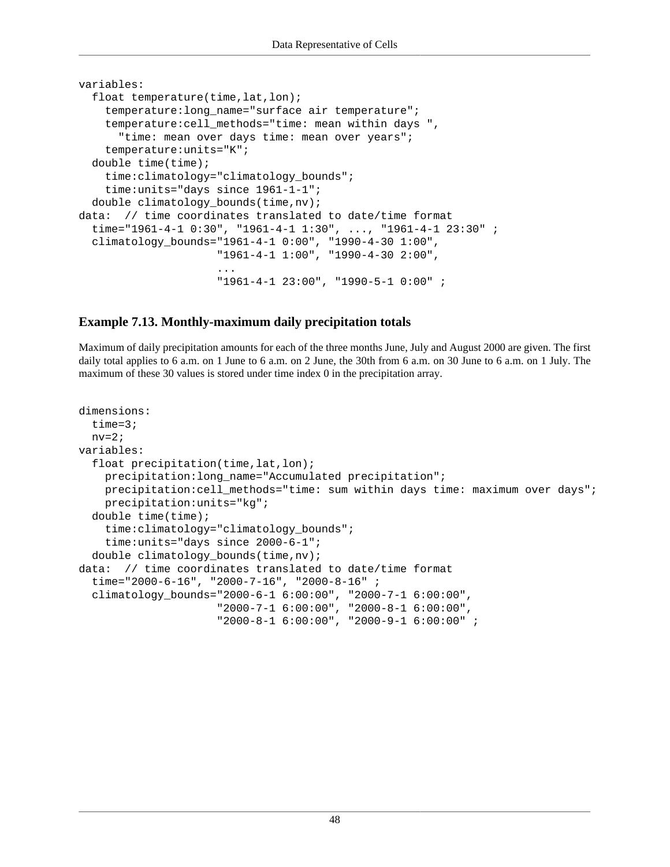```
variables:
   float temperature(time,lat,lon);
     temperature:long_name="surface air temperature";
     temperature:cell_methods="time: mean within days ",
       "time: mean over days time: mean over years";
     temperature:units="K";
   double time(time);
    time: climatology="climatology_bounds";
     time:units="days since 1961-1-1";
   double climatology_bounds(time,nv);
data: // time coordinates translated to date/time format
   time="1961-4-1 0:30", "1961-4-1 1:30", ..., "1961-4-1 23:30" ;
   climatology_bounds="1961-4-1 0:00", "1990-4-30 1:00",
                      "1961-4-1 1:00", "1990-4-30 2:00",
 ...
                      "1961-4-1 23:00", "1990-5-1 0:00" ;
```
#### **Example 7.13. Monthly-maximum daily precipitation totals**

Maximum of daily precipitation amounts for each of the three months June, July and August 2000 are given. The first daily total applies to 6 a.m. on 1 June to 6 a.m. on 2 June, the 30th from 6 a.m. on 30 June to 6 a.m. on 1 July. The maximum of these 30 values is stored under time index 0 in the precipitation array.

```
dimensions:
   time=3;
 nv=2;
variables:
  float precipitation(time, lat, lon);
    precipitation: long name="Accumulated precipitation";
     precipitation:cell_methods="time: sum within days time: maximum over days"; 
     precipitation:units="kg";
   double time(time);
     time:climatology="climatology_bounds";
     time:units="days since 2000-6-1";
  double climatology bounds(time,nv);
data: // time coordinates translated to date/time format
   time="2000-6-16", "2000-7-16", "2000-8-16" ;
   climatology_bounds="2000-6-1 6:00:00", "2000-7-1 6:00:00",
                       "2000-7-1 6:00:00", "2000-8-1 6:00:00",
                       "2000-8-1 6:00:00", "2000-9-1 6:00:00" ;
```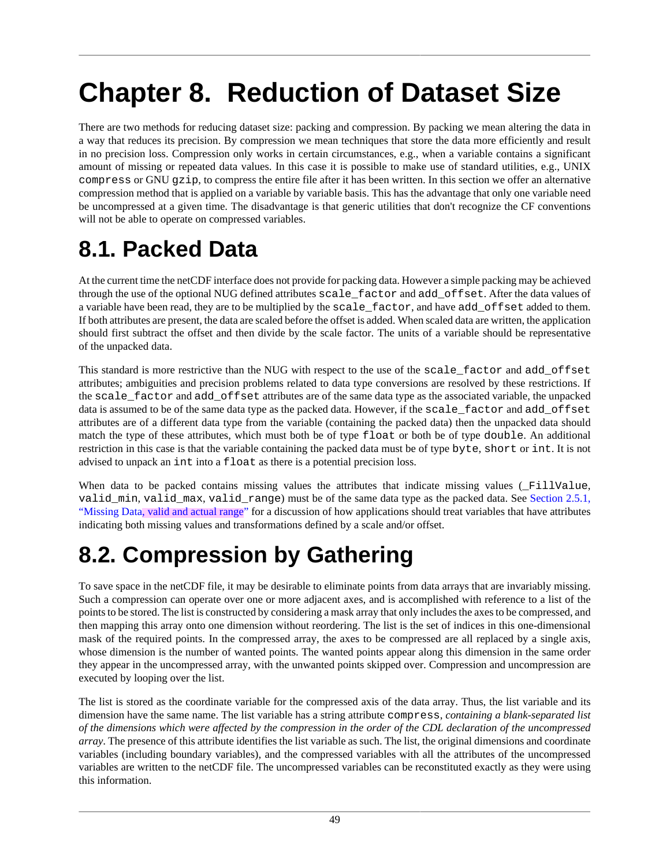# **Chapter 8. Reduction of Dataset Size**

There are two methods for reducing dataset size: packing and compression. By packing we mean altering the data in a way that reduces its precision. By compression we mean techniques that store the data more efficiently and result in no precision loss. Compression only works in certain circumstances, e.g., when a variable contains a significant amount of missing or repeated data values. In this case it is possible to make use of standard utilities, e.g., UNIX compress or GNU gzip, to compress the entire file after it has been written. In this section we offer an alternative compression method that is applied on a variable by variable basis. This has the advantage that only one variable need be uncompressed at a given time. The disadvantage is that generic utilities that don't recognize the CF conventions will not be able to operate on compressed variables.

# <span id="page-56-0"></span>**8.1. Packed Data**

At the current time the netCDF interface does not provide for packing data. However a simple packing may be achieved through the use of the optional NUG defined attributes scale\_factor and add\_offset. After the data values of a variable have been read, they are to be multiplied by the scale\_factor, and have add\_offset added to them. If both attributes are present, the data are scaled before the offset is added. When scaled data are written, the application should first subtract the offset and then divide by the scale factor. The units of a variable should be representative of the unpacked data.

This standard is more restrictive than the NUG with respect to the use of the scale\_factor and add\_offset attributes; ambiguities and precision problems related to data type conversions are resolved by these restrictions. If the scale\_factor and add\_offset attributes are of the same data type as the associated variable, the unpacked data is assumed to be of the same data type as the packed data. However, if the scale\_factor and add\_offset attributes are of a different data type from the variable (containing the packed data) then the unpacked data should match the type of these attributes, which must both be of type float or both be of type double. An additional restriction in this case is that the variable containing the packed data must be of type byte, short or int. It is not advised to unpack an int into a float as there is a potential precision loss.

When data to be packed contains missing values the attributes that indicate missing values (\_FillValue, valid\_min, valid\_max, valid\_range) must be of the same data type as the packed data. See [Section 2.5.1,](#page-13-0) ["Missing Data, valid and actual range"](#page-13-0) for a discussion of how applications should treat variables that have attributes indicating both missing values and transformations defined by a scale and/or offset.

## <span id="page-56-1"></span>**8.2. Compression by Gathering**

To save space in the netCDF file, it may be desirable to eliminate points from data arrays that are invariably missing. Such a compression can operate over one or more adjacent axes, and is accomplished with reference to a list of the points to be stored. The list is constructed by considering a mask array that only includes the axes to be compressed, and then mapping this array onto one dimension without reordering. The list is the set of indices in this one-dimensional mask of the required points. In the compressed array, the axes to be compressed are all replaced by a single axis, whose dimension is the number of wanted points. The wanted points appear along this dimension in the same order they appear in the uncompressed array, with the unwanted points skipped over. Compression and uncompression are executed by looping over the list.

The list is stored as the coordinate variable for the compressed axis of the data array. Thus, the list variable and its dimension have the same name. The list variable has a string attribute compress, *containing a blank-separated list of the dimensions which were affected by the compression in the order of the CDL declaration of the uncompressed array*. The presence of this attribute identifies the list variable as such. The list, the original dimensions and coordinate variables (including boundary variables), and the compressed variables with all the attributes of the uncompressed variables are written to the netCDF file. The uncompressed variables can be reconstituted exactly as they were using this information.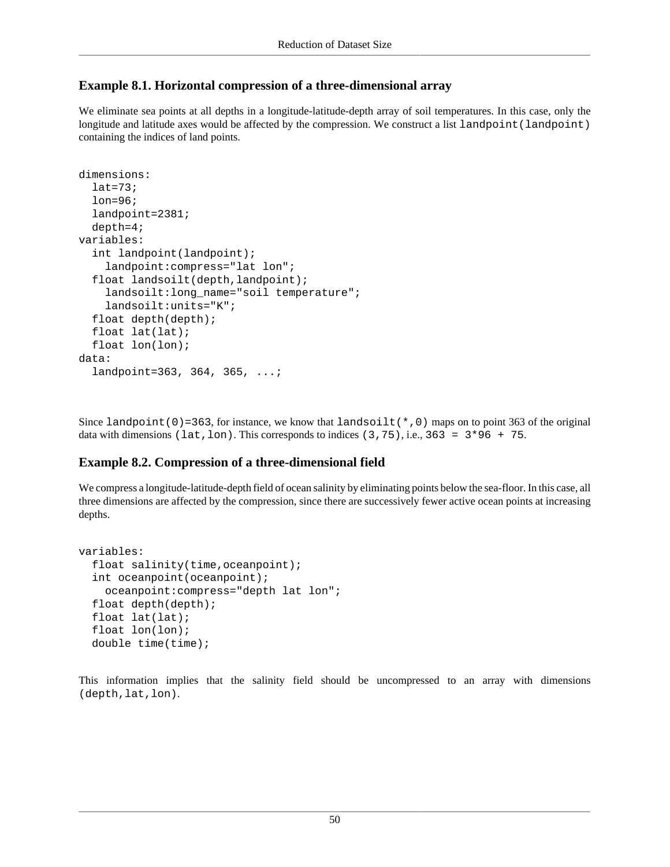#### **Example 8.1. Horizontal compression of a three-dimensional array**

We eliminate sea points at all depths in a longitude-latitude-depth array of soil temperatures. In this case, only the longitude and latitude axes would be affected by the compression. We construct a list landpoint (landpoint) containing the indices of land points.

```
dimensions:
   lat=73;
   lon=96;
   landpoint=2381;
   depth=4;
variables:
   int landpoint(landpoint);
     landpoint:compress="lat lon";
   float landsoilt(depth,landpoint);
     landsoilt:long_name="soil temperature";
     landsoilt:units="K";
   float depth(depth);
   float lat(lat);
   float lon(lon);
data:
   landpoint=363, 364, 365, ...;
```
Since landpoint (0)=363, for instance, we know that landsoilt ( $\star$ , 0) maps on to point 363 of the original data with dimensions (lat,lon). This corresponds to indices (3,75), i.e.,  $363 = 3*96 + 75$ .

#### **Example 8.2. Compression of a three-dimensional field**

We compress a longitude-latitude-depth field of ocean salinity by eliminating points below the sea-floor. In this case, all three dimensions are affected by the compression, since there are successively fewer active ocean points at increasing depths.

```
variables:
   float salinity(time,oceanpoint);
   int oceanpoint(oceanpoint);
     oceanpoint:compress="depth lat lon";
   float depth(depth);
   float lat(lat);
   float lon(lon);
   double time(time);
```
This information implies that the salinity field should be uncompressed to an array with dimensions (depth,lat,lon).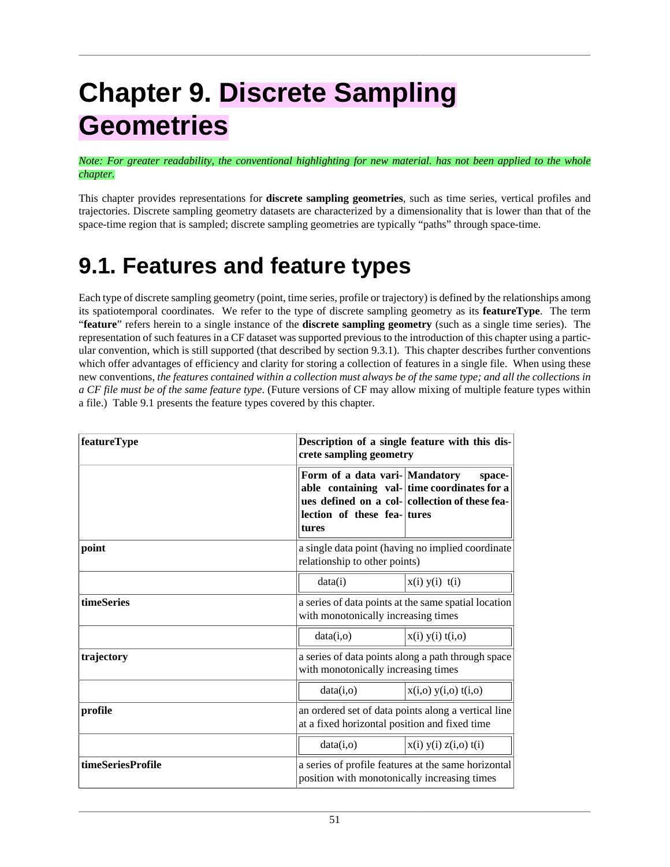# **Chapter 9. Discrete Sampling Geometries**

#### *Note: For greater readability, the conventional highlighting for new material. has not been applied to the whole chapter.*

This chapter provides representations for **discrete sampling geometries**, such as time series, vertical profiles and trajectories. Discrete sampling geometry datasets are characterized by a dimensionality that is lower than that of the space-time region that is sampled; discrete sampling geometries are typically "paths" through space-time.

### **9.1. Features and feature types**

Each type of discrete sampling geometry (point, time series, profile or trajectory) is defined by the relationships among its spatiotemporal coordinates. We refer to the type of discrete sampling geometry as its **featureType**. The term "**feature**" refers herein to a single instance of the **discrete sampling geometry** (such as a single time series). The representation of such features in a CF dataset was supported previous to the introduction of this chapter using a particular convention, which is still supported (that described by section 9.3.1). This chapter describes further conventions which offer advantages of efficiency and clarity for storing a collection of features in a single file. When using these new conventions, *the features contained within a collection must always be of the same type; and all the collections in a CF file must be of the same feature type*. (Future versions of CF may allow mixing of multiple feature types within a file.) Table 9.1 presents the feature types covered by this chapter.

| featureType       | Description of a single feature with this dis-<br>crete sampling geometry                            |                                                                                                         |  |
|-------------------|------------------------------------------------------------------------------------------------------|---------------------------------------------------------------------------------------------------------|--|
|                   | Form of a data vari- Mandatory<br>lection of these fea- tures<br>tures                               | space-<br>able containing val- time coordinates for a<br>ues defined on a col- collection of these fea- |  |
| point             | a single data point (having no implied coordinate<br>relationship to other points)                   |                                                                                                         |  |
|                   | data(i)                                                                                              | $x(i)$ $y(i)$ $t(i)$                                                                                    |  |
| timeSeries        | a series of data points at the same spatial location<br>with monotonically increasing times          |                                                                                                         |  |
|                   | data(i, o)                                                                                           | $x(i)$ y(i) $t(i,0)$                                                                                    |  |
| trajectory        | a series of data points along a path through space<br>with monotonically increasing times            |                                                                                                         |  |
|                   | data(i, o)                                                                                           | $x(i,0)$ $y(i,0)$ $t(i,0)$                                                                              |  |
| profile           | an ordered set of data points along a vertical line<br>at a fixed horizontal position and fixed time |                                                                                                         |  |
|                   | data(i, o)                                                                                           | $x(i)$ y(i) $z(i, o)$ t(i)                                                                              |  |
| timeSeriesProfile | position with monotonically increasing times                                                         | a series of profile features at the same horizontal                                                     |  |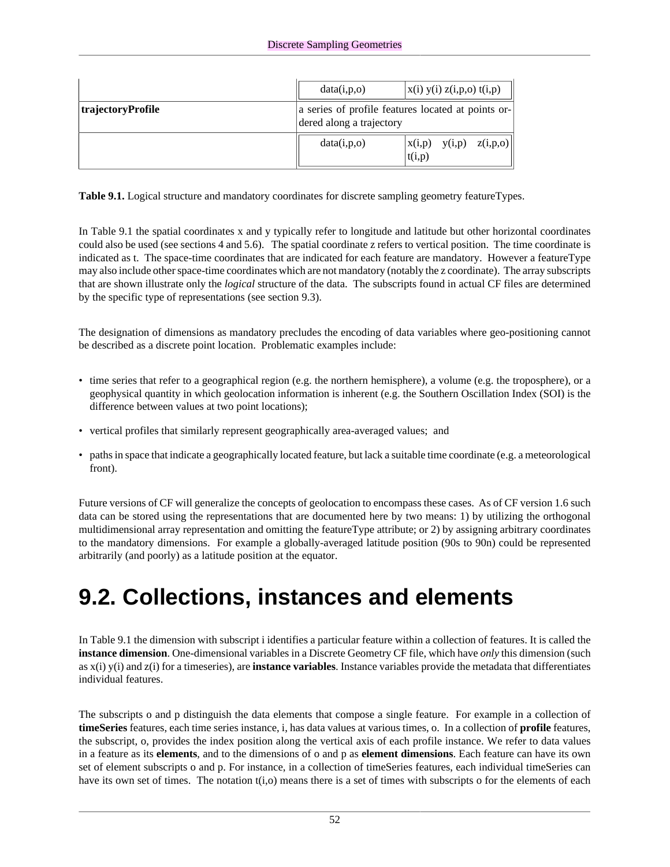|                   | data(i,p,o)                                                                    | $x(i)$ y(i) z(i,p,o) t(i,p)            |  |
|-------------------|--------------------------------------------------------------------------------|----------------------------------------|--|
| trajectoryProfile | a series of profile features located at points or-<br>dered along a trajectory |                                        |  |
|                   | data(i,p,o)                                                                    | z(i,p,o)<br>y(i,p)<br>x(i,p)<br>t(i,p) |  |

**Table 9.1.** Logical structure and mandatory coordinates for discrete sampling geometry featureTypes.

In Table 9.1 the spatial coordinates x and y typically refer to longitude and latitude but other horizontal coordinates could also be used (see sections 4 and 5.6). The spatial coordinate z refers to vertical position. The time coordinate is indicated as t. The space-time coordinates that are indicated for each feature are mandatory. However a featureType may also include other space-time coordinates which are not mandatory (notably the z coordinate). The array subscripts that are shown illustrate only the *logical* structure of the data. The subscripts found in actual CF files are determined by the specific type of representations (see section 9.3).

The designation of dimensions as mandatory precludes the encoding of data variables where geo-positioning cannot be described as a discrete point location. Problematic examples include:

- time series that refer to a geographical region (e.g. the northern hemisphere), a volume (e.g. the troposphere), or a geophysical quantity in which geolocation information is inherent (e.g. the Southern Oscillation Index (SOI) is the difference between values at two point locations);
- vertical profiles that similarly represent geographically area-averaged values; and
- paths in space that indicate a geographically located feature, but lack a suitable time coordinate (e.g. a meteorological front).

Future versions of CF will generalize the concepts of geolocation to encompass these cases. As of CF version 1.6 such data can be stored using the representations that are documented here by two means: 1) by utilizing the orthogonal multidimensional array representation and omitting the featureType attribute; or 2) by assigning arbitrary coordinates to the mandatory dimensions. For example a globally-averaged latitude position (90s to 90n) could be represented arbitrarily (and poorly) as a latitude position at the equator.

## **9.2. Collections, instances and elements**

In Table 9.1 the dimension with subscript i identifies a particular feature within a collection of features. It is called the **instance dimension**. One-dimensional variables in a Discrete Geometry CF file, which have *only* this dimension (such as x(i) y(i) and z(i) for a timeseries), are **instance variables**. Instance variables provide the metadata that differentiates individual features.

The subscripts o and p distinguish the data elements that compose a single feature. For example in a collection of **timeSeries** features, each time series instance, i, has data values at various times, o. In a collection of **profile** features, the subscript, o, provides the index position along the vertical axis of each profile instance. We refer to data values in a feature as its **elements**, and to the dimensions of o and p as **element dimensions**. Each feature can have its own set of element subscripts o and p. For instance, in a collection of timeSeries features, each individual timeSeries can have its own set of times. The notation  $t(i, o)$  means there is a set of times with subscripts o for the elements of each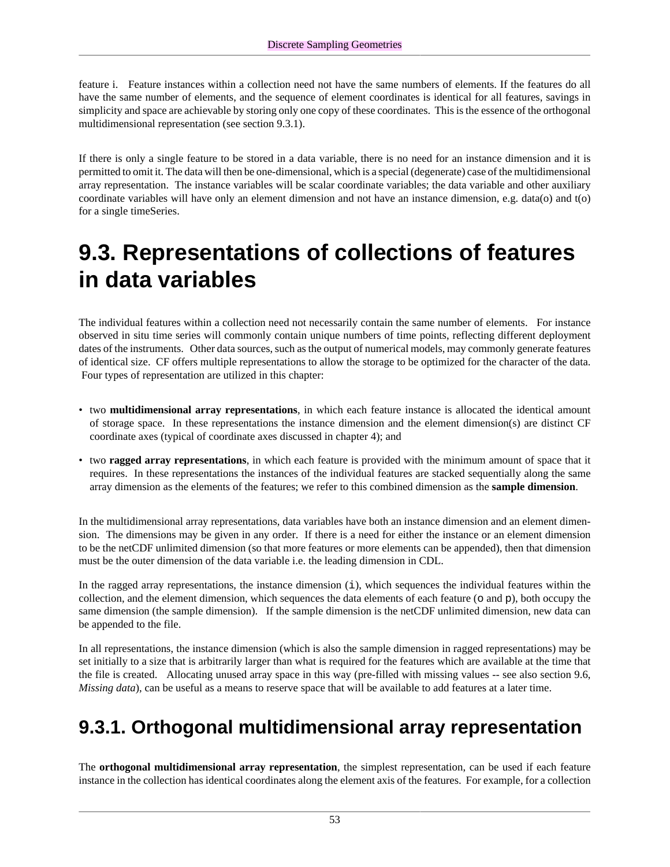feature i. Feature instances within a collection need not have the same numbers of elements. If the features do all have the same number of elements, and the sequence of element coordinates is identical for all features, savings in simplicity and space are achievable by storing only one copy of these coordinates. This is the essence of the orthogonal multidimensional representation (see section 9.3.1).

If there is only a single feature to be stored in a data variable, there is no need for an instance dimension and it is permitted to omit it. The data will then be one-dimensional, which is a special (degenerate) case of the multidimensional array representation. The instance variables will be scalar coordinate variables; the data variable and other auxiliary coordinate variables will have only an element dimension and not have an instance dimension, e.g. data(o) and t(o) for a single timeSeries.

### <span id="page-60-0"></span>**9.3. Representations of collections of features in data variables**

The individual features within a collection need not necessarily contain the same number of elements. For instance observed in situ time series will commonly contain unique numbers of time points, reflecting different deployment dates of the instruments. Other data sources, such as the output of numerical models, may commonly generate features of identical size. CF offers multiple representations to allow the storage to be optimized for the character of the data. Four types of representation are utilized in this chapter:

- two **multidimensional array representations**, in which each feature instance is allocated the identical amount of storage space. In these representations the instance dimension and the element dimension(s) are distinct CF coordinate axes (typical of coordinate axes discussed in chapter 4); and
- two **ragged array representations**, in which each feature is provided with the minimum amount of space that it requires. In these representations the instances of the individual features are stacked sequentially along the same array dimension as the elements of the features; we refer to this combined dimension as the **sample dimension**.

In the multidimensional array representations, data variables have both an instance dimension and an element dimension. The dimensions may be given in any order. If there is a need for either the instance or an element dimension to be the netCDF unlimited dimension (so that more features or more elements can be appended), then that dimension must be the outer dimension of the data variable i.e. the leading dimension in CDL.

In the ragged array representations, the instance dimension (i), which sequences the individual features within the collection, and the element dimension, which sequences the data elements of each feature (o and p), both occupy the same dimension (the sample dimension). If the sample dimension is the netCDF unlimited dimension, new data can be appended to the file.

In all representations, the instance dimension (which is also the sample dimension in ragged representations) may be set initially to a size that is arbitrarily larger than what is required for the features which are available at the time that the file is created. Allocating unused array space in this way (pre-filled with missing values -- see also section 9.6, *Missing data*), can be useful as a means to reserve space that will be available to add features at a later time.

### **9.3.1. Orthogonal multidimensional array representation**

The **orthogonal multidimensional array representation**, the simplest representation, can be used if each feature instance in the collection has identical coordinates along the element axis of the features. For example, for a collection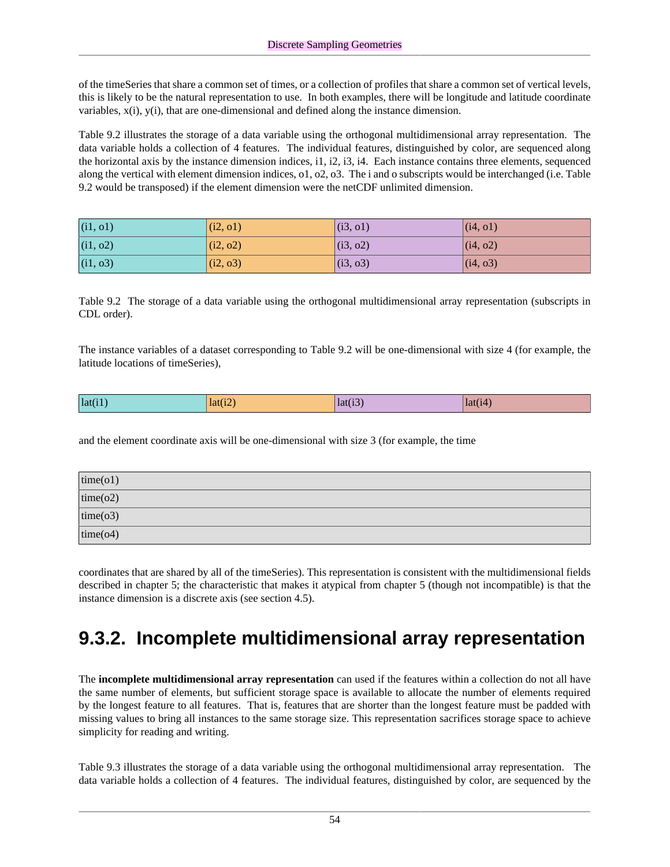of the timeSeries that share a common set of times, or a collection of profiles that share a common set of vertical levels, this is likely to be the natural representation to use. In both examples, there will be longitude and latitude coordinate variables,  $x(i)$ ,  $y(i)$ , that are one-dimensional and defined along the instance dimension.

Table 9.2 illustrates the storage of a data variable using the orthogonal multidimensional array representation. The data variable holds a collection of 4 features. The individual features, distinguished by color, are sequenced along the horizontal axis by the instance dimension indices, i1, i2, i3, i4. Each instance contains three elements, sequenced along the vertical with element dimension indices, o1, o2, o3. The i and o subscripts would be interchanged (i.e. Table 9.2 would be transposed) if the element dimension were the netCDF unlimited dimension.

| (i1, o1) | (i2, o1) | (i3, o1)    | (i4, o1)    |
|----------|----------|-------------|-------------|
| (i1, o2) | (i2, o2) | (13, 02)    | (14, 02)    |
| (i1, o3) | (i2, o3) | $($ i3, o3) | $($ i4, o3) |

Table 9.2 The storage of a data variable using the orthogonal multidimensional array representation (subscripts in CDL order).

The instance variables of a dataset corresponding to Table 9.2 will be one-dimensional with size 4 (for example, the latitude locations of timeSeries),

| $lat(i^{\dagger})$ | $\sim$<br>lat(12) | <b>Contract Contract</b><br>lat(1) |  |
|--------------------|-------------------|------------------------------------|--|
|--------------------|-------------------|------------------------------------|--|

and the element coordinate axis will be one-dimensional with size 3 (for example, the time

| time(01) |  |
|----------|--|
| time(o2) |  |
| time(03) |  |
| time(04) |  |

coordinates that are shared by all of the timeSeries). This representation is consistent with the multidimensional fields described in chapter 5; the characteristic that makes it atypical from chapter 5 (though not incompatible) is that the instance dimension is a discrete axis (see section 4.5).

### **9.3.2. Incomplete multidimensional array representation**

The **incomplete multidimensional array representation** can used if the features within a collection do not all have the same number of elements, but sufficient storage space is available to allocate the number of elements required by the longest feature to all features. That is, features that are shorter than the longest feature must be padded with missing values to bring all instances to the same storage size. This representation sacrifices storage space to achieve simplicity for reading and writing.

Table 9.3 illustrates the storage of a data variable using the orthogonal multidimensional array representation. The data variable holds a collection of 4 features. The individual features, distinguished by color, are sequenced by the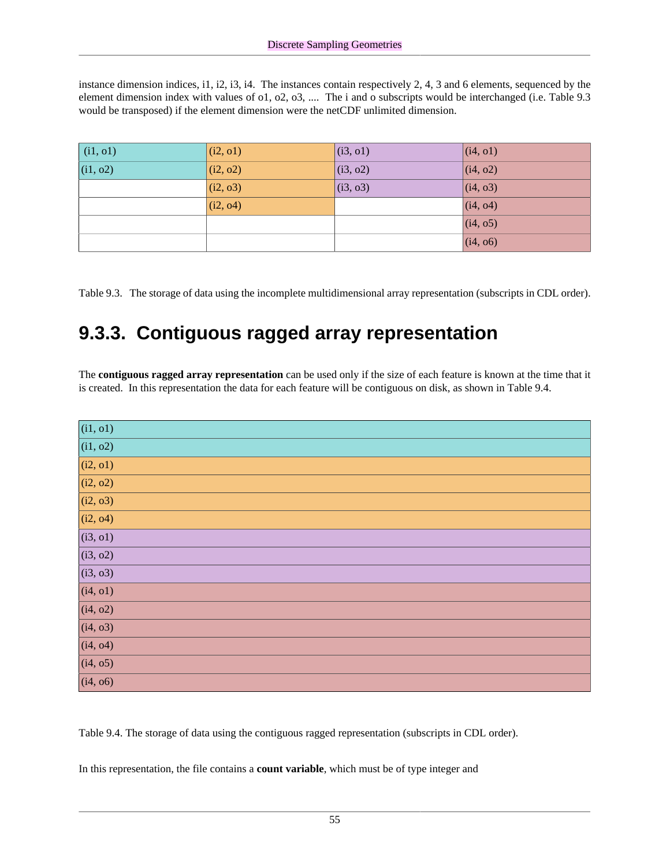instance dimension indices, i1, i2, i3, i4. The instances contain respectively 2, 4, 3 and 6 elements, sequenced by the element dimension index with values of o1, o2, o3, .... The i and o subscripts would be interchanged (i.e. Table 9.3 would be transposed) if the element dimension were the netCDF unlimited dimension.

| (i1, o1)              | (i2, o1) | (i3, o1) | (i4, o1)    |
|-----------------------|----------|----------|-------------|
| $\overline{(i1, o2)}$ | (i2, o2) | (13, 02) | $($ i4, o2) |
|                       | (12, 03) | (i3, o3) | $($ i4, o3) |
|                       | (12, 04) |          | (14, 04)    |
|                       |          |          | (14, 05)    |
|                       |          |          | (14, 06)    |

Table 9.3. The storage of data using the incomplete multidimensional array representation (subscripts in CDL order).

### **9.3.3. Contiguous ragged array representation**

The **contiguous ragged array representation** can be used only if the size of each feature is known at the time that it is created. In this representation the data for each feature will be contiguous on disk, as shown in Table 9.4.

| (i1, o1)       |  |
|----------------|--|
| (i1, o2)       |  |
| (i2, o1)       |  |
| (i2, o2)       |  |
| (i2, o3)       |  |
| (i2, o4)       |  |
| (i3, o1)       |  |
| (i3, o2)       |  |
| $($ i3, o3)    |  |
| (i4, o1)       |  |
| (i4, o2)       |  |
| (14, 03)       |  |
| (14, 04)       |  |
| $($ i4, $o5)$  |  |
| $($ i4, 06 $)$ |  |

Table 9.4. The storage of data using the contiguous ragged representation (subscripts in CDL order).

In this representation, the file contains a **count variable**, which must be of type integer and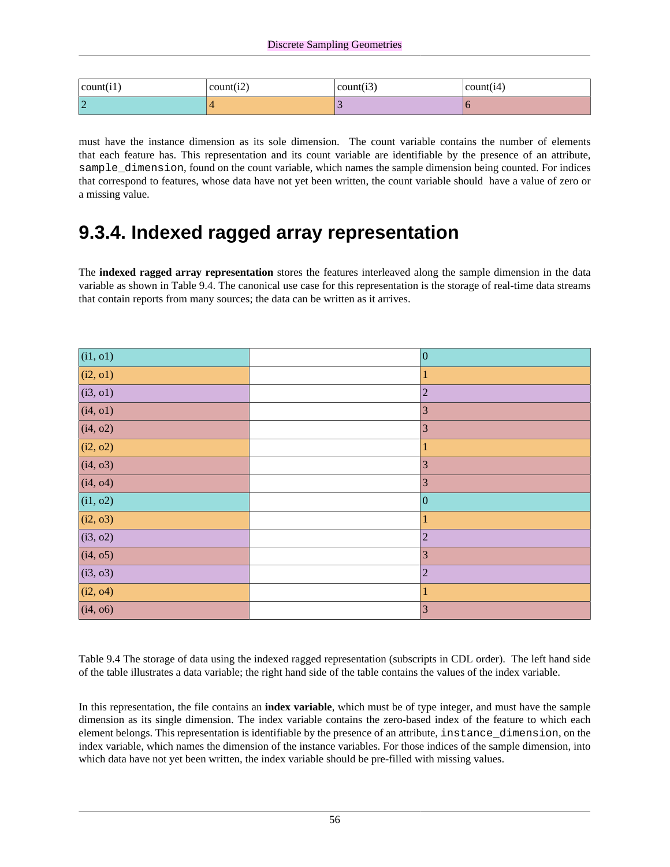| count(i) | count(12) | count(i3) | count(14) |
|----------|-----------|-----------|-----------|
| 2        |           |           | Ю         |

must have the instance dimension as its sole dimension. The count variable contains the number of elements that each feature has. This representation and its count variable are identifiable by the presence of an attribute, sample\_dimension, found on the count variable, which names the sample dimension being counted. For indices that correspond to features, whose data have not yet been written, the count variable should have a value of zero or a missing value.

### **9.3.4. Indexed ragged array representation**

The **indexed ragged array representation** stores the features interleaved along the sample dimension in the data variable as shown in Table 9.4. The canonical use case for this representation is the storage of real-time data streams that contain reports from many sources; the data can be written as it arrives.

| (i1, o1)       | $ 0\>$         |
|----------------|----------------|
| (i2, o1)       |                |
| (i3, o1)       | $\overline{2}$ |
| (i4, o1)       | 3              |
| $($ i4, o2)    | 3              |
| (i2, o2)       |                |
| $($ i4, 03)    | 3              |
| $($ i4, o4 $)$ | 3              |
| (i1, o2)       | $ 0\rangle$    |
| (i2, o3)       | 1              |
| (i3, o2)       | $\overline{2}$ |
| (14, 05)       | 3              |
| $($ i3, o3)    | $ 2\rangle$    |
| (12, 04)       | 1              |
| (14, 06)       | 3              |

Table 9.4 The storage of data using the indexed ragged representation (subscripts in CDL order). The left hand side of the table illustrates a data variable; the right hand side of the table contains the values of the index variable.

In this representation, the file contains an **index variable**, which must be of type integer, and must have the sample dimension as its single dimension. The index variable contains the zero-based index of the feature to which each element belongs. This representation is identifiable by the presence of an attribute, instance\_dimension, on the index variable, which names the dimension of the instance variables. For those indices of the sample dimension, into which data have not yet been written, the index variable should be pre-filled with missing values.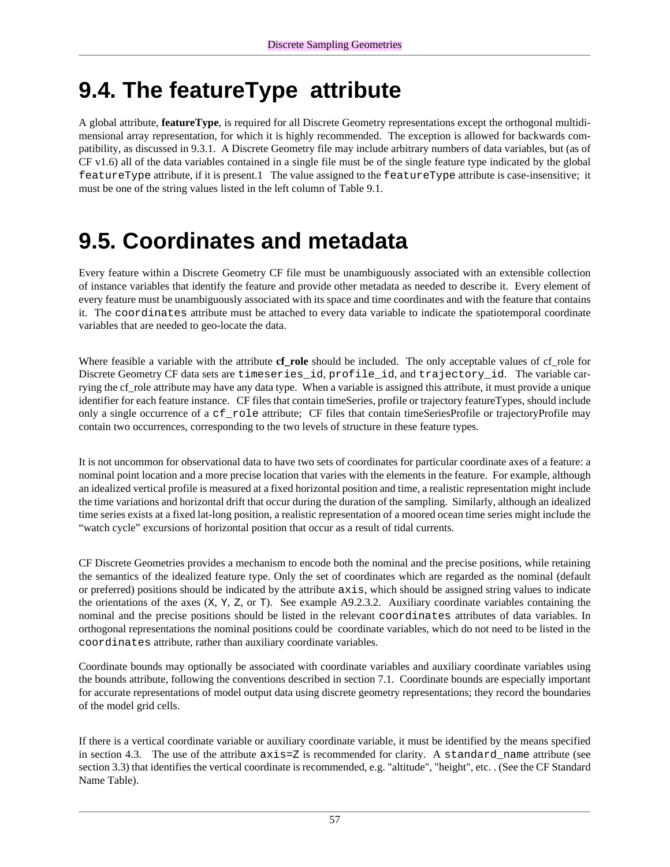### <span id="page-64-1"></span>**9.4. The featureType attribute**

A global attribute, **featureType**, is required for all Discrete Geometry representations except the orthogonal multidimensional array representation, for which it is highly recommended. The exception is allowed for backwards compatibility, as discussed in 9.3.1. A Discrete Geometry file may include arbitrary numbers of data variables, but (as of CF v1.6) all of the data variables contained in a single file must be of the single feature type indicated by the global featureType attribute, if it is present.1 The value assigned to the featureType attribute is case-insensitive; it must be one of the string values listed in the left column of Table 9.1.

### <span id="page-64-0"></span>**9.5. Coordinates and metadata**

Every feature within a Discrete Geometry CF file must be unambiguously associated with an extensible collection of instance variables that identify the feature and provide other metadata as needed to describe it. Every element of every feature must be unambiguously associated with its space and time coordinates and with the feature that contains it. The coordinates attribute must be attached to every data variable to indicate the spatiotemporal coordinate variables that are needed to geo-locate the data.

Where feasible a variable with the attribute **cf\_role** should be included. The only acceptable values of cf\_role for Discrete Geometry CF data sets are timeseries\_id, profile\_id, and trajectory\_id. The variable carrying the cf role attribute may have any data type. When a variable is assigned this attribute, it must provide a unique identifier for each feature instance. CF files that contain timeSeries, profile or trajectory featureTypes, should include only a single occurrence of a cf\_role attribute; CF files that contain timeSeriesProfile or trajectoryProfile may contain two occurrences, corresponding to the two levels of structure in these feature types.

It is not uncommon for observational data to have two sets of coordinates for particular coordinate axes of a feature: a nominal point location and a more precise location that varies with the elements in the feature. For example, although an idealized vertical profile is measured at a fixed horizontal position and time, a realistic representation might include the time variations and horizontal drift that occur during the duration of the sampling. Similarly, although an idealized time series exists at a fixed lat-long position, a realistic representation of a moored ocean time series might include the "watch cycle" excursions of horizontal position that occur as a result of tidal currents.

CF Discrete Geometries provides a mechanism to encode both the nominal and the precise positions, while retaining the semantics of the idealized feature type. Only the set of coordinates which are regarded as the nominal (default or preferred) positions should be indicated by the attribute axis, which should be assigned string values to indicate the orientations of the axes  $(X, Y, Z, \text{ or } T)$ . See example A9.2.3.2. Auxiliary coordinate variables containing the nominal and the precise positions should be listed in the relevant coordinates attributes of data variables. In orthogonal representations the nominal positions could be coordinate variables, which do not need to be listed in the coordinates attribute, rather than auxiliary coordinate variables.

Coordinate bounds may optionally be associated with coordinate variables and auxiliary coordinate variables using the bounds attribute, following the conventions described in section 7.1. Coordinate bounds are especially important for accurate representations of model output data using discrete geometry representations; they record the boundaries of the model grid cells.

If there is a vertical coordinate variable or auxiliary coordinate variable, it must be identified by the means specified in section 4.3. The use of the attribute  $axis=Z$  is recommended for clarity. A standard name attribute (see section 3.3) that identifies the vertical coordinate is recommended, e.g. "altitude", "height", etc. . (See the CF Standard Name Table).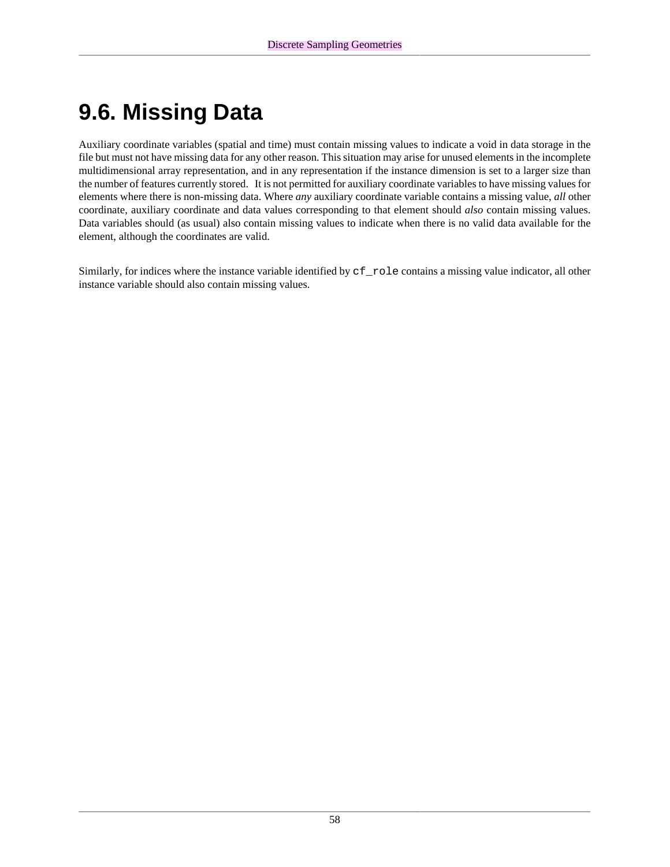## **9.6. Missing Data**

Auxiliary coordinate variables (spatial and time) must contain missing values to indicate a void in data storage in the file but must not have missing data for any other reason. This situation may arise for unused elements in the incomplete multidimensional array representation, and in any representation if the instance dimension is set to a larger size than the number of features currently stored. It is not permitted for auxiliary coordinate variables to have missing values for elements where there is non-missing data. Where *any* auxiliary coordinate variable contains a missing value, *all* other coordinate, auxiliary coordinate and data values corresponding to that element should *also* contain missing values. Data variables should (as usual) also contain missing values to indicate when there is no valid data available for the element, although the coordinates are valid.

Similarly, for indices where the instance variable identified by  $cf\_role$  contains a missing value indicator, all other instance variable should also contain missing values.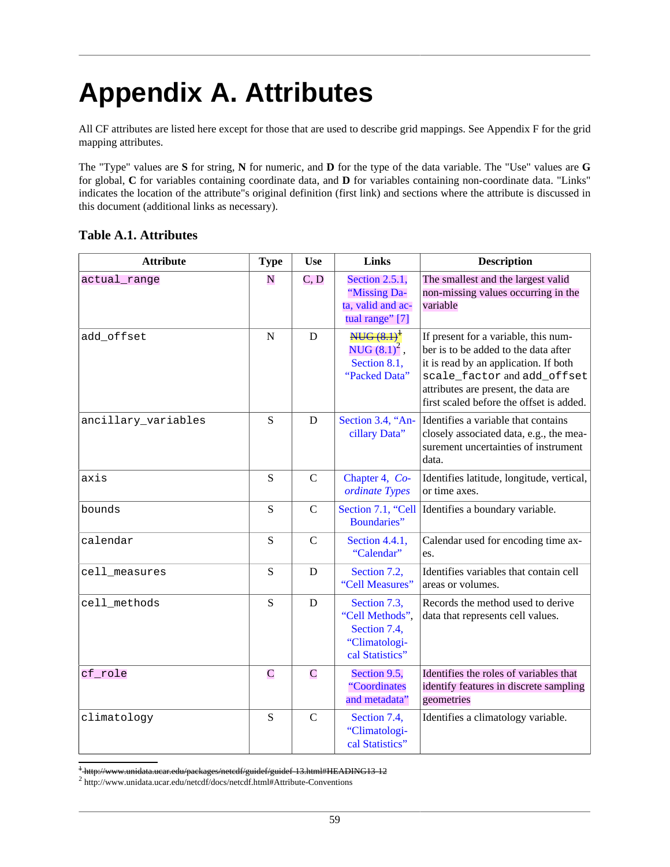# **Appendix A. Attributes**

All CF attributes are listed here except for those that are used to describe grid mappings. See Appendix F for the grid mapping attributes.

The "Type" values are **S** for string, **N** for numeric, and **D** for the type of the data variable. The "Use" values are **G** for global, **C** for variables containing coordinate data, and **D** for variables containing non-coordinate data. "Links" indicates the location of the attribute"s original definition (first link) and sections where the attribute is discussed in this document (additional links as necessary).

#### **Table A.1. Attributes**

| <b>Attribute</b>    | <b>Type</b> | <b>Use</b>    | <b>Links</b>                                                                        | <b>Description</b>                                                                                                                                                                                                                       |
|---------------------|-------------|---------------|-------------------------------------------------------------------------------------|------------------------------------------------------------------------------------------------------------------------------------------------------------------------------------------------------------------------------------------|
| actual_range        | N           | C, D          | Section $2.5.1$ ,<br>"Missing Da-<br>ta, valid and ac-<br>tual range" [7]           | The smallest and the largest valid<br>non-missing values occurring in the<br>variable                                                                                                                                                    |
| add_offset          | $\mathbf N$ | D             | NUG (8.1) <sup>1</sup><br>NUG $(8.1)^2$ ,<br>Section 8.1,<br>"Packed Data"          | If present for a variable, this num-<br>ber is to be added to the data after<br>it is read by an application. If both<br>scale_factor and add_offset<br>attributes are present, the data are<br>first scaled before the offset is added. |
| ancillary_variables | S           | D             | Section 3.4, "An-<br>cillary Data"                                                  | Identifies a variable that contains<br>closely associated data, e.g., the mea-<br>surement uncertainties of instrument<br>data.                                                                                                          |
| axis                | S           | $\mathcal{C}$ | Chapter 4, Co-<br>ordinate Types                                                    | Identifies latitude, longitude, vertical,<br>or time axes.                                                                                                                                                                               |
| bounds              | S           | $\mathcal{C}$ | Section 7.1, "Cell<br><b>Boundaries</b> "                                           | Identifies a boundary variable.                                                                                                                                                                                                          |
| calendar            | S           | $\mathcal{C}$ | Section $4.4.1$ ,<br>"Calendar"                                                     | Calendar used for encoding time ax-<br>es.                                                                                                                                                                                               |
| cell_measures       | S           | D             | Section 7.2,<br>"Cell Measures"                                                     | Identifies variables that contain cell<br>areas or volumes.                                                                                                                                                                              |
| cell_methods        | S           | D             | Section 7.3,<br>"Cell Methods",<br>Section 7.4,<br>"Climatologi-<br>cal Statistics" | Records the method used to derive<br>data that represents cell values.                                                                                                                                                                   |
| cf_role             | C           | $\mathbf C$   | Section 9.5,<br>"Coordinates<br>and metadata"                                       | Identifies the roles of variables that<br>identify features in discrete sampling<br>geometries                                                                                                                                           |
| climatology         | ${\bf S}$   | $\mathbf C$   | Section 7.4,<br>"Climatologi-<br>cal Statistics"                                    | Identifies a climatology variable.                                                                                                                                                                                                       |

<sup>1</sup>http://www.unidata.ucar.edu/packages/netedf/guidef/guidef-13.html#HEADING13-12

2 <http://www.unidata.ucar.edu/netcdf/docs/netcdf.html#Attribute-Conventions>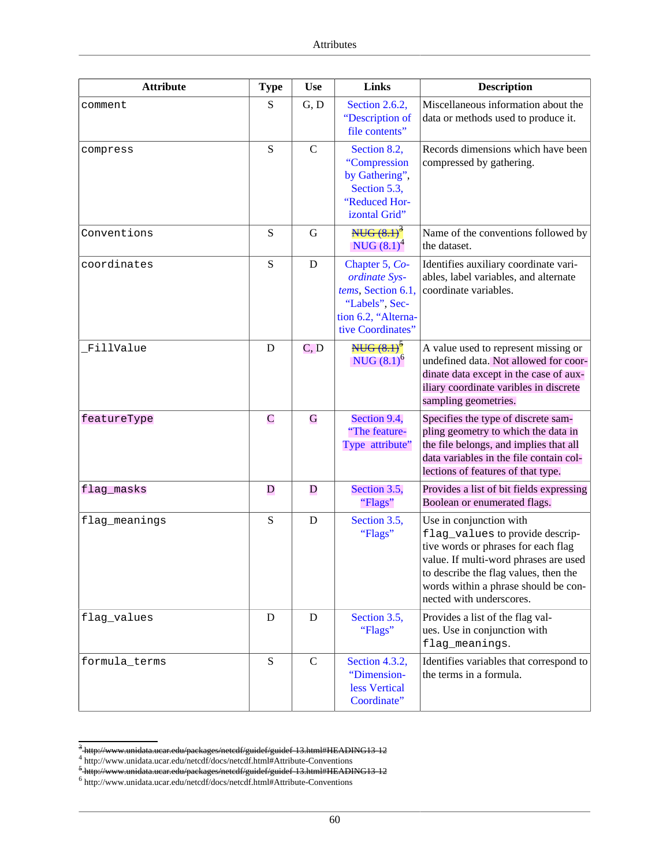| <b>Attribute</b> | <b>Type</b> | <b>Use</b>    | <b>Links</b>                                                                                                        | <b>Description</b>                                                                                                                                                                                                                                      |
|------------------|-------------|---------------|---------------------------------------------------------------------------------------------------------------------|---------------------------------------------------------------------------------------------------------------------------------------------------------------------------------------------------------------------------------------------------------|
| comment          | S           | G, D          | Section 2.6.2,<br>"Description of<br>file contents"                                                                 | Miscellaneous information about the<br>data or methods used to produce it.                                                                                                                                                                              |
| compress         | ${\bf S}$   | $\mathcal{C}$ | Section 8.2,<br>"Compression<br>by Gathering",<br>Section 5.3,<br>"Reduced Hor-<br>izontal Grid"                    | Records dimensions which have been<br>compressed by gathering.                                                                                                                                                                                          |
| Conventions      | ${\bf S}$   | G             | NUG (8.1) <sup>3</sup><br>NUG $(8.1)^4$                                                                             | Name of the conventions followed by<br>the dataset.                                                                                                                                                                                                     |
| coordinates      | ${\bf S}$   | D             | Chapter 5, Co-<br>ordinate Sys-<br>tems, Section 6.1,<br>"Labels", Sec-<br>tion 6.2, "Alterna-<br>tive Coordinates" | Identifies auxiliary coordinate vari-<br>ables, label variables, and alternate<br>coordinate variables.                                                                                                                                                 |
| FillValue        | D           | C, D          | $NUG (8.1)^5$<br>NUG $(8.1)^6$                                                                                      | A value used to represent missing or<br>undefined data. Not allowed for coor-<br>dinate data except in the case of aux-<br>iliary coordinate varibles in discrete<br>sampling geometries.                                                               |
| featureType      | $\mathbf C$ | G             | Section 9.4,<br>"The feature-<br>Type attribute"                                                                    | Specifies the type of discrete sam-<br>pling geometry to which the data in<br>the file belongs, and implies that all<br>data variables in the file contain col-<br>lections of features of that type.                                                   |
| flag_masks       | D           | $\mathbf D$   | Section 3.5,<br>"Flags"                                                                                             | Provides a list of bit fields expressing<br>Boolean or enumerated flags.                                                                                                                                                                                |
| flag_meanings    | ${\bf S}$   | D             | Section 3.5,<br>"Flags"                                                                                             | Use in conjunction with<br>flag_values to provide descrip-<br>tive words or phrases for each flag<br>value. If multi-word phrases are used<br>to describe the flag values, then the<br>words within a phrase should be con-<br>nected with underscores. |
| flag_values      | D           | D             | Section 3.5,<br>"Flags"                                                                                             | Provides a list of the flag val-<br>ues. Use in conjunction with<br>flag_meanings.                                                                                                                                                                      |
| formula_terms    | ${\bf S}$   | $\mathsf{C}$  | Section 4.3.2,<br>"Dimension-<br>less Vertical<br>Coordinate"                                                       | Identifies variables that correspond to<br>the terms in a formula.                                                                                                                                                                                      |

<sup>&</sup>lt;sup>3</sup> http://www.unidata.uear.edu/packages/netedf/guidef/guidef-13.html#HEADING13-12<br><sup>4</sup> <http://www.unidata.ucar.edu/netcdf/docs/netcdf.html#Attribute-Conventions><br><sup>5</sup> http://www.unidata.uear.edu/packages/netedf/guidef/guidef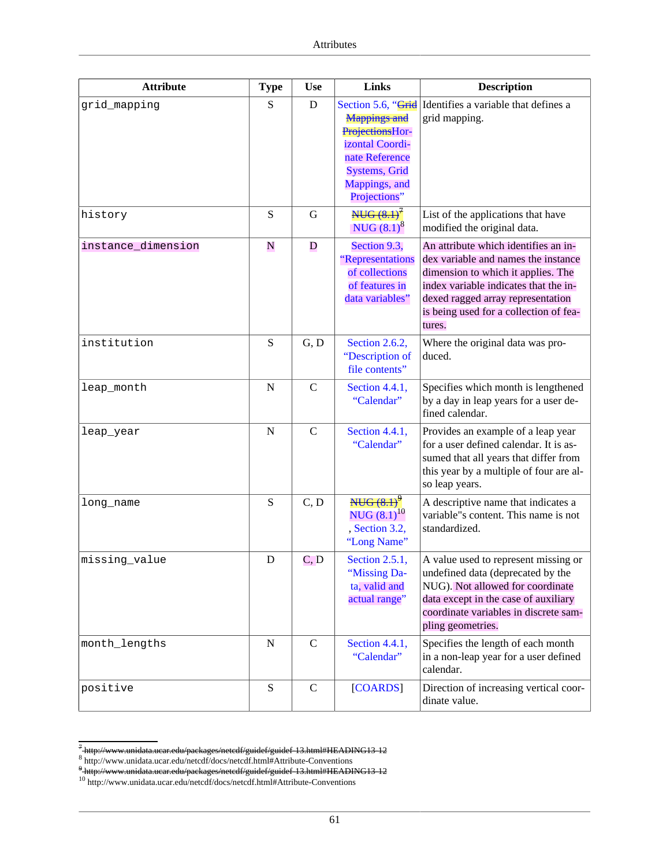| <b>Attribute</b>   | <b>Type</b> | <b>Use</b>   | <b>Links</b>                                                                                                                          | <b>Description</b>                                                                                                                                                                                                                                  |
|--------------------|-------------|--------------|---------------------------------------------------------------------------------------------------------------------------------------|-----------------------------------------------------------------------------------------------------------------------------------------------------------------------------------------------------------------------------------------------------|
| grid_mapping       | ${\bf S}$   | D            | <b>Mappings and</b><br>ProjectionsHor-<br>izontal Coordi-<br>nate Reference<br><b>Systems</b> , Grid<br>Mappings, and<br>Projections" | Section 5.6, "Grid Identifies a variable that defines a<br>grid mapping.                                                                                                                                                                            |
| history            | ${\bf S}$   | G            | NUG $(8.1)^7$<br>NUG $(8.1)^8$                                                                                                        | List of the applications that have<br>modified the original data.                                                                                                                                                                                   |
| instance_dimension | N           | $\mathbf D$  | Section 9.3,<br>"Representations<br>of collections<br>of features in<br>data variables"                                               | An attribute which identifies an in-<br>dex variable and names the instance<br>dimension to which it applies. The<br>index variable indicates that the in-<br>dexed ragged array representation<br>is being used for a collection of fea-<br>tures. |
| institution        | S           | G, D         | Section 2.6.2,<br>"Description of<br>file contents"                                                                                   | Where the original data was pro-<br>duced.                                                                                                                                                                                                          |
| leap_month         | N           | $\mathsf{C}$ | Section 4.4.1,<br>"Calendar"                                                                                                          | Specifies which month is lengthened<br>by a day in leap years for a user de-<br>fined calendar.                                                                                                                                                     |
| leap_year          | ${\bf N}$   | $\mathsf{C}$ | Section 4.4.1,<br>"Calendar"                                                                                                          | Provides an example of a leap year<br>for a user defined calendar. It is as-<br>sumed that all years that differ from<br>this year by a multiple of four are al-<br>so leap years.                                                                  |
| long_name          | S           | C, D         | NUG (8.1) <sup>9</sup><br>NUG $(8.1)^{10}$<br>, Section 3.2,<br>"Long Name"                                                           | A descriptive name that indicates a<br>variable"s content. This name is not<br>standardized.                                                                                                                                                        |
| missing_value      | $\mathbf D$ | C, D         | Section 2.5.1,<br>"Missing Da-<br>ta, valid and<br>actual range"                                                                      | A value used to represent missing or<br>undefined data (deprecated by the<br>NUG). Not allowed for coordinate<br>data except in the case of auxiliary<br>coordinate variables in discrete sam-<br>pling geometries.                                 |
| month_lengths      | $\mathbf N$ | $\mathsf{C}$ | Section 4.4.1,<br>"Calendar"                                                                                                          | Specifies the length of each month<br>in a non-leap year for a user defined<br>calendar.                                                                                                                                                            |
| positive           | ${\bf S}$   | $\mathsf{C}$ | [COARDS]                                                                                                                              | Direction of increasing vertical coor-<br>dinate value.                                                                                                                                                                                             |

<sup>&</sup>lt;sup>7</sup> http://www.unidata.uear.edu/packages/netedf/guidef/guidef-13.html#HEADING13-12<br><sup>8</sup> <http://www.unidata.ucar.edu/netcdf/docs/netcdf.html#Attribute-Conventions><br><sup>9</sup> http://www.unidata.ucar.edu/packages/netedf/guidef/guidef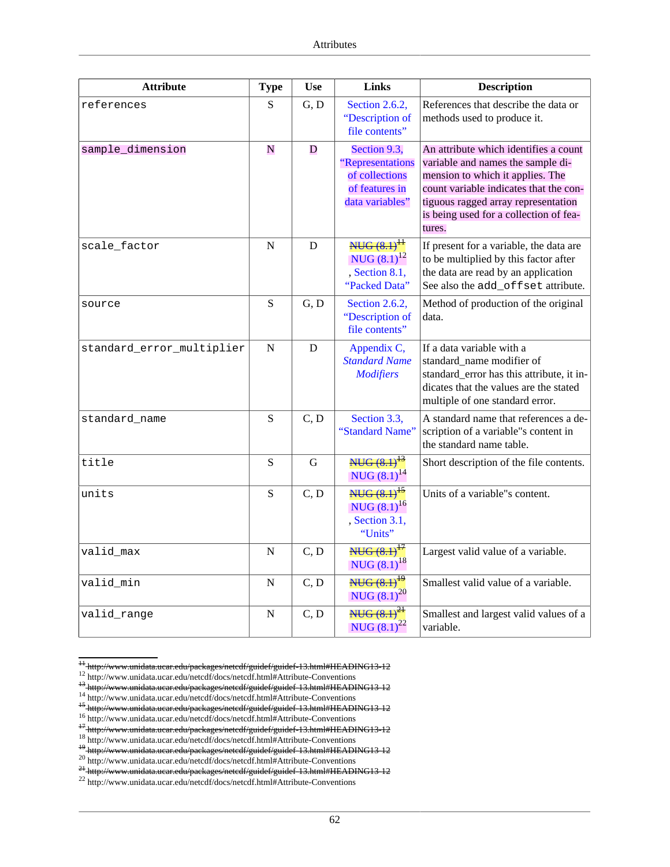| <b>Attribute</b>          | <b>Type</b> | <b>Use</b>  | <b>Links</b>                                                                            | <b>Description</b>                                                                                                                                                                                                                                  |
|---------------------------|-------------|-------------|-----------------------------------------------------------------------------------------|-----------------------------------------------------------------------------------------------------------------------------------------------------------------------------------------------------------------------------------------------------|
| references                | S           | G, D        | Section 2.6.2,<br>"Description of<br>file contents"                                     | References that describe the data or<br>methods used to produce it.                                                                                                                                                                                 |
| sample_dimension          | N           | D           | Section 9.3,<br>"Representations<br>of collections<br>of features in<br>data variables" | An attribute which identifies a count<br>variable and names the sample di-<br>mension to which it applies. The<br>count variable indicates that the con-<br>tiguous ragged array representation<br>is being used for a collection of fea-<br>tures. |
| scale_factor              | N           | $\mathbf D$ | NUG $(8.1)^{11}$<br>NUG $(8.1)^{12}$<br>, Section 8.1,<br>"Packed Data"                 | If present for a variable, the data are<br>to be multiplied by this factor after<br>the data are read by an application<br>See also the add_offset attribute.                                                                                       |
| source                    | S           | G, D        | Section 2.6.2,<br>"Description of<br>file contents"                                     | Method of production of the original<br>data.                                                                                                                                                                                                       |
| standard_error_multiplier | ${\bf N}$   | D           | Appendix C,<br><b>Standard Name</b><br><b>Modifiers</b>                                 | If a data variable with a<br>standard_name modifier of<br>standard_error has this attribute, it in-<br>dicates that the values are the stated<br>multiple of one standard error.                                                                    |
| standard_name             | S           | C, D        | Section 3.3,<br>"Standard Name"                                                         | A standard name that references a de-<br>scription of a variable"s content in<br>the standard name table.                                                                                                                                           |
| title                     | S           | $\mathbf G$ | NUG $(8.1)^{13}$<br>NUG $(8.1)^{14}$                                                    | Short description of the file contents.                                                                                                                                                                                                             |
| units                     | ${\bf S}$   | C, D        | NUG (8.1) <sup>15</sup><br>NUG $(8.1)^{16}$<br>, Section 3.1,<br>"Units"                | Units of a variable"s content.                                                                                                                                                                                                                      |
| valid_max                 | N           | C, D        | NUG $(8.1)^{17}$<br>NUG $(8.1)^{18}$                                                    | Largest valid value of a variable.                                                                                                                                                                                                                  |
| valid_min                 | N           | C, D        | NUG (8.1) <sup>19</sup><br>NUG $(8.1)^{20}$                                             | Smallest valid value of a variable.                                                                                                                                                                                                                 |
| valid_range               | N           | C, D        | NUG (8.1) <sup>24</sup><br>NUG $(8.1)^{22}$                                             | Smallest and largest valid values of a<br>variable.                                                                                                                                                                                                 |

<sup>11</sup> <http://www.unidata.ucar.edu/packages/netcdf/guidef/guidef-13.html#HEADING13-12>

<sup>12</sup> <http://www.unidata.ucar.edu/netcdf/docs/netcdf.html#Attribute-Conventions>

<sup>&</sup>lt;sup>13</sup>-<http://www.unidata.ucar.edu/packages/netcdf/guidef/guidef-13.html#HEADING13-12>

<sup>&</sup>lt;sup>14</sup> <http://www.unidata.ucar.edu/netcdf/docs/netcdf.html#Attribute-Conventions>

<sup>15</sup> <http://www.unidata.ucar.edu/packages/netcdf/guidef/guidef-13.html#HEADING13-12>

<sup>16</sup> <http://www.unidata.ucar.edu/netcdf/docs/netcdf.html#Attribute-Conventions>

<sup>17</sup> <http://www.unidata.ucar.edu/packages/netcdf/guidef/guidef-13.html#HEADING13-12>

<sup>18</sup> <http://www.unidata.ucar.edu/netcdf/docs/netcdf.html#Attribute-Conventions>

<sup>&</sup>lt;sup>19</sup> <http://www.unidata.ucar.edu/packages/netcdf/guidef/guidef-13.html#HEADING13-12>

<sup>20</sup> <http://www.unidata.ucar.edu/netcdf/docs/netcdf.html#Attribute-Conventions>

<sup>&</sup>lt;sup>21</sup> <http://www.unidata.ucar.edu/packages/netcdf/guidef/guidef-13.html#HEADING13-12>

<sup>22</sup> <http://www.unidata.ucar.edu/netcdf/docs/netcdf.html#Attribute-Conventions>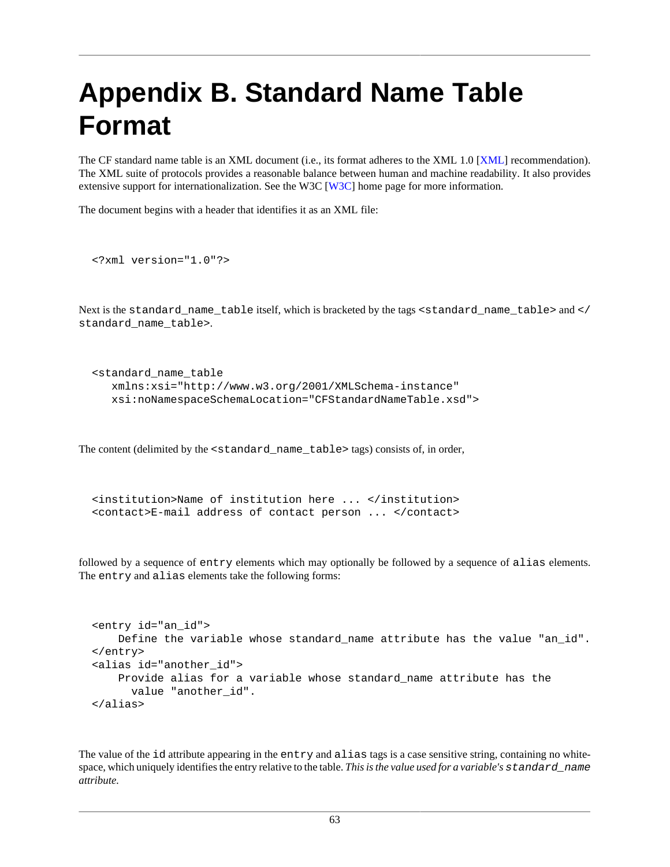# **Appendix B. Standard Name Table Format**

The CF standard name table is an [XML](#page-124-3) document (i.e., its format adheres to the XML 1.0 [XML] recommendation). The XML suite of protocols provides a reasonable balance between human and machine readability. It also provides extensive support for internationalization. See the W3C [\[W3C](#page-124-4)] home page for more information.

The document begins with a header that identifies it as an XML file:

```
 <?xml version="1.0"?>
```
Next is the standard\_name\_table itself, which is bracketed by the tags <standard\_name\_table> and </ standard name table>.

```
 <standard_name_table 
    xmlns:xsi="http://www.w3.org/2001/XMLSchema-instance" 
    xsi:noNamespaceSchemaLocation="CFStandardNameTable.xsd">
```
The content (delimited by the <standard\_name\_table> tags) consists of, in order,

```
 <institution>Name of institution here ... </institution>
 <contact>E-mail address of contact person ... </contact>
```
followed by a sequence of entry elements which may optionally be followed by a sequence of alias elements. The entry and alias elements take the following forms:

```
 <entry id="an_id">
     Define the variable whose standard_name attribute has the value "an_id". 
 </entry>
 <alias id="another_id">
     Provide alias for a variable whose standard_name attribute has the
       value "another_id".
 </alias>
```
The value of the id attribute appearing in the entry and alias tags is a case sensitive string, containing no whitespace, which uniquely identifies the entry relative to the table. *This is the value used for a variable's* standard\_name *attribute.*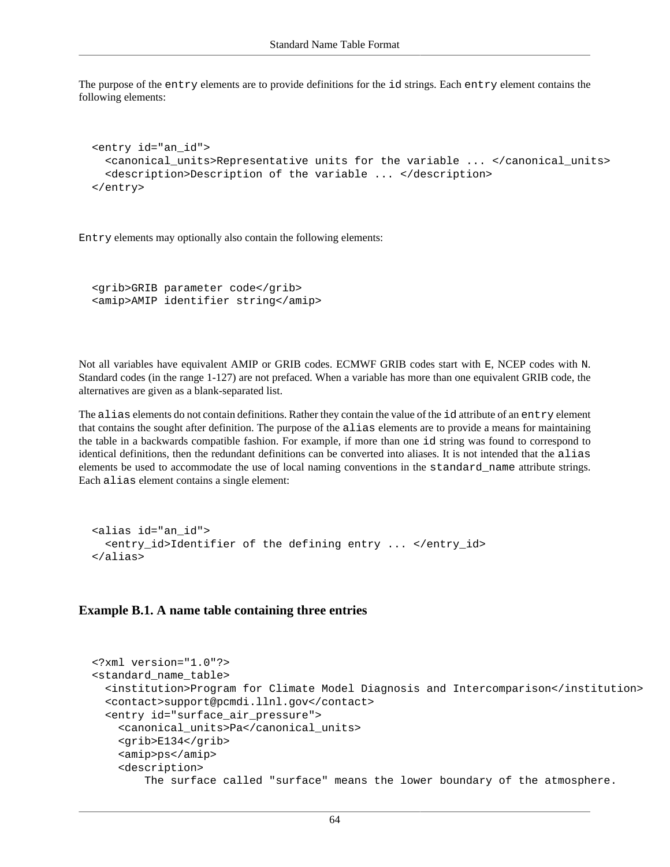The purpose of the entry elements are to provide definitions for the id strings. Each entry element contains the following elements:

```
 <entry id="an_id">
   <canonical_units>Representative units for the variable ... </canonical_units>
   <description>Description of the variable ... </description>
 </entry>
```
Entry elements may optionally also contain the following elements:

```
 <grib>GRIB parameter code</grib>
 <amip>AMIP identifier string</amip>
```
Not all variables have equivalent AMIP or GRIB codes. ECMWF GRIB codes start with E, NCEP codes with N. Standard codes (in the range 1-127) are not prefaced. When a variable has more than one equivalent GRIB code, the alternatives are given as a blank-separated list.

The alias elements do not contain definitions. Rather they contain the value of the id attribute of an entry element that contains the sought after definition. The purpose of the alias elements are to provide a means for maintaining the table in a backwards compatible fashion. For example, if more than one id string was found to correspond to identical definitions, then the redundant definitions can be converted into aliases. It is not intended that the alias elements be used to accommodate the use of local naming conventions in the standard\_name attribute strings. Each alias element contains a single element:

```
 <alias id="an_id">
   <entry_id>Identifier of the defining entry ... </entry_id>
 </alias>
```
#### **Example B.1. A name table containing three entries**

```
 <?xml version="1.0"?>
 <standard_name_table>
   <institution>Program for Climate Model Diagnosis and Intercomparison</institution>
   <contact>support@pcmdi.llnl.gov</contact>
   <entry id="surface_air_pressure">
     <canonical_units>Pa</canonical_units>
     <grib>E134</grib>
     <amip>ps</amip>
     <description>
         The surface called "surface" means the lower boundary of the atmosphere.
```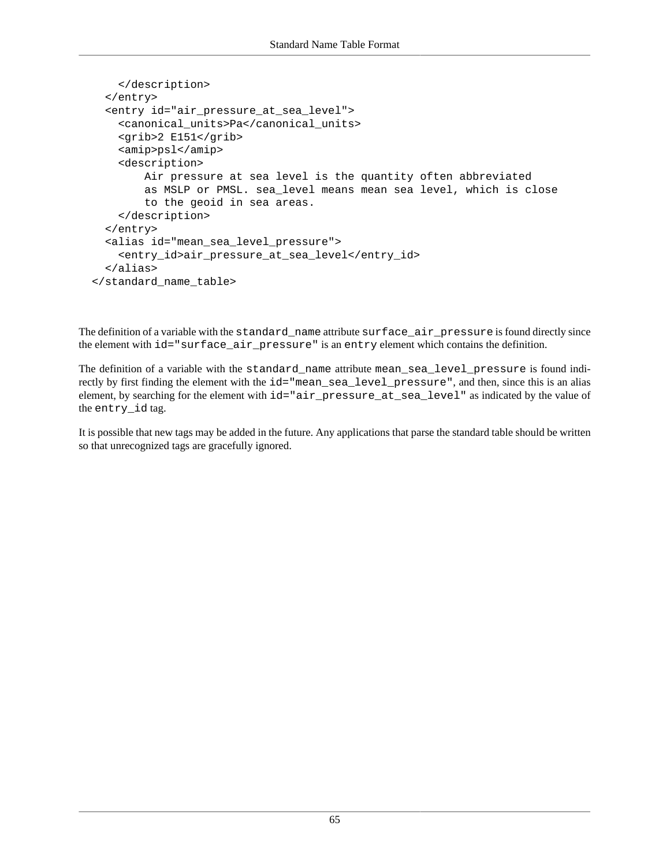```
 </description>
  </entry>
  <entry id="air_pressure_at_sea_level">
    <canonical_units>Pa</canonical_units>
    <grib>2 E151</grib>
    <amip>psl</amip>
    <description>
        Air pressure at sea level is the quantity often abbreviated 
        as MSLP or PMSL. sea_level means mean sea level, which is close 
        to the geoid in sea areas. 
    </description>
  </entry>
  <alias id="mean_sea_level_pressure">
    <entry_id>air_pressure_at_sea_level</entry_id>
  </alias>
</standard_name_table>
```
The definition of a variable with the standard\_name attribute surface\_air\_pressure is found directly since the element with id="surface\_air\_pressure" is an entry element which contains the definition.

The definition of a variable with the standard name attribute mean sea level pressure is found indirectly by first finding the element with the id="mean\_sea\_level\_pressure", and then, since this is an alias element, by searching for the element with id="air\_pressure\_at\_sea\_level" as indicated by the value of the entry\_id tag.

It is possible that new tags may be added in the future. Any applications that parse the standard table should be written so that unrecognized tags are gracefully ignored.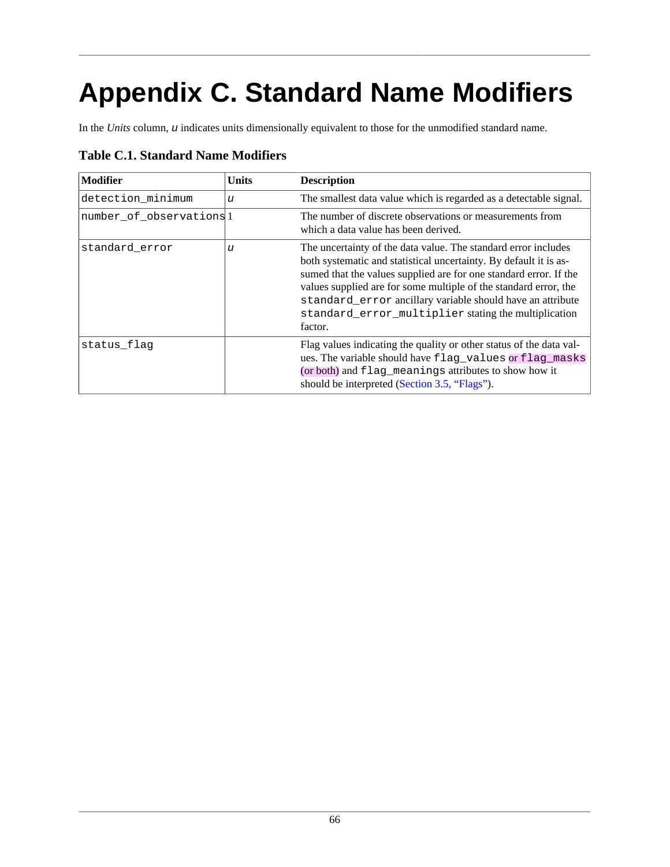# <span id="page-73-0"></span>**Appendix C. Standard Name Modifiers**

In the *Units* column, u indicates units dimensionally equivalent to those for the unmodified standard name.

| <b>Table C.1. Standard Name Modifiers</b> |
|-------------------------------------------|
|                                           |

| <b>Modifier</b>         | Units | <b>Description</b>                                                                                                                                                                                                                                                                                                                                                                                            |  |  |  |
|-------------------------|-------|---------------------------------------------------------------------------------------------------------------------------------------------------------------------------------------------------------------------------------------------------------------------------------------------------------------------------------------------------------------------------------------------------------------|--|--|--|
| detection_minimum       | u     | The smallest data value which is regarded as a detectable signal.                                                                                                                                                                                                                                                                                                                                             |  |  |  |
| number_of_observations1 |       | The number of discrete observations or measurements from<br>which a data value has been derived.                                                                                                                                                                                                                                                                                                              |  |  |  |
| standard error          | u     | The uncertainty of the data value. The standard error includes<br>both systematic and statistical uncertainty. By default it is as-<br>sumed that the values supplied are for one standard error. If the<br>values supplied are for some multiple of the standard error, the<br>standard_error ancillary variable should have an attribute<br>standard_error_multiplier stating the multiplication<br>factor. |  |  |  |
| status flag             |       | Flag values indicating the quality or other status of the data val-<br>ues. The variable should have flag_values or flag_masks<br>(or both) and flag_meanings attributes to show how it<br>should be interpreted (Section 3.5, "Flags").                                                                                                                                                                      |  |  |  |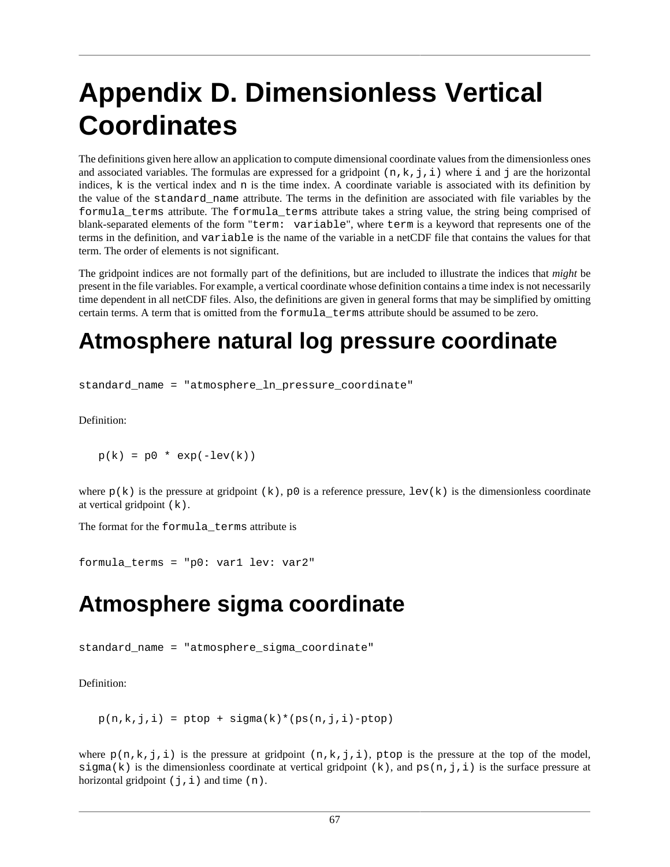# <span id="page-74-1"></span>**Appendix D. Dimensionless Vertical Coordinates**

The definitions given here allow an application to compute dimensional coordinate values from the dimensionless ones and associated variables. The formulas are expressed for a gridpoint  $(n, k, j, i)$  where i and j are the horizontal indices, k is the vertical index and n is the time index. A coordinate variable is associated with its definition by the value of the standard\_name attribute. The terms in the definition are associated with file variables by the formula\_terms attribute. The formula\_terms attribute takes a string value, the string being comprised of blank-separated elements of the form "term: variable", where term is a keyword that represents one of the terms in the definition, and variable is the name of the variable in a netCDF file that contains the values for that term. The order of elements is not significant.

The gridpoint indices are not formally part of the definitions, but are included to illustrate the indices that *might* be present in the file variables. For example, a vertical coordinate whose definition contains a time index is not necessarily time dependent in all netCDF files. Also, the definitions are given in general forms that may be simplified by omitting certain terms. A term that is omitted from the formula\_terms attribute should be assumed to be zero.

## <span id="page-74-0"></span>**Atmosphere natural log pressure coordinate**

standard\_name = "atmosphere\_ln\_pressure\_coordinate"

Definition:

 $p(k) = p0 * exp(-lev(k))$ 

where  $p(k)$  is the pressure at gridpoint (k), p0 is a reference pressure, lev(k) is the dimensionless coordinate at vertical gridpoint (k).

The format for the formula\_terms attribute is

formula\_terms = "p0: var1 lev: var2"

## **Atmosphere sigma coordinate**

standard\_name = "atmosphere\_sigma\_coordinate"

Definition:

 $p(n,k,j,i) = ptop + sigma(k)*(ps(n,j,i)-ptop)$ 

where  $p(n,k,j,i)$  is the pressure at gridpoint  $(n,k,j,i)$ , ptop is the pressure at the top of the model, sigma(k) is the dimensionless coordinate at vertical gridpoint (k), and  $ps(n,j,i)$  is the surface pressure at horizontal gridpoint  $(j, i)$  and time  $(n)$ .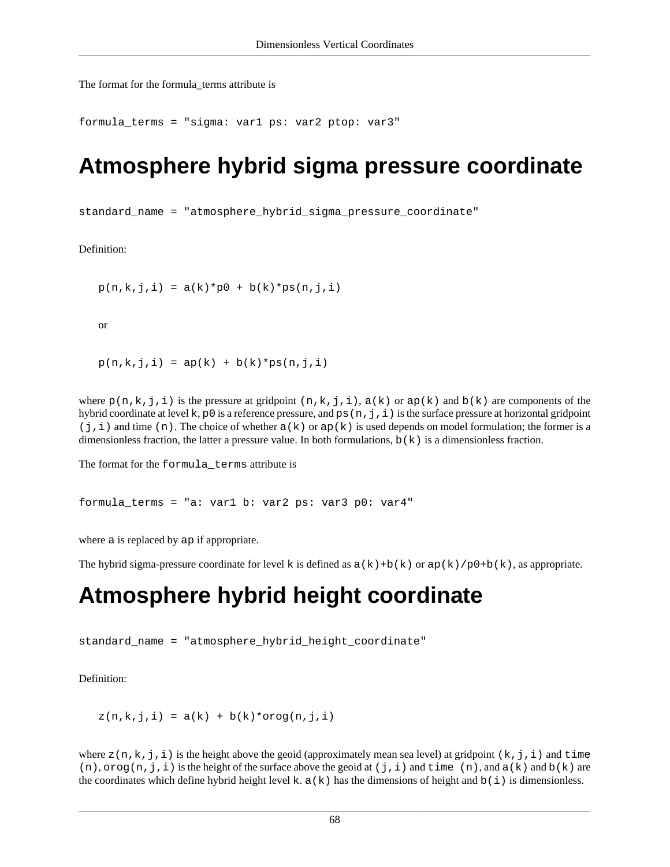The format for the formula\_terms attribute is

```
formula_terms = "sigma: var1 ps: var2 ptop: var3"
```
## **Atmosphere hybrid sigma pressure coordinate**

standard\_name = "atmosphere\_hybrid\_sigma\_pressure\_coordinate"

#### Definition:

 $p(n, k, j, i) = a(k)*p0 + b(k)*ps(n, j, i)$ 

or

 $p(n, k, j, i) = ap(k) + b(k) * ps(n, j, i)$ 

where  $p(n,k,j,i)$  is the pressure at gridpoint  $(n,k,j,i)$ ,  $a(k)$  or  $ap(k)$  and  $b(k)$  are components of the hybrid coordinate at level k,  $p0$  is a reference pressure, and  $p s(n,j,i)$  is the surface pressure at horizontal gridpoint  $(j, i)$  and time  $(n)$ . The choice of whether  $a(k)$  or  $ap(k)$  is used depends on model formulation; the former is a dimensionless fraction, the latter a pressure value. In both formulations,  $b(k)$  is a dimensionless fraction.

The format for the formula\_terms attribute is

formula\_terms = "a: var1 b: var2 ps: var3 p0: var4"

where a is replaced by ap if appropriate.

<span id="page-75-0"></span>The hybrid sigma-pressure coordinate for level k is defined as  $a(k)+b(k)$  or  $ap(k)/p0+b(k)$ , as appropriate.

## **Atmosphere hybrid height coordinate**

standard\_name = "atmosphere\_hybrid\_height\_coordinate"

Definition:

 $z(n,k,j,i) = a(k) + b(k) * \text{orog}(n,j,i)$ 

where  $z(n,k,j,i)$  is the height above the geoid (approximately mean sea level) at gridpoint  $(k,j,i)$  and time  $(n)$ ,  $\text{orog}(n,j,i)$  is the height of the surface above the geoid at  $(j,i)$  and  $\text{time}(n)$ , and  $a(k)$  and  $b(k)$  are the coordinates which define hybrid height level k.  $a(k)$  has the dimensions of height and  $b(i)$  is dimensionless.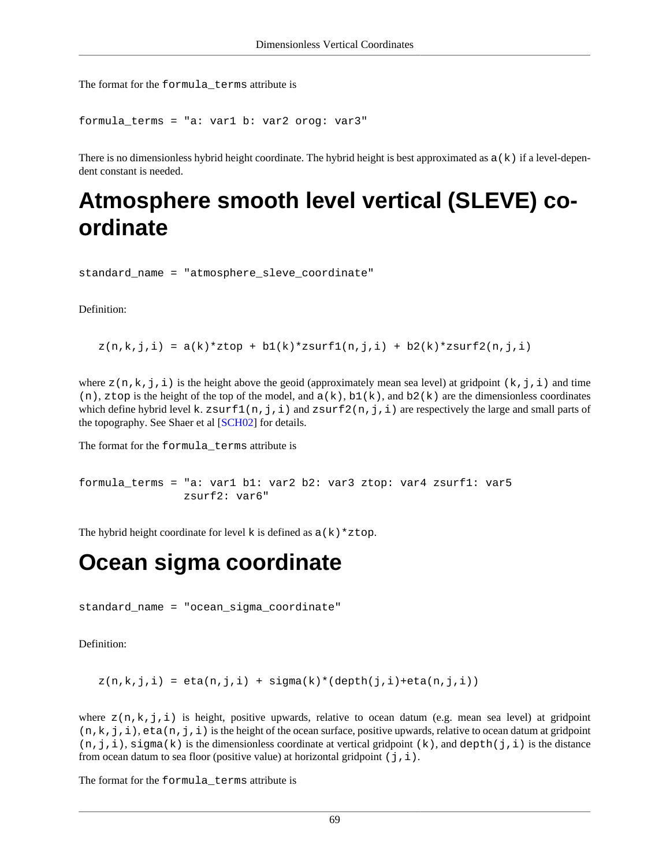The format for the formula\_terms attribute is

```
formula_terms = "a: var1 b: var2 orog: var3"
```
There is no dimensionless hybrid height coordinate. The hybrid height is best approximated as a(k) if a level-dependent constant is needed.

## **Atmosphere smooth level vertical (SLEVE) coordinate**

standard\_name = "atmosphere\_sleve\_coordinate"

Definition:

 $z(n,k,j,i) = a(k)*ztop + b1(k)*zsurf1(n,j,i) + b2(k)*zsurf2(n,j,i)$ 

where  $z(n,k,j,i)$  is the height above the geoid (approximately mean sea level) at gridpoint  $(k,j,i)$  and time  $(n)$ , ztop is the height of the top of the model, and  $a(k)$ , b1(k), and b2(k) are the dimensionless coordinates which define hybrid level k. zsurf1(n,j,i) and zsurf2(n,j,i) are respectively the large and small parts of the topography. See Shaer et al [\[SCH02\]](#page-124-0) for details.

The format for the formula\_terms attribute is

```
formula_terms = "a: var1 b1: var2 b2: var3 ztop: var4 zsurf1: var5
                zsurf2: var6"
```
The hybrid height coordinate for level k is defined as  $a(k) * ztop$ .

## **Ocean sigma coordinate**

standard\_name = "ocean\_sigma\_coordinate"

Definition:

 $z(n,k,j,i) = eta(n,j,i) + sigma(k)*(depth(j,i)+eta(n,j,i))$ 

where  $z(n,k,j,i)$  is height, positive upwards, relative to ocean datum (e.g. mean sea level) at gridpoint  $(n, k, j, i)$ , eta $(n, j, i)$  is the height of the ocean surface, positive upwards, relative to ocean datum at gridpoint  $(n,j,i)$ , sigma(k) is the dimensionless coordinate at vertical gridpoint (k), and depth(j, i) is the distance from ocean datum to sea floor (positive value) at horizontal gridpoint  $(j,i)$ .

The format for the formula\_terms attribute is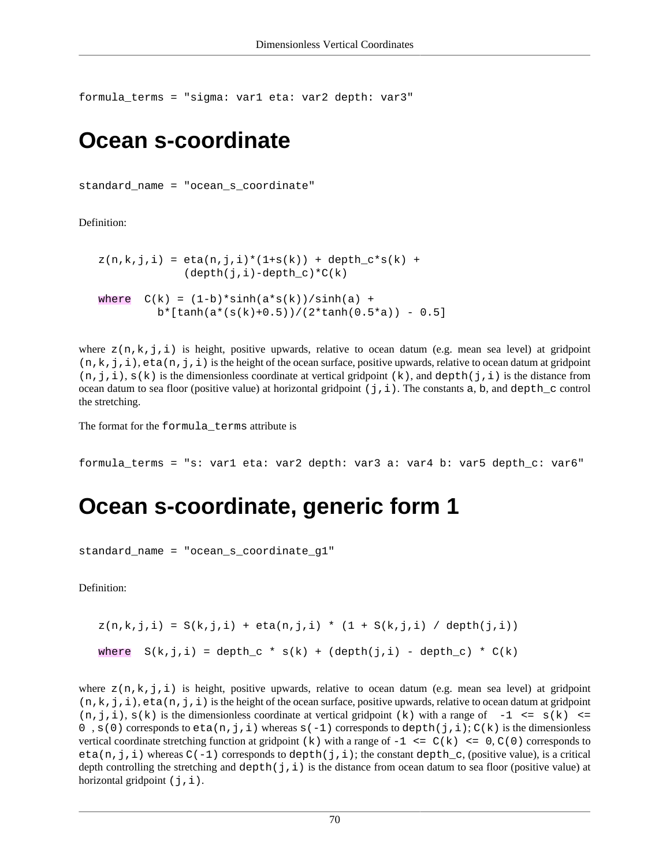formula\_terms = "sigma: var1 eta: var2 depth: var3"

## **Ocean s-coordinate**

standard\_name = "ocean\_s\_coordinate"

Definition:

```
z(n,k,j,i) = eta(n,j,i)*(1+s(k)) + depth_c*s(k) +(depth(j,i)-depth_c)*C(k)where C(k) = (1-b) * sinh(a * s(k)) / sinh(a) +b*[tanh(a*(s(k)+0.5))/(2*tanh(0.5*a))-0.5]
```
where  $z(n,k,j,i)$  is height, positive upwards, relative to ocean datum (e.g. mean sea level) at gridpoint  $(n, k, j, i)$ , eta $(n, j, i)$  is the height of the ocean surface, positive upwards, relative to ocean datum at gridpoint  $(n, j, i)$ , s(k) is the dimensionless coordinate at vertical gridpoint (k), and depth(j, i) is the distance from ocean datum to sea floor (positive value) at horizontal gridpoint  $(j, i)$ . The constants a, b, and depth\_c control the stretching.

The format for the formula\_terms attribute is

formula\_terms = "s: var1 eta: var2 depth: var3 a: var4 b: var5 depth\_c: var6"

## **Ocean s-coordinate, generic form 1**

standard\_name = "ocean\_s\_coordinate\_g1"

Definition:

```
z(n,k,j,i) = S(k,j,i) + eta(n,j,i) * (1 + S(k,j,i) / depth(j,i))where S(k,j,i) = depth_c * s(k) + (depth(j,i) - depth_c) * C(k)
```
where  $z(n,k,j,i)$  is height, positive upwards, relative to ocean datum (e.g. mean sea level) at gridpoint  $(n, k, j, i)$ , eta $(n, j, i)$  is the height of the ocean surface, positive upwards, relative to ocean datum at gridpoint  $(n, j, i)$ ,  $s(k)$  is the dimensionless coordinate at vertical gridpoint (k) with a range of  $-1 \le s(k) \le s$ 0,  $s(0)$  corresponds to eta(n,j,i) whereas  $s(-1)$  corresponds to depth(j,i); C(k) is the dimensionless vertical coordinate stretching function at gridpoint (k) with a range of  $-1 \leq C(k) \leq 0$ ,  $C(0)$  corresponds to eta(n,j,i) whereas  $C(-1)$  corresponds to depth(j,i); the constant depth c, (positive value), is a critical depth controlling the stretching and depth(j,i) is the distance from ocean datum to sea floor (positive value) at horizontal gridpoint  $(j, i)$ .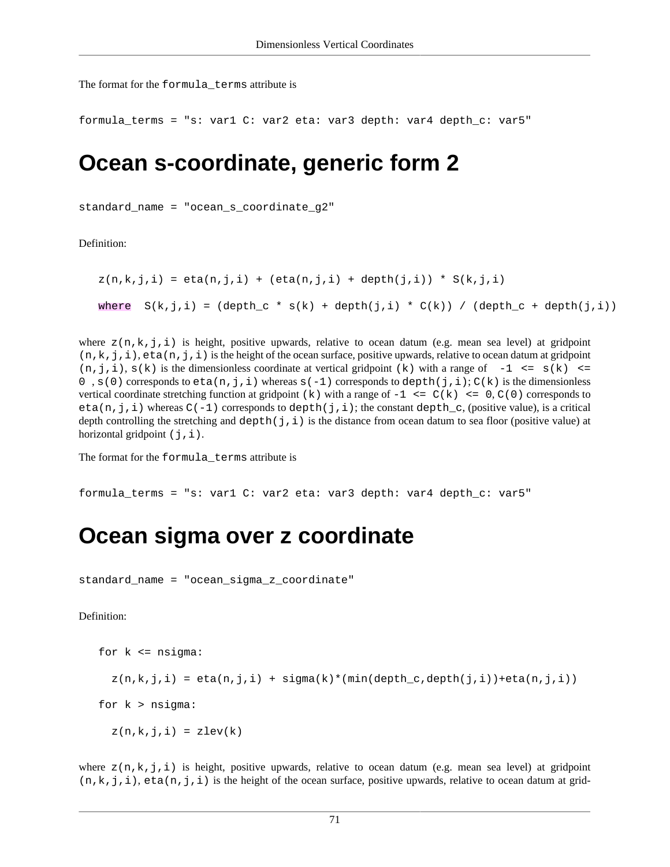The format for the formula\_terms attribute is

formula\_terms = "s: var1 C: var2 eta: var3 depth: var4 depth\_c: var5"

### **Ocean s-coordinate, generic form 2**

standard\_name = "ocean\_s\_coordinate\_g2"

Definition:

 $z(n,k,j,i) = eta(n,j,i) + (eta(n,j,i) + depth(j,i)) * S(k,j,i)$ where  $S(k,j,i) = (depth_c * s(k) + depth(j,i) * C(k)) / (depth_c + depth(j,i))$ 

where  $z(n,k,j,i)$  is height, positive upwards, relative to ocean datum (e.g. mean sea level) at gridpoint  $(n, k, j, i)$ , eta $(n, j, i)$  is the height of the ocean surface, positive upwards, relative to ocean datum at gridpoint  $(n, j, i)$ ,  $s(k)$  is the dimensionless coordinate at vertical gridpoint (k) with a range of  $-1 \le s(k) \le s$ 0,  $s(0)$  corresponds to eta(n,j,i) whereas  $s(-1)$  corresponds to depth(j,i); C(k) is the dimensionless vertical coordinate stretching function at gridpoint (k) with a range of  $-1 \leq C(k) \leq 0$ ,  $C(0)$  corresponds to eta(n,j,i) whereas  $C(-1)$  corresponds to depth(j,i); the constant depth<sub>c</sub>, (positive value), is a critical depth controlling the stretching and depth(j,i) is the distance from ocean datum to sea floor (positive value) at horizontal gridpoint  $(j, i)$ .

The format for the formula\_terms attribute is

formula\_terms = "s: var1 C: var2 eta: var3 depth: var4 depth\_c: var5"

## **Ocean sigma over z coordinate**

standard name = "ocean sigma z coordinate"

Definition:

```
for k <= nsigma:
 z(n,k,j,i) = eta(n,j,i) + sigma(k)*(min(depth_c,depth(j,i))+eta(n,j,i))for k > nsigma:
 z(n,k,j,i) = zlev(k)
```
where  $z(n,k,j,i)$  is height, positive upwards, relative to ocean datum (e.g. mean sea level) at gridpoint  $(n, k, j, i)$ , eta $(n, j, i)$  is the height of the ocean surface, positive upwards, relative to ocean datum at grid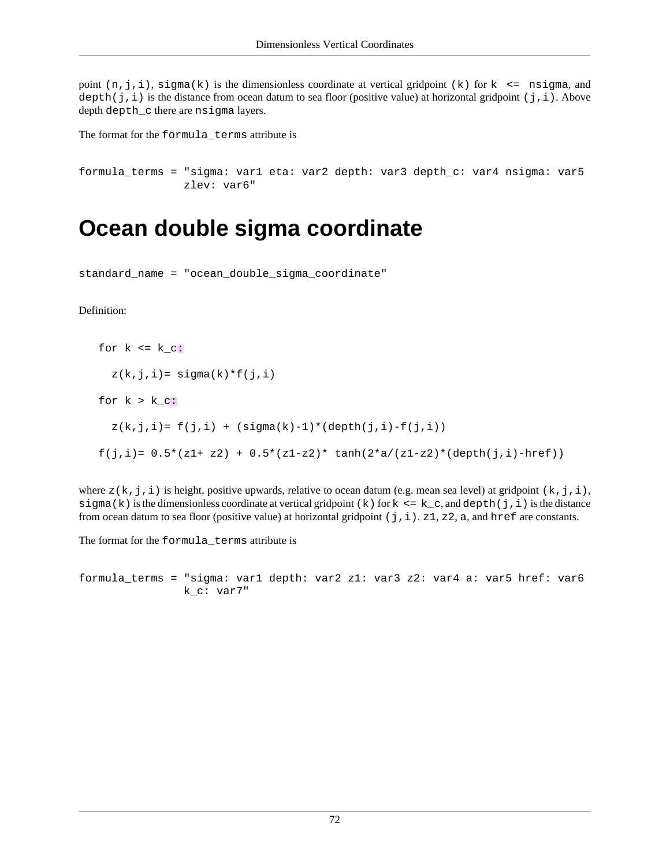point  $(n,j,i)$ , sigma $(k)$  is the dimensionless coordinate at vertical gridpoint  $(k)$  for  $k \leq$  nsigma, and depth(j,i) is the distance from ocean datum to sea floor (positive value) at horizontal gridpoint (j,i). Above depth depth\_c there are nsigma layers.

The format for the formula\_terms attribute is

```
formula_terms = "sigma: var1 eta: var2 depth: var3 depth_c: var4 nsigma: var5
                zlev: var6"
```
## **Ocean double sigma coordinate**

standard\_name = "ocean\_double\_sigma\_coordinate"

Definition:

for  $k \leq k_c$ :  $z(k,j,i) = \text{sigma}(k) * f(j,i)$ for  $k > k_c$ :  $z(k,j,i) = f(j,i) + (sigma(k)-1)*(depth(j,i)-f(j,i))$  $f(j,i) = 0.5*(z1+z2) + 0.5*(z1-z2)*tanh(2*a/(z1-z2)*(depth(j,i)-href))$ 

where  $z(k, j, i)$  is height, positive upwards, relative to ocean datum (e.g. mean sea level) at gridpoint (k, j, i), sigma(k) is the dimensionless coordinate at vertical gridpoint (k) for  $k \leq k \leq c$ , and depth(j, i) is the distance from ocean datum to sea floor (positive value) at horizontal gridpoint  $(j, i)$ . z1, z2, a, and href are constants.

The format for the formula\_terms attribute is

formula\_terms = "sigma: var1 depth: var2 z1: var3 z2: var4 a: var5 href: var6 k\_c: var7"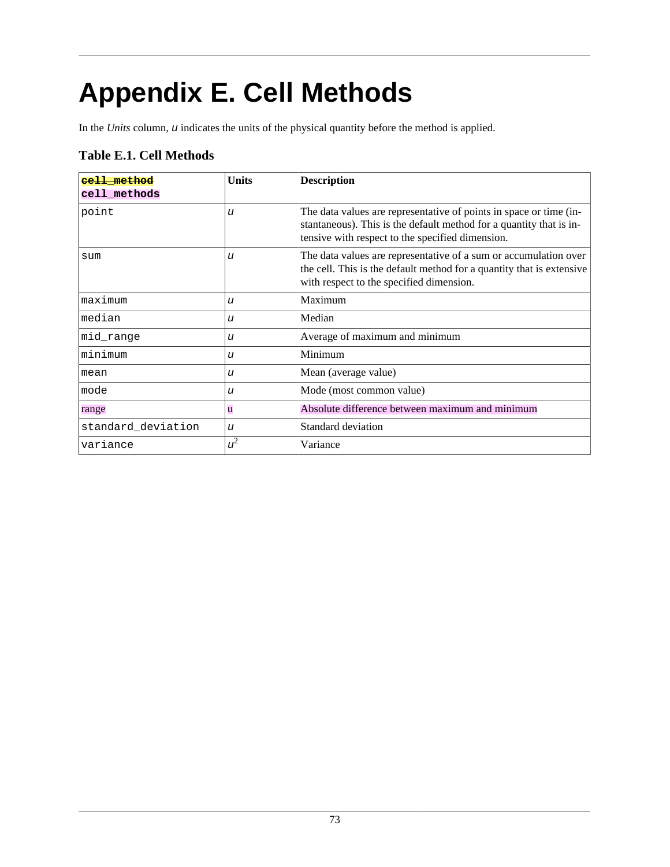# **Appendix E. Cell Methods**

In the *Units* column, u indicates the units of the physical quantity before the method is applied.

### **Table E.1. Cell Methods**

| cell method<br>cell methods | Units | <b>Description</b>                                                                                                                                                                            |  |  |
|-----------------------------|-------|-----------------------------------------------------------------------------------------------------------------------------------------------------------------------------------------------|--|--|
| point                       | u     | The data values are representative of points in space or time (in-<br>stantaneous). This is the default method for a quantity that is in-<br>tensive with respect to the specified dimension. |  |  |
| sum                         | u     | The data values are representative of a sum or accumulation over<br>the cell. This is the default method for a quantity that is extensive<br>with respect to the specified dimension.         |  |  |
| maximum                     | u     | Maximum                                                                                                                                                                                       |  |  |
| median                      | u     | Median                                                                                                                                                                                        |  |  |
| mid range                   | u     | Average of maximum and minimum                                                                                                                                                                |  |  |
| minimum                     | u     | Minimum                                                                                                                                                                                       |  |  |
| mean                        | u     | Mean (average value)                                                                                                                                                                          |  |  |
| mode                        | u     | Mode (most common value)                                                                                                                                                                      |  |  |
| range                       | u     | Absolute difference between maximum and minimum                                                                                                                                               |  |  |
| standard_deviation          | u     | Standard deviation                                                                                                                                                                            |  |  |
| variance                    | $u^2$ | Variance                                                                                                                                                                                      |  |  |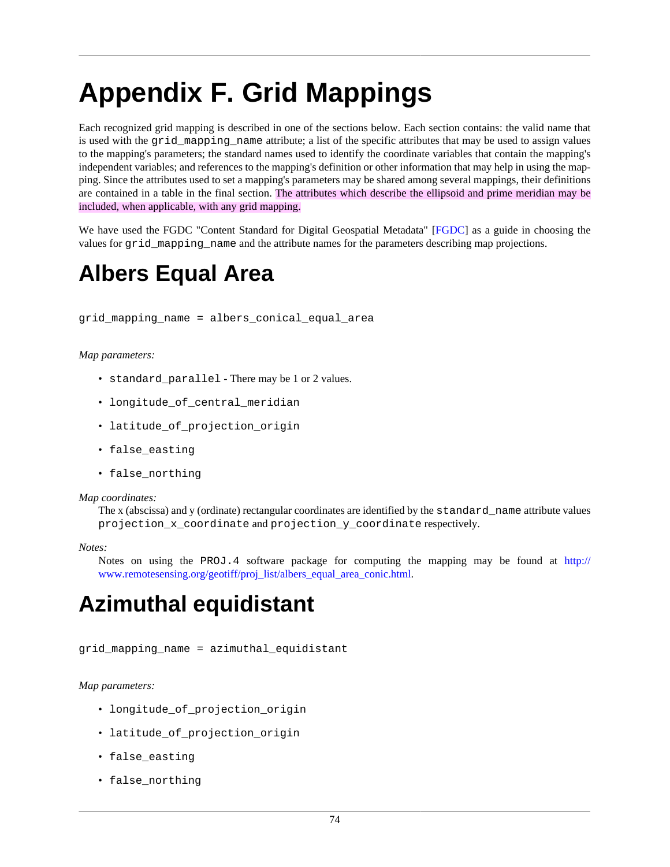# <span id="page-81-1"></span>**Appendix F. Grid Mappings**

Each recognized grid mapping is described in one of the sections below. Each section contains: the valid name that is used with the grid mapping name attribute; a list of the specific attributes that may be used to assign values to the mapping's parameters; the standard names used to identify the coordinate variables that contain the mapping's independent variables; and references to the mapping's definition or other information that may help in using the mapping. Since the attributes used to set a mapping's parameters may be shared among several mappings, their definitions are contained in a table in the final section. The attributes which describe the ellipsoid and prime meridian may be included, when applicable, with any grid mapping.

We have used the FGDC "Content Standard for Digital Geospatial Metadata" [\[FGDC\]](#page-124-1) as a guide in choosing the values for grid\_mapping\_name and the attribute names for the parameters describing map projections.

## **Albers Equal Area**

grid\_mapping\_name = albers\_conical\_equal\_area

#### *Map parameters:*

- standard\_parallel There may be 1 or 2 values.
- longitude\_of\_central\_meridian
- latitude\_of\_projection\_origin
- false\_easting
- false northing

#### *Map coordinates:*

The x (abscissa) and y (ordinate) rectangular coordinates are identified by the standard\_name attribute values projection\_x\_coordinate and projection\_y\_coordinate respectively.

#### *Notes:*

Notes on using the PROJ.4 software package for computing the mapping may be found at [http://](http://www.remotesensing.org/geotiff/proj_list/albers_equal_area_conic.html) [www.remotesensing.org/geotiff/proj\\_list/albers\\_equal\\_area\\_conic.html.](http://www.remotesensing.org/geotiff/proj_list/albers_equal_area_conic.html)

## <span id="page-81-0"></span>**Azimuthal equidistant**

grid\_mapping\_name = azimuthal\_equidistant

*Map parameters:*

- longitude\_of\_projection\_origin
- latitude\_of\_projection\_origin
- false easting
- false northing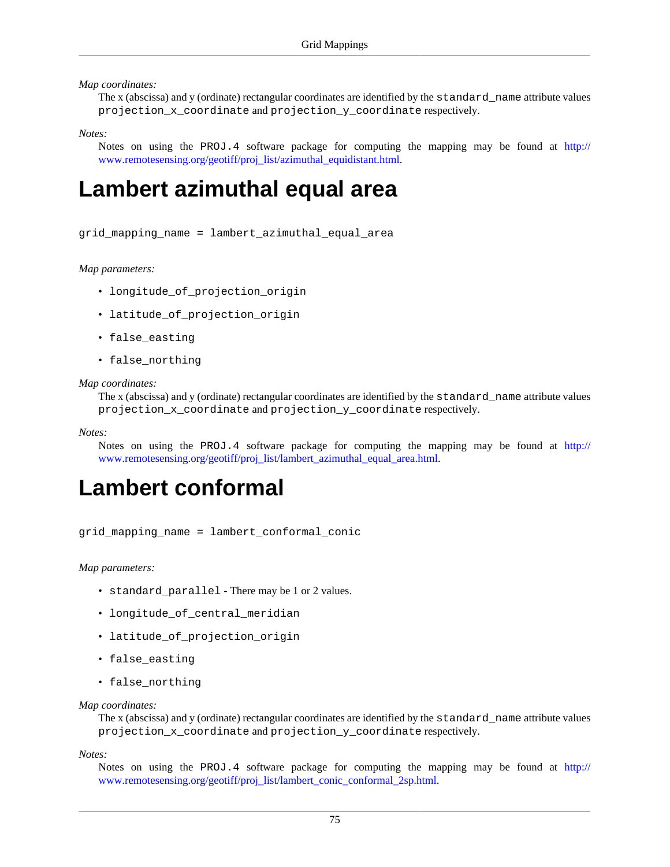*Map coordinates:*

The x (abscissa) and y (ordinate) rectangular coordinates are identified by the standard\_name attribute values projection\_x\_coordinate and projection\_y\_coordinate respectively.

*Notes:*

Notes on using the PROJ.4 software package for computing the mapping may be found at [http://](http://www.remotesensing.org/geotiff/proj_list/azimuthal_equidistant.html) [www.remotesensing.org/geotiff/proj\\_list/azimuthal\\_equidistant.html](http://www.remotesensing.org/geotiff/proj_list/azimuthal_equidistant.html).

## <span id="page-82-0"></span>**Lambert azimuthal equal area**

grid\_mapping\_name = lambert\_azimuthal\_equal\_area

*Map parameters:*

- longitude\_of\_projection\_origin
- latitude\_of\_projection\_origin
- false\_easting
- false northing

*Map coordinates:*

The x (abscissa) and y (ordinate) rectangular coordinates are identified by the standard\_name attribute values projection\_x\_coordinate and projection\_y\_coordinate respectively.

*Notes:*

Notes on using the PROJ.4 software package for computing the mapping may be found at [http://](http://www.remotesensing.org/geotiff/proj_list/lambert_azimuthal_equal_area.html) [www.remotesensing.org/geotiff/proj\\_list/lambert\\_azimuthal\\_equal\\_area.html](http://www.remotesensing.org/geotiff/proj_list/lambert_azimuthal_equal_area.html).

## **Lambert conformal**

grid\_mapping\_name = lambert\_conformal\_conic

*Map parameters:*

- standard\_parallel There may be 1 or 2 values.
- longitude\_of\_central\_meridian
- latitude\_of\_projection\_origin
- false easting
- false northing

*Map coordinates:*

The x (abscissa) and y (ordinate) rectangular coordinates are identified by the standard\_name attribute values projection\_x\_coordinate and projection\_y\_coordinate respectively.

*Notes:*

Notes on using the PROJ.4 software package for computing the mapping may be found at [http://](http://www.remotesensing.org/geotiff/proj_list/lambert_conic_conformal_2sp.html) [www.remotesensing.org/geotiff/proj\\_list/lambert\\_conic\\_conformal\\_2sp.html](http://www.remotesensing.org/geotiff/proj_list/lambert_conic_conformal_2sp.html).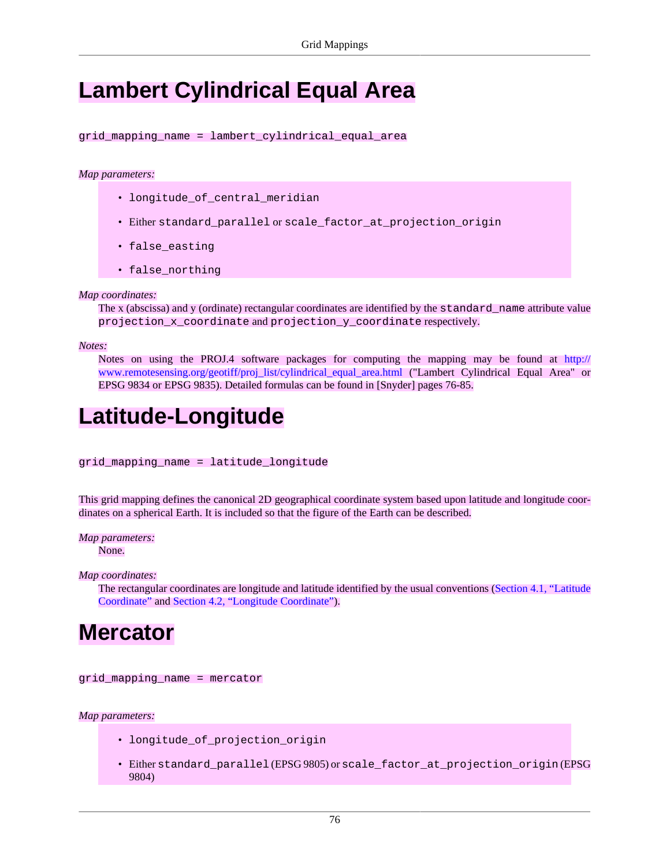## **Lambert Cylindrical Equal Area**

grid\_mapping\_name = lambert\_cylindrical\_equal\_area

#### *Map parameters:*

- longitude\_of\_central\_meridian
- Either standard\_parallel or scale\_factor\_at\_projection\_origin
- false easting
- false\_northing

#### *Map coordinates:*

The x (abscissa) and y (ordinate) rectangular coordinates are identified by the standard\_name attribute value projection\_x\_coordinate and projection\_y\_coordinate respectively.

#### *Notes:*

Notes on using the PROJ.4 software packages for computing the mapping may be found at [http://](http://www.remotesensing.org/geotiff/proj_list/cylindrical_equal_area.html) [www.remotesensing.org/geotiff/proj\\_list/cylindrical\\_equal\\_area.html](http://www.remotesensing.org/geotiff/proj_list/cylindrical_equal_area.html) ("Lambert Cylindrical Equal Area" or EPSG 9834 or EPSG 9835). Detailed formulas can be found in [Snyder] pages 76-85.

## **Latitude-Longitude**

grid\_mapping\_name = latitude\_longitude

This grid mapping defines the canonical 2D geographical coordinate system based upon latitude and longitude coordinates on a spherical Earth. It is included so that the figure of the Earth can be described.

*Map parameters:*

None.

*Map coordinates:*

The rectangular coordinates are longitude and latitude identified by the usual conventions ([Section 4.1, "Latitude](#page-22-0) [Coordinate"](#page-22-0) and [Section 4.2, "Longitude Coordinate"](#page-23-0)).

### **Mercator**

grid\_mapping\_name = mercator

#### *Map parameters:*

- longitude\_of\_projection\_origin
- Either standard\_parallel (EPSG 9805) or scale\_factor\_at\_projection\_origin (EPSG 9804)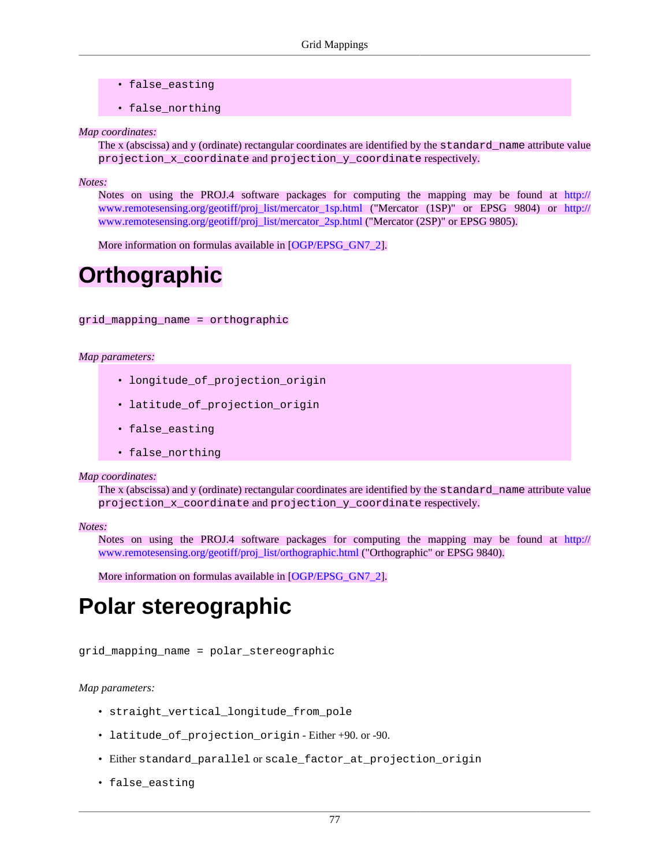- false\_easting
- false\_northing

#### *Map coordinates:*

The x (abscissa) and y (ordinate) rectangular coordinates are identified by the standard\_name attribute value projection\_x\_coordinate and projection\_y\_coordinate respectively.

#### *Notes:*

Notes on using the PROJ.4 software packages for computing the mapping may be found at [http://](http://www.remotesensing.org/geotiff/proj_list/mercator_1sp.html) [www.remotesensing.org/geotiff/proj\\_list/mercator\\_1sp.html](http://www.remotesensing.org/geotiff/proj_list/mercator_1sp.html) ("Mercator (1SP)" or EPSG 9804) or [http://](http://www.remotesensing.org/geotiff/proj_list/mercator_2sp.html) [www.remotesensing.org/geotiff/proj\\_list/mercator\\_2sp.html](http://www.remotesensing.org/geotiff/proj_list/mercator_2sp.html) ("Mercator (2SP)" or EPSG 9805).

More information on formulas available in [[OGP/EPSG\\_GN7\\_2](#page-124-2)].

## **Orthographic**

#### grid\_mapping\_name = orthographic

#### *Map parameters:*

- longitude of projection origin
- latitude of projection origin
- false\_easting
- false northing

#### *Map coordinates:*

The x (abscissa) and y (ordinate) rectangular coordinates are identified by the standard\_name attribute value projection\_x\_coordinate and projection\_y\_coordinate respectively.

#### *Notes:*

Notes on using the PROJ.4 software packages for computing the mapping may be found at [http://](http://www.remotesensing.org/geotiff/proj_list/orthographic.html) [www.remotesensing.org/geotiff/proj\\_list/orthographic.html](http://www.remotesensing.org/geotiff/proj_list/orthographic.html) ("Orthographic" or EPSG 9840).

More information on formulas available in [[OGP/EPSG\\_GN7\\_2](#page-124-2)].

## <span id="page-84-0"></span>**Polar stereographic**

grid\_mapping\_name = polar\_stereographic

#### *Map parameters:*

- straight vertical longitude from pole
- latitude\_of\_projection\_origin Either +90. or -90.
- Either standard\_parallel or scale\_factor\_at\_projection\_origin
- false\_easting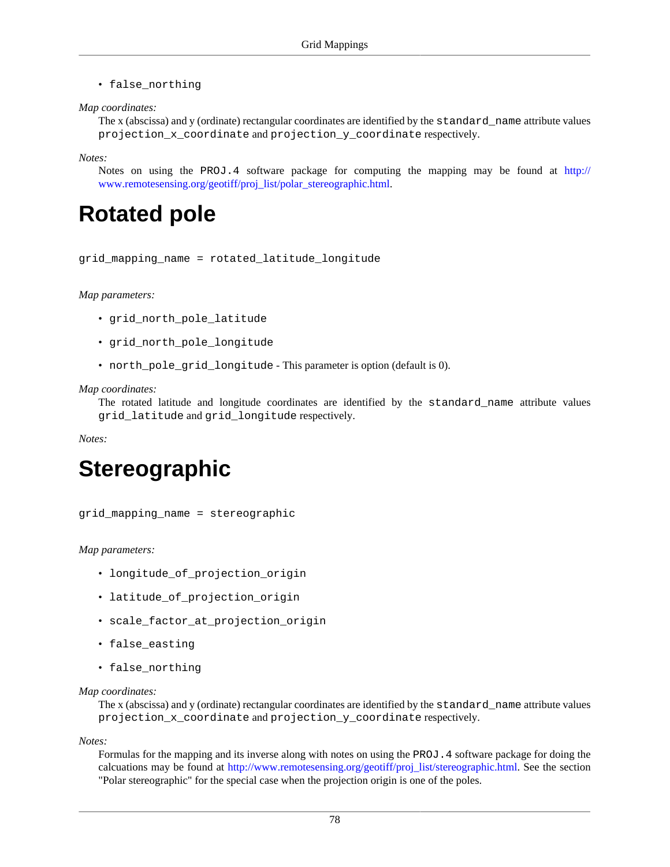• false\_northing

*Map coordinates:*

The x (abscissa) and y (ordinate) rectangular coordinates are identified by the standard\_name attribute values projection\_x\_coordinate and projection\_y\_coordinate respectively.

*Notes:*

Notes on using the PROJ.4 software package for computing the mapping may be found at [http://](http://www.remotesensing.org/geotiff/proj_list/polar_stereographic.html) [www.remotesensing.org/geotiff/proj\\_list/polar\\_stereographic.html](http://www.remotesensing.org/geotiff/proj_list/polar_stereographic.html).

## **Rotated pole**

grid\_mapping\_name = rotated\_latitude\_longitude

*Map parameters:*

- grid\_north\_pole\_latitude
- grid\_north\_pole\_longitude
- north\_pole\_grid\_longitude This parameter is option (default is 0).

#### *Map coordinates:*

The rotated latitude and longitude coordinates are identified by the standard\_name attribute values grid\_latitude and grid\_longitude respectively.

*Notes:*

## **Stereographic**

grid\_mapping\_name = stereographic

*Map parameters:*

- longitude\_of\_projection\_origin
- latitude\_of\_projection\_origin
- scale\_factor\_at\_projection\_origin
- false easting
- false\_northing

#### *Map coordinates:*

The x (abscissa) and y (ordinate) rectangular coordinates are identified by the standard\_name attribute values projection\_x\_coordinate and projection\_y\_coordinate respectively.

*Notes:*

Formulas for the mapping and its inverse along with notes on using the PROJ.4 software package for doing the calcuations may be found at [http://www.remotesensing.org/geotiff/proj\\_list/stereographic.html.](http://www.remotesensing.org/geotiff/proj_list/stereographic.html) See the section "Polar stereographic" for the special case when the projection origin is one of the poles.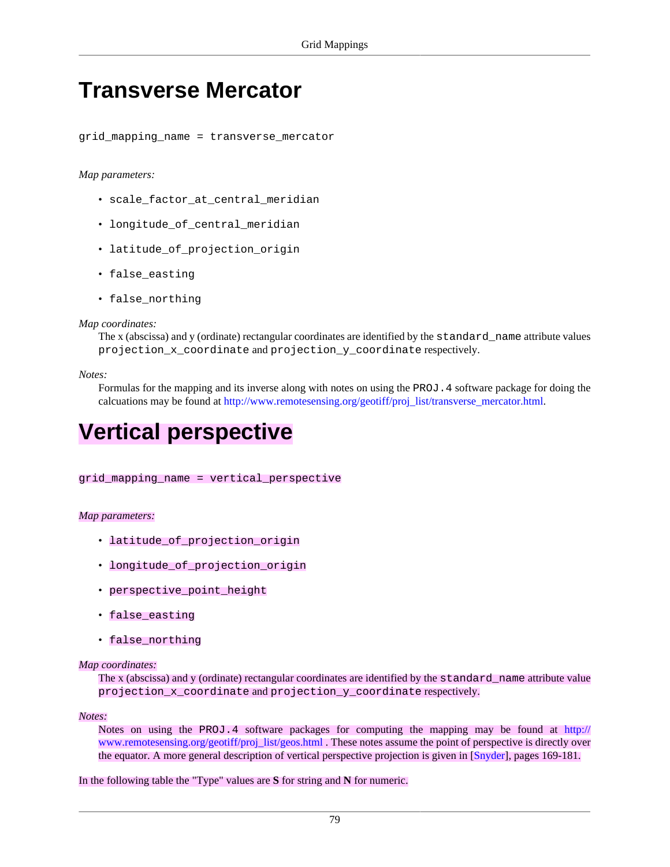## **Transverse Mercator**

grid\_mapping\_name = transverse\_mercator

#### *Map parameters:*

- scale\_factor\_at\_central\_meridian
- longitude of central meridian
- latitude\_of\_projection\_origin
- false easting
- false\_northing

#### *Map coordinates:*

The x (abscissa) and y (ordinate) rectangular coordinates are identified by the standard\_name attribute values projection\_x\_coordinate and projection\_y\_coordinate respectively.

#### *Notes:*

Formulas for the mapping and its inverse along with notes on using the PROJ.4 software package for doing the calcuations may be found at [http://www.remotesensing.org/geotiff/proj\\_list/transverse\\_mercator.html.](http://www.remotesensing.org/geotiff/proj_list/transverse_mercator.html)

## **Vertical perspective**

grid\_mapping\_name = vertical\_perspective

#### *Map parameters:*

- latitude\_of\_projection\_origin
- longitude\_of\_projection\_origin
- perspective\_point\_height
- false easting
- false northing

#### *Map coordinates:*

The x (abscissa) and y (ordinate) rectangular coordinates are identified by the standard\_name attribute value projection\_x\_coordinate and projection\_y\_coordinate respectively.

*Notes:*

Notes on using the PROJ.4 software packages for computing the mapping may be found at [http://](http://www.remotesensing.org/geotiff/proj_list/geos.html) [www.remotesensing.org/geotiff/proj\\_list/geos.html](http://www.remotesensing.org/geotiff/proj_list/geos.html) . These notes assume the point of perspective is directly over the equator. A more general description of vertical perspective projection is given in [\[Snyder\]](#page-124-3), pages 169-181.

In the following table the "Type" values are **S** for string and **N** for numeric.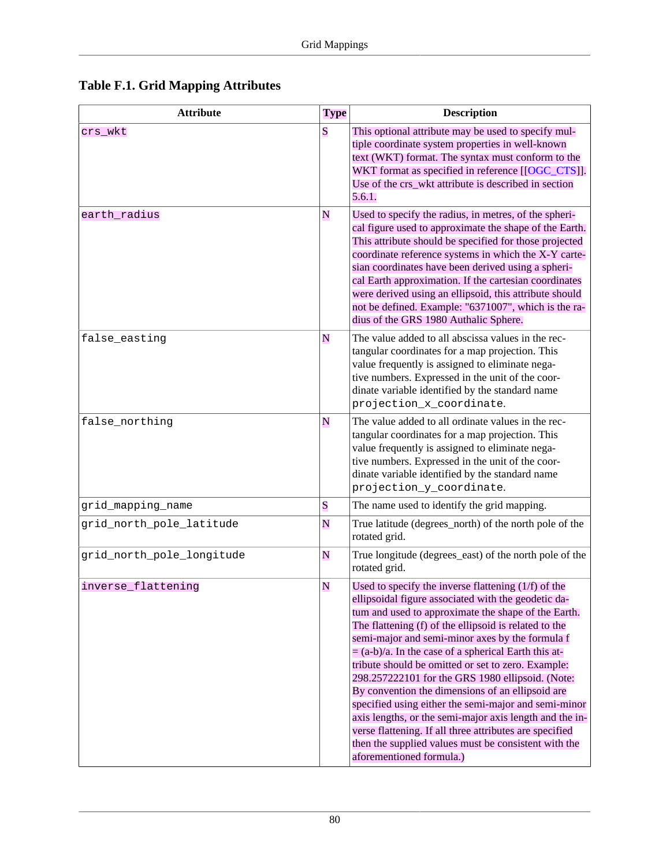| <b>Attribute</b>          | <b>Type</b> | <b>Description</b>                                                                                                                                                                                                                                                                                                                                                                                                                                                                                                                                                                                                                                                                                                                                                        |
|---------------------------|-------------|---------------------------------------------------------------------------------------------------------------------------------------------------------------------------------------------------------------------------------------------------------------------------------------------------------------------------------------------------------------------------------------------------------------------------------------------------------------------------------------------------------------------------------------------------------------------------------------------------------------------------------------------------------------------------------------------------------------------------------------------------------------------------|
| crs_wkt                   | S           | This optional attribute may be used to specify mul-<br>tiple coordinate system properties in well-known<br>text (WKT) format. The syntax must conform to the<br>WKT format as specified in reference [[OGC_CTS]].<br>Use of the crs_wkt attribute is described in section<br>5.6.1.                                                                                                                                                                                                                                                                                                                                                                                                                                                                                       |
| earth_radius              | N           | Used to specify the radius, in metres, of the spheri-<br>cal figure used to approximate the shape of the Earth.<br>This attribute should be specified for those projected<br>coordinate reference systems in which the X-Y carte-<br>sian coordinates have been derived using a spheri-<br>cal Earth approximation. If the cartesian coordinates<br>were derived using an ellipsoid, this attribute should<br>not be defined. Example: "6371007", which is the ra-<br>dius of the GRS 1980 Authalic Sphere.                                                                                                                                                                                                                                                               |
| false_easting             | N           | The value added to all abscissa values in the rec-<br>tangular coordinates for a map projection. This<br>value frequently is assigned to eliminate nega-<br>tive numbers. Expressed in the unit of the coor-<br>dinate variable identified by the standard name<br>projection_x_coordinate.                                                                                                                                                                                                                                                                                                                                                                                                                                                                               |
| false_northing            | N           | The value added to all ordinate values in the rec-<br>tangular coordinates for a map projection. This<br>value frequently is assigned to eliminate nega-<br>tive numbers. Expressed in the unit of the coor-<br>dinate variable identified by the standard name<br>projection_y_coordinate.                                                                                                                                                                                                                                                                                                                                                                                                                                                                               |
| grid_mapping_name         | S           | The name used to identify the grid mapping.                                                                                                                                                                                                                                                                                                                                                                                                                                                                                                                                                                                                                                                                                                                               |
| grid_north_pole_latitude  | N           | True latitude (degrees_north) of the north pole of the<br>rotated grid.                                                                                                                                                                                                                                                                                                                                                                                                                                                                                                                                                                                                                                                                                                   |
| grid_north_pole_longitude | N           | True longitude (degrees_east) of the north pole of the<br>rotated grid.                                                                                                                                                                                                                                                                                                                                                                                                                                                                                                                                                                                                                                                                                                   |
| inverse_flattening        | N           | Used to specify the inverse flattening $(1/f)$ of the<br>ellipsoidal figure associated with the geodetic da-<br>tum and used to approximate the shape of the Earth.<br>The flattening (f) of the ellipsoid is related to the<br>semi-major and semi-minor axes by the formula f<br>$=(a-b)/a$ . In the case of a spherical Earth this at-<br>tribute should be omitted or set to zero. Example:<br>298.257222101 for the GRS 1980 ellipsoid. (Note:<br>By convention the dimensions of an ellipsoid are<br>specified using either the semi-major and semi-minor<br>axis lengths, or the semi-major axis length and the in-<br>verse flattening. If all three attributes are specified<br>then the supplied values must be consistent with the<br>aforementioned formula.) |

**Table F.1. Grid Mapping Attributes**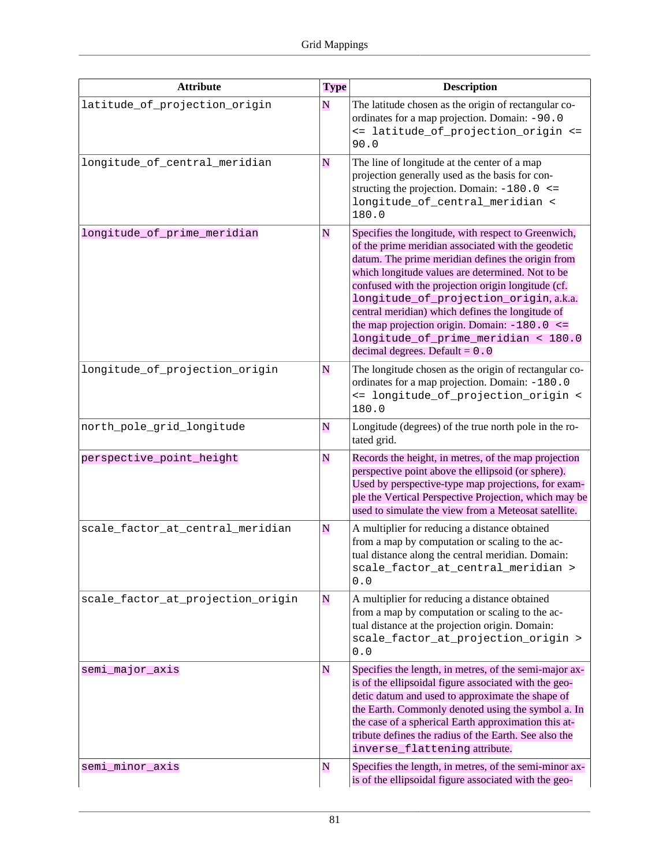| <b>Attribute</b>                  | <b>Type</b> | <b>Description</b>                                                                                                                                                                                                                                                                                                                                                                                                                                                                                   |
|-----------------------------------|-------------|------------------------------------------------------------------------------------------------------------------------------------------------------------------------------------------------------------------------------------------------------------------------------------------------------------------------------------------------------------------------------------------------------------------------------------------------------------------------------------------------------|
| latitude_of_projection_origin     | N           | The latitude chosen as the origin of rectangular co-<br>ordinates for a map projection. Domain: -90.0<br><= latitude_of_projection_origin <=<br>90.0                                                                                                                                                                                                                                                                                                                                                 |
| longitude_of_central_meridian     | N           | The line of longitude at the center of a map<br>projection generally used as the basis for con-<br>structing the projection. Domain: $-180.0 \le$<br>longitude_of_central_meridian <<br>180.0                                                                                                                                                                                                                                                                                                        |
| longitude_of_prime_meridian       | N           | Specifies the longitude, with respect to Greenwich,<br>of the prime meridian associated with the geodetic<br>datum. The prime meridian defines the origin from<br>which longitude values are determined. Not to be<br>confused with the projection origin longitude (cf.<br>longitude_of_projection_origin, a.k.a.<br>central meridian) which defines the longitude of<br>the map projection origin. Domain: $-180.0 \le$<br>longitude_of_prime_meridian < 180.0<br>decimal degrees. Default = $0.0$ |
| longitude_of_projection_origin    | N           | The longitude chosen as the origin of rectangular co-<br>ordinates for a map projection. Domain: -180.0<br><= longitude_of_projection_origin <<br>180.0                                                                                                                                                                                                                                                                                                                                              |
| north_pole_grid_longitude         | ${\bf N}$   | Longitude (degrees) of the true north pole in the ro-<br>tated grid.                                                                                                                                                                                                                                                                                                                                                                                                                                 |
| perspective_point_height          | N           | Records the height, in metres, of the map projection<br>perspective point above the ellipsoid (or sphere).<br>Used by perspective-type map projections, for exam-<br>ple the Vertical Perspective Projection, which may be<br>used to simulate the view from a Meteosat satellite.                                                                                                                                                                                                                   |
| scale_factor_at_central_meridian  | N           | A multiplier for reducing a distance obtained<br>from a map by computation or scaling to the ac-<br>tual distance along the central meridian. Domain:<br>scale_factor_at_central_meridian ><br>0.0                                                                                                                                                                                                                                                                                                   |
| scale_factor_at_projection_origin | N           | A multiplier for reducing a distance obtained<br>from a map by computation or scaling to the ac-<br>tual distance at the projection origin. Domain:<br>scale_factor_at_projection_origin ><br>0.0                                                                                                                                                                                                                                                                                                    |
| semi_major_axis                   | ${\bf N}$   | Specifies the length, in metres, of the semi-major ax-<br>is of the ellipsoidal figure associated with the geo-<br>detic datum and used to approximate the shape of<br>the Earth. Commonly denoted using the symbol a. In<br>the case of a spherical Earth approximation this at-<br>tribute defines the radius of the Earth. See also the<br>inverse_flattening attribute.                                                                                                                          |
| semi_minor_axis                   | N           | Specifies the length, in metres, of the semi-minor ax-<br>is of the ellipsoidal figure associated with the geo-                                                                                                                                                                                                                                                                                                                                                                                      |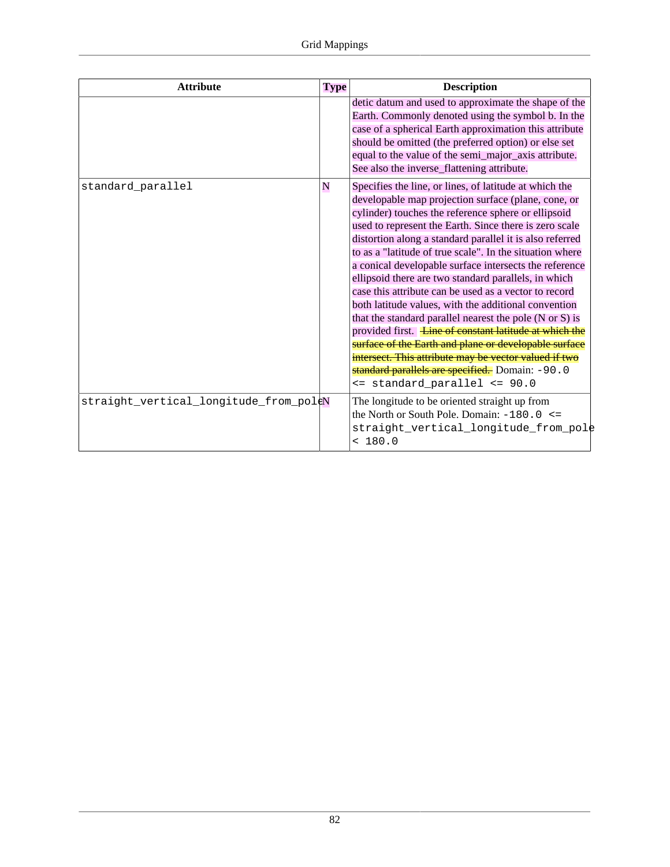| <b>Attribute</b>                       | <b>Type</b> | <b>Description</b>                                                                                                                                                                                                                                                                                                                                                                                                                                                                                                                                                                                                                                                                                                                                                                                                                                                                                                                    |
|----------------------------------------|-------------|---------------------------------------------------------------------------------------------------------------------------------------------------------------------------------------------------------------------------------------------------------------------------------------------------------------------------------------------------------------------------------------------------------------------------------------------------------------------------------------------------------------------------------------------------------------------------------------------------------------------------------------------------------------------------------------------------------------------------------------------------------------------------------------------------------------------------------------------------------------------------------------------------------------------------------------|
|                                        |             | detic datum and used to approximate the shape of the<br>Earth. Commonly denoted using the symbol b. In the<br>case of a spherical Earth approximation this attribute<br>should be omitted (the preferred option) or else set<br>equal to the value of the semi_major_axis attribute.<br>See also the inverse_flattening attribute.                                                                                                                                                                                                                                                                                                                                                                                                                                                                                                                                                                                                    |
| standard_parallel                      | N           | Specifies the line, or lines, of latitude at which the<br>developable map projection surface (plane, cone, or<br>cylinder) touches the reference sphere or ellipsoid<br>used to represent the Earth. Since there is zero scale<br>distortion along a standard parallel it is also referred<br>to as a "latitude of true scale". In the situation where<br>a conical developable surface intersects the reference<br>ellipsoid there are two standard parallels, in which<br>case this attribute can be used as a vector to record<br>both latitude values, with the additional convention<br>that the standard parallel nearest the pole $(N \text{ or } S)$ is<br>provided first. <b>Line of constant latitude at which the</b><br>surface of the Earth and plane or developable surface<br>intersect. This attribute may be vector valued if two<br>standard parallels are specified. Domain: -90.0<br><= standard_parallel <= 90.0 |
| straight_vertical_longitude_from_poleN |             | The longitude to be oriented straight up from<br>the North or South Pole. Domain: $-180.0 \le$<br>straight_vertical_longitude_from_pole<br>< 180.0                                                                                                                                                                                                                                                                                                                                                                                                                                                                                                                                                                                                                                                                                                                                                                                    |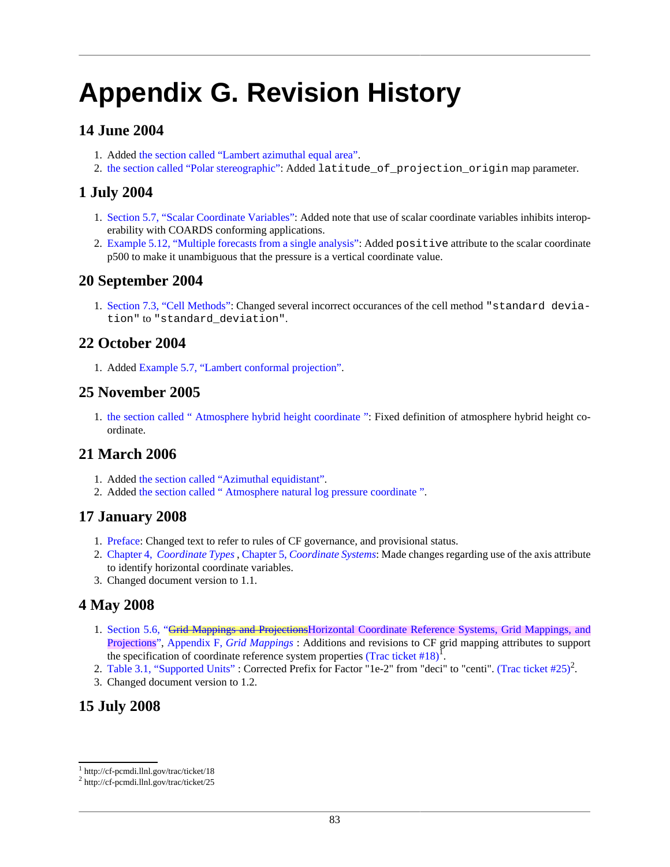# **Appendix G. Revision History**

### **14 June 2004**

- 1. Added [the section called "Lambert azimuthal equal area"](#page-82-0).
- 2. [the section called "Polar stereographic"](#page-84-0): Added latitude\_of\_projection\_origin map parameter.

### **1 July 2004**

- 1. [Section 5.7, "Scalar Coordinate Variables"](#page-38-0): Added note that use of scalar coordinate variables inhibits interoperability with COARDS conforming applications.
- 2. [Example 5.12, "Multiple forecasts from a single analysis"](#page-39-0): Added positive attribute to the scalar coordinate p500 to make it unambiguous that the pressure is a vertical coordinate value.

### **20 September 2004**

1. [Section 7.3, "Cell Methods":](#page-46-0) Changed several incorrect occurances of the cell method "standard deviation" to "standard\_deviation".

### **22 October 2004**

1. Added [Example 5.7, "Lambert conformal projection"](#page-34-0).

### **25 November 2005**

1. [the section called " Atmosphere hybrid height coordinate ":](#page-75-0) Fixed definition of atmosphere hybrid height coordinate.

### **21 March 2006**

- 1. Added [the section called "Azimuthal equidistant".](#page-81-0)
- 2. Added [the section called " Atmosphere natural log pressure coordinate ".](#page-74-0)

### **17 January 2008**

- 1. [Preface:](#page-7-0) Changed text to refer to rules of CF governance, and provisional status.
- 2. Chapter 4, *[Coordinate Types](#page-22-1)* , Chapter 5, *[Coordinate Systems](#page-29-0)*: Made changes regarding use of the axis attribute to identify horizontal coordinate variables.
- 3. Changed document version to 1.1.

### **4 May 2008**

- 1. [Section 5.6, "Grid Mappings and ProjectionsHorizontal Coordinate Reference Systems, Grid Mappings, and](#page-33-0) [Projections"](#page-33-0), Appendix F, *[Grid Mappings](#page-81-1)* : Additions and revisions to CF grid mapping attributes to support the specification of coordinate reference system properties [\(Trac ticket #18\)](http://cf-pcmdi.llnl.gov/trac/ticket/18)<sup>1</sup>.
- 2. [Table 3.1, "Supported Units"](#page-16-0) : Corrected Prefix for Factor "1e-2" from "deci" to "centi". [\(Trac ticket #25\)](http://cf-pcmdi.llnl.gov/trac/ticket/25)<sup>2</sup>.
- 3. Changed document version to 1.2.

### **15 July 2008**

<sup>1</sup> <http://cf-pcmdi.llnl.gov/trac/ticket/18>

<sup>2</sup> <http://cf-pcmdi.llnl.gov/trac/ticket/25>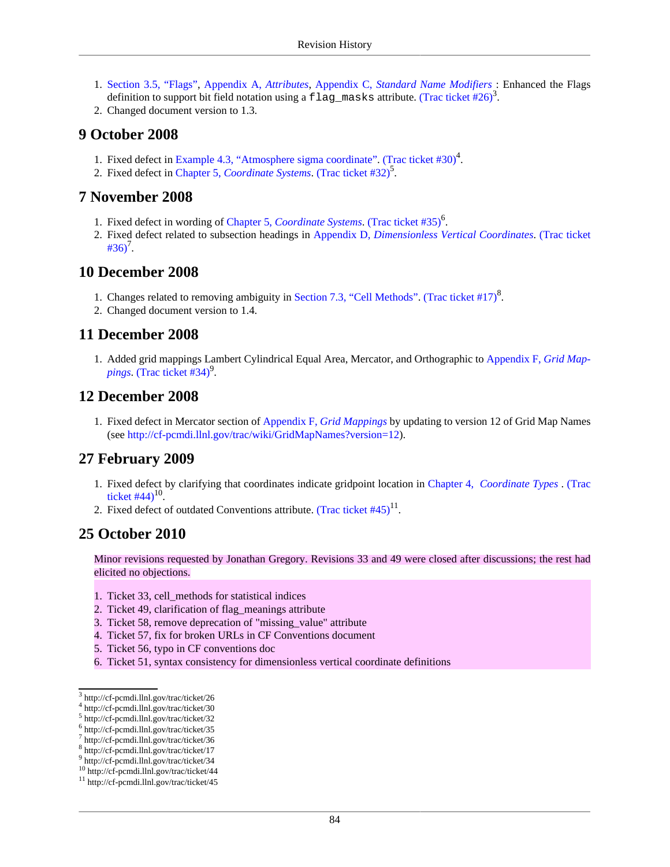- 1. [Section 3.5, "Flags",](#page-19-0) [Appendix A,](#page-66-0) *Attributes*, Appendix C, *[Standard Name Modifiers](#page-73-0)* : Enhanced the Flags definition to support bit field notation using a  $\widehat{\texttt{flag\_mask}}$ s attribute. [\(Trac ticket #26\)](http://cf-pcmdi.llnl.gov/trac/ticket/26)<sup>3</sup>.
- 2. Changed document version to 1.3.

### **9 October 2008**

- 1. Fixed defect in [Example 4.3, "Atmosphere sigma coordinate".](#page-24-0) [\(Trac ticket #30\)](http://cf-pcmdi.llnl.gov/trac/ticket/30)<sup>4</sup>.
- 2. Fixed defect in Chapter 5, *[Coordinate Systems](#page-29-0)*. [\(Trac ticket #32\)](http://cf-pcmdi.llnl.gov/trac/ticket/32)<sup>5</sup>.

### **7 November 2008**

- 1. Fixed defect in wording of Chapter 5, *[Coordinate Systems](#page-29-0)*. [\(Trac ticket #35\)](http://cf-pcmdi.llnl.gov/trac/ticket/35)<sup>6</sup> .
- 2. Fixed defect related to subsection headings in Appendix D, *[Dimensionless Vertical Coordinates](#page-74-1)*. [\(Trac ticket](http://cf-pcmdi.llnl.gov/trac/ticket/36)  $#36)^7$  $#36)^7$ .

### **10 December 2008**

- 1. Changes related to removing ambiguity in [Section 7.3, "Cell Methods"](#page-46-0). [\(Trac ticket #17\)](http://cf-pcmdi.llnl.gov/trac/ticket/17)<sup>8</sup>.
- 2. Changed document version to 1.4.

### **11 December 2008**

1. Added grid mappings Lambert Cylindrical Equal Area, Mercator, and Orthographic to [Appendix F,](#page-81-1) *Grid Map*[pings](#page-81-1). [\(Trac ticket #34\)](http://cf-pcmdi.llnl.gov/trac/ticket/34)<sup>9</sup>.

### **12 December 2008**

1. Fixed defect in Mercator section of Appendix F, *[Grid Mappings](#page-81-1)* by updating to version 12 of Grid Map Names (see <http://cf-pcmdi.llnl.gov/trac/wiki/GridMapNames?version=12>).

### **27 February 2009**

- 1. Fixed defect by clarifying that coordinates indicate gridpoint location in Chapter 4, *[Coordinate Types](#page-22-1)* . [\(Trac](http://cf-pcmdi.llnl.gov/trac/ticket/44) [ticket #44\)](http://cf-pcmdi.llnl.gov/trac/ticket/44) $^{10}$ .
- 2. Fixed defect of outdated Conventions attribute. (Trac ticket  $#45$ )<sup>11</sup>.

### **25 October 2010**

Minor revisions requested by Jonathan Gregory. Revisions 33 and 49 were closed after discussions; the rest had elicited no objections.

- 1. Ticket 33, cell\_methods for statistical indices
- 2. Ticket 49, clarification of flag\_meanings attribute
- 3. Ticket 58, remove deprecation of "missing\_value" attribute
- 4. Ticket 57, fix for broken URLs in CF Conventions document
- 5. Ticket 56, typo in CF conventions doc
- 6. Ticket 51, syntax consistency for dimensionless vertical coordinate definitions

<sup>3</sup> <http://cf-pcmdi.llnl.gov/trac/ticket/26>

<sup>4</sup> <http://cf-pcmdi.llnl.gov/trac/ticket/30>

<sup>5</sup> <http://cf-pcmdi.llnl.gov/trac/ticket/32>

<sup>6</sup> <http://cf-pcmdi.llnl.gov/trac/ticket/35>

<sup>7</sup> <http://cf-pcmdi.llnl.gov/trac/ticket/36>

<sup>8</sup> <http://cf-pcmdi.llnl.gov/trac/ticket/17>

<sup>9</sup> <http://cf-pcmdi.llnl.gov/trac/ticket/34>

<sup>10</sup> <http://cf-pcmdi.llnl.gov/trac/ticket/44> <sup>11</sup> <http://cf-pcmdi.llnl.gov/trac/ticket/45>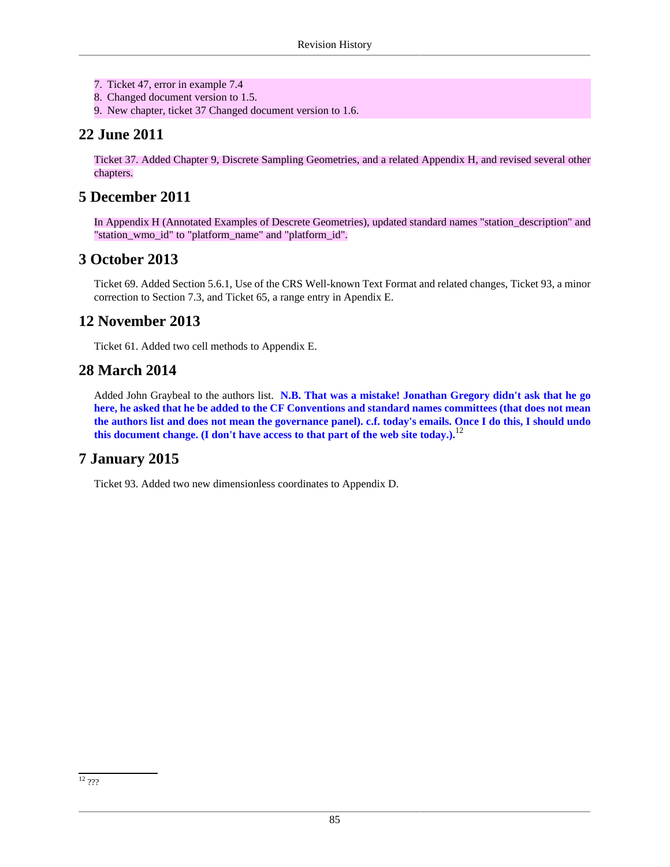- 7. Ticket 47, error in example 7.4
- 8. Changed document version to 1.5.
- 9. New chapter, ticket 37 Changed document version to 1.6.

### **22 June 2011**

Ticket 37. Added Chapter 9, Discrete Sampling Geometries, and a related Appendix H, and revised several other chapters.

### **5 December 2011**

In Appendix H (Annotated Examples of Descrete Geometries), updated standard names "station\_description" and "station\_wmo\_id" to "platform\_name" and "platform\_id".

### **3 October 2013**

Ticket 69. Added Section 5.6.1, Use of the CRS Well-known Text Format and related changes, Ticket 93, a minor correction to Section 7.3, and Ticket 65, a range entry in Apendix E.

### **12 November 2013**

Ticket 61. Added two cell methods to Appendix E.

### **28 March 2014**

Added John Graybeal to the authors list. **[N.B. That was a mistake! Jonathan Gregory didn't ask that he go](???) [here, he asked that he be added to the CF Conventions and standard names committees \(that does not mean](???) [the authors list and does not mean the governance panel\). c.f. today's emails. Once I do this, I should undo](???) [this document change. \(I don't have access to that part of the web site today.\).](???)**<sup>12</sup>

### **7 January 2015**

Ticket 93. Added two new dimensionless coordinates to Appendix D.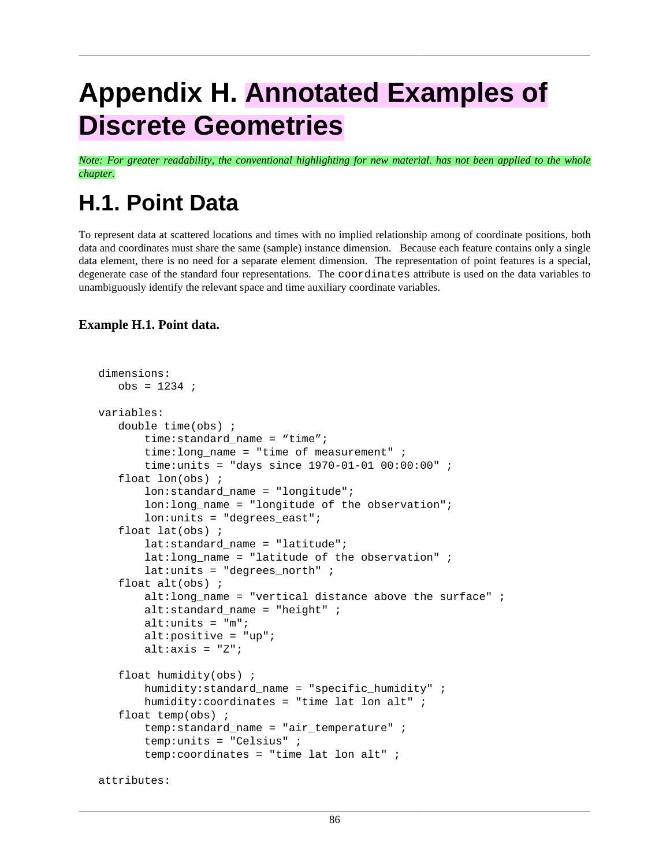# **Appendix H. Annotated Examples of Discrete Geometries**

*Note: For greater readability, the conventional highlighting for new material. has not been applied to the whole chapter.*

## **H.1. Point Data**

To represent data at scattered locations and times with no implied relationship among of coordinate positions, both data and coordinates must share the same (sample) instance dimension. Because each feature contains only a single data element, there is no need for a separate element dimension. The representation of point features is a special, degenerate case of the standard four representations. The coordinates attribute is used on the data variables to unambiguously identify the relevant space and time auxiliary coordinate variables.

### **Example H.1. Point data.**

```
 dimensions:
   obs = 1234 ;
variables:
   double time(obs) ; 
      time: standard name = "time";
       time:long_name = "time of measurement" ;
       time:units = "days since 1970-01-01 00:00:00" ;
   float lon(obs) ; 
       lon:standard_name = "longitude";
       lon:long_name = "longitude of the observation";
       lon:units = "degrees_east";
   float lat(obs) ; 
      lat:standard name = "latitude";
      lat: long name = "latitude of the observation" ;
       lat:units = "degrees_north" ;
   float alt(obs) ;
      alt:long_name = "vertical distance above the surface"alt: standard name = "height" ialt:units = "m";alt: positive = "up";
      alt:axis = "Z"; float humidity(obs) ;
       humidity:standard_name = "specific_humidity" ;
       humidity:coordinates = "time lat lon alt" ;
   float temp(obs) ;
       temp:standard_name = "air_temperature" ;
       temp:units = "Celsius" ;
       temp:coordinates = "time lat lon alt" ;
attributes:
```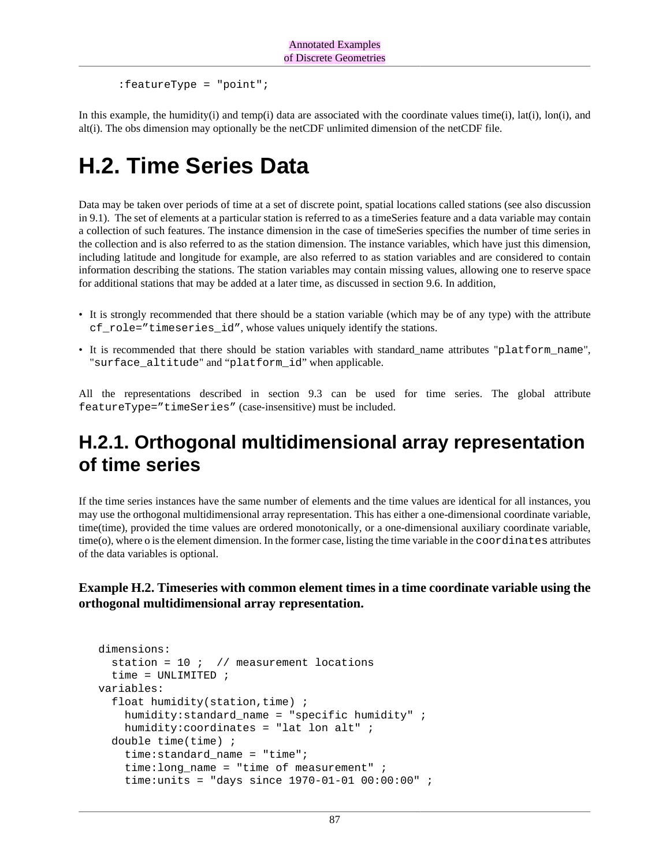```
 :featureType = "point";
```
In this example, the humidity(i) and temp(i) data are associated with the coordinate values time(i), lat(i), lon(i), and alt(i). The obs dimension may optionally be the netCDF unlimited dimension of the netCDF file.

## **H.2. Time Series Data**

Data may be taken over periods of time at a set of discrete point, spatial locations called stations (see also discussion in 9.1). The set of elements at a particular station is referred to as a timeSeries feature and a data variable may contain a collection of such features. The instance dimension in the case of timeSeries specifies the number of time series in the collection and is also referred to as the station dimension. The instance variables, which have just this dimension, including latitude and longitude for example, are also referred to as station variables and are considered to contain information describing the stations. The station variables may contain missing values, allowing one to reserve space for additional stations that may be added at a later time, as discussed in section 9.6. In addition,

- It is strongly recommended that there should be a station variable (which may be of any type) with the attribute cf\_role="timeseries\_id", whose values uniquely identify the stations.
- It is recommended that there should be station variables with standard\_name attributes "platform\_name", "surface\_altitude" and "platform\_id" when applicable.

All the representations described in section 9.3 can be used for time series. The global attribute featureType="timeSeries" (case-insensitive) must be included.

### **H.2.1. Orthogonal multidimensional array representation of time series**

If the time series instances have the same number of elements and the time values are identical for all instances, you may use the orthogonal multidimensional array representation. This has either a one-dimensional coordinate variable, time(time), provided the time values are ordered monotonically, or a one-dimensional auxiliary coordinate variable, time(o), where o is the element dimension. In the former case, listing the time variable in the coordinates attributes of the data variables is optional.

#### **Example H.2. Timeseries with common element times in a time coordinate variable using the orthogonal multidimensional array representation.**

```
 dimensions:
 station = 10 ; // measurement locations
  time = UNLIMITED ;
variables:
  float humidity(station,time) ;
    humidity:standard_name = "specific humidity" ;
   humidity: coordinates = "lat lon alt" i double time(time) ; 
   time: standard name = "time";
   time: long name = "time of measurement" ;
    time:units = "days since 1970-01-01 00:00:00" ;
```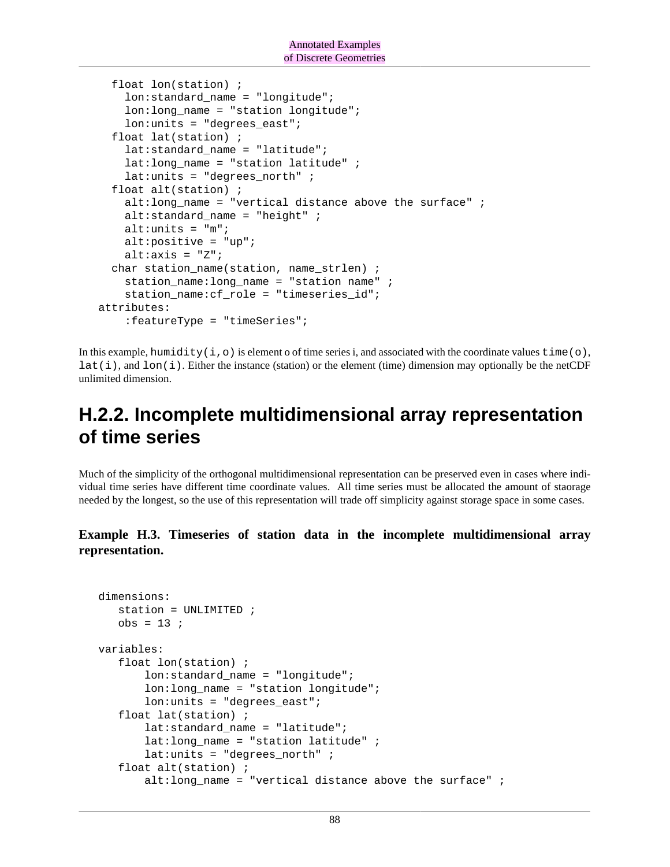```
 float lon(station) ; 
   lon: standard name = "longitude";
   lon: long name = "station longitude";
   lon:units = "degrees east";
  float lat(station) ; 
   lat:standard name = "latitude";
    lat:long_name = "station latitude" ;
    lat:units = "degrees_north" ; 
  float alt(station) ;
    alt:long_name = "vertical distance above the surface" ;
    alt:standard_name = "height" ;
   alt:units = "m"; alt:positive = "up";
   alt:axis = "Z";char station name(sation, name strlen);
    station_name:long_name = "station name" ;
    station_name:cf_role = "timeseries_id";
attributes:
    :featureType = "timeSeries";
```
In this example, humidity(i,o) is element o of time series i, and associated with the coordinate values time(o),  $lat(i)$ , and  $lon(i)$ . Either the instance (station) or the element (time) dimension may optionally be the netCDF unlimited dimension.

### **H.2.2. Incomplete multidimensional array representation of time series**

Much of the simplicity of the orthogonal multidimensional representation can be preserved even in cases where individual time series have different time coordinate values. All time series must be allocated the amount of staorage needed by the longest, so the use of this representation will trade off simplicity against storage space in some cases.

**Example H.3. Timeseries of station data in the incomplete multidimensional array representation.** 

```
 dimensions:
   station = UNLIMITED ;
  obs = 13 ;
variables:
   float lon(station) ; 
      lon:standard name = "longitude";
       lon:long_name = "station longitude";
      lon:units = "degrees east";
   float lat(station) ; 
      lat:standard name = "latitude";
       lat:long_name = "station latitude" ;
       lat:units = "degrees_north" ;
   float alt(station) ;
       alt:long_name = "vertical distance above the surface" ;
```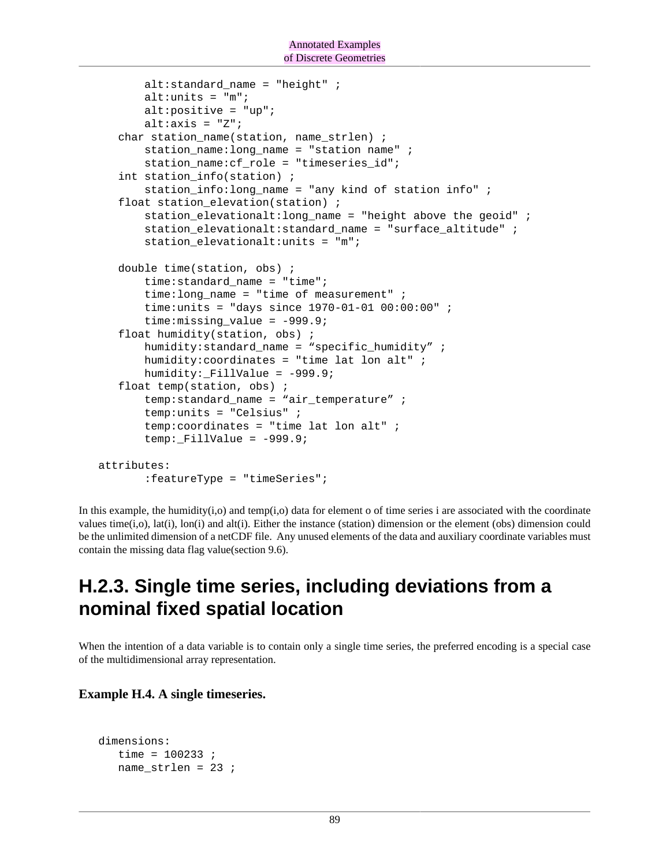```
 alt:standard_name = "height" ;
      alt:units = "m";alt: positive = "up";
      alt:axis = "Z"; char station_name(station, name_strlen) ;
      station_name:long_name = "station name" ;
       station_name:cf_role = "timeseries_id";
  int station info(station) ;
       station_info:long_name = "any kind of station info" ;
  float station elevation(station) i station_elevationalt:long_name = "height above the geoid" ;
       station_elevationalt:standard_name = "surface_altitude" ;
      station elevationalt: units = \sqrt{m};
   double time(station, obs) ; 
       time:standard_name = "time";
      time: long name = "time of measurement" ;
       time:units = "days since 1970-01-01 00:00:00" ;
      time: missing value = -999.9;
   float humidity(station, obs) ;
       humidity:standard_name = "specific_humidity" ;
       humidity:coordinates = "time lat lon alt" ;
       humidity:_FillValue = -999.9;
   float temp(station, obs) ;
       temp:standard_name = "air_temperature" ;
       temp:units = "Celsius" ;
       temp:coordinates = "time lat lon alt" ;
      temp: FillValue = -999.9;
attributes:
       :featureType = "timeSeries";
```
In this example, the humidity(i,o) and temp(i,o) data for element o of time series i are associated with the coordinate values time(i,o), lat(i), lon(i) and alt(i). Either the instance (station) dimension or the element (obs) dimension could be the unlimited dimension of a netCDF file. Any unused elements of the data and auxiliary coordinate variables must contain the missing data flag value(section 9.6).

### **H.2.3. Single time series, including deviations from a nominal fixed spatial location**

When the intention of a data variable is to contain only a single time series, the preferred encoding is a special case of the multidimensional array representation.

#### **Example H.4. A single timeseries.**

```
 dimensions:
  time = 100233 ;
 name strlen = 23 ;
```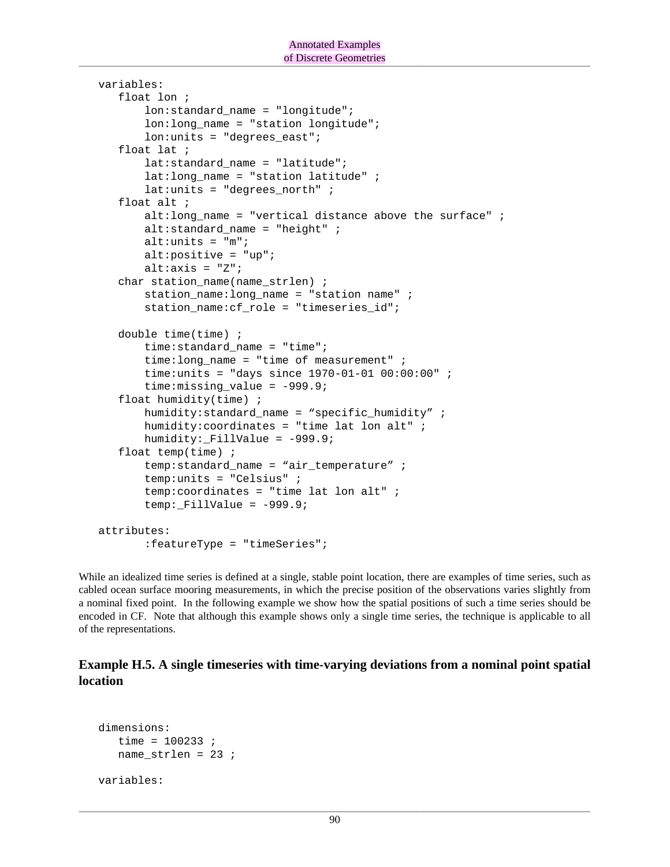```
 variables:
   float lon ; 
       lon:standard_name = "longitude";
      lon: long name = "station longitude";
       lon:units = "degrees_east";
   float lat ; 
       lat:standard_name = "latitude";
      lat:long name = "station latitude" ;
       lat:units = "degrees_north" ;
   float alt ;
      alt:long_name = "vertical distance above the surface" alt:standard_name = "height" ;
      alt: units = "m";alt:positive = "up"alt:axis = "Z"; char station_name(name_strlen) ;
      station_name:long_name = "station name" ;
       station_name:cf_role = "timeseries_id";
   double time(time) ; 
       time:standard_name = "time";
       time:long_name = "time of measurement" ;
       time:units = "days since 1970-01-01 00:00:00" ;
      time: missing value = -999.9;
   float humidity(time) ;
      humidity: standard name = "specific humidity" ;
       humidity:coordinates = "time lat lon alt" ;
       humidity:_FillValue = -999.9;
   float temp(time) ;
      temp: standard name = "air temperature" ;
       temp:units = "Celsius" ;
       temp:coordinates = "time lat lon alt" ;
      temp: FillValue = -999.9;
attributes:
       :featureType = "timeSeries";
```
While an idealized time series is defined at a single, stable point location, there are examples of time series, such as cabled ocean surface mooring measurements, in which the precise position of the observations varies slightly from a nominal fixed point. In the following example we show how the spatial positions of such a time series should be encoded in CF. Note that although this example shows only a single time series, the technique is applicable to all of the representations.

#### **Example H.5. A single timeseries with time-varying deviations from a nominal point spatial location**

```
 dimensions:
   time = 100233 ;
  name strlen = 23 ;
variables:
```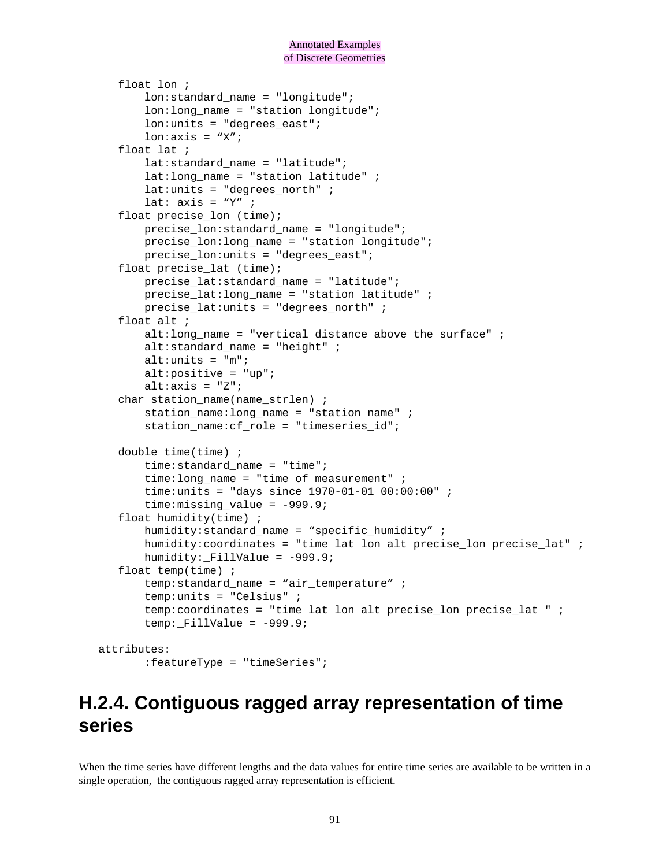```
 float lon ; 
      lon: standard name = "longitude";
       lon:long_name = "station longitude";
      lon:units = "degrees east";
      lon:axis = "X"; float lat ; 
       lat:standard_name = "latitude";
      lat:long name = "station latitude" ;
      lat: units = "degrees north" ;
      lat: axis = "Y" ;
   float precise_lon (time); 
       precise_lon:standard_name = "longitude";
      precise lon: long name = "station longitude";
       precise_lon:units = "degrees_east";
  float precise lat (time);
       precise_lat:standard_name = "latitude";
       precise_lat:long_name = "station latitude" ;
       precise_lat:units = "degrees_north" ;
   float alt ;
      alt:long name = "vertical distance above the surface" ialt:standard_name = "height"alt:units = "m";alt: positive = "up";
      alt:axis = "Z"; char station_name(name_strlen) ;
      station name: long name = "station name" ;
       station_name:cf_role = "timeseries_id";
   double time(time) ; 
      time: standard name = "time";
      time: long name = "time of measurement" ;
       time:units = "days since 1970-01-01 00:00:00" ;
       time:missing_value = -999.9;
   float humidity(time) ;
      humidity: standard name = "specific humidity" ;
       humidity:coordinates = "time lat lon alt precise_lon precise_lat" ;
      humidity: FillValue = -999.9;
   float temp(time) ;
       temp:standard_name = "air_temperature" ;
       temp:units = "Celsius" ;
      temp: coordinates = "time lat lon alt precise lon precise lat " i temp:_FillValue = -999.9;
attributes:
       :featureType = "timeSeries";
```
### **H.2.4. Contiguous ragged array representation of time series**

When the time series have different lengths and the data values for entire time series are available to be written in a single operation, the contiguous ragged array representation is efficient.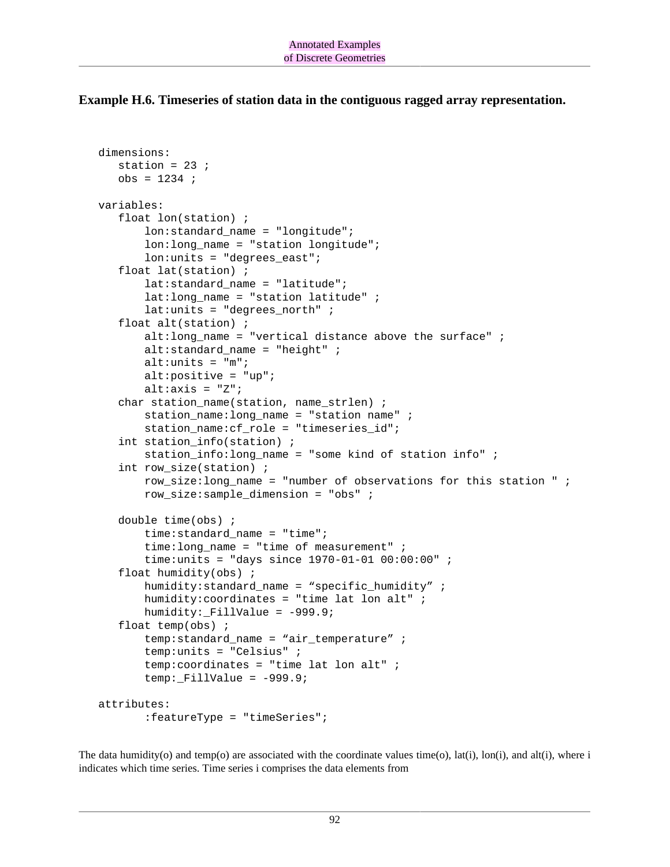#### **Example H.6. Timeseries of station data in the contiguous ragged array representation.**

```
 dimensions:
  station = 23 ;
  obs = 1234 ;
variables:
   float lon(station) ; 
       lon:standard_name = "longitude";
       lon:long_name = "station longitude";
       lon:units = "degrees_east";
   float lat(station) ; 
       lat:standard_name = "latitude";
      lat: long name = "station latitude" ;
       lat:units = "degrees_north" ;
   float alt(station) ;
       alt:long_name = "vertical distance above the surface" ;
      alt: standard name = "height" ialt:units = "m";alt: positive = "up";
      alt:axis = "Z"; char station_name(station, name_strlen) ;
       station_name:long_name = "station name" ;
       station_name:cf_role = "timeseries_id";
  int station info(station) ;
       station_info:long_name = "some kind of station info" ;
   int row_size(station) ;
       row_size:long_name = "number of observations for this station " ;
       row_size:sample_dimension = "obs" ;
   double time(obs) ; 
       time:standard_name = "time";
       time:long_name = "time of measurement" ;
       time:units = "days since 1970-01-01 00:00:00" ;
   float humidity(obs) ;
      humidity: standard name = "specific humidity" ;
       humidity:coordinates = "time lat lon alt" ;
       humidity:_FillValue = -999.9;
   float temp(obs) ;
       temp:standard_name = "air_temperature" ;
       temp:units = "Celsius" ;
       temp:coordinates = "time lat lon alt" ;
       temp:_FillValue = -999.9;
attributes:
       :featureType = "timeSeries";
```
The data humidity(o) and temp(o) are associated with the coordinate values time(o),  $lat(i)$ ,  $lon(i)$ , and  $alt(i)$ , where i indicates which time series. Time series i comprises the data elements from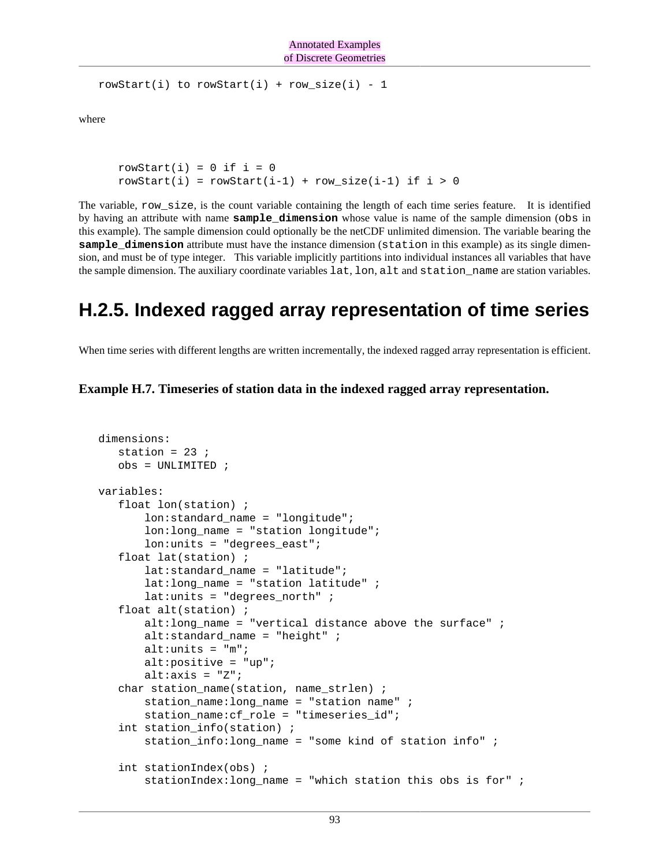```
rowStart(i) to rowStart(i) + row_size(i) - 1
```
where

 $rowStart(i) = 0 if i = 0$  $rowstart(i) = rowStart(i-1) + row_size(i-1)$  if  $i > 0$ 

The variable, row\_size, is the count variable containing the length of each time series feature. It is identified by having an attribute with name **sample\_dimension** whose value is name of the sample dimension (obs in this example). The sample dimension could optionally be the netCDF unlimited dimension. The variable bearing the **sample\_dimension** attribute must have the instance dimension (station in this example) as its single dimension, and must be of type integer. This variable implicitly partitions into individual instances all variables that have the sample dimension. The auxiliary coordinate variables lat, lon, alt and station\_name are station variables.

### **H.2.5. Indexed ragged array representation of time series**

When time series with different lengths are written incrementally, the indexed ragged array representation is efficient.

**Example H.7. Timeseries of station data in the indexed ragged array representation.**

```
 dimensions:
   station = 23 ;
   obs = UNLIMITED ;
variables:
   float lon(station) ; 
       lon:standard_name = "longitude";
      lon: long name = "station longitude";
       lon:units = "degrees_east";
   float lat(station) ; 
       lat:standard_name = "latitude";
      lat:long name = "station latitude" ;
       lat:units = "degrees_north" ;
   float alt(station) ;
       alt:long_name = "vertical distance above the surface" ;
      alt:standard_name = "height"alt:units = "m"; alt:positive = "up";
      alt:axis = "Z"; char station_name(station, name_strlen) ;
      station name: long name = "station name" ;
       station_name:cf_role = "timeseries_id";
  int station info(station) ;
       station_info:long_name = "some kind of station info" ;
   int stationIndex(obs) ;
       stationIndex:long_name = "which station this obs is for" ;
```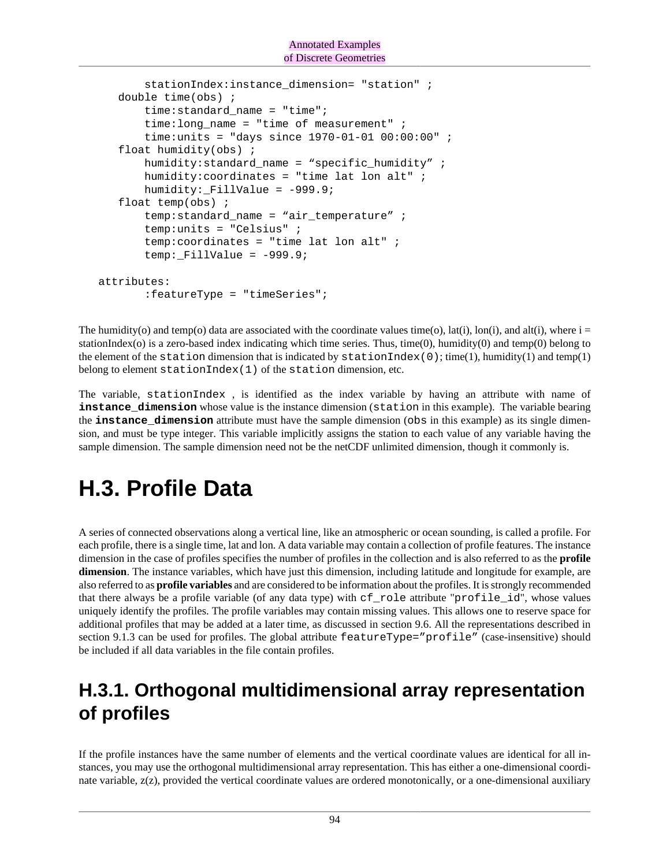```
 stationIndex:instance_dimension= "station" ;
   double time(obs) ; 
       time:standard_name = "time";
      time: long name = "time of measurement" ;
       time:units = "days since 1970-01-01 00:00:00" ;
   float humidity(obs) ;
       humidity:standard_name = "specific_humidity" ;
       humidity:coordinates = "time lat lon alt" ;
       humidity:_FillValue = -999.9;
   float temp(obs) ;
       temp:standard_name = "air_temperature" ;
       temp:units = "Celsius" ;
      temp: coordinates = "time lat lon alt";
      temp: FillValue = -999.9;
attributes:
       :featureType = "timeSeries";
```
The humidity(o) and temp(o) data are associated with the coordinate values time(o), lat(i), lon(i), and alt(i), where  $i =$ stationIndex(o) is a zero-based index indicating which time series. Thus, time(0), humidity(0) and temp(0) belong to the element of the station dimension that is indicated by stationIndex(0); time(1), humidity(1) and temp(1) belong to element stationIndex(1) of the station dimension, etc.

The variable, stationIndex , is identified as the index variable by having an attribute with name of **instance dimension** whose value is the instance dimension (station in this example). The variable bearing the **instance\_dimension** attribute must have the sample dimension (obs in this example) as its single dimension, and must be type integer. This variable implicitly assigns the station to each value of any variable having the sample dimension. The sample dimension need not be the netCDF unlimited dimension, though it commonly is.

## **H.3. Profile Data**

A series of connected observations along a vertical line, like an atmospheric or ocean sounding, is called a profile. For each profile, there is a single time, lat and lon. A data variable may contain a collection of profile features. The instance dimension in the case of profiles specifies the number of profiles in the collection and is also referred to as the **profile dimension**. The instance variables, which have just this dimension, including latitude and longitude for example, are also referred to as **profile variables** and are considered to be information about the profiles. It is strongly recommended that there always be a profile variable (of any data type) with cf\_role attribute "profile\_id", whose values uniquely identify the profiles. The profile variables may contain missing values. This allows one to reserve space for additional profiles that may be added at a later time, as discussed in section 9.6. All the representations described in section 9.1.3 can be used for profiles. The global attribute featureType="profile" (case-insensitive) should be included if all data variables in the file contain profiles.

### **H.3.1. Orthogonal multidimensional array representation of profiles**

If the profile instances have the same number of elements and the vertical coordinate values are identical for all instances, you may use the orthogonal multidimensional array representation. This has either a one-dimensional coordinate variable, z(z), provided the vertical coordinate values are ordered monotonically, or a one-dimensional auxiliary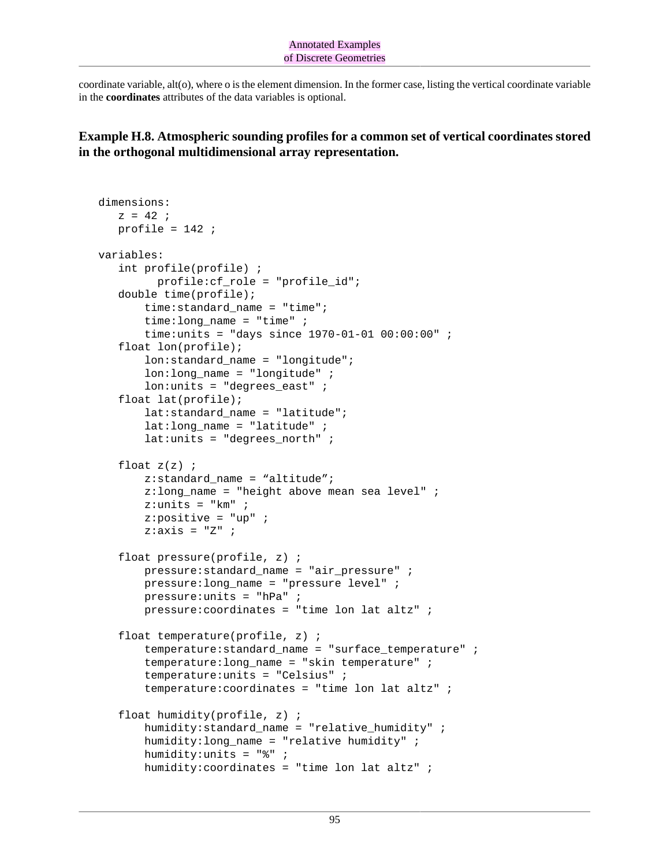coordinate variable, alt(o), where o is the element dimension. In the former case, listing the vertical coordinate variable in the **coordinates** attributes of the data variables is optional.

<span id="page-102-0"></span>**Example H.8. Atmospheric sounding profiles for a common set of vertical coordinates stored in the orthogonal multidimensional array representation.**

```
 dimensions:
  z = 42 ;
  profile = 142 ;
variables:
   int profile(profile) ;
         profile:cf_role = "profile_id";
   double time(profile); 
       time:standard_name = "time";
      time: long name = "time" ;
       time:units = "days since 1970-01-01 00:00:00" ;
   float lon(profile); 
       lon:standard_name = "longitude";
       lon:long_name = "longitude" ;
      lon: units = "degrees east" i float lat(profile); 
      lat: standard name = "latitude";
       lat:long_name = "latitude" ;
       lat:units = "degrees_north" ;
  float z(z) ;
      z:standard name = "altitude";
       z:long_name = "height above mean sea level" ;
      z:units = "km" ;
       z:positive = "up" ; 
      z:axis = "Z" ;
   float pressure(profile, z) ; 
       pressure:standard_name = "air_pressure" ;
       pressure:long_name = "pressure level" ;
       pressure:units = "hPa" ;
       pressure:coordinates = "time lon lat altz" ;
   float temperature(profile, z) ; 
       temperature:standard_name = "surface_temperature" ;
       temperature:long_name = "skin temperature" ;
       temperature:units = "Celsius" ;
      temperature: coordinates = "time lon lat at altz" float humidity(profile, z) ; 
       humidity:standard_name = "relative_humidity" ;
       humidity:long_name = "relative humidity" ;
       humidity:units = "%" ;
       humidity:coordinates = "time lon lat altz" ;
```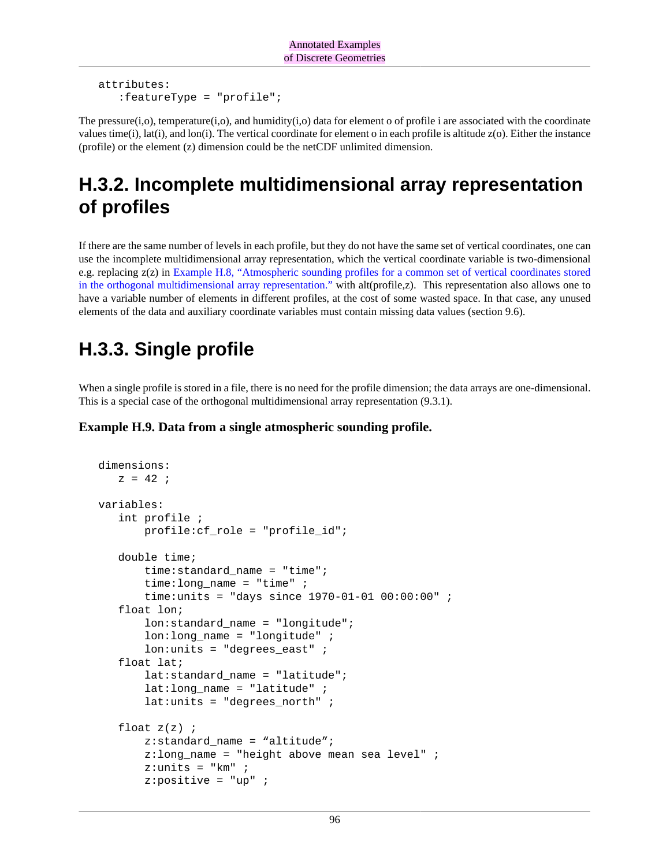```
 attributes:
   :featureType = "profile";
```
The pressure(i,o), temperature(i,o), and humidity(i,o) data for element o of profile i are associated with the coordinate values time(i), lat(i), and lon(i). The vertical coordinate for element o in each profile is altitude z(o). Either the instance (profile) or the element (z) dimension could be the netCDF unlimited dimension.

### **H.3.2. Incomplete multidimensional array representation of profiles**

If there are the same number of levels in each profile, but they do not have the same set of vertical coordinates, one can use the incomplete multidimensional array representation, which the vertical coordinate variable is two-dimensional e.g. replacing z(z) in [Example H.8, "Atmospheric sounding profiles for a common set of vertical coordinates stored](#page-102-0) [in the orthogonal multidimensional array representation."](#page-102-0) with alt(profile,z). This representation also allows one to have a variable number of elements in different profiles, at the cost of some wasted space. In that case, any unused elements of the data and auxiliary coordinate variables must contain missing data values (section 9.6).

### **H.3.3. Single profile**

When a single profile is stored in a file, there is no need for the profile dimension; the data arrays are one-dimensional. This is a special case of the orthogonal multidimensional array representation (9.3.1).

#### **Example H.9. Data from a single atmospheric sounding profile.**

```
 dimensions:
  z = 42 ;
variables:
   int profile ;
      profile: cf role = "profile id";
   double time; 
       time:standard_name = "time";
      time: long name = "time" ;
       time:units = "days since 1970-01-01 00:00:00" ;
   float lon; 
       lon:standard_name = "longitude";
       lon:long_name = "longitude" ;
       lon:units = "degrees_east" ;
   float lat; 
      lat:standard name = "latitude";
       lat:long_name = "latitude" ;
      lat:units = "degrees__north" ;
  float z(z) ;
       z:standard_name = "altitude";
       z:long_name = "height above mean sea level" ;
      z:units = "km" ;
      z:positive = "up" ;
```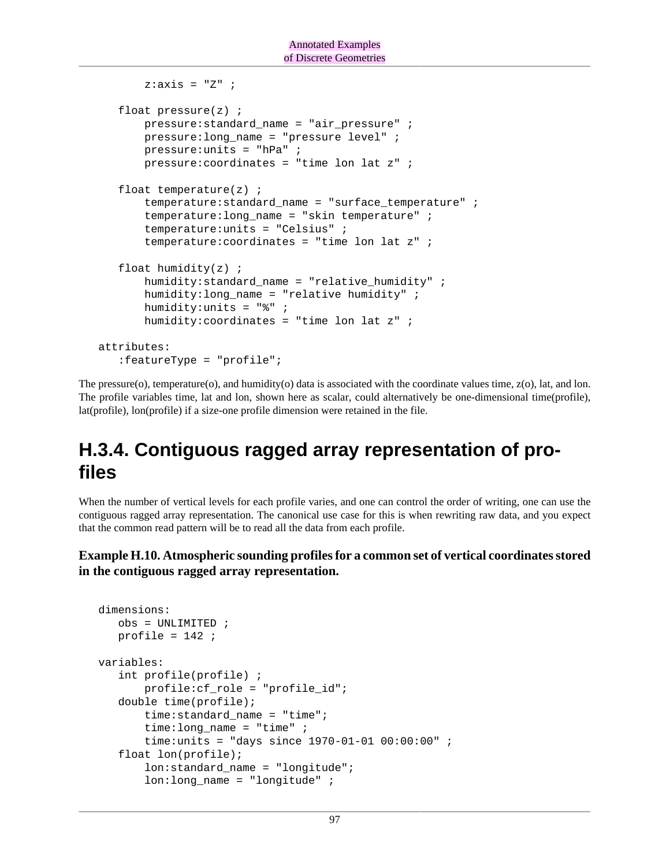```
z:axis = "Z" ;
   float pressure(z) ; 
       pressure:standard_name = "air_pressure" ;
       pressure:long_name = "pressure level" ;
       pressure:units = "hPa" ;
       pressure:coordinates = "time lon lat z" ;
   float temperature(z) ; 
       temperature:standard_name = "surface_temperature" ;
       temperature:long_name = "skin temperature" ;
       temperature:units = "Celsius" ;
       temperature:coordinates = "time lon lat z" ;
  float humidity(z);
       humidity:standard_name = "relative_humidity" ;
       humidity:long_name = "relative humidity" ;
       humidity:units = "%" ;
      humidity: coordinates = "time lon lat z" ;
attributes:
   :featureType = "profile";
```
The pressure(o), temperature(o), and humidity(o) data is associated with the coordinate values time,  $z(0)$ , lat, and lon. The profile variables time, lat and lon, shown here as scalar, could alternatively be one-dimensional time(profile), lat(profile), lon(profile) if a size-one profile dimension were retained in the file.

### **H.3.4. Contiguous ragged array representation of profiles**

When the number of vertical levels for each profile varies, and one can control the order of writing, one can use the contiguous ragged array representation. The canonical use case for this is when rewriting raw data, and you expect that the common read pattern will be to read all the data from each profile.

**Example H.10. Atmospheric sounding profiles for a common set of vertical coordinates stored in the contiguous ragged array representation.**

```
 dimensions:
   obs = UNLIMITED ;
  profile = 142;
variables:
   int profile(profile) ;
       profile:cf_role = "profile_id";
   double time(profile); 
       time:standard_name = "time";
      time: long name = "time" ;
       time:units = "days since 1970-01-01 00:00:00" ;
   float lon(profile); 
       lon:standard_name = "longitude";
       lon:long_name = "longitude" ;
```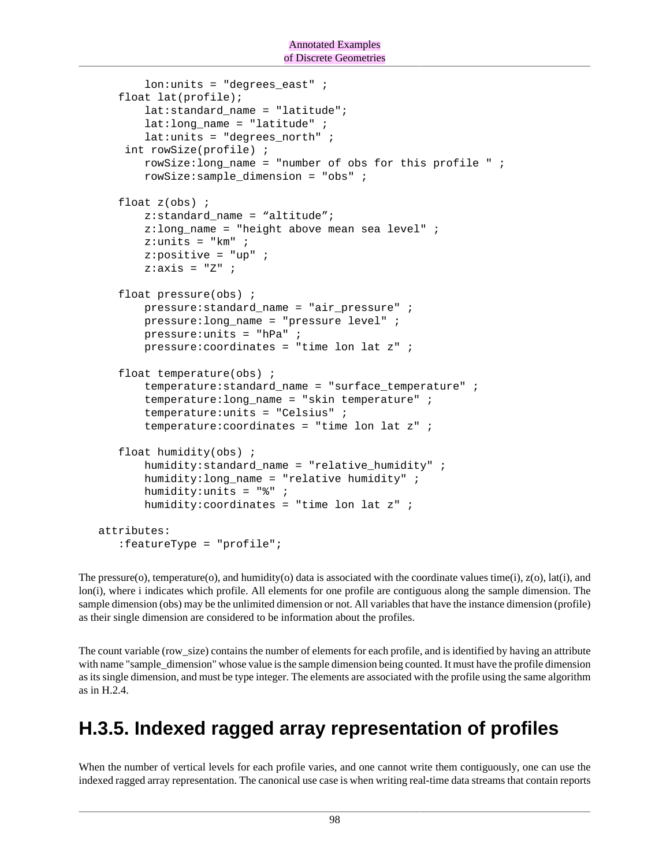```
 lon:units = "degrees_east" ;
   float lat(profile); 
      lat:standard name = "latitude";
      lat:long name = "latitude" ;
       lat:units = "degrees_north" ; 
    int rowSize(profile) ;
       rowSize:long_name = "number of obs for this profile " ;
       rowSize:sample_dimension = "obs" ;
   float z(obs) ; 
       z:standard_name = "altitude";
       z:long_name = "height above mean sea level" ;
      z:units = "km" ;
      z: positive = "up" ;
      z:axis = "Z" ;
   float pressure(obs) ; 
       pressure:standard_name = "air_pressure" ;
      pressure: long name = "pressure level" ;
       pressure:units = "hPa" ;
       pressure:coordinates = "time lon lat z" ;
   float temperature(obs) ; 
      temperature: standard name = "surface temperature" ;
       temperature:long_name = "skin temperature" ;
       temperature:units = "Celsius" ;
       temperature:coordinates = "time lon lat z" ;
   float humidity(obs) ; 
      humidity: standard name = "relative humidity" ;
       humidity:long_name = "relative humidity" ;
      humidity: units = " " ;
       humidity:coordinates = "time lon lat z" ;
attributes:
   :featureType = "profile";
```
The pressure(o), temperature(o), and humidity(o) data is associated with the coordinate values time(i),  $z$ (o), lat(i), and lon(i), where i indicates which profile. All elements for one profile are contiguous along the sample dimension. The sample dimension (obs) may be the unlimited dimension or not. All variables that have the instance dimension (profile) as their single dimension are considered to be information about the profiles.

The count variable (row\_size) contains the number of elements for each profile, and is identified by having an attribute with name "sample dimension" whose value is the sample dimension being counted. It must have the profile dimension as its single dimension, and must be type integer. The elements are associated with the profile using the same algorithm as in H.2.4.

### **H.3.5. Indexed ragged array representation of profiles**

When the number of vertical levels for each profile varies, and one cannot write them contiguously, one can use the indexed ragged array representation. The canonical use case is when writing real-time data streams that contain reports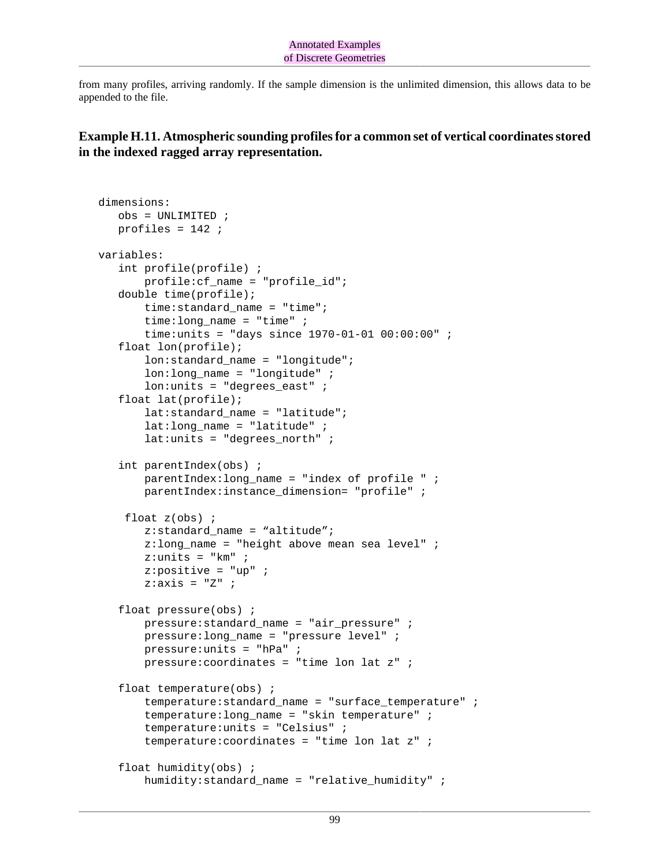from many profiles, arriving randomly. If the sample dimension is the unlimited dimension, this allows data to be appended to the file.

**Example H.11. Atmospheric sounding profiles for a common set of vertical coordinates stored in the indexed ragged array representation.**

```
 dimensions:
   obs = UNLIMITED ;
   profiles = 142 ;
variables:
   int profile(profile) ;
       profile:cf_name = "profile_id";
   double time(profile); 
       time:standard_name = "time";
      time: long name = "time" ;
       time:units = "days since 1970-01-01 00:00:00" ;
   float lon(profile); 
       lon:standard_name = "longitude";
       lon:long_name = "longitude" ;
      lon: units = "degrees east" i float lat(profile); 
      lat: standard name = "latitude";
       lat:long_name = "latitude" ;
       lat:units = "degrees_north" ; 
   int parentIndex(obs) ;
       parentIndex:long_name = "index of profile " ;
       parentIndex:instance_dimension= "profile" ;
    float z(obs) ; 
      z:standard name = "altitude";
       z:long_name = "height above mean sea level" ;
      z:units = "km" ;
      z:positive = "up" ;
      z:axis = "Z" ;
   float pressure(obs) ; 
       pressure:standard_name = "air_pressure" ;
       pressure:long_name = "pressure level" ;
       pressure:units = "hPa" ;
       pressure:coordinates = "time lon lat z" ;
   float temperature(obs) ; 
       temperature:standard_name = "surface_temperature" ;
       temperature:long_name = "skin temperature" ;
       temperature:units = "Celsius" ;
       temperature:coordinates = "time lon lat z" ;
   float humidity(obs) ; 
       humidity:standard_name = "relative_humidity" ;
```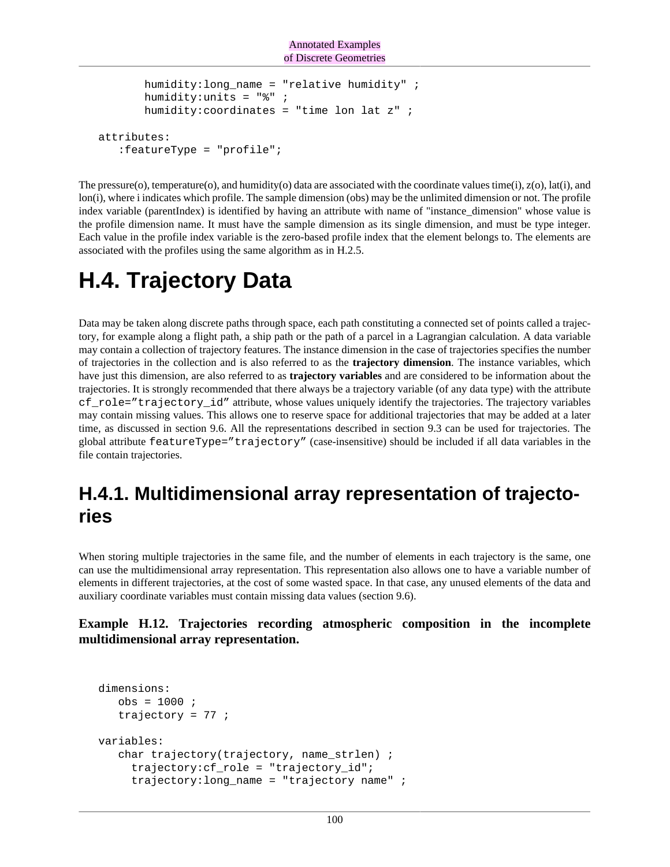```
 humidity:long_name = "relative humidity" ;
       humidity:units = "%" ;
       humidity:coordinates = "time lon lat z" ;
attributes:
   :featureType = "profile";
```
The pressure(o), temperature(o), and humidity(o) data are associated with the coordinate values time(i),  $z(0)$ , lat(i), and lon(i), where i indicates which profile. The sample dimension (obs) may be the unlimited dimension or not. The profile index variable (parentIndex) is identified by having an attribute with name of "instance\_dimension" whose value is the profile dimension name. It must have the sample dimension as its single dimension, and must be type integer. Each value in the profile index variable is the zero-based profile index that the element belongs to. The elements are associated with the profiles using the same algorithm as in H.2.5.

## **H.4. Trajectory Data**

Data may be taken along discrete paths through space, each path constituting a connected set of points called a trajectory, for example along a flight path, a ship path or the path of a parcel in a Lagrangian calculation. A data variable may contain a collection of trajectory features. The instance dimension in the case of trajectories specifies the number of trajectories in the collection and is also referred to as the **trajectory dimension**. The instance variables, which have just this dimension, are also referred to as **trajectory variables** and are considered to be information about the trajectories. It is strongly recommended that there always be a trajectory variable (of any data type) with the attribute cf\_role="trajectory\_id" attribute, whose values uniquely identify the trajectories. The trajectory variables may contain missing values. This allows one to reserve space for additional trajectories that may be added at a later time, as discussed in section 9.6. All the representations described in section 9.3 can be used for trajectories. The global attribute featureType="trajectory" (case-insensitive) should be included if all data variables in the file contain trajectories.

### **H.4.1. Multidimensional array representation of trajectories**

When storing multiple trajectories in the same file, and the number of elements in each trajectory is the same, one can use the multidimensional array representation. This representation also allows one to have a variable number of elements in different trajectories, at the cost of some wasted space. In that case, any unused elements of the data and auxiliary coordinate variables must contain missing data values (section 9.6).

#### **Example H.12. Trajectories recording atmospheric composition in the incomplete multidimensional array representation.**

```
 dimensions:
   obs = 1000 ;
  trajectory = 77 ;
variables:
  char trajectory(trajectory, name strlen) ;
     trajectory:cf_role = "trajectory_id";
     trajectory:long_name = "trajectory name" ;
```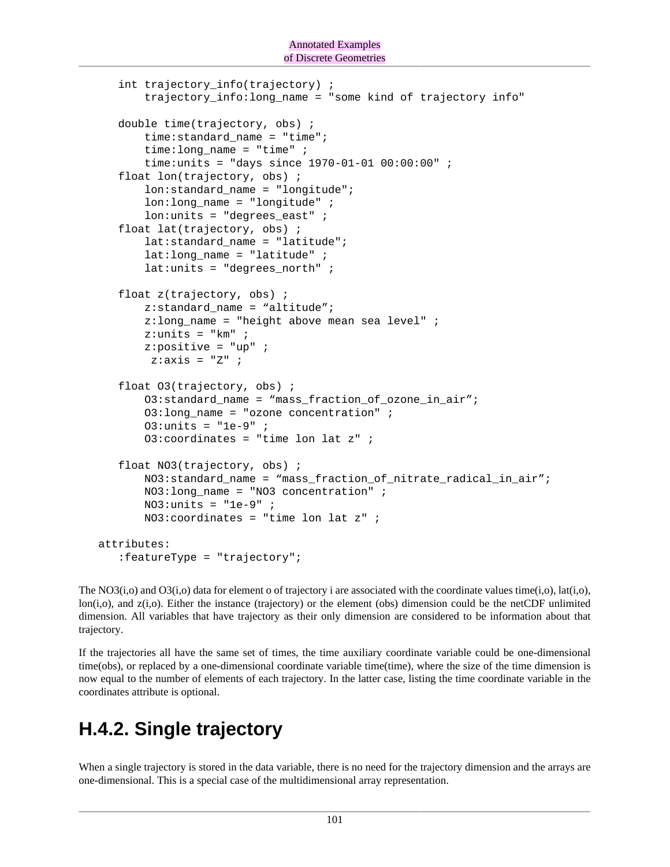```
 int trajectory_info(trajectory) ;
       trajectory_info:long_name = "some kind of trajectory info" 
   double time(trajectory, obs) ; 
       time:standard_name = "time";
      time: long name = "time" ;
       time:units = "days since 1970-01-01 00:00:00" ;
   float lon(trajectory, obs) ; 
      lon: standard name = "longitude";
       lon:long_name = "longitude" ;
       lon:units = "degrees_east" ;
   float lat(trajectory, obs) ; 
      lat:standard name = "latitude";
       lat:long_name = "latitude" ;
      lat:units = "degrees__north" ;
   float z(trajectory, obs) ; 
       z:standard_name = "altitude";
      z:long name = "height above mean sea level" ;
      z:units = "km" ;
      z: positive = "up" ;
       z:axis = "Z" ;
   float O3(trajectory, obs) ;
       O3:standard_name = "mass_fraction_of_ozone_in_air";
      03:long name = "ozone concentration" ;
      03:units = "1e-9" ;
       O3:coordinates = "time lon lat z" ;
   float NO3(trajectory, obs) ;
       NO3:standard_name = "mass_fraction_of_nitrate_radical_in_air";
       NO3:long_name = "NO3 concentration" ;
      NO3:units = "1e-9" ;
       NO3:coordinates = "time lon lat z" ;
attributes:
   :featureType = "trajectory";
```
The NO3(i,o) and O3(i,o) data for element o of trajectory i are associated with the coordinate values time(i,o), lat(i,o), lon(i,o), and z(i,o). Either the instance (trajectory) or the element (obs) dimension could be the netCDF unlimited dimension. All variables that have trajectory as their only dimension are considered to be information about that trajectory.

If the trajectories all have the same set of times, the time auxiliary coordinate variable could be one-dimensional time(obs), or replaced by a one-dimensional coordinate variable time(time), where the size of the time dimension is now equal to the number of elements of each trajectory. In the latter case, listing the time coordinate variable in the coordinates attribute is optional.

### **H.4.2. Single trajectory**

When a single trajectory is stored in the data variable, there is no need for the trajectory dimension and the arrays are one-dimensional. This is a special case of the multidimensional array representation.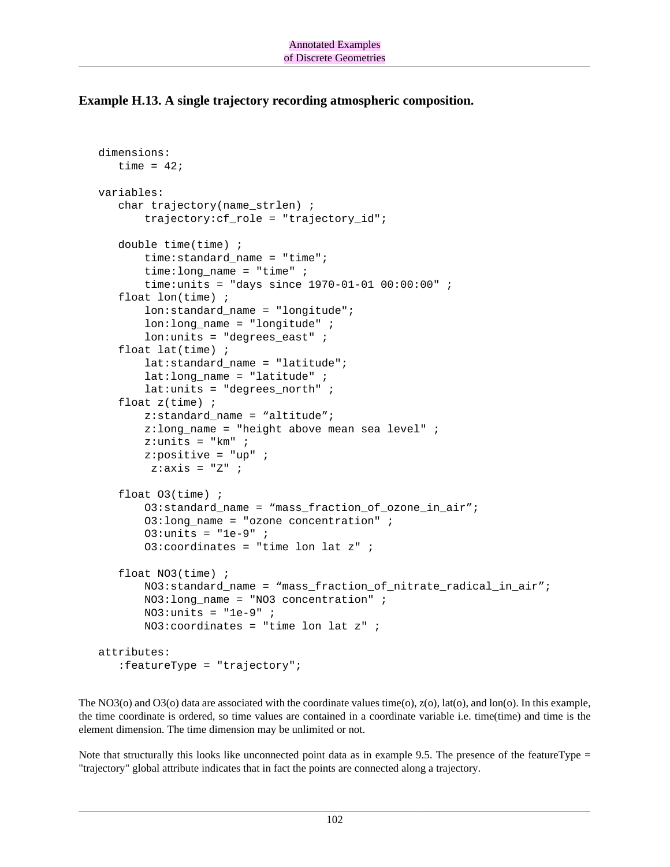**Example H.13. A single trajectory recording atmospheric composition.**

```
 dimensions:
  time = 42; variables:
   char trajectory(name_strlen) ;
       trajectory:cf_role = "trajectory_id";
   double time(time) ; 
       time:standard_name = "time";
       time:long_name = "time" ;
       time:units = "days since 1970-01-01 00:00:00" ;
   float lon(time) ; 
       lon:standard_name = "longitude";
       lon:long_name = "longitude" ;
       lon:units = "degrees_east" ;
   float lat(time) ; 
       lat:standard_name = "latitude";
       lat:long_name = "latitude" ;
       lat:units = "degrees_north" ;
   float z(time) ; 
       z:standard_name = "altitude";
       z:long_name = "height above mean sea level" ;
      z:units = "km" ;
      z:positive = "up" ;
       z:axis = "Z" ;
   float O3(time) ; 
       O3:standard_name = "mass_fraction_of_ozone_in_air";
       O3:long_name = "ozone concentration" ;
       O3:units = "1e-9" ;
      03:coordinates = "time lon lat z" ;
   float NO3(time) ; 
       NO3:standard_name = "mass_fraction_of_nitrate_radical_in_air";
       NO3:long_name = "NO3 concentration" ;
      NO3:units = "le-9" ;
       NO3:coordinates = "time lon lat z" ;
attributes:
   :featureType = "trajectory";
```
The NO3(o) and O3(o) data are associated with the coordinate values time(o), z(o), lat(o), and lon(o). In this example, the time coordinate is ordered, so time values are contained in a coordinate variable i.e. time(time) and time is the element dimension. The time dimension may be unlimited or not.

Note that structurally this looks like unconnected point data as in example 9.5. The presence of the featureType = "trajectory" global attribute indicates that in fact the points are connected along a trajectory.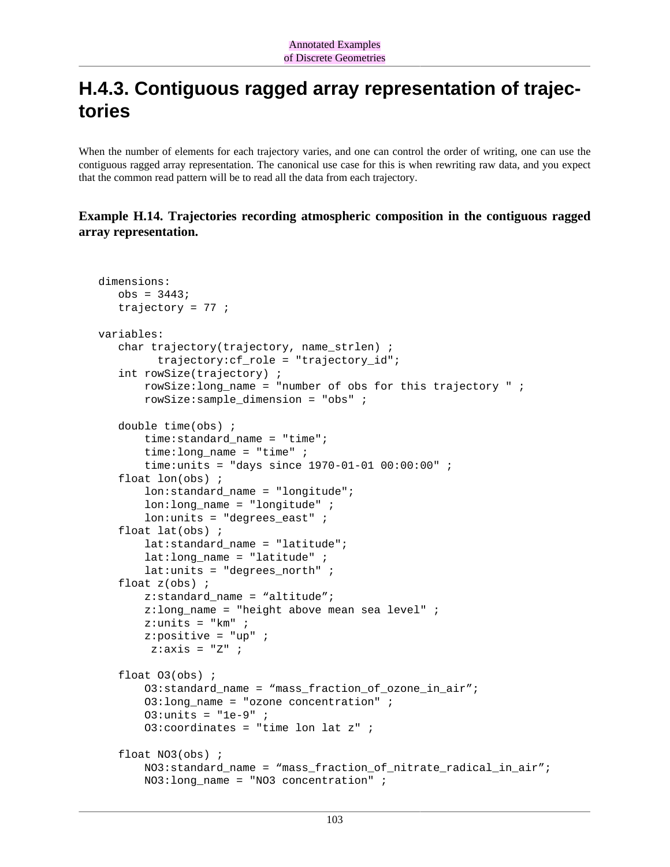#### **H.4.3. Contiguous ragged array representation of trajectories**

When the number of elements for each trajectory varies, and one can control the order of writing, one can use the contiguous ragged array representation. The canonical use case for this is when rewriting raw data, and you expect that the common read pattern will be to read all the data from each trajectory.

#### **Example H.14. Trajectories recording atmospheric composition in the contiguous ragged array representation.**

```
 dimensions:
   obs = 3443;
  trajectory = 77 ;
variables:
   char trajectory(trajectory, name_strlen) ;
         trajectory:cf_role = "trajectory_id";
   int rowSize(trajectory) ;
      rowSize: long name = "number of obs for this trajectory " ;
       rowSize:sample_dimension = "obs" ;
   double time(obs) ; 
      time: standard name = "time";
       time:long_name = "time" ;
       time:units = "days since 1970-01-01 00:00:00" ;
   float lon(obs) ; 
       lon:standard_name = "longitude";
       lon:long_name = "longitude" ;
       lon:units = "degrees_east" ;
   float lat(obs) ; 
       lat:standard_name = "latitude";
      lat:long name = "latitude" ;
       lat:units = "degrees_north" ;
   float z(obs) ; 
       z:standard_name = "altitude";
      z:long name = "height above mean sea level" ;
      z:units = "km" ;
      z:positive = "up" ;
       z:axis = "Z" ;
   float O3(obs) ; 
       O3:standard_name = "mass_fraction_of_ozone_in_air";
      03:long name = "ozone concentration" ;
      03:units = "le-9" ; O3:coordinates = "time lon lat z" ;
   float NO3(obs) ; 
       NO3:standard_name = "mass_fraction_of_nitrate_radical_in_air";
       NO3:long_name = "NO3 concentration" ;
```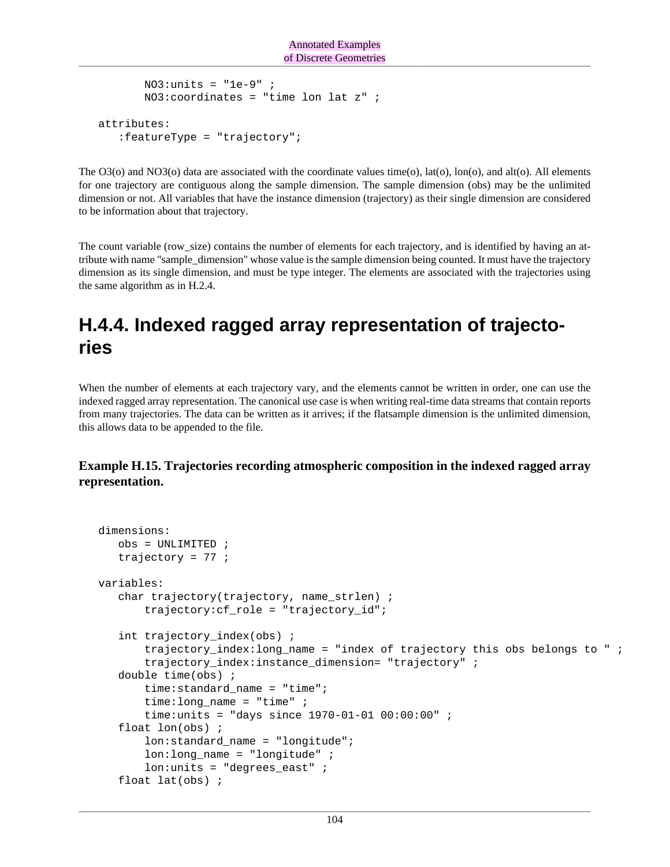```
NO3:units = "1e-9" ;
       NO3:coordinates = "time lon lat z" ;
attributes:
   :featureType = "trajectory";
```
The  $O3(0)$  and  $NO3(0)$  data are associated with the coordinate values time(o), lat(o), lon(o), and alt(o). All elements for one trajectory are contiguous along the sample dimension. The sample dimension (obs) may be the unlimited dimension or not. All variables that have the instance dimension (trajectory) as their single dimension are considered to be information about that trajectory.

The count variable (row\_size) contains the number of elements for each trajectory, and is identified by having an attribute with name "sample\_dimension" whose value is the sample dimension being counted. It must have the trajectory dimension as its single dimension, and must be type integer. The elements are associated with the trajectories using the same algorithm as in H.2.4.

### **H.4.4. Indexed ragged array representation of trajectories**

When the number of elements at each trajectory vary, and the elements cannot be written in order, one can use the indexed ragged array representation. The canonical use case is when writing real-time data streams that contain reports from many trajectories. The data can be written as it arrives; if the flatsample dimension is the unlimited dimension, this allows data to be appended to the file.

#### **Example H.15. Trajectories recording atmospheric composition in the indexed ragged array representation.**

```
 dimensions:
   obs = UNLIMITED ;
  trajectory = 77 ;
variables:
   char trajectory(trajectory, name_strlen) ;
       trajectory:cf_role = "trajectory_id";
  int trajectory index(obs) ;
       trajectory_index:long_name = "index of trajectory this obs belongs to " ;
       trajectory_index:instance_dimension= "trajectory" ;
   double time(obs) ; 
      time: standard name = "time";
      time: long name = "time" ; time:units = "days since 1970-01-01 00:00:00" ;
   float lon(obs) ; 
       lon:standard_name = "longitude";
      lon: long name = "lonqitude" ;
       lon:units = "degrees_east" ;
   float lat(obs) ;
```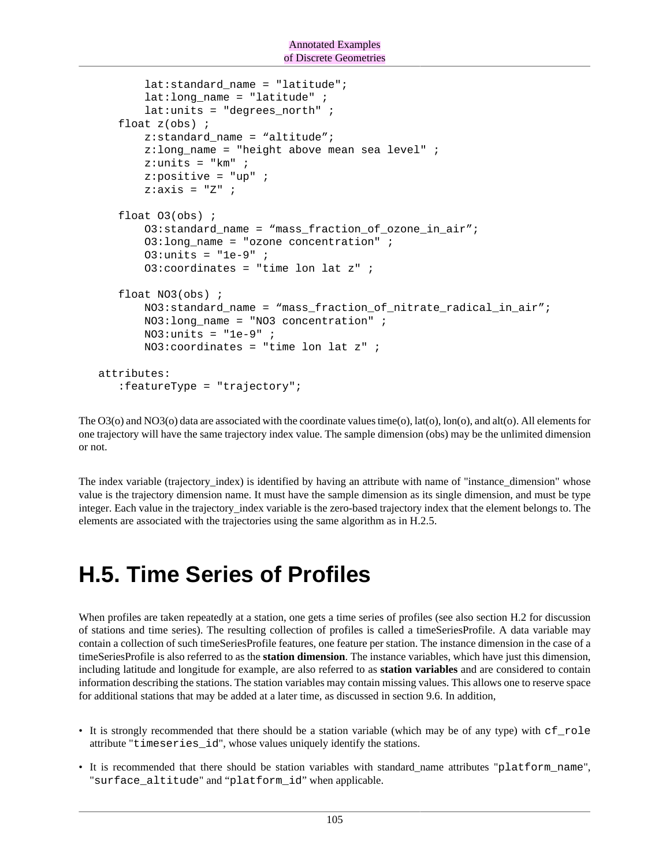```
 lat:standard_name = "latitude";
      lat:long name = "latitude" ;
      lat: units = "degrees north" ;
   float z(obs) ; 
       z:standard_name = "altitude";
       z:long_name = "height above mean sea level" ;
      z:units = "km" ;
      z: positive = "up" ;
      z:axis = "Z" ;
   float O3(obs) ; 
       O3:standard_name = "mass_fraction_of_ozone_in_air";
      03:long name = "ozone concentration" ;
      03:units = "le-9" ;03:coordinates = "time lon lat z" ;
   float NO3(obs) ; 
       NO3:standard_name = "mass_fraction_of_nitrate_radical_in_air";
      NO3:long name = "NO3 concentration" ;
      NO3:units = "le-9" ;
       NO3:coordinates = "time lon lat z" ;
attributes:
   :featureType = "trajectory";
```
The O3(o) and NO3(o) data are associated with the coordinate values time(o), lat(o), lon(o), and alt(o). All elements for one trajectory will have the same trajectory index value. The sample dimension (obs) may be the unlimited dimension or not.

The index variable (trajectory\_index) is identified by having an attribute with name of "instance\_dimension" whose value is the trajectory dimension name. It must have the sample dimension as its single dimension, and must be type integer. Each value in the trajectory index variable is the zero-based trajectory index that the element belongs to. The elements are associated with the trajectories using the same algorithm as in H.2.5.

# **H.5. Time Series of Profiles**

When profiles are taken repeatedly at a station, one gets a time series of profiles (see also section H.2 for discussion of stations and time series). The resulting collection of profiles is called a timeSeriesProfile. A data variable may contain a collection of such timeSeriesProfile features, one feature per station. The instance dimension in the case of a timeSeriesProfile is also referred to as the **station dimension**. The instance variables, which have just this dimension, including latitude and longitude for example, are also referred to as **station variables** and are considered to contain information describing the stations. The station variables may contain missing values. This allows one to reserve space for additional stations that may be added at a later time, as discussed in section 9.6. In addition,

- It is strongly recommended that there should be a station variable (which may be of any type) with  $cf$  role attribute "timeseries\_id", whose values uniquely identify the stations.
- It is recommended that there should be station variables with standard\_name attributes "platform\_name", "surface\_altitude" and "platform\_id" when applicable.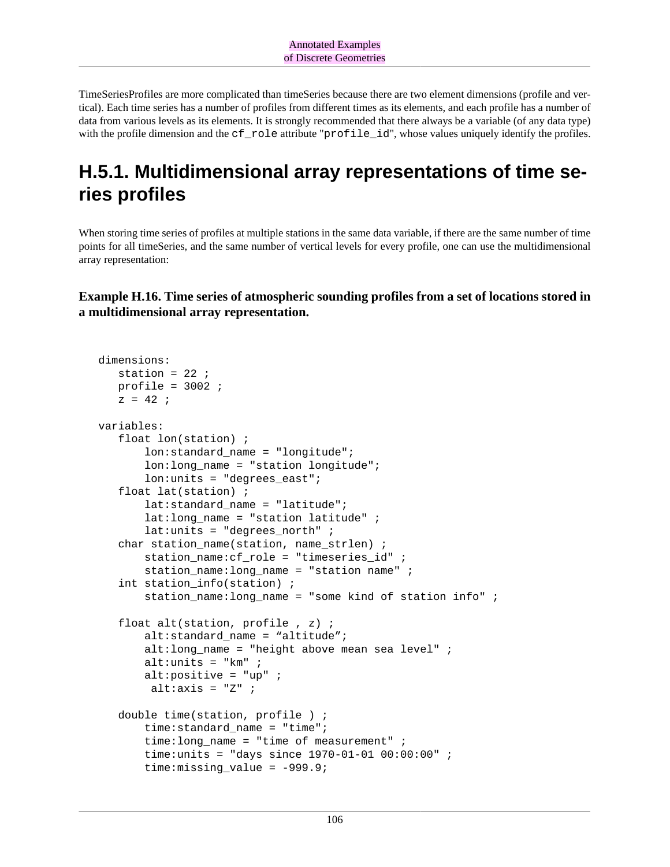TimeSeriesProfiles are more complicated than timeSeries because there are two element dimensions (profile and vertical). Each time series has a number of profiles from different times as its elements, and each profile has a number of data from various levels as its elements. It is strongly recommended that there always be a variable (of any data type) with the profile dimension and the cf\_role attribute "profile\_id", whose values uniquely identify the profiles.

### **H.5.1. Multidimensional array representations of time series profiles**

When storing time series of profiles at multiple stations in the same data variable, if there are the same number of time points for all timeSeries, and the same number of vertical levels for every profile, one can use the multidimensional array representation:

**Example H.16. Time series of atmospheric sounding profiles from a set of locations stored in a multidimensional array representation.**

```
 dimensions:
   station = 22 ;
  profile = 3002;
  z = 42 ;
variables:
   float lon(station) ; 
       lon:standard_name = "longitude";
      lon: long name = "station longitude";
       lon:units = "degrees_east";
   float lat(station) ; 
       lat:standard_name = "latitude";
       lat:long_name = "station latitude" ;
      lat: units = "degrees north" ;
   char station_name(station, name_strlen) ;
      station name: cf role = "timeseries id" ;
       station_name:long_name = "station name" ;
  int station info(station) ;
       station_name:long_name = "some kind of station info" ;
   float alt(station, profile , z) ; 
       alt:standard_name = "altitude";
      alt:long_name = "height above mean sea level"alt:units = "km" ;
       alt:positive = "up" ; 
       alt: axis = "Z" ;
   double time(station, profile ) ; 
      time: standard name = "time";
      time:long_name = "time of measurement" time:units = "days since 1970-01-01 00:00:00" ;
      time: missing value = -999.9;
```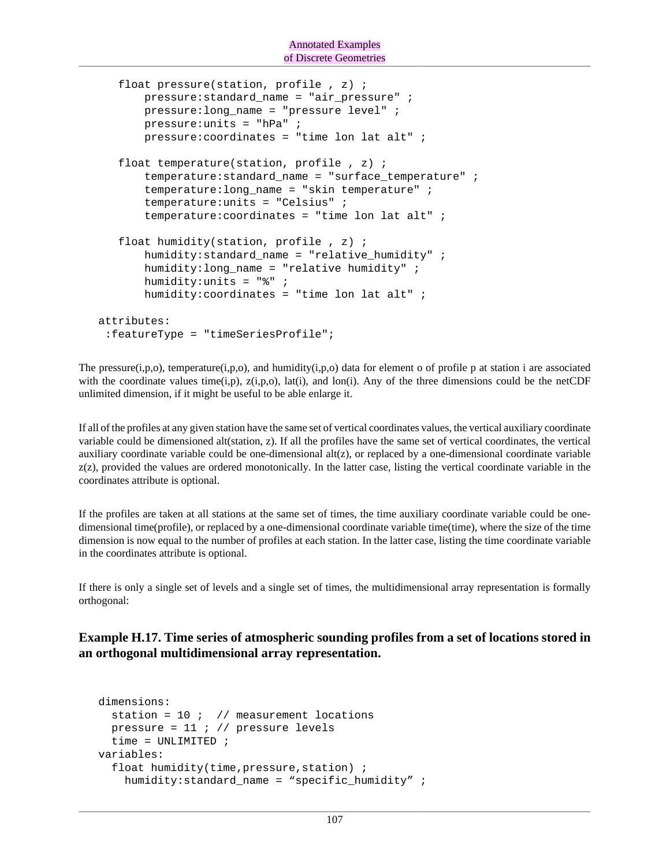```
 float pressure(station, profile , z) ; 
      pressure: standard name = "air pressure" ;
       pressure:long_name = "pressure level" ;
       pressure:units = "hPa" ;
       pressure:coordinates = "time lon lat alt" ;
   float temperature(station, profile , z) ; 
      temperature: standard name = "surface temperature" i temperature:long_name = "skin temperature" ;
       temperature:units = "Celsius" ;
       temperature:coordinates = "time lon lat alt" ;
   float humidity(station, profile , z) ; 
       humidity:standard_name = "relative_humidity" ;
      humidity: long name = "relative humidity" i humidity:units = "%" ;
      humidity: coordinates = "time lon lat alt" i attributes:
 :featureType = "timeSeriesProfile";
```
The pressure(i,p,o), temperature(i,p,o), and humidity(i,p,o) data for element o of profile p at station i are associated with the coordinate values time(i,p),  $z(i,p,o)$ , lat(i), and lon(i). Any of the three dimensions could be the netCDF unlimited dimension, if it might be useful to be able enlarge it.

If all of the profiles at any given station have the same set of vertical coordinates values, the vertical auxiliary coordinate variable could be dimensioned alt(station, z). If all the profiles have the same set of vertical coordinates, the vertical auxiliary coordinate variable could be one-dimensional alt(z), or replaced by a one-dimensional coordinate variable  $z(z)$ , provided the values are ordered monotonically. In the latter case, listing the vertical coordinate variable in the coordinates attribute is optional.

If the profiles are taken at all stations at the same set of times, the time auxiliary coordinate variable could be onedimensional time(profile), or replaced by a one-dimensional coordinate variable time(time), where the size of the time dimension is now equal to the number of profiles at each station. In the latter case, listing the time coordinate variable in the coordinates attribute is optional.

If there is only a single set of levels and a single set of times, the multidimensional array representation is formally orthogonal:

**Example H.17. Time series of atmospheric sounding profiles from a set of locations stored in an orthogonal multidimensional array representation.**

```
 dimensions:
 station = 10 ; // measurement locations
pressure = 11 ; // pressure levels
 time = UNLIMITED ;
variables:
 float humidity(time, pressure, station) ;
    humidity:standard_name = "specific_humidity" ;
```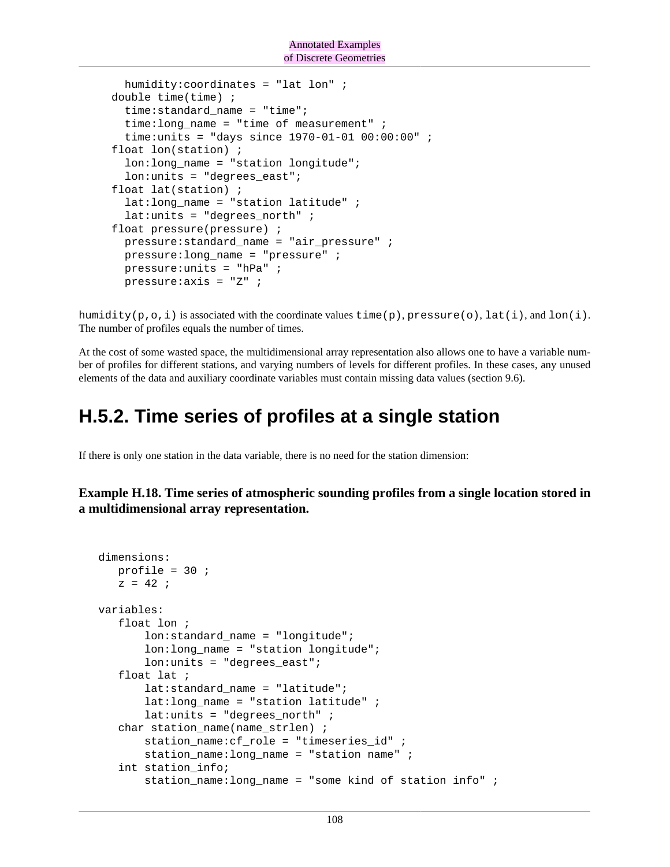```
 humidity:coordinates = "lat lon" ;
double time(time) ; 
 time: standard name = "time";
 time: long name = "time of measurement" ;
  time:units = "days since 1970-01-01 00:00:00" ;
float lon(station) ;
  lon:long_name = "station longitude";
 lon:units = "degrees east";
float lat(station) ;
 lat:long name = "station latitude" ;
 lat:units = "degrees__north" ;
float pressure(pressure) ; 
  pressure:standard_name = "air_pressure" ;
 pressure:long_name = "pressure" ;
 pressure:units = "hPa" ;
 pressure:axis = "Z" ;
```
humidity( $p, o, i$ ) is associated with the coordinate values time( $p$ ), pressure( $o$ ), lat( $i$ ), and lon( $i$ ). The number of profiles equals the number of times.

At the cost of some wasted space, the multidimensional array representation also allows one to have a variable number of profiles for different stations, and varying numbers of levels for different profiles. In these cases, any unused elements of the data and auxiliary coordinate variables must contain missing data values (section 9.6).

#### **H.5.2. Time series of profiles at a single station**

If there is only one station in the data variable, there is no need for the station dimension:

**Example H.18. Time series of atmospheric sounding profiles from a single location stored in a multidimensional array representation.**

```
 dimensions:
  profile = 30 ;
  z = 42 ;
variables:
   float lon ; 
       lon:standard_name = "longitude";
       lon:long_name = "station longitude";
       lon:units = "degrees_east";
   float lat ; 
      lat:standard name = "latitude";
      lat:long name = "station latitude" ;
       lat:units = "degrees_north" ;
  char station name(name strlen) ;
       station_name:cf_role = "timeseries_id" ;
      station name: long name = "station name" ;
   int station_info;
       station_name:long_name = "some kind of station info" ;
```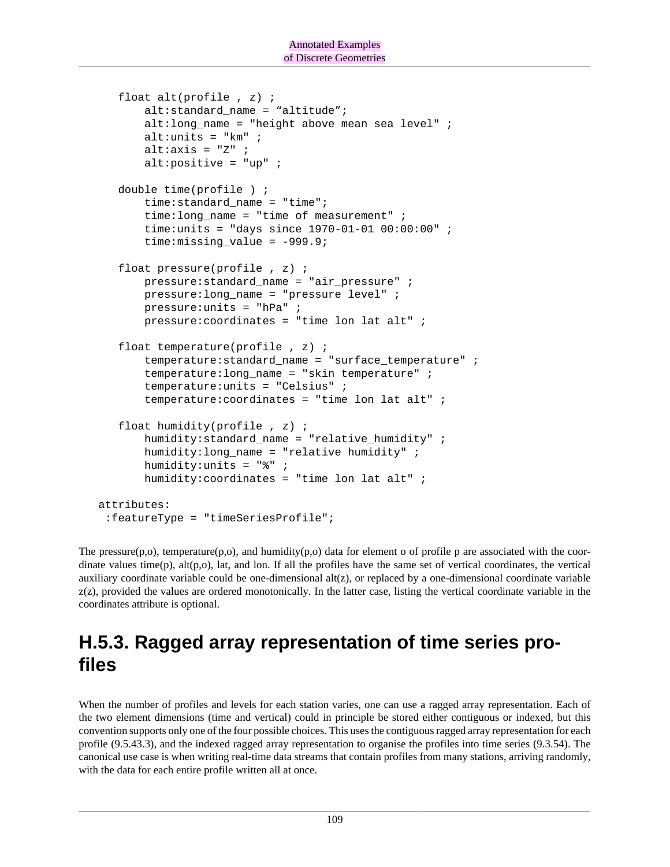```
 float alt(profile , z) ; 
      alt: standard name = "altitude";
      alt: long name = "height above mean sea level" ;
      alt: units = "km" ;
      alt: axis = "Z" ;
      alt: positive = "up" ;
   double time(profile ) ; 
      time: standard name = "time";
       time:long_name = "time of measurement" ;
       time:units = "days since 1970-01-01 00:00:00" ;
      time: missing value = -999.9;
   float pressure(profile , z) ; 
       pressure:standard_name = "air_pressure" ;
       pressure:long_name = "pressure level" ;
       pressure:units = "hPa" ;
       pressure:coordinates = "time lon lat alt" ;
   float temperature(profile , z) ; 
       temperature:standard_name = "surface_temperature" ;
       temperature:long_name = "skin temperature" ;
       temperature:units = "Celsius" ;
       temperature:coordinates = "time lon lat alt" ;
   float humidity(profile , z) ; 
       humidity:standard_name = "relative_humidity" ;
       humidity:long_name = "relative humidity" ;
      humidity: units = " ;
      humidity: coordinates = "time lon lat alt" i attributes:
 :featureType = "timeSeriesProfile";
```
The pressure(p,o), temperature(p,o), and humidity(p,o) data for element o of profile p are associated with the coordinate values time(p), alt(p,o), lat, and lon. If all the profiles have the same set of vertical coordinates, the vertical auxiliary coordinate variable could be one-dimensional alt(z), or replaced by a one-dimensional coordinate variable  $z(z)$ , provided the values are ordered monotonically. In the latter case, listing the vertical coordinate variable in the coordinates attribute is optional.

### **H.5.3. Ragged array representation of time series profiles**

When the number of profiles and levels for each station varies, one can use a ragged array representation. Each of the two element dimensions (time and vertical) could in principle be stored either contiguous or indexed, but this convention supports only one of the four possible choices. This uses the contiguous ragged array representation for each profile (9.5.43.3), and the indexed ragged array representation to organise the profiles into time series (9.3.54). The canonical use case is when writing real-time data streams that contain profiles from many stations, arriving randomly, with the data for each entire profile written all at once.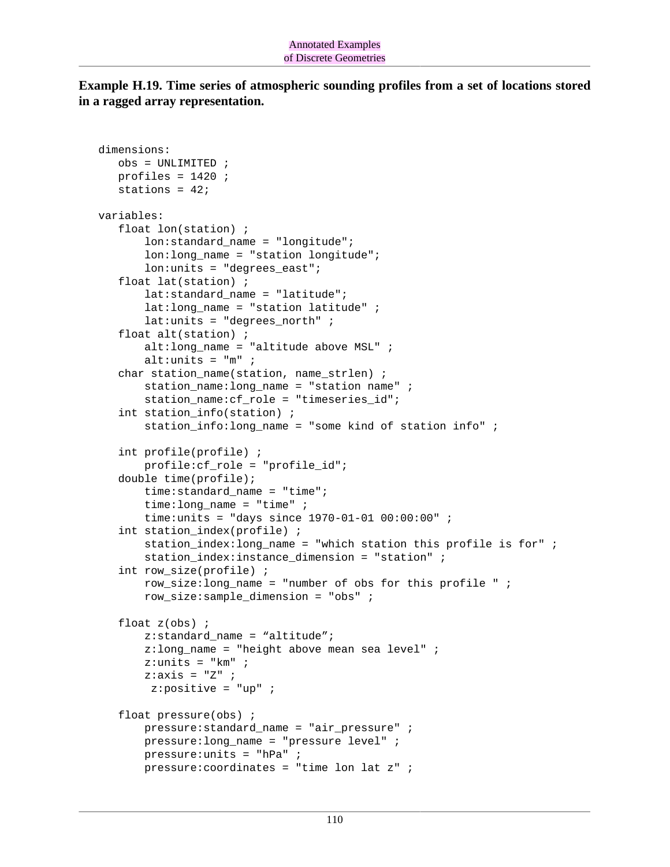**Example H.19. Time series of atmospheric sounding profiles from a set of locations stored in a ragged array representation.**

```
 dimensions:
   obs = UNLIMITED ;
   profiles = 1420 ;
  stations = 42i variables:
   float lon(station) ; 
      lon:standard name = "longitude";
       lon:long_name = "station longitude";
      lon:units = "degrees east";
   float lat(station) ; 
      lat:standard name = "latitude";
       lat:long_name = "station latitude" ;
      lat: units = "degrees north" ;
   float alt(station) ;
      alt:long_name = "altitude above MSL"alt: units = \sqrt{m} ;
   char station_name(station, name_strlen) ;
      station name: long name = "station name" ;
       station_name:cf_role = "timeseries_id";
  int station info(station) ;
       station_info:long_name = "some kind of station info" ;
   int profile(profile) ;
      profile: cf role = "profile id";
   double time(profile); 
      time: standard name = "time";
       time:long_name = "time" ;
       time:units = "days since 1970-01-01 00:00:00" ;
  int station index(profile) i station_index:long_name = "which station this profile is for" ;
       station_index:instance_dimension = "station" ;
   int row_size(profile) ;
       row_size:long_name = "number of obs for this profile " ;
       row_size:sample_dimension = "obs" ;
   float z(obs) ; 
       z:standard_name = "altitude";
       z:long_name = "height above mean sea level" ;
      z:units = "km" ;
      z:axis = "Z" ;
        z:positive = "up" ;
   float pressure(obs) ; 
       pressure:standard_name = "air_pressure" ;
       pressure:long_name = "pressure level" ;
       pressure:units = "hPa" ;
       pressure:coordinates = "time lon lat z" ;
```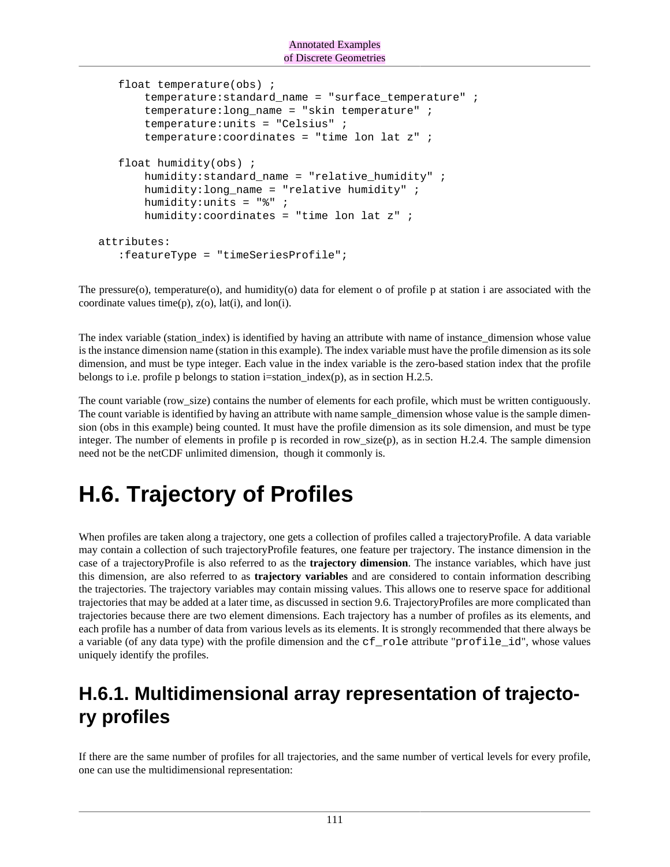```
 float temperature(obs) ; 
      temperature: standard name = "surface temperature" ;
       temperature:long_name = "skin temperature" ;
       temperature:units = "Celsius" ;
       temperature:coordinates = "time lon lat z" ;
   float humidity(obs) ; 
      humidity: standard name = "relative humidity" ;
       humidity:long_name = "relative humidity" ;
      humidity: units = " ;
      humidity: coordinates = "time lon lat z" ;
attributes:
   :featureType = "timeSeriesProfile";
```
The pressure(o), temperature(o), and humidity(o) data for element o of profile p at station i are associated with the coordinate values time $(p)$ ,  $z(0)$ ,  $lat(i)$ , and  $lon(i)$ .

The index variable (station\_index) is identified by having an attribute with name of instance\_dimension whose value is the instance dimension name (station in this example). The index variable must have the profile dimension as its sole dimension, and must be type integer. Each value in the index variable is the zero-based station index that the profile belongs to i.e. profile p belongs to station i=station\_index(p), as in section H.2.5.

The count variable (row\_size) contains the number of elements for each profile, which must be written contiguously. The count variable is identified by having an attribute with name sample\_dimension whose value is the sample dimension (obs in this example) being counted. It must have the profile dimension as its sole dimension, and must be type integer. The number of elements in profile p is recorded in row\_size(p), as in section H.2.4. The sample dimension need not be the netCDF unlimited dimension, though it commonly is.

# **H.6. Trajectory of Profiles**

When profiles are taken along a trajectory, one gets a collection of profiles called a trajectoryProfile. A data variable may contain a collection of such trajectoryProfile features, one feature per trajectory. The instance dimension in the case of a trajectoryProfile is also referred to as the **trajectory dimension**. The instance variables, which have just this dimension, are also referred to as **trajectory variables** and are considered to contain information describing the trajectories. The trajectory variables may contain missing values. This allows one to reserve space for additional trajectories that may be added at a later time, as discussed in section 9.6. TrajectoryProfiles are more complicated than trajectories because there are two element dimensions. Each trajectory has a number of profiles as its elements, and each profile has a number of data from various levels as its elements. It is strongly recommended that there always be a variable (of any data type) with the profile dimension and the cf\_role attribute "profile\_id", whose values uniquely identify the profiles.

#### **H.6.1. Multidimensional array representation of trajectory profiles**

If there are the same number of profiles for all trajectories, and the same number of vertical levels for every profile, one can use the multidimensional representation: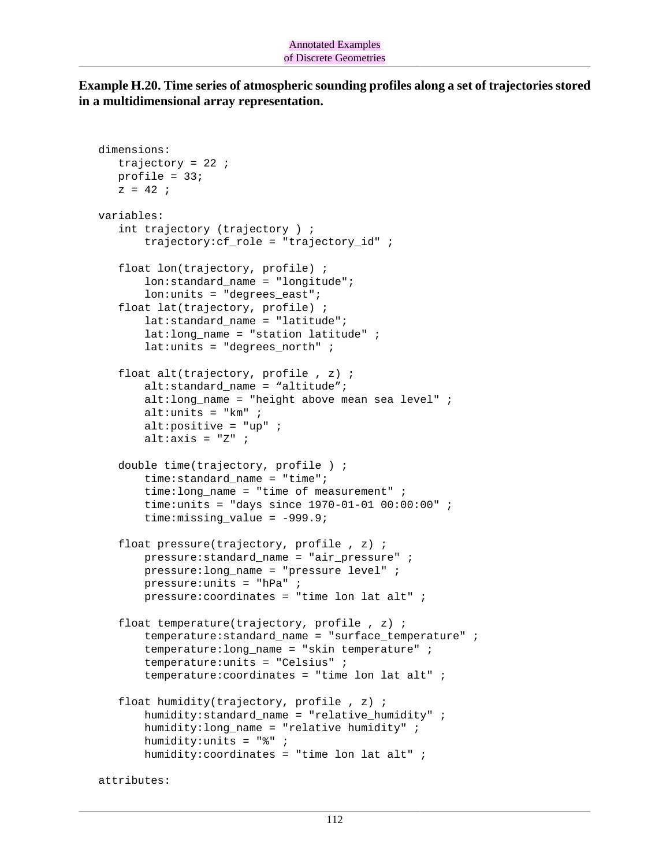**Example H.20. Time series of atmospheric sounding profiles along a set of trajectories stored in a multidimensional array representation.**

```
 dimensions:
  trajectory = 22 ;
  profile = 33;z = 42 ;
variables:
   int trajectory (trajectory ) ;
       trajectory:cf_role = "trajectory_id" ;
   float lon(trajectory, profile) ; 
       lon:standard_name = "longitude";
       lon:units = "degrees_east";
   float lat(trajectory, profile) ; 
      lat:standard name = "latitude";
       lat:long_name = "station latitude" ;
       lat:units = "degrees_north" ;
   float alt(trajectory, profile , z) ; 
      alt: standard name = "altitude";
      alt:long_name = "height above mean sea level"alt: units = "km" ;
      alt: positive = "up" ;
      alt: axis = "Z" ;
   double time(trajectory, profile ) ; 
      time: standard name = "time";
      time:long_name = "time of measurement" time:units = "days since 1970-01-01 00:00:00" ;
       time:missing_value = -999.9;
   float pressure(trajectory, profile , z) ; 
       pressure:standard_name = "air_pressure" ;
       pressure:long_name = "pressure level" ;
       pressure:units = "hPa" ;
       pressure:coordinates = "time lon lat alt" ;
   float temperature(trajectory, profile , z) ; 
       temperature:standard_name = "surface_temperature" ;
       temperature:long_name = "skin temperature" ;
       temperature:units = "Celsius" ;
      temperature: coordinates = "time lon lat at alt" float humidity(trajectory, profile , z) ; 
       humidity:standard_name = "relative_humidity" ;
       humidity:long_name = "relative humidity" ;
       humidity:units = "%" ;
       humidity:coordinates = "time lon lat alt" ;
```
attributes: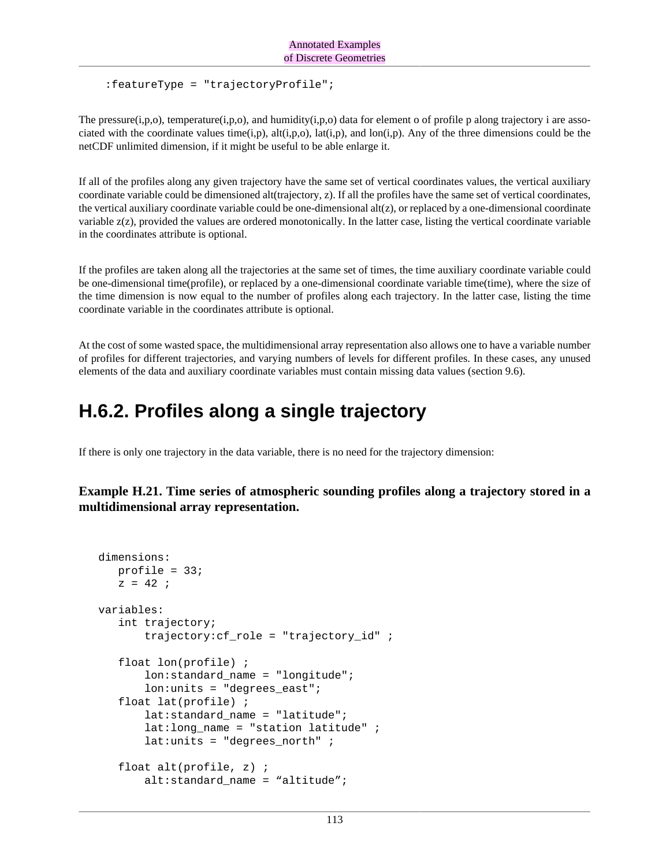:featureType = "trajectoryProfile";

The pressure(i,p,o), temperature(i,p,o), and humidity(i,p,o) data for element o of profile p along trajectory i are associated with the coordinate values time(i,p),  $alt(i,p,o)$ ,  $lat(i,p)$ , and  $lon(i,p)$ . Any of the three dimensions could be the netCDF unlimited dimension, if it might be useful to be able enlarge it.

If all of the profiles along any given trajectory have the same set of vertical coordinates values, the vertical auxiliary coordinate variable could be dimensioned alt(trajectory, z). If all the profiles have the same set of vertical coordinates, the vertical auxiliary coordinate variable could be one-dimensional alt(z), or replaced by a one-dimensional coordinate variable z(z), provided the values are ordered monotonically. In the latter case, listing the vertical coordinate variable in the coordinates attribute is optional.

If the profiles are taken along all the trajectories at the same set of times, the time auxiliary coordinate variable could be one-dimensional time(profile), or replaced by a one-dimensional coordinate variable time(time), where the size of the time dimension is now equal to the number of profiles along each trajectory. In the latter case, listing the time coordinate variable in the coordinates attribute is optional.

At the cost of some wasted space, the multidimensional array representation also allows one to have a variable number of profiles for different trajectories, and varying numbers of levels for different profiles. In these cases, any unused elements of the data and auxiliary coordinate variables must contain missing data values (section 9.6).

### **H.6.2. Profiles along a single trajectory**

If there is only one trajectory in the data variable, there is no need for the trajectory dimension:

**Example H.21. Time series of atmospheric sounding profiles along a trajectory stored in a multidimensional array representation.**

```
 dimensions:
  profile = 33;
  z = 42 ;
variables:
   int trajectory;
       trajectory:cf_role = "trajectory_id" ;
   float lon(profile) ; 
      lon: standard name = "longitude";
      lon:units = "degrees east";
   float lat(profile) ; 
       lat:standard_name = "latitude";
      lat:long name = "station latitude" ;
       lat:units = "degrees_north" ;
   float alt(profile, z) ; 
       alt:standard_name = "altitude";
```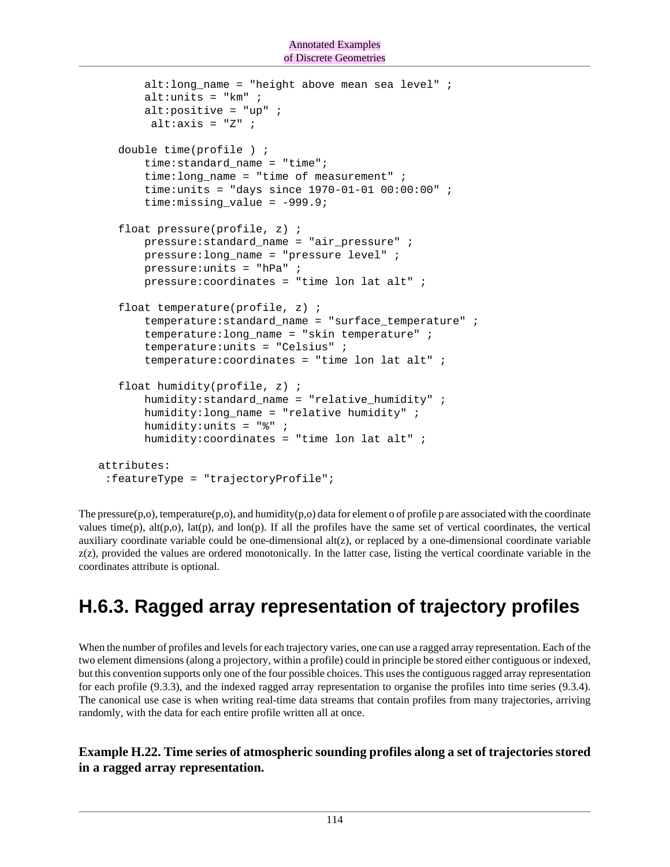```
alt:long_name = "height above mean sea level"alt: units = "km" ;
      alt: positive = "up" ;
       alt: axis = "Z" ;
   double time(profile ) ; 
       time:standard_name = "time";
      time: long name = "time of measurement" ;
       time:units = "days since 1970-01-01 00:00:00" ;
      time:missing_value = -999.9;
   float pressure(profile, z) ; 
      pressure: standard name = "air pressure" ;
       pressure:long_name = "pressure level" ;
       pressure:units = "hPa" ;
       pressure:coordinates = "time lon lat alt" ;
   float temperature(profile, z) ; 
      temperature: standard name = "surface temperature" itemperature: long name = "skin temperature" ;
       temperature:units = "Celsius" ;
       temperature:coordinates = "time lon lat alt" ;
   float humidity(profile, z) ; 
      humidity: standard name = "relative humidity" ;
      humidity: long name = "relative humidity" ;
       humidity:units = "%" ;
      humidity: coordinates = "time lon lat alt" i attributes:
 :featureType = "trajectoryProfile";
```
The pressure(p,o), temperature(p,o), and humidity(p,o) data for element o of profile p are associated with the coordinate values time(p), alt(p,o), lat(p), and lon(p). If all the profiles have the same set of vertical coordinates, the vertical auxiliary coordinate variable could be one-dimensional alt(z), or replaced by a one-dimensional coordinate variable  $z(z)$ , provided the values are ordered monotonically. In the latter case, listing the vertical coordinate variable in the coordinates attribute is optional.

### **H.6.3. Ragged array representation of trajectory profiles**

When the number of profiles and levels for each trajectory varies, one can use a ragged array representation. Each of the two element dimensions (along a projectory, within a profile) could in principle be stored either contiguous or indexed, but this convention supports only one of the four possible choices. This uses the contiguous ragged array representation for each profile (9.3.3), and the indexed ragged array representation to organise the profiles into time series (9.3.4). The canonical use case is when writing real-time data streams that contain profiles from many trajectories, arriving randomly, with the data for each entire profile written all at once.

#### **Example H.22. Time series of atmospheric sounding profiles along a set of trajectories stored in a ragged array representation.**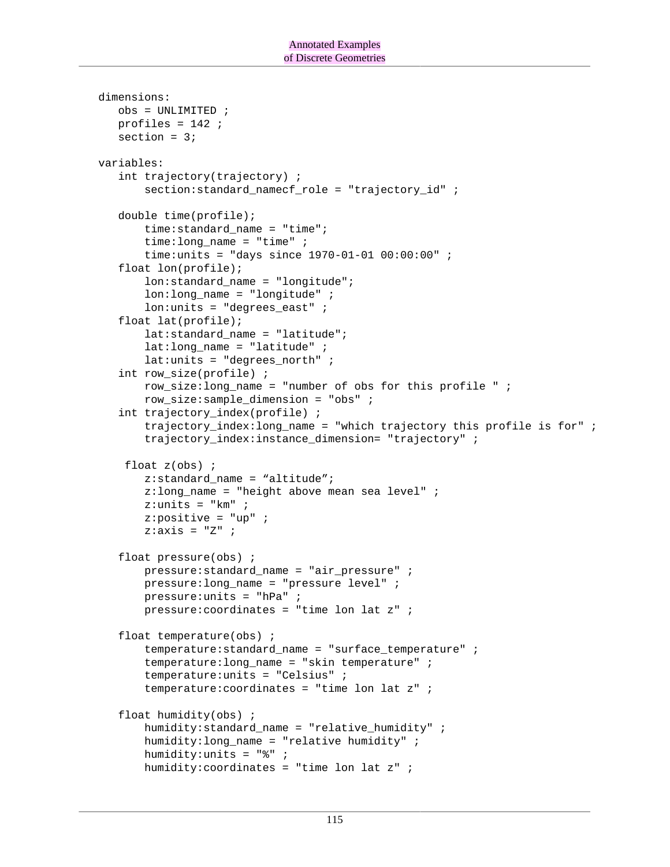```
 dimensions:
   obs = UNLIMITED ;
  profiles = 142 ;
  section = 3; variables:
   int trajectory(trajectory) ;
       section:standard_namecf_role = "trajectory_id" ;
   double time(profile); 
       time:standard_name = "time";
      time: long name = "time" ;
       time:units = "days since 1970-01-01 00:00:00" ;
   float lon(profile); 
       lon:standard_name = "longitude";
      lon: long name = "lonqitude" ;
       lon:units = "degrees_east" ;
   float lat(profile); 
      lat:standard name = "latitude";
       lat:long_name = "latitude" ;
       lat:units = "degrees_north" ; 
   int row_size(profile) ;
       row_size:long_name = "number of obs for this profile " ;
       row_size:sample_dimension = "obs" ;
  int trajectory index(profile) ;
       trajectory_index:long_name = "which trajectory this profile is for" ;
       trajectory_index:instance_dimension= "trajectory" ;
    float z(obs) ;
      z:standard name = "altitude";
       z:long_name = "height above mean sea level" ;
      z:units = "km" ;
      z: positive = "up" ;
      z:axis = "Z" ;
   float pressure(obs) ; 
       pressure:standard_name = "air_pressure" ;
       pressure:long_name = "pressure level" ;
       pressure:units = "hPa" ;
       pressure:coordinates = "time lon lat z" ;
   float temperature(obs) ; 
       temperature:standard_name = "surface_temperature" ;
       temperature:long_name = "skin temperature" ;
       temperature:units = "Celsius" ;
       temperature:coordinates = "time lon lat z" ;
   float humidity(obs) ; 
       humidity:standard_name = "relative_humidity" ;
       humidity:long_name = "relative humidity" ;
       humidity:units = "%" ;
       humidity:coordinates = "time lon lat z" ;
```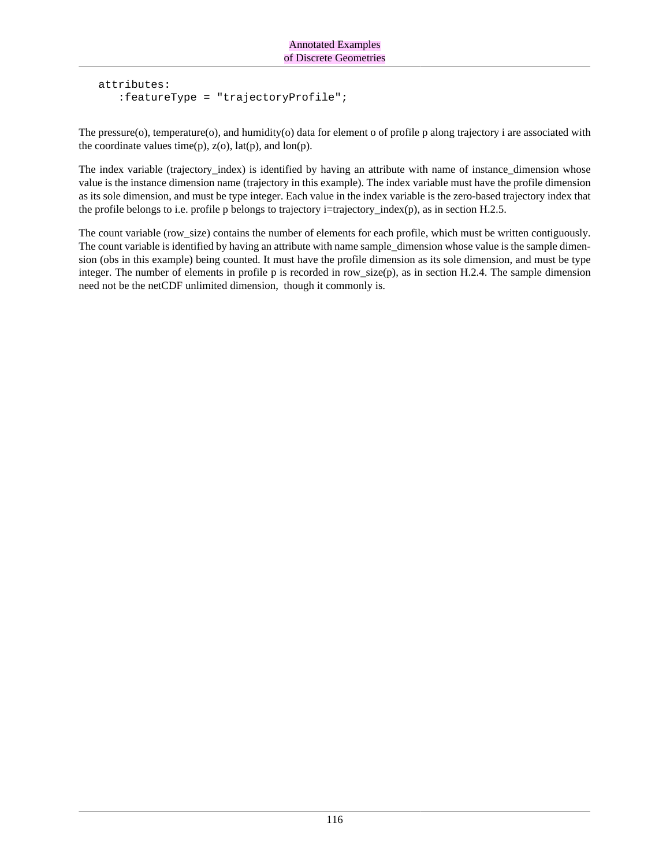```
 attributes:
   :featureType = "trajectoryProfile";
```
The pressure(o), temperature(o), and humidity(o) data for element o of profile p along trajectory i are associated with the coordinate values time(p),  $z(0)$ ,  $lat(p)$ , and  $lon(p)$ .

The index variable (trajectory index) is identified by having an attribute with name of instance dimension whose value is the instance dimension name (trajectory in this example). The index variable must have the profile dimension as its sole dimension, and must be type integer. Each value in the index variable is the zero-based trajectory index that the profile belongs to i.e. profile p belongs to trajectory i=trajectory\_index(p), as in section H.2.5.

The count variable (row\_size) contains the number of elements for each profile, which must be written contiguously. The count variable is identified by having an attribute with name sample\_dimension whose value is the sample dimension (obs in this example) being counted. It must have the profile dimension as its sole dimension, and must be type integer. The number of elements in profile p is recorded in row\_size(p), as in section H.2.4. The sample dimension need not be the netCDF unlimited dimension, though it commonly is.